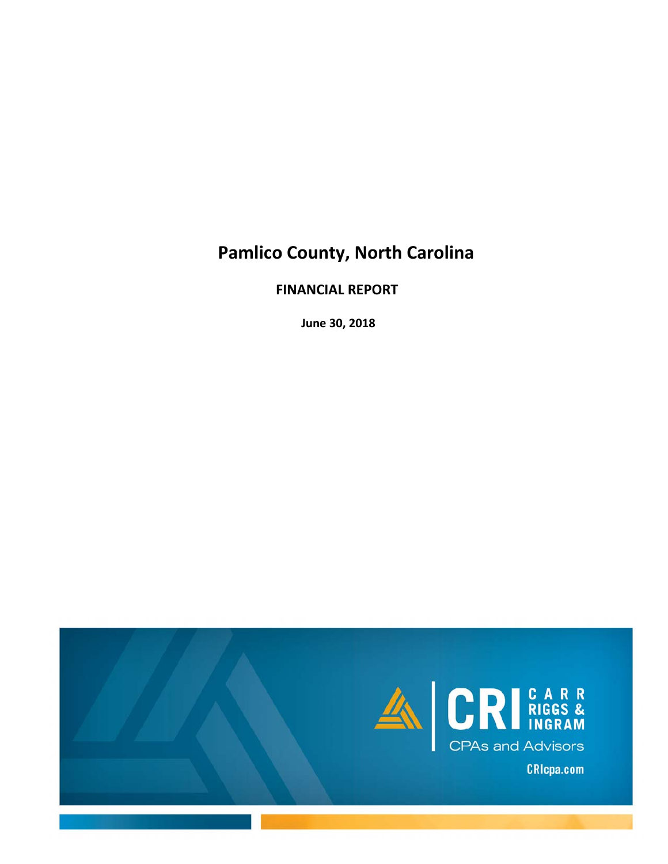# **Pamlico County, North Carolina**

 **FINANCIAL REPORT**

 **June 30, 2018**

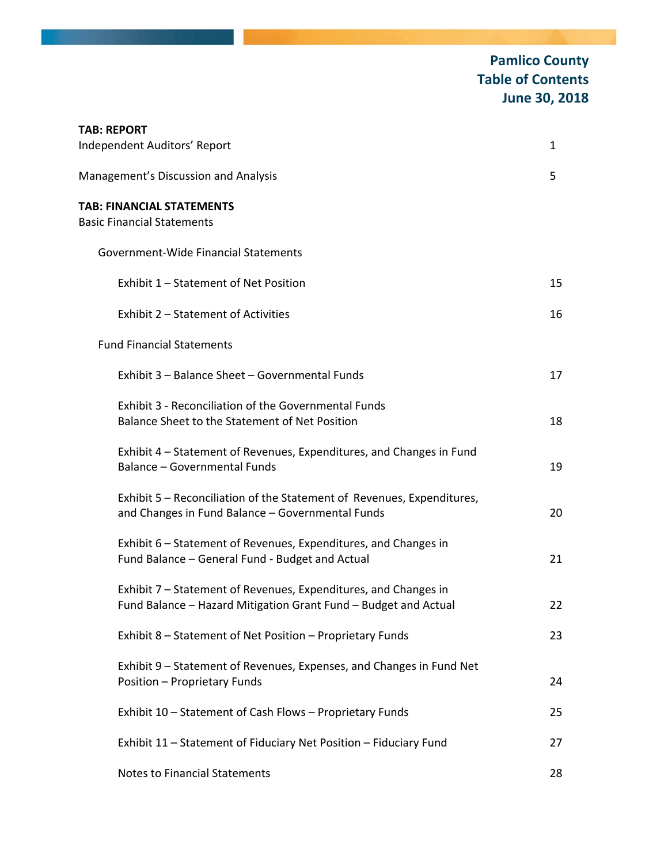## **Pamlico County Table of Contents June 30, 2018**

| <b>TAB: REPORT</b><br>Independent Auditors' Report                                                                                 | 1  |
|------------------------------------------------------------------------------------------------------------------------------------|----|
| Management's Discussion and Analysis                                                                                               | 5  |
| <b>TAB: FINANCIAL STATEMENTS</b><br><b>Basic Financial Statements</b>                                                              |    |
| Government-Wide Financial Statements                                                                                               |    |
| Exhibit 1 - Statement of Net Position                                                                                              | 15 |
| Exhibit 2 - Statement of Activities                                                                                                | 16 |
| <b>Fund Financial Statements</b>                                                                                                   |    |
| Exhibit 3 - Balance Sheet - Governmental Funds                                                                                     | 17 |
| Exhibit 3 - Reconciliation of the Governmental Funds<br>Balance Sheet to the Statement of Net Position                             | 18 |
| Exhibit 4 – Statement of Revenues, Expenditures, and Changes in Fund<br><b>Balance - Governmental Funds</b>                        | 19 |
| Exhibit 5 - Reconciliation of the Statement of Revenues, Expenditures,<br>and Changes in Fund Balance - Governmental Funds         | 20 |
| Exhibit 6 - Statement of Revenues, Expenditures, and Changes in<br>Fund Balance - General Fund - Budget and Actual                 | 21 |
| Exhibit 7 - Statement of Revenues, Expenditures, and Changes in<br>Fund Balance - Hazard Mitigation Grant Fund - Budget and Actual | 22 |
| Exhibit 8 - Statement of Net Position - Proprietary Funds                                                                          | 23 |
| Exhibit 9 - Statement of Revenues, Expenses, and Changes in Fund Net<br>Position - Proprietary Funds                               | 24 |
| Exhibit 10 - Statement of Cash Flows - Proprietary Funds                                                                           | 25 |
| Exhibit 11 - Statement of Fiduciary Net Position - Fiduciary Fund                                                                  | 27 |
| <b>Notes to Financial Statements</b>                                                                                               | 28 |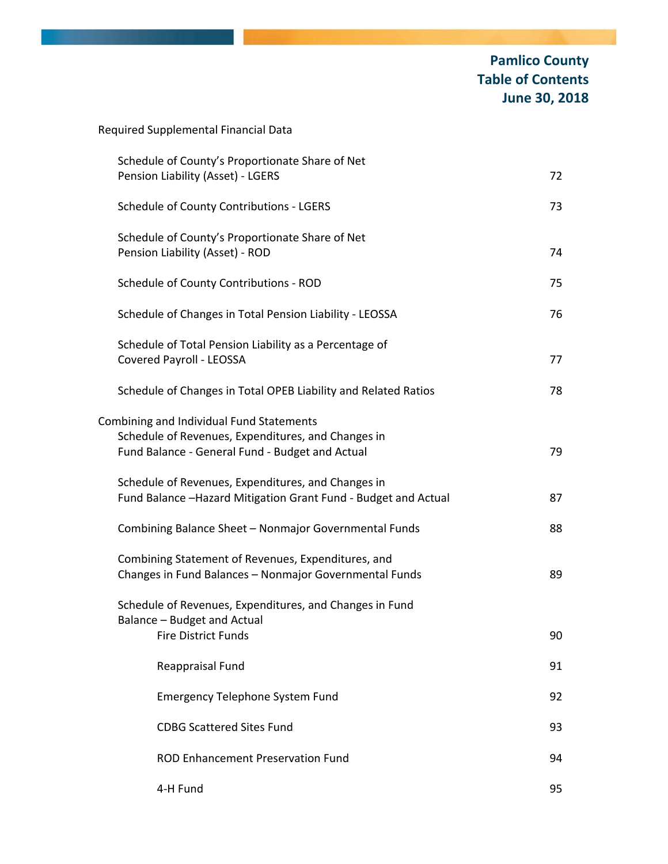| Required Supplemental Financial Data                                                                                                              |    |
|---------------------------------------------------------------------------------------------------------------------------------------------------|----|
| Schedule of County's Proportionate Share of Net<br>Pension Liability (Asset) - LGERS                                                              | 72 |
| <b>Schedule of County Contributions - LGERS</b>                                                                                                   | 73 |
| Schedule of County's Proportionate Share of Net<br>Pension Liability (Asset) - ROD                                                                | 74 |
| Schedule of County Contributions - ROD                                                                                                            | 75 |
| Schedule of Changes in Total Pension Liability - LEOSSA                                                                                           | 76 |
| Schedule of Total Pension Liability as a Percentage of<br>Covered Payroll - LEOSSA                                                                | 77 |
| Schedule of Changes in Total OPEB Liability and Related Ratios                                                                                    | 78 |
| Combining and Individual Fund Statements<br>Schedule of Revenues, Expenditures, and Changes in<br>Fund Balance - General Fund - Budget and Actual | 79 |
| Schedule of Revenues, Expenditures, and Changes in<br>Fund Balance -Hazard Mitigation Grant Fund - Budget and Actual                              | 87 |
| Combining Balance Sheet - Nonmajor Governmental Funds                                                                                             | 88 |
| Combining Statement of Revenues, Expenditures, and<br>Changes in Fund Balances - Nonmajor Governmental Funds                                      | 89 |
| Schedule of Revenues, Expenditures, and Changes in Fund<br>Balance - Budget and Actual<br><b>Fire District Funds</b>                              | 90 |
| Reappraisal Fund                                                                                                                                  | 91 |
| <b>Emergency Telephone System Fund</b>                                                                                                            | 92 |
| <b>CDBG Scattered Sites Fund</b>                                                                                                                  | 93 |
| <b>ROD Enhancement Preservation Fund</b>                                                                                                          | 94 |
| 4-H Fund                                                                                                                                          | 95 |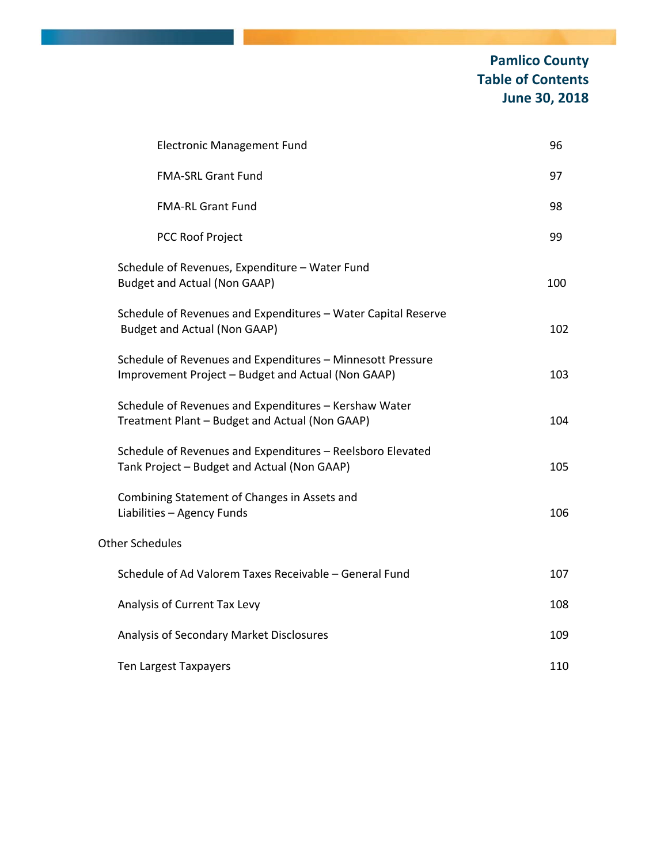## **Pamlico County Table of Contents June 30, 2018**

| <b>Electronic Management Fund</b>                                                                                | 96  |
|------------------------------------------------------------------------------------------------------------------|-----|
| FMA-SRL Grant Fund                                                                                               | 97  |
| <b>FMA-RL Grant Fund</b>                                                                                         | 98  |
| <b>PCC Roof Project</b>                                                                                          | 99  |
| Schedule of Revenues, Expenditure - Water Fund<br><b>Budget and Actual (Non GAAP)</b>                            | 100 |
| Schedule of Revenues and Expenditures - Water Capital Reserve<br>Budget and Actual (Non GAAP)                    | 102 |
| Schedule of Revenues and Expenditures - Minnesott Pressure<br>Improvement Project - Budget and Actual (Non GAAP) | 103 |
| Schedule of Revenues and Expenditures - Kershaw Water<br>Treatment Plant - Budget and Actual (Non GAAP)          | 104 |
| Schedule of Revenues and Expenditures - Reelsboro Elevated<br>Tank Project - Budget and Actual (Non GAAP)        | 105 |
| Combining Statement of Changes in Assets and<br>Liabilities - Agency Funds                                       | 106 |
| <b>Other Schedules</b>                                                                                           |     |
| Schedule of Ad Valorem Taxes Receivable - General Fund                                                           | 107 |
| Analysis of Current Tax Levy                                                                                     | 108 |
| Analysis of Secondary Market Disclosures                                                                         | 109 |
| Ten Largest Taxpayers                                                                                            | 110 |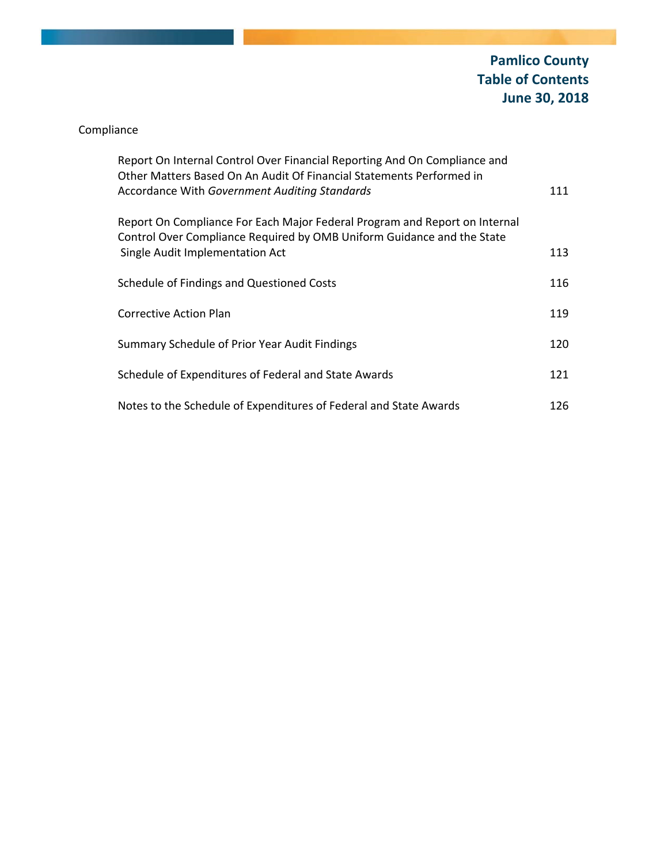## Compliance

| Report On Internal Control Over Financial Reporting And On Compliance and<br>Other Matters Based On An Audit Of Financial Statements Performed in<br>Accordance With Government Auditing Standards | 111 |
|----------------------------------------------------------------------------------------------------------------------------------------------------------------------------------------------------|-----|
| Report On Compliance For Each Major Federal Program and Report on Internal<br>Control Over Compliance Required by OMB Uniform Guidance and the State<br>Single Audit Implementation Act            | 113 |
| Schedule of Findings and Questioned Costs                                                                                                                                                          | 116 |
| Corrective Action Plan                                                                                                                                                                             | 119 |
| Summary Schedule of Prior Year Audit Findings                                                                                                                                                      | 120 |
| Schedule of Expenditures of Federal and State Awards                                                                                                                                               | 121 |
| Notes to the Schedule of Expenditures of Federal and State Awards                                                                                                                                  | 126 |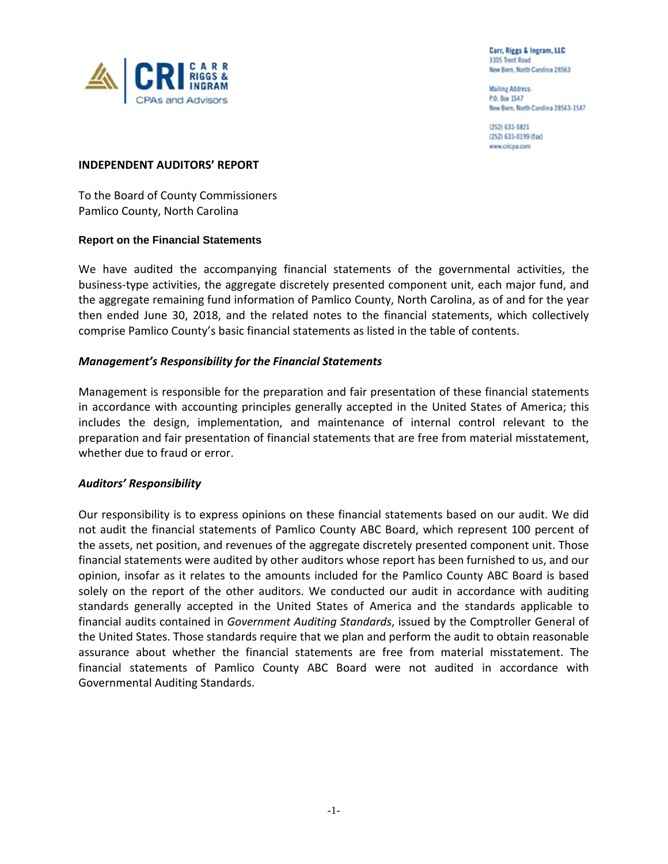

Carr, Riggs & Ingram, LLC 3105 Trent Road New Bern, North Carolina 28563

**Mailing Address:** P.O. Box 1547 New Bern, North Carolina 28563-1547

(252) 633-5821 (252) 633-0199 (fax) www.cricpa.com

### **INDEPENDENT AUDITORS' REPORT**

To the Board of County Commissioners Pamlico County, North Carolina

### **Report on the Financial Statements**

We have audited the accompanying financial statements of the governmental activities, the business‐type activities, the aggregate discretely presented component unit, each major fund, and the aggregate remaining fund information of Pamlico County, North Carolina, as of and for the year then ended June 30, 2018, and the related notes to the financial statements, which collectively comprise Pamlico County's basic financial statements as listed in the table of contents.

### *Management's Responsibility for the Financial Statements*

Management is responsible for the preparation and fair presentation of these financial statements in accordance with accounting principles generally accepted in the United States of America; this includes the design, implementation, and maintenance of internal control relevant to the preparation and fair presentation of financial statements that are free from material misstatement, whether due to fraud or error.

### *Auditors' Responsibility*

Our responsibility is to express opinions on these financial statements based on our audit. We did not audit the financial statements of Pamlico County ABC Board, which represent 100 percent of the assets, net position, and revenues of the aggregate discretely presented component unit. Those financial statements were audited by other auditors whose report has been furnished to us, and our opinion, insofar as it relates to the amounts included for the Pamlico County ABC Board is based solely on the report of the other auditors. We conducted our audit in accordance with auditing standards generally accepted in the United States of America and the standards applicable to financial audits contained in *Government Auditing Standards*, issued by the Comptroller General of the United States. Those standards require that we plan and perform the audit to obtain reasonable assurance about whether the financial statements are free from material misstatement. The financial statements of Pamlico County ABC Board were not audited in accordance with Governmental Auditing Standards.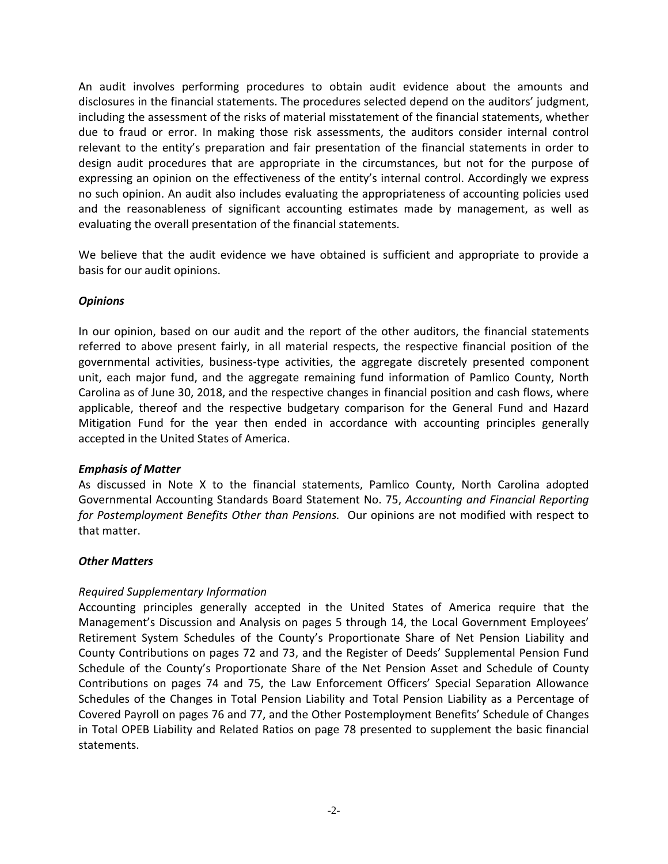An audit involves performing procedures to obtain audit evidence about the amounts and disclosures in the financial statements. The procedures selected depend on the auditors' judgment, including the assessment of the risks of material misstatement of the financial statements, whether due to fraud or error. In making those risk assessments, the auditors consider internal control relevant to the entity's preparation and fair presentation of the financial statements in order to design audit procedures that are appropriate in the circumstances, but not for the purpose of expressing an opinion on the effectiveness of the entity's internal control. Accordingly we express no such opinion. An audit also includes evaluating the appropriateness of accounting policies used and the reasonableness of significant accounting estimates made by management, as well as evaluating the overall presentation of the financial statements.

We believe that the audit evidence we have obtained is sufficient and appropriate to provide a basis for our audit opinions.

### *Opinions*

In our opinion, based on our audit and the report of the other auditors, the financial statements referred to above present fairly, in all material respects, the respective financial position of the governmental activities, business‐type activities, the aggregate discretely presented component unit, each major fund, and the aggregate remaining fund information of Pamlico County, North Carolina as of June 30, 2018, and the respective changes in financial position and cash flows, where applicable, thereof and the respective budgetary comparison for the General Fund and Hazard Mitigation Fund for the year then ended in accordance with accounting principles generally accepted in the United States of America.

### *Emphasis of Matter*

As discussed in Note X to the financial statements, Pamlico County, North Carolina adopted Governmental Accounting Standards Board Statement No. 75, *Accounting and Financial Reporting for Postemployment Benefits Other than Pensions.* Our opinions are not modified with respect to that matter.

### *Other Matters*

### *Required Supplementary Information*

Accounting principles generally accepted in the United States of America require that the Management's Discussion and Analysis on pages 5 through 14, the Local Government Employees' Retirement System Schedules of the County's Proportionate Share of Net Pension Liability and County Contributions on pages 72 and 73, and the Register of Deeds' Supplemental Pension Fund Schedule of the County's Proportionate Share of the Net Pension Asset and Schedule of County Contributions on pages 74 and 75, the Law Enforcement Officers' Special Separation Allowance Schedules of the Changes in Total Pension Liability and Total Pension Liability as a Percentage of Covered Payroll on pages 76 and 77, and the Other Postemployment Benefits' Schedule of Changes in Total OPEB Liability and Related Ratios on page 78 presented to supplement the basic financial statements.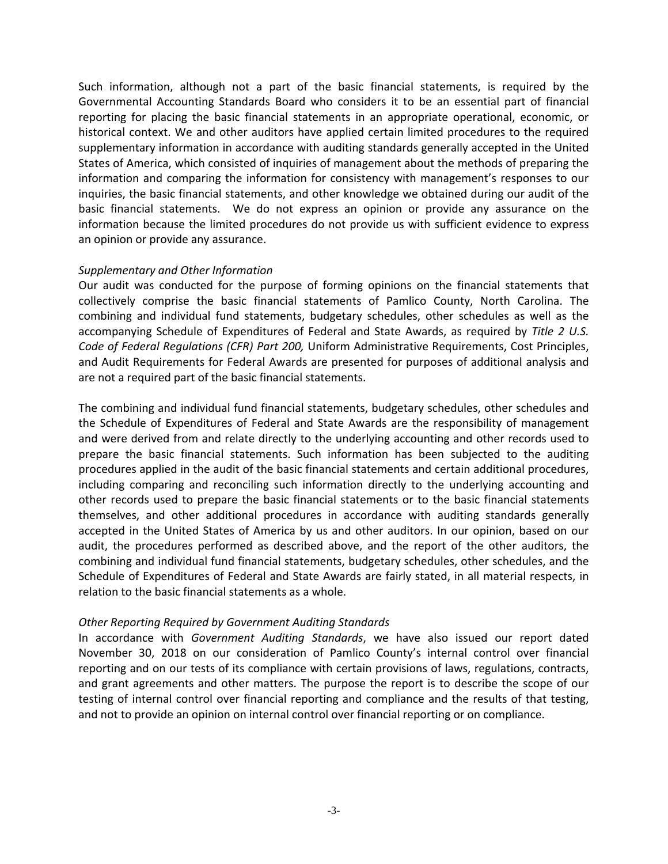Such information, although not a part of the basic financial statements, is required by the Governmental Accounting Standards Board who considers it to be an essential part of financial reporting for placing the basic financial statements in an appropriate operational, economic, or historical context. We and other auditors have applied certain limited procedures to the required supplementary information in accordance with auditing standards generally accepted in the United States of America, which consisted of inquiries of management about the methods of preparing the information and comparing the information for consistency with management's responses to our inquiries, the basic financial statements, and other knowledge we obtained during our audit of the basic financial statements. We do not express an opinion or provide any assurance on the information because the limited procedures do not provide us with sufficient evidence to express an opinion or provide any assurance.

### *Supplementary and Other Information*

Our audit was conducted for the purpose of forming opinions on the financial statements that collectively comprise the basic financial statements of Pamlico County, North Carolina. The combining and individual fund statements, budgetary schedules, other schedules as well as the accompanying Schedule of Expenditures of Federal and State Awards, as required by *Title 2 U.S. Code of Federal Regulations (CFR) Part 200,* Uniform Administrative Requirements, Cost Principles, and Audit Requirements for Federal Awards are presented for purposes of additional analysis and are not a required part of the basic financial statements.

The combining and individual fund financial statements, budgetary schedules, other schedules and the Schedule of Expenditures of Federal and State Awards are the responsibility of management and were derived from and relate directly to the underlying accounting and other records used to prepare the basic financial statements. Such information has been subjected to the auditing procedures applied in the audit of the basic financial statements and certain additional procedures, including comparing and reconciling such information directly to the underlying accounting and other records used to prepare the basic financial statements or to the basic financial statements themselves, and other additional procedures in accordance with auditing standards generally accepted in the United States of America by us and other auditors. In our opinion, based on our audit, the procedures performed as described above, and the report of the other auditors, the combining and individual fund financial statements, budgetary schedules, other schedules, and the Schedule of Expenditures of Federal and State Awards are fairly stated, in all material respects, in relation to the basic financial statements as a whole.

### *Other Reporting Required by Government Auditing Standards*

In accordance with *Government Auditing Standards*, we have also issued our report dated November 30, 2018 on our consideration of Pamlico County's internal control over financial reporting and on our tests of its compliance with certain provisions of laws, regulations, contracts, and grant agreements and other matters. The purpose the report is to describe the scope of our testing of internal control over financial reporting and compliance and the results of that testing, and not to provide an opinion on internal control over financial reporting or on compliance.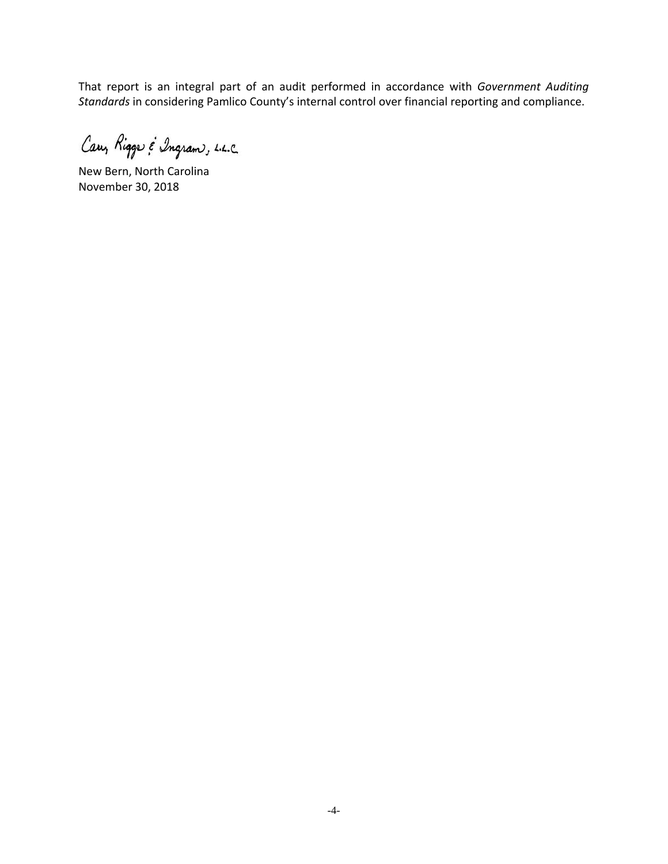That report is an integral part of an audit performed in accordance with *Government Auditing Standards* in considering Pamlico County's internal control over financial reporting and compliance.

Cary Rigge & Ingram, L.L.C.

New Bern, North Carolina November 30, 2018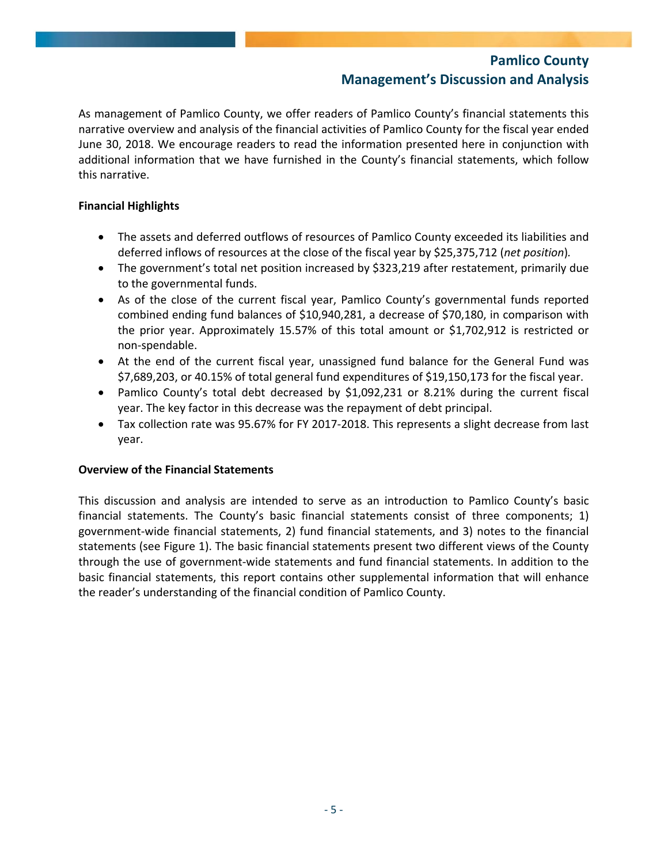As management of Pamlico County, we offer readers of Pamlico County's financial statements this narrative overview and analysis of the financial activities of Pamlico County for the fiscal year ended June 30, 2018. We encourage readers to read the information presented here in conjunction with additional information that we have furnished in the County's financial statements, which follow this narrative.

### **Financial Highlights**

- The assets and deferred outflows of resources of Pamlico County exceeded its liabilities and deferred inflows of resources at the close of the fiscal year by \$25,375,712 (*net position*)*.*
- The government's total net position increased by \$323,219 after restatement, primarily due to the governmental funds.
- As of the close of the current fiscal year, Pamlico County's governmental funds reported combined ending fund balances of \$10,940,281, a decrease of \$70,180, in comparison with the prior year. Approximately 15.57% of this total amount or \$1,702,912 is restricted or non‐spendable.
- At the end of the current fiscal year, unassigned fund balance for the General Fund was \$7,689,203, or 40.15% of total general fund expenditures of \$19,150,173 for the fiscal year.
- Pamlico County's total debt decreased by \$1,092,231 or 8.21% during the current fiscal year. The key factor in this decrease was the repayment of debt principal.
- Tax collection rate was 95.67% for FY 2017‐2018. This represents a slight decrease from last year.

### **Overview of the Financial Statements**

This discussion and analysis are intended to serve as an introduction to Pamlico County's basic financial statements. The County's basic financial statements consist of three components; 1) government‐wide financial statements, 2) fund financial statements, and 3) notes to the financial statements (see Figure 1). The basic financial statements present two different views of the County through the use of government‐wide statements and fund financial statements. In addition to the basic financial statements, this report contains other supplemental information that will enhance the reader's understanding of the financial condition of Pamlico County.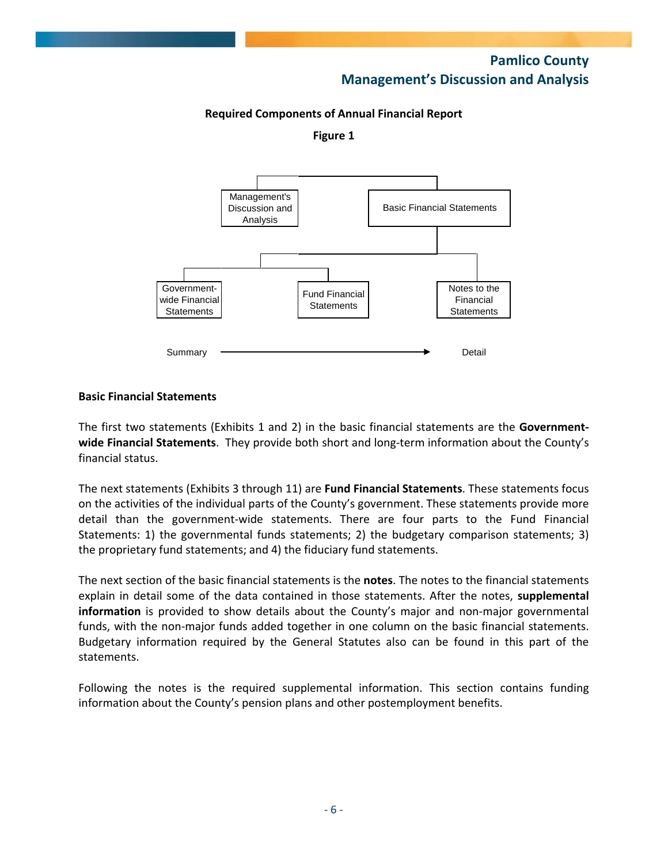### **Required Components of Annual Financial Report**

**Figure 1**



### **Basic Financial Statements**

The first two statements (Exhibits 1 and 2) in the basic financial statements are the **Government‐ wide Financial Statements**. They provide both short and long‐term information about the County's financial status.

The next statements (Exhibits 3 through 11) are **Fund Financial Statements**. These statements focus on the activities of the individual parts of the County's government. These statements provide more detail than the government‐wide statements. There are four parts to the Fund Financial Statements: 1) the governmental funds statements; 2) the budgetary comparison statements; 3) the proprietary fund statements; and 4) the fiduciary fund statements.

The next section of the basic financial statements is the **notes**. The notes to the financial statements explain in detail some of the data contained in those statements. After the notes, **supplemental information** is provided to show details about the County's major and non-major governmental funds, with the non-major funds added together in one column on the basic financial statements. Budgetary information required by the General Statutes also can be found in this part of the statements.

Following the notes is the required supplemental information. This section contains funding information about the County's pension plans and other postemployment benefits.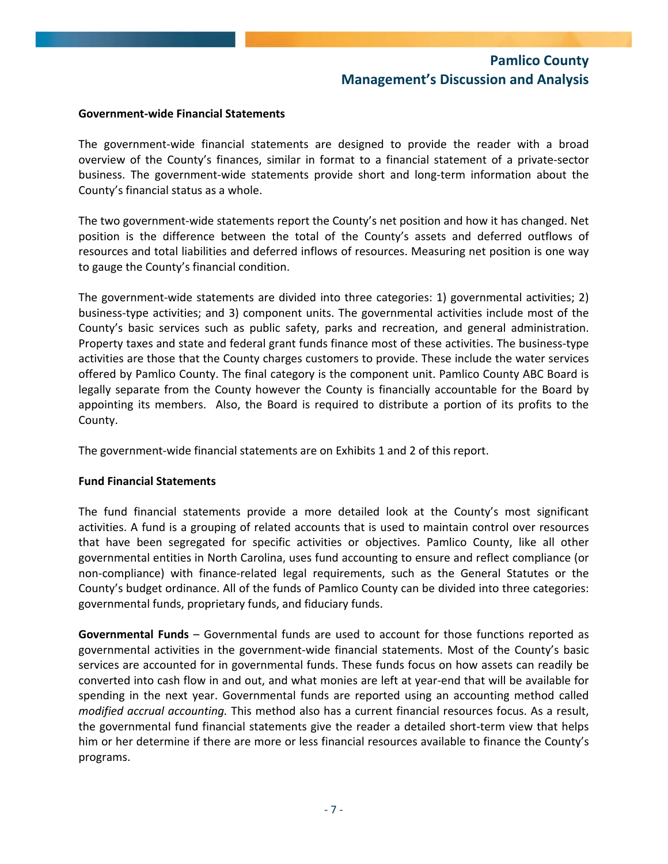### **Government‐wide Financial Statements**

The government-wide financial statements are designed to provide the reader with a broad overview of the County's finances, similar in format to a financial statement of a private‐sector business. The government‐wide statements provide short and long‐term information about the County's financial status as a whole.

The two government‐wide statements report the County's net position and how it has changed. Net position is the difference between the total of the County's assets and deferred outflows of resources and total liabilities and deferred inflows of resources. Measuring net position is one way to gauge the County's financial condition.

The government‐wide statements are divided into three categories: 1) governmental activities; 2) business‐type activities; and 3) component units. The governmental activities include most of the County's basic services such as public safety, parks and recreation, and general administration. Property taxes and state and federal grant funds finance most of these activities. The business‐type activities are those that the County charges customers to provide. These include the water services offered by Pamlico County. The final category is the component unit. Pamlico County ABC Board is legally separate from the County however the County is financially accountable for the Board by appointing its members. Also, the Board is required to distribute a portion of its profits to the County.

The government-wide financial statements are on Exhibits 1 and 2 of this report.

### **Fund Financial Statements**

The fund financial statements provide a more detailed look at the County's most significant activities. A fund is a grouping of related accounts that is used to maintain control over resources that have been segregated for specific activities or objectives. Pamlico County, like all other governmental entities in North Carolina, uses fund accounting to ensure and reflect compliance (or non‐compliance) with finance‐related legal requirements, such as the General Statutes or the County's budget ordinance. All of the funds of Pamlico County can be divided into three categories: governmental funds, proprietary funds, and fiduciary funds.

**Governmental Funds** – Governmental funds are used to account for those functions reported as governmental activities in the government‐wide financial statements. Most of the County's basic services are accounted for in governmental funds. These funds focus on how assets can readily be converted into cash flow in and out, and what monies are left at year‐end that will be available for spending in the next year. Governmental funds are reported using an accounting method called *modified accrual accounting.* This method also has a current financial resources focus. As a result, the governmental fund financial statements give the reader a detailed short‐term view that helps him or her determine if there are more or less financial resources available to finance the County's programs.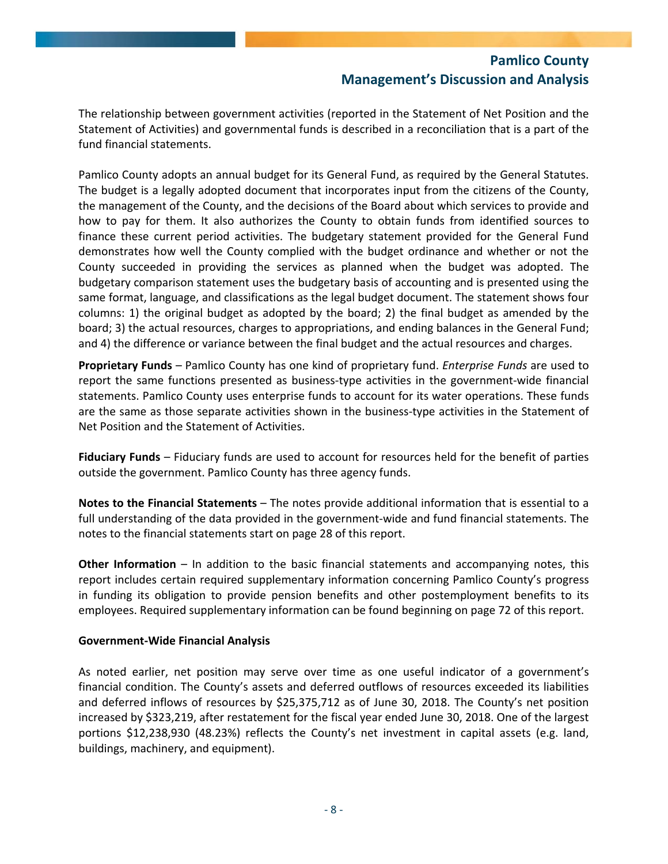The relationship between government activities (reported in the Statement of Net Position and the Statement of Activities) and governmental funds is described in a reconciliation that is a part of the fund financial statements.

Pamlico County adopts an annual budget for its General Fund, as required by the General Statutes. The budget is a legally adopted document that incorporates input from the citizens of the County, the management of the County, and the decisions of the Board about which services to provide and how to pay for them. It also authorizes the County to obtain funds from identified sources to finance these current period activities. The budgetary statement provided for the General Fund demonstrates how well the County complied with the budget ordinance and whether or not the County succeeded in providing the services as planned when the budget was adopted. The budgetary comparison statement uses the budgetary basis of accounting and is presented using the same format, language, and classifications as the legal budget document. The statement shows four columns: 1) the original budget as adopted by the board; 2) the final budget as amended by the board; 3) the actual resources, charges to appropriations, and ending balances in the General Fund; and 4) the difference or variance between the final budget and the actual resources and charges.

**Proprietary Funds** – Pamlico County has one kind of proprietary fund. *Enterprise Funds* are used to report the same functions presented as business-type activities in the government-wide financial statements. Pamlico County uses enterprise funds to account for its water operations. These funds are the same as those separate activities shown in the business-type activities in the Statement of Net Position and the Statement of Activities.

**Fiduciary Funds** – Fiduciary funds are used to account for resources held for the benefit of parties outside the government. Pamlico County has three agency funds.

**Notes to the Financial Statements** – The notes provide additional information that is essential to a full understanding of the data provided in the government‐wide and fund financial statements. The notes to the financial statements start on page 28 of this report.

**Other Information** – In addition to the basic financial statements and accompanying notes, this report includes certain required supplementary information concerning Pamlico County's progress in funding its obligation to provide pension benefits and other postemployment benefits to its employees. Required supplementary information can be found beginning on page 72 of this report.

### **Government‐Wide Financial Analysis**

As noted earlier, net position may serve over time as one useful indicator of a government's financial condition. The County's assets and deferred outflows of resources exceeded its liabilities and deferred inflows of resources by \$25,375,712 as of June 30, 2018. The County's net position increased by \$323,219, after restatement for the fiscal year ended June 30, 2018. One of the largest portions \$12,238,930 (48.23%) reflects the County's net investment in capital assets (e.g. land, buildings, machinery, and equipment).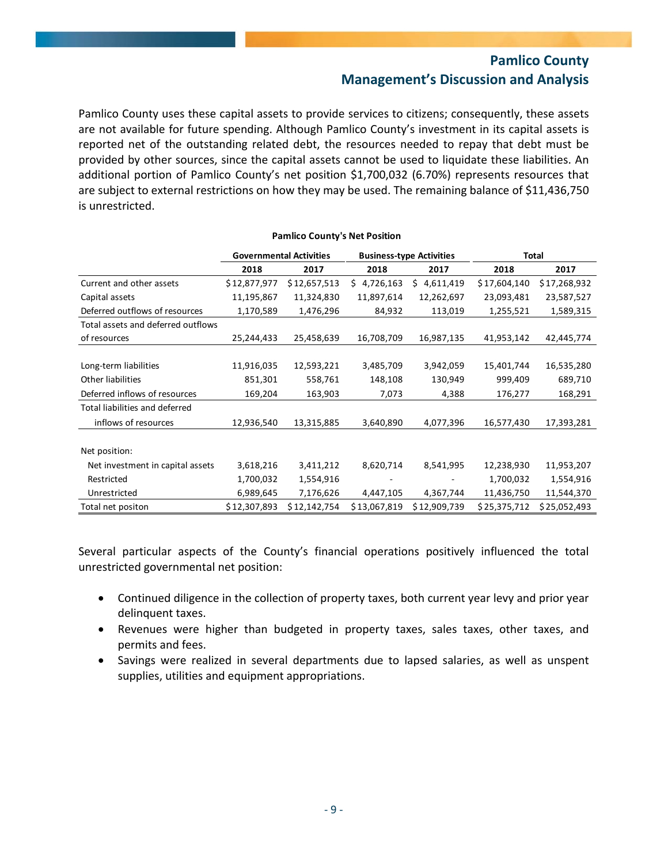Pamlico County uses these capital assets to provide services to citizens; consequently, these assets are not available for future spending. Although Pamlico County's investment in its capital assets is reported net of the outstanding related debt, the resources needed to repay that debt must be provided by other sources, since the capital assets cannot be used to liquidate these liabilities. An additional portion of Pamlico County's net position \$1,700,032 (6.70%) represents resources that are subject to external restrictions on how they may be used. The remaining balance of \$11,436,750 is unrestricted.

**Pamlico County's Net Position**

|                                    |              | <b>Governmental Activities</b> |              | <b>Business-type Activities</b> |              | Total        |
|------------------------------------|--------------|--------------------------------|--------------|---------------------------------|--------------|--------------|
|                                    | 2018         | 2017                           | 2018         | 2017                            | 2018         | 2017         |
| Current and other assets           | \$12,877,977 | \$12,657,513                   | \$4,726,163  | \$4,611,419                     | \$17,604,140 | \$17,268,932 |
| Capital assets                     | 11,195,867   | 11,324,830                     | 11,897,614   | 12,262,697                      | 23,093,481   | 23,587,527   |
| Deferred outflows of resources     | 1,170,589    | 1,476,296                      | 84,932       | 113,019                         | 1,255,521    | 1,589,315    |
| Total assets and deferred outflows |              |                                |              |                                 |              |              |
| of resources                       | 25,244,433   | 25,458,639                     | 16,708,709   | 16,987,135                      | 41,953,142   | 42,445,774   |
|                                    |              |                                |              |                                 |              |              |
| Long-term liabilities              | 11,916,035   | 12,593,221                     | 3,485,709    | 3,942,059                       | 15,401,744   | 16,535,280   |
| Other liabilities                  | 851,301      | 558,761                        | 148,108      | 130,949                         | 999,409      | 689,710      |
| Deferred inflows of resources      | 169,204      | 163,903                        | 7,073        | 4,388                           | 176,277      | 168,291      |
| Total liabilities and deferred     |              |                                |              |                                 |              |              |
| inflows of resources               | 12,936,540   | 13,315,885                     | 3,640,890    | 4,077,396                       | 16,577,430   | 17,393,281   |
|                                    |              |                                |              |                                 |              |              |
| Net position:                      |              |                                |              |                                 |              |              |
| Net investment in capital assets   | 3,618,216    | 3,411,212                      | 8,620,714    | 8,541,995                       | 12,238,930   | 11,953,207   |
| Restricted                         | 1,700,032    | 1,554,916                      |              |                                 | 1,700,032    | 1,554,916    |
| Unrestricted                       | 6,989,645    | 7,176,626                      | 4,447,105    | 4,367,744                       | 11,436,750   | 11,544,370   |
| Total net positon                  | \$12,307,893 | \$12,142,754                   | \$13,067,819 | \$12,909,739                    | \$25,375,712 | \$25,052,493 |

Several particular aspects of the County's financial operations positively influenced the total unrestricted governmental net position:

- Continued diligence in the collection of property taxes, both current year levy and prior year delinquent taxes.
- Revenues were higher than budgeted in property taxes, sales taxes, other taxes, and permits and fees.
- Savings were realized in several departments due to lapsed salaries, as well as unspent supplies, utilities and equipment appropriations.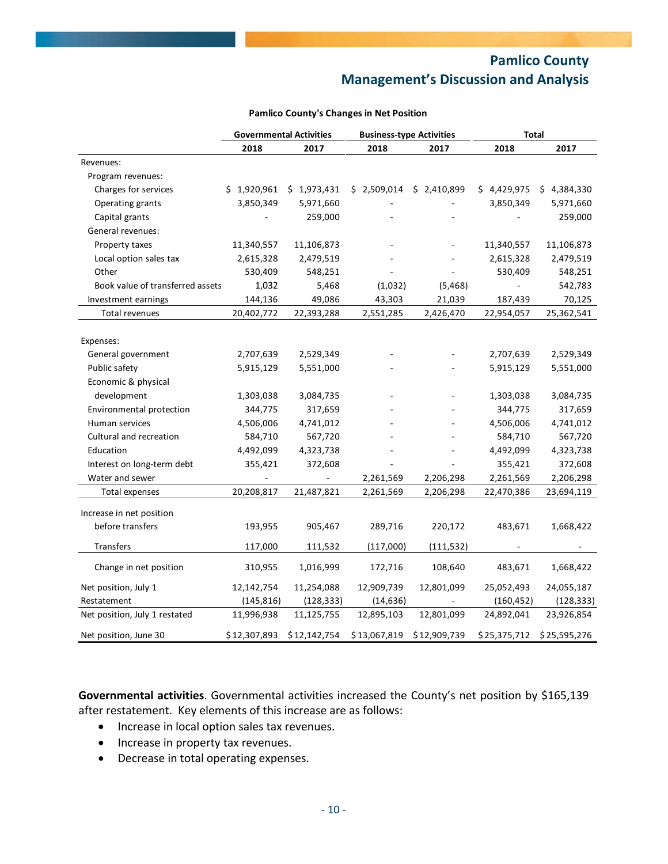|                                  |              | <b>Governmental Activities</b> | <b>Business-type Activities</b> |              | <b>Total</b> |              |  |
|----------------------------------|--------------|--------------------------------|---------------------------------|--------------|--------------|--------------|--|
|                                  | 2018         | 2017                           | 2018                            | 2017         | 2018         | 2017         |  |
| Revenues:                        |              |                                |                                 |              |              |              |  |
| Program revenues:                |              |                                |                                 |              |              |              |  |
| Charges for services             | \$1,920,961  | \$1,973,431                    | \$2,509,014                     | \$2,410,899  | \$4,429,975  | \$4,384,330  |  |
| Operating grants                 | 3,850,349    | 5,971,660                      |                                 |              | 3,850,349    | 5,971,660    |  |
| Capital grants                   |              | 259,000                        |                                 |              |              | 259,000      |  |
| General revenues:                |              |                                |                                 |              |              |              |  |
| Property taxes                   | 11,340,557   | 11,106,873                     |                                 |              | 11,340,557   | 11,106,873   |  |
| Local option sales tax           | 2,615,328    | 2,479,519                      |                                 |              | 2,615,328    | 2,479,519    |  |
| Other                            | 530,409      | 548,251                        |                                 |              | 530,409      | 548,251      |  |
| Book value of transferred assets | 1,032        | 5,468                          | (1,032)                         | (5, 468)     |              | 542,783      |  |
| Investment earnings              | 144,136      | 49,086                         | 43,303                          | 21,039       | 187,439      | 70,125       |  |
| Total revenues                   | 20,402,772   | 22,393,288                     | 2,551,285                       | 2,426,470    | 22,954,057   | 25,362,541   |  |
|                                  |              |                                |                                 |              |              |              |  |
| Expenses:                        |              |                                |                                 |              |              |              |  |
| General government               | 2,707,639    | 2,529,349                      |                                 |              | 2,707,639    | 2,529,349    |  |
| Public safety                    | 5,915,129    | 5,551,000                      |                                 |              | 5,915,129    | 5,551,000    |  |
| Economic & physical              |              |                                |                                 |              |              |              |  |
| development                      | 1,303,038    | 3,084,735                      |                                 |              | 1,303,038    | 3,084,735    |  |
| Environmental protection         | 344,775      | 317,659                        |                                 |              | 344,775      | 317,659      |  |
| Human services                   | 4,506,006    | 4,741,012                      |                                 |              | 4,506,006    | 4,741,012    |  |
| Cultural and recreation          | 584,710      | 567,720                        |                                 |              | 584,710      | 567,720      |  |
| Education                        | 4,492,099    | 4,323,738                      |                                 |              | 4,492,099    | 4,323,738    |  |
| Interest on long-term debt       | 355,421      | 372,608                        |                                 |              | 355,421      | 372,608      |  |
| Water and sewer                  |              |                                | 2,261,569                       | 2,206,298    | 2,261,569    | 2,206,298    |  |
| Total expenses                   | 20,208,817   | 21,487,821                     | 2,261,569                       | 2,206,298    | 22,470,386   | 23,694,119   |  |
|                                  |              |                                |                                 |              |              |              |  |
| Increase in net position         |              |                                |                                 |              |              |              |  |
| before transfers                 | 193,955      | 905,467                        | 289,716                         | 220,172      | 483,671      | 1,668,422    |  |
| Transfers                        | 117,000      | 111,532                        | (117,000)                       | (111, 532)   |              |              |  |
| Change in net position           | 310,955      | 1,016,999                      | 172,716                         | 108,640      | 483,671      | 1,668,422    |  |
| Net position, July 1             | 12,142,754   | 11,254,088                     | 12,909,739                      | 12,801,099   | 25,052,493   | 24,055,187   |  |
| Restatement                      | (145, 816)   | (128, 333)                     | (14, 636)                       |              | (160, 452)   | (128, 333)   |  |
| Net position, July 1 restated    | 11,996,938   | 11,125,755                     | 12,895,103                      | 12,801,099   | 24,892,041   | 23,926,854   |  |
| Net position, June 30            | \$12,307,893 | \$12,142,754                   | \$13,067,819                    | \$12,909,739 | \$25,375,712 | \$25,595,276 |  |

#### **Pamlico County's Changes in Net Position**

**Governmental activities**. Governmental activities increased the County's net position by \$165,139 after restatement. Key elements of this increase are as follows:

- Increase in local option sales tax revenues.
- Increase in property tax revenues.
- Decrease in total operating expenses.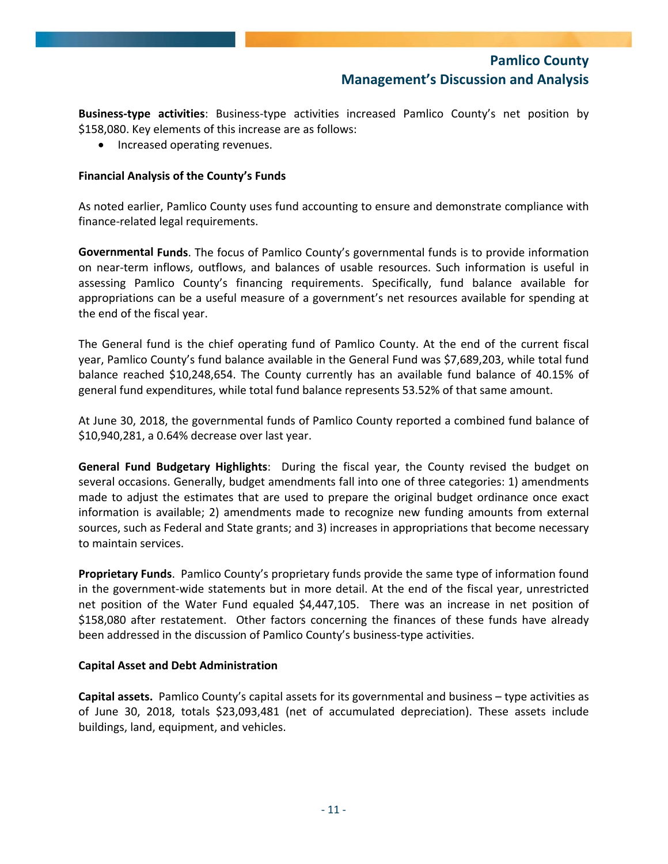**Business‐type activities**: Business‐type activities increased Pamlico County's net position by \$158,080. Key elements of this increase are as follows:

• Increased operating revenues.

### **Financial Analysis of the County's Funds**

As noted earlier, Pamlico County uses fund accounting to ensure and demonstrate compliance with finance‐related legal requirements.

**Governmental Funds**. The focus of Pamlico County's governmental funds is to provide information on near‐term inflows, outflows, and balances of usable resources. Such information is useful in assessing Pamlico County's financing requirements. Specifically, fund balance available for appropriations can be a useful measure of a government's net resources available for spending at the end of the fiscal year.

The General fund is the chief operating fund of Pamlico County. At the end of the current fiscal year, Pamlico County's fund balance available in the General Fund was \$7,689,203, while total fund balance reached \$10,248,654. The County currently has an available fund balance of 40.15% of general fund expenditures, while total fund balance represents 53.52% of that same amount.

At June 30, 2018, the governmental funds of Pamlico County reported a combined fund balance of \$10,940,281, a 0.64% decrease over last year.

**General Fund Budgetary Highlights**: During the fiscal year, the County revised the budget on several occasions. Generally, budget amendments fall into one of three categories: 1) amendments made to adjust the estimates that are used to prepare the original budget ordinance once exact information is available; 2) amendments made to recognize new funding amounts from external sources, such as Federal and State grants; and 3) increases in appropriations that become necessary to maintain services.

**Proprietary Funds**. Pamlico County's proprietary funds provide the same type of information found in the government‐wide statements but in more detail. At the end of the fiscal year, unrestricted net position of the Water Fund equaled \$4,447,105. There was an increase in net position of \$158,080 after restatement. Other factors concerning the finances of these funds have already been addressed in the discussion of Pamlico County's business‐type activities.

### **Capital Asset and Debt Administration**

**Capital assets.** Pamlico County's capital assets for its governmental and business – type activities as of June 30, 2018, totals \$23,093,481 (net of accumulated depreciation). These assets include buildings, land, equipment, and vehicles.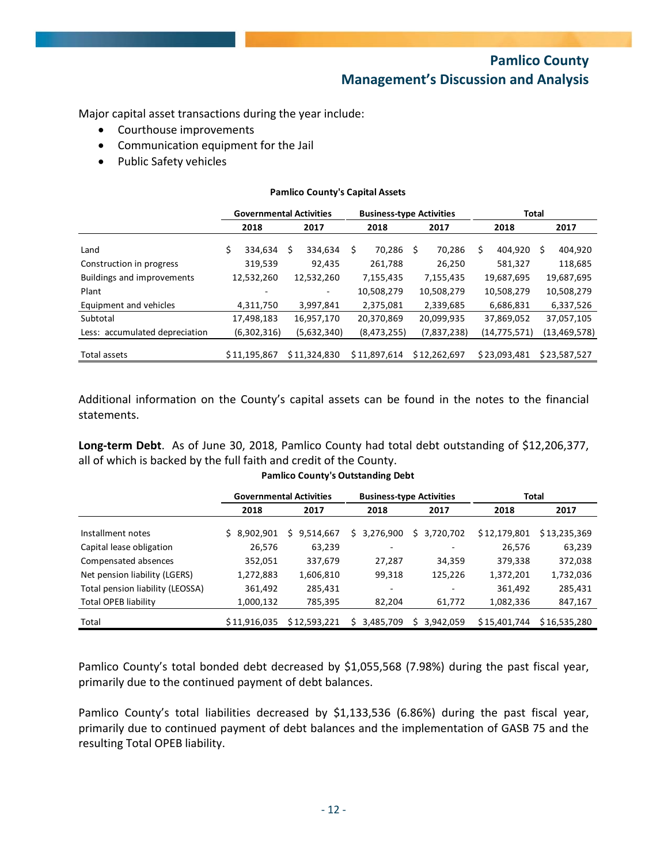Major capital asset transactions during the year include:

- Courthouse improvements
- Communication equipment for the Jail
- Public Safety vehicles

#### **Pamlico County's Capital Assets**

|                                   | <b>Governmental Activities</b> |              |            |              | <b>Business-type Activities</b> |              |            |              | <b>Total</b> |              |            |                |
|-----------------------------------|--------------------------------|--------------|------------|--------------|---------------------------------|--------------|------------|--------------|--------------|--------------|------------|----------------|
|                                   |                                | 2018         |            | 2017         |                                 | 2018         |            | 2017         | 2018         |              |            | 2017           |
| Land                              | \$                             | 334.634      | \$         | 334.634      | Ś                               | 70,286       | Ŝ.         | 70.286       | Ś.           | 404.920      | S          | 404,920        |
| Construction in progress          |                                | 319,539      |            | 92,435       |                                 | 261,788      |            | 26,250       |              | 581,327      |            | 118,685        |
| <b>Buildings and improvements</b> | 12,532,260                     |              | 12,532,260 |              | 7,155,435                       |              | 7,155,435  |              | 19,687,695   |              | 19,687,695 |                |
| Plant                             |                                |              |            |              | 10,508,279                      |              | 10,508,279 |              | 10,508,279   |              |            | 10,508,279     |
| Equipment and vehicles            |                                | 4,311,750    |            | 3,997,841    |                                 | 2,375,081    |            | 2,339,685    |              | 6,686,831    |            | 6,337,526      |
| Subtotal                          |                                | 17,498,183   |            | 16,957,170   |                                 | 20,370,869   |            | 20,099,935   |              | 37,869,052   |            | 37,057,105     |
| Less: accumulated depreciation    |                                | (6,302,316)  |            | (5,632,340)  |                                 | (8,473,255)  |            | (7,837,238)  |              | (14,775,571) |            | (13, 469, 578) |
| Total assets                      |                                | \$11.195.867 |            | \$11.324.830 |                                 | \$11,897,614 |            | \$12.262.697 |              | \$23,093,481 |            | \$23.587.527   |

Additional information on the County's capital assets can be found in the notes to the financial statements.

**Long‐term Debt**. As of June 30, 2018, Pamlico County had total debt outstanding of \$12,206,377, all of which is backed by the full faith and credit of the County.

|                                  |              | <b>Governmental Activities</b> |                 | <b>Business-type Activities</b> | <b>Total</b> |              |  |
|----------------------------------|--------------|--------------------------------|-----------------|---------------------------------|--------------|--------------|--|
|                                  | 2018         | 2017                           | 2018            | 2017                            |              | 2017         |  |
| Installment notes                | \$8,902,901  | 9,514,667<br>S                 | 3,276,900<br>S. | 3,720,702<br>S.                 | \$12,179,801 | \$13,235,369 |  |
| Capital lease obligation         | 26,576       | 63,239                         | ۰               | -                               | 26,576       | 63,239       |  |
| Compensated absences             | 352,051      | 337,679                        | 27,287          | 34,359                          | 379,338      | 372,038      |  |
| Net pension liability (LGERS)    | 1,272,883    | 1,606,810                      | 99,318          | 125,226                         | 1,372,201    | 1,732,036    |  |
| Total pension liability (LEOSSA) | 361,492      | 285,431                        | -               | -                               | 361,492      | 285,431      |  |
| Total OPEB liability             | 1,000,132    | 785,395                        | 82,204          | 61,772                          | 1,082,336    | 847,167      |  |
| Total                            | \$11,916,035 | \$12,593,221                   | 3,485,709       | 3,942,059                       | \$15,401,744 | \$16,535,280 |  |

#### **Pamlico County's Outstanding Debt**

Pamlico County's total bonded debt decreased by \$1,055,568 (7.98%) during the past fiscal year, primarily due to the continued payment of debt balances.

Pamlico County's total liabilities decreased by \$1,133,536 (6.86%) during the past fiscal year, primarily due to continued payment of debt balances and the implementation of GASB 75 and the resulting Total OPEB liability.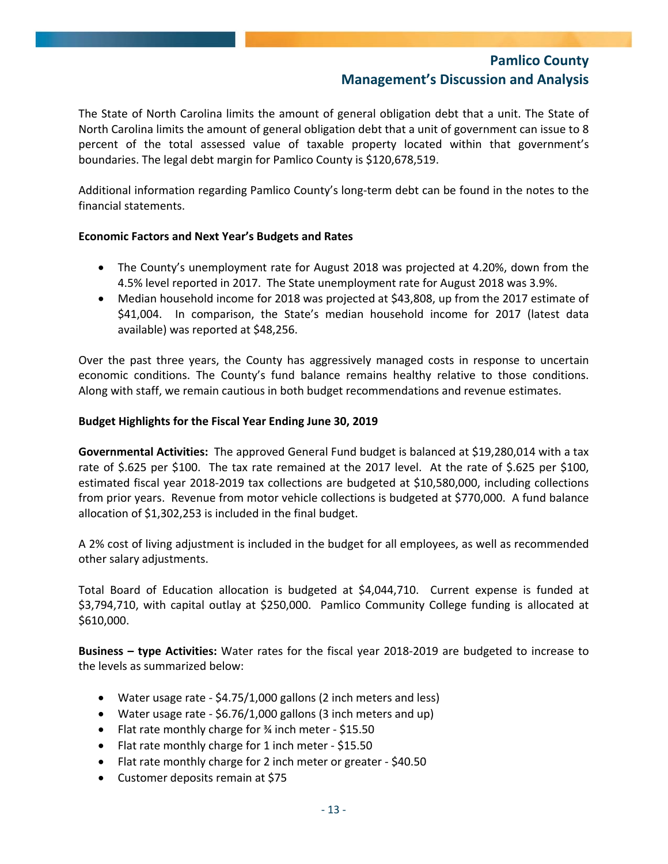The State of North Carolina limits the amount of general obligation debt that a unit. The State of North Carolina limits the amount of general obligation debt that a unit of government can issue to 8 percent of the total assessed value of taxable property located within that government's boundaries. The legal debt margin for Pamlico County is \$120,678,519.

Additional information regarding Pamlico County's long-term debt can be found in the notes to the financial statements.

### **Economic Factors and Next Year's Budgets and Rates**

- The County's unemployment rate for August 2018 was projected at 4.20%, down from the 4.5% level reported in 2017. The State unemployment rate for August 2018 was 3.9%.
- Median household income for 2018 was projected at \$43,808, up from the 2017 estimate of \$41,004. In comparison, the State's median household income for 2017 (latest data available) was reported at \$48,256.

Over the past three years, the County has aggressively managed costs in response to uncertain economic conditions. The County's fund balance remains healthy relative to those conditions. Along with staff, we remain cautious in both budget recommendations and revenue estimates.

### **Budget Highlights for the Fiscal Year Ending June 30, 2019**

**Governmental Activities:** The approved General Fund budget is balanced at \$19,280,014 with a tax rate of \$.625 per \$100. The tax rate remained at the 2017 level. At the rate of \$.625 per \$100, estimated fiscal year 2018‐2019 tax collections are budgeted at \$10,580,000, including collections from prior years. Revenue from motor vehicle collections is budgeted at \$770,000. A fund balance allocation of \$1,302,253 is included in the final budget.

A 2% cost of living adjustment is included in the budget for all employees, as well as recommended other salary adjustments.

Total Board of Education allocation is budgeted at \$4,044,710. Current expense is funded at \$3,794,710, with capital outlay at \$250,000. Pamlico Community College funding is allocated at \$610,000.

**Business – type Activities:** Water rates for the fiscal year 2018‐2019 are budgeted to increase to the levels as summarized below:

- Water usage rate ‐ \$4.75/1,000 gallons (2 inch meters and less)
- Water usage rate ‐ \$6.76/1,000 gallons (3 inch meters and up)
- Flat rate monthly charge for ¾ inch meter ‐ \$15.50
- Flat rate monthly charge for 1 inch meter ‐ \$15.50
- Flat rate monthly charge for 2 inch meter or greater \$40.50
- Customer deposits remain at \$75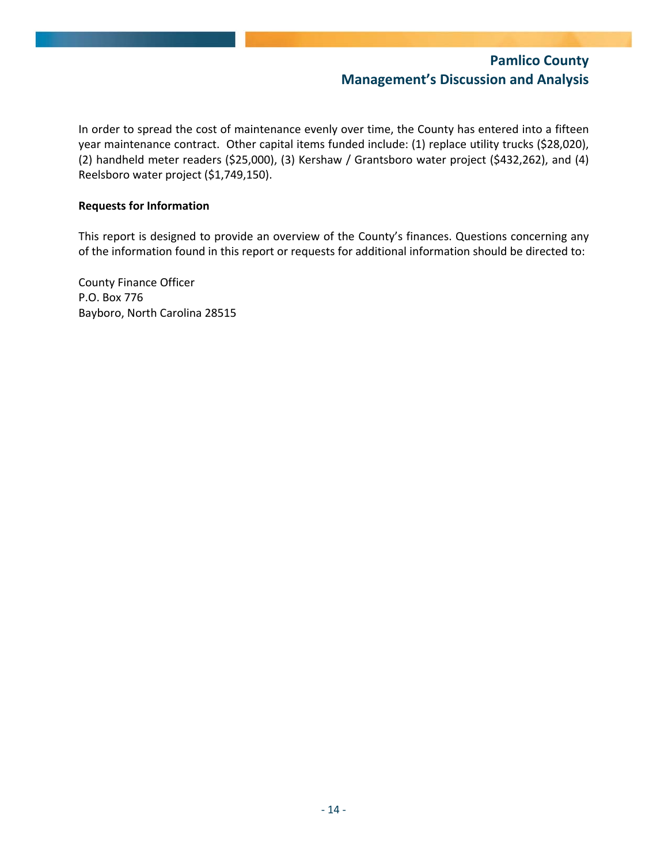In order to spread the cost of maintenance evenly over time, the County has entered into a fifteen year maintenance contract. Other capital items funded include: (1) replace utility trucks (\$28,020), (2) handheld meter readers (\$25,000), (3) Kershaw / Grantsboro water project (\$432,262), and (4) Reelsboro water project (\$1,749,150).

### **Requests for Information**

This report is designed to provide an overview of the County's finances. Questions concerning any of the information found in this report or requests for additional information should be directed to:

County Finance Officer P.O. Box 776 Bayboro, North Carolina 28515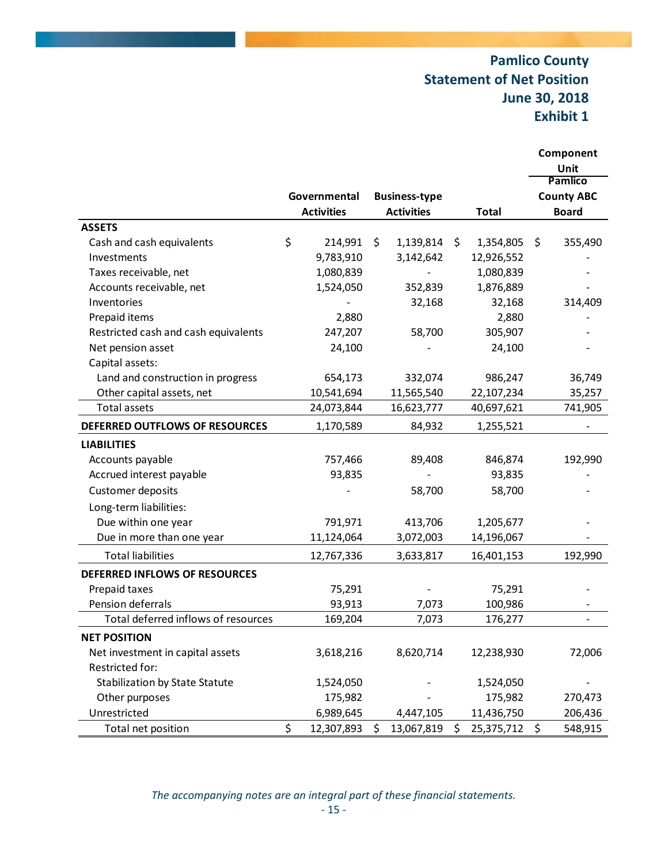## **Pamlico County Statement of Net Position June 30, 2018 Exhibit 1**

|                                       |                   |                      |                  |         | Component<br>Unit |
|---------------------------------------|-------------------|----------------------|------------------|---------|-------------------|
|                                       |                   |                      |                  |         | <b>Pamlico</b>    |
|                                       | Governmental      | <b>Business-type</b> |                  |         | <b>County ABC</b> |
|                                       | <b>Activities</b> | <b>Activities</b>    | <b>Total</b>     |         | <b>Board</b>      |
| <b>ASSETS</b>                         |                   |                      |                  |         |                   |
| Cash and cash equivalents             | \$<br>214,991     | \$<br>1,139,814      | \$<br>1,354,805  | \$      | 355,490           |
| Investments                           | 9,783,910         | 3,142,642            | 12,926,552       |         |                   |
| Taxes receivable, net                 | 1,080,839         |                      | 1,080,839        |         |                   |
| Accounts receivable, net              | 1,524,050         | 352,839              | 1,876,889        |         |                   |
| Inventories                           |                   | 32,168               | 32,168           |         | 314,409           |
| Prepaid items                         | 2,880             |                      | 2,880            |         |                   |
| Restricted cash and cash equivalents  | 247,207           | 58,700               | 305,907          |         |                   |
| Net pension asset                     | 24,100            |                      | 24,100           |         |                   |
| Capital assets:                       |                   |                      |                  |         |                   |
| Land and construction in progress     | 654,173           | 332,074              | 986,247          |         | 36,749            |
| Other capital assets, net             | 10,541,694        | 11,565,540           | 22,107,234       |         | 35,257            |
| Total assets                          | 24,073,844        | 16,623,777           | 40,697,621       |         | 741,905           |
| DEFERRED OUTFLOWS OF RESOURCES        | 1,170,589         | 84,932               | 1,255,521        |         |                   |
| <b>LIABILITIES</b>                    |                   |                      |                  |         |                   |
| Accounts payable                      | 757,466           | 89,408               | 846,874          |         | 192,990           |
| Accrued interest payable              | 93,835            |                      | 93,835           |         |                   |
| Customer deposits                     |                   | 58,700               | 58,700           |         |                   |
| Long-term liabilities:                |                   |                      |                  |         |                   |
| Due within one year                   | 791,971           | 413,706              | 1,205,677        |         |                   |
| Due in more than one year             | 11,124,064        | 3,072,003            | 14,196,067       |         |                   |
| <b>Total liabilities</b>              | 12,767,336        | 3,633,817            | 16,401,153       |         | 192,990           |
| DEFERRED INFLOWS OF RESOURCES         |                   |                      |                  |         |                   |
| Prepaid taxes                         | 75,291            |                      | 75,291           |         |                   |
| Pension deferrals                     | 93,913            | 7,073                | 100,986          |         |                   |
| Total deferred inflows of resources   | 169,204           | 7,073                | 176,277          |         |                   |
| <b>NET POSITION</b>                   |                   |                      |                  |         |                   |
| Net investment in capital assets      | 3,618,216         | 8,620,714            | 12,238,930       |         | 72,006            |
| Restricted for:                       |                   |                      |                  |         |                   |
| <b>Stabilization by State Statute</b> | 1,524,050         |                      | 1,524,050        |         |                   |
| Other purposes                        | 175,982           |                      | 175,982          |         | 270,473           |
| Unrestricted                          | 6,989,645         | 4,447,105            | 11,436,750       |         | 206,436           |
| Total net position                    | \$<br>12,307,893  | \$<br>13,067,819     | \$<br>25,375,712 | $\zeta$ | 548,915           |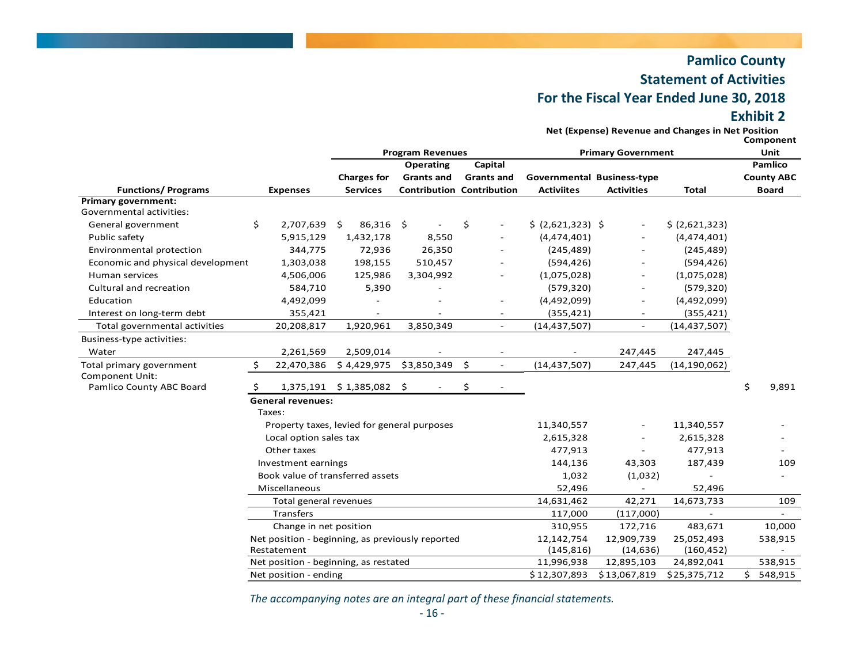## **Pamlico County Statement of Activities For the Fiscal Year Ended June 30, 2018 Exhibit 2**

**Net (Expense) Revenue and Changes in Net Position**

|                                             |        |                          |                                                  | <b>Program Revenues</b> |                                  |                                   | <b>Primary Government</b> |                | Component<br>Unit |                   |
|---------------------------------------------|--------|--------------------------|--------------------------------------------------|-------------------------|----------------------------------|-----------------------------------|---------------------------|----------------|-------------------|-------------------|
|                                             |        |                          |                                                  | Operating               | Capital                          |                                   |                           |                |                   | Pamlico           |
|                                             |        |                          | <b>Charges for</b>                               | <b>Grants and</b>       | <b>Grants and</b>                | <b>Governmental Business-type</b> |                           |                |                   | <b>County ABC</b> |
| <b>Functions/Programs</b>                   |        | <b>Expenses</b>          | <b>Services</b>                                  |                         | <b>Contribution Contribution</b> | <b>Activiites</b>                 | <b>Activities</b>         | <b>Total</b>   | <b>Board</b>      |                   |
| <b>Primary government:</b>                  |        |                          |                                                  |                         |                                  |                                   |                           |                |                   |                   |
| Governmental activities:                    |        |                          |                                                  |                         |                                  |                                   |                           |                |                   |                   |
| General government                          | \$     | 2,707,639 \$             | 86,316                                           | - \$                    | \$                               | \$ (2,621,323) \$                 |                           | \$ (2,621,323) |                   |                   |
| Public safety                               |        | 5,915,129                | 1,432,178                                        | 8,550                   |                                  | (4,474,401)                       |                           | (4,474,401)    |                   |                   |
| Environmental protection                    |        | 344,775                  | 72,936                                           | 26,350                  |                                  | (245, 489)                        |                           | (245, 489)     |                   |                   |
| Economic and physical development           |        | 1,303,038                | 198,155                                          | 510,457                 |                                  | (594, 426)                        |                           | (594, 426)     |                   |                   |
| Human services                              |        | 4,506,006                | 125,986                                          | 3,304,992               |                                  | (1,075,028)                       |                           | (1,075,028)    |                   |                   |
| Cultural and recreation                     |        | 584,710                  | 5,390                                            |                         |                                  | (579, 320)                        | $\overline{\phantom{a}}$  | (579, 320)     |                   |                   |
| Education                                   |        | 4,492,099                |                                                  |                         |                                  | (4,492,099)                       |                           | (4,492,099)    |                   |                   |
| Interest on long-term debt                  |        | 355,421                  |                                                  |                         |                                  | (355, 421)                        |                           | (355, 421)     |                   |                   |
| Total governmental activities               |        | 20,208,817               | 1,920,961                                        | 3,850,349               | $\overline{\phantom{a}}$         | (14, 437, 507)                    | $\overline{\phantom{a}}$  | (14, 437, 507) |                   |                   |
| Business-type activities:                   |        |                          |                                                  |                         |                                  |                                   |                           |                |                   |                   |
| Water                                       |        | 2,261,569                | 2,509,014                                        |                         |                                  |                                   | 247,445                   | 247,445        |                   |                   |
| Total primary government                    | \$     | 22,470,386               | \$4,429,975                                      | \$3,850,349             | \$<br>$\sim$                     | (14, 437, 507)                    | 247,445                   | (14, 190, 062) |                   |                   |
| Component Unit:<br>Pamlico County ABC Board |        |                          | 1,375,191 \$1,385,082                            | -\$                     | \$                               |                                   |                           |                | \$                | 9,891             |
|                                             | Taxes: | <b>General revenues:</b> |                                                  |                         |                                  |                                   |                           |                |                   |                   |
|                                             |        |                          | Property taxes, levied for general purposes      |                         |                                  | 11,340,557                        |                           | 11,340,557     |                   |                   |
|                                             |        | Local option sales tax   |                                                  |                         |                                  | 2,615,328                         |                           | 2,615,328      |                   |                   |
|                                             |        | Other taxes              |                                                  |                         |                                  | 477,913                           |                           | 477,913        |                   |                   |
|                                             |        | Investment earnings      |                                                  |                         |                                  | 144,136                           | 43,303                    | 187,439        |                   | 109               |
|                                             |        |                          | Book value of transferred assets                 |                         |                                  | 1,032                             | (1,032)                   |                |                   |                   |
|                                             |        | Miscellaneous            |                                                  |                         |                                  | 52,496                            |                           | 52,496         |                   |                   |
|                                             |        | Total general revenues   |                                                  |                         |                                  | 14,631,462                        | 42,271                    | 14,673,733     |                   | 109               |
|                                             |        | Transfers                |                                                  |                         |                                  | 117,000                           | (117,000)                 |                |                   |                   |
|                                             |        | Change in net position   |                                                  |                         |                                  | 310,955                           | 172,716                   | 483,671        |                   | 10,000            |
|                                             |        |                          | Net position - beginning, as previously reported |                         |                                  | 12,142,754                        | 12,909,739                | 25,052,493     |                   | 538,915           |
|                                             |        | Restatement              |                                                  |                         |                                  | (145, 816)                        | (14, 636)                 | (160, 452)     |                   |                   |
|                                             |        |                          | Net position - beginning, as restated            |                         |                                  | 11,996,938                        | 12,895,103                | 24,892,041     |                   | 538,915           |
|                                             |        | Net position - ending    |                                                  |                         |                                  | \$12,307,893                      | \$13,067,819              | \$25,375,712   | Ś.                | 548,915           |

*The accompanying notes are an integral part of these financial statements.*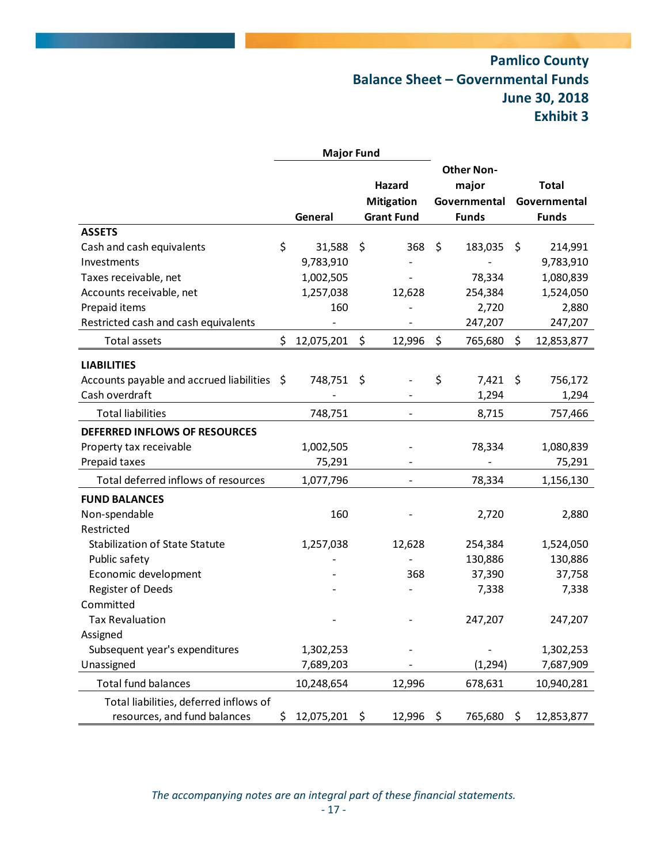## **Pamlico County Balance Sheet – Governmental Funds June 30, 2018 Exhibit 3**

|                                             |     | <b>Major Fund</b> |                             |                                            |         |                              |
|---------------------------------------------|-----|-------------------|-----------------------------|--------------------------------------------|---------|------------------------------|
|                                             |     |                   | Hazard<br><b>Mitigation</b> | <b>Other Non-</b><br>major<br>Governmental |         | <b>Total</b><br>Governmental |
|                                             |     | General           | <b>Grant Fund</b>           | <b>Funds</b>                               |         | <b>Funds</b>                 |
| <b>ASSETS</b>                               |     |                   |                             |                                            |         |                              |
| Cash and cash equivalents                   | \$  | 31,588            | \$<br>368                   | \$<br>183,035                              | \$      | 214,991                      |
| Investments                                 |     | 9,783,910         |                             |                                            |         | 9,783,910                    |
| Taxes receivable, net                       |     | 1,002,505         |                             | 78,334                                     |         | 1,080,839                    |
| Accounts receivable, net                    |     | 1,257,038         | 12,628                      | 254,384                                    |         | 1,524,050                    |
| Prepaid items                               |     | 160               |                             | 2,720                                      |         | 2,880                        |
| Restricted cash and cash equivalents        |     |                   |                             | 247,207                                    |         | 247,207                      |
| Total assets                                | \$  | 12,075,201        | \$<br>12,996                | \$<br>765,680                              | \$      | 12,853,877                   |
| <b>LIABILITIES</b>                          |     |                   |                             |                                            |         |                              |
| Accounts payable and accrued liabilities \$ |     | 748,751           | \$                          | \$<br>7,421                                | -\$     | 756,172                      |
| Cash overdraft                              |     |                   |                             | 1,294                                      |         | 1,294                        |
| <b>Total liabilities</b>                    |     | 748,751           |                             | 8,715                                      |         | 757,466                      |
| DEFERRED INFLOWS OF RESOURCES               |     |                   |                             |                                            |         |                              |
| Property tax receivable                     |     | 1,002,505         |                             | 78,334                                     |         | 1,080,839                    |
| Prepaid taxes                               |     | 75,291            |                             |                                            |         | 75,291                       |
| Total deferred inflows of resources         |     | 1,077,796         |                             | 78,334                                     |         | 1,156,130                    |
| <b>FUND BALANCES</b>                        |     |                   |                             |                                            |         |                              |
| Non-spendable                               |     | 160               |                             | 2,720                                      |         | 2,880                        |
| Restricted                                  |     |                   |                             |                                            |         |                              |
| <b>Stabilization of State Statute</b>       |     | 1,257,038         | 12,628                      | 254,384                                    |         | 1,524,050                    |
| Public safety                               |     |                   |                             | 130,886                                    |         | 130,886                      |
| Economic development                        |     |                   | 368                         | 37,390                                     |         | 37,758                       |
| <b>Register of Deeds</b>                    |     |                   |                             | 7,338                                      |         | 7,338                        |
| Committed                                   |     |                   |                             |                                            |         |                              |
| <b>Tax Revaluation</b>                      |     |                   |                             | 247,207                                    |         | 247,207                      |
| Assigned                                    |     |                   |                             |                                            |         |                              |
| Subsequent year's expenditures              |     | 1,302,253         |                             |                                            |         | 1,302,253                    |
| Unassigned                                  |     | 7,689,203         |                             | (1, 294)                                   |         | 7,687,909                    |
| <b>Total fund balances</b>                  |     | 10,248,654        | 12,996                      | 678,631                                    |         | 10,940,281                   |
| Total liabilities, deferred inflows of      |     |                   |                             |                                            |         |                              |
| resources, and fund balances                | \$. | 12,075,201 \$     | 12,996 \$                   | 765,680                                    | $\zeta$ | 12,853,877                   |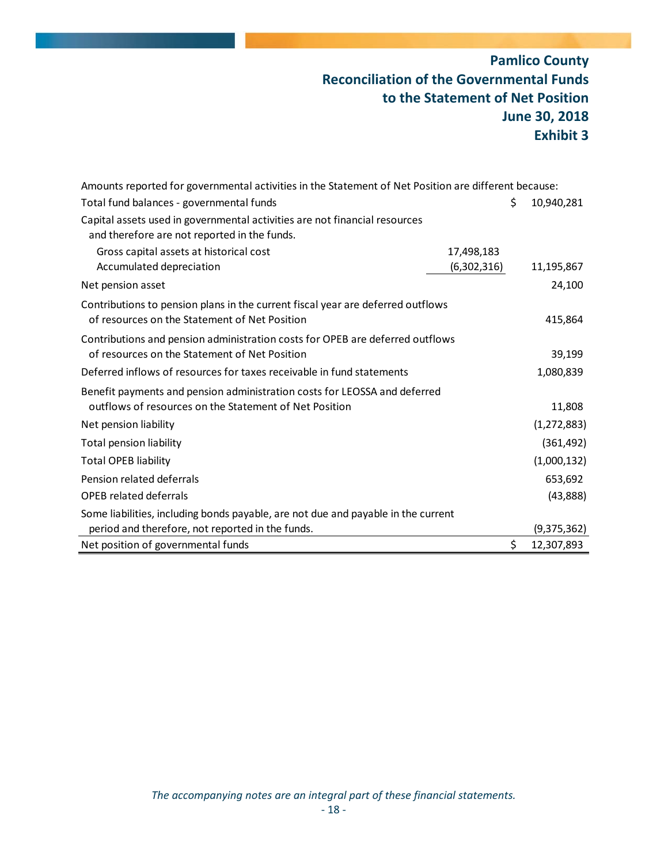## **Pamlico County Reconciliation of the Governmental Funds to the Statement of Net Position June 30, 2018 Exhibit 3**

| Amounts reported for governmental activities in the Statement of Net Position are different because:                                |             |               |
|-------------------------------------------------------------------------------------------------------------------------------------|-------------|---------------|
| Total fund balances - governmental funds                                                                                            | \$          | 10,940,281    |
| Capital assets used in governmental activities are not financial resources<br>and therefore are not reported in the funds.          |             |               |
| Gross capital assets at historical cost                                                                                             | 17,498,183  |               |
| Accumulated depreciation                                                                                                            | (6,302,316) | 11,195,867    |
| Net pension asset                                                                                                                   |             | 24,100        |
| Contributions to pension plans in the current fiscal year are deferred outflows<br>of resources on the Statement of Net Position    |             | 415,864       |
| Contributions and pension administration costs for OPEB are deferred outflows<br>of resources on the Statement of Net Position      |             | 39,199        |
| Deferred inflows of resources for taxes receivable in fund statements                                                               |             | 1,080,839     |
| Benefit payments and pension administration costs for LEOSSA and deferred<br>outflows of resources on the Statement of Net Position |             | 11,808        |
| Net pension liability                                                                                                               |             | (1, 272, 883) |
| Total pension liability                                                                                                             |             | (361, 492)    |
| <b>Total OPEB liability</b>                                                                                                         |             | (1,000,132)   |
| Pension related deferrals                                                                                                           |             | 653,692       |
| <b>OPEB</b> related deferrals                                                                                                       |             | (43,888)      |
| Some liabilities, including bonds payable, are not due and payable in the current                                                   |             |               |
| period and therefore, not reported in the funds.                                                                                    |             | (9,375,362)   |
| Net position of governmental funds                                                                                                  | \$          | 12,307,893    |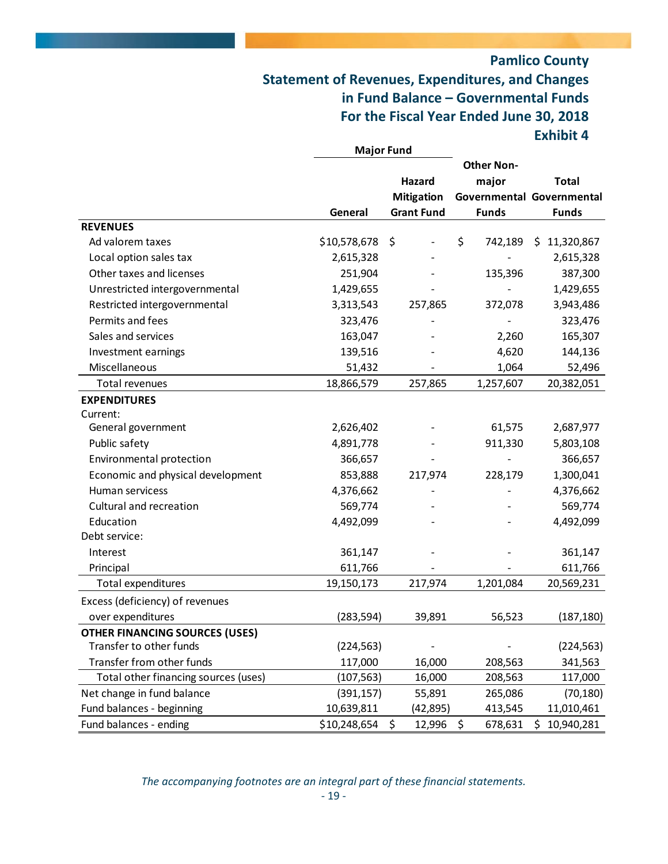## **Pamlico County Statement of Revenues, Expenditures, and Changes in Fund Balance – Governmental Funds For the Fiscal Year Ended June 30, 2018 Exhibit 4**

|                                       | <b>Major Fund</b> |                   |                   |                           |
|---------------------------------------|-------------------|-------------------|-------------------|---------------------------|
|                                       |                   |                   | <b>Other Non-</b> |                           |
|                                       |                   | Hazard            | major             | <b>Total</b>              |
|                                       |                   | <b>Mitigation</b> |                   | Governmental Governmental |
|                                       | General           | <b>Grant Fund</b> | <b>Funds</b>      | <b>Funds</b>              |
| <b>REVENUES</b>                       |                   |                   |                   |                           |
| Ad valorem taxes                      | \$10,578,678      | \$                | \$<br>742,189     | 11,320,867<br>\$          |
| Local option sales tax                | 2,615,328         |                   |                   | 2,615,328                 |
| Other taxes and licenses              | 251,904           |                   | 135,396           | 387,300                   |
| Unrestricted intergovernmental        | 1,429,655         |                   |                   | 1,429,655                 |
| Restricted intergovernmental          | 3,313,543         | 257,865           | 372,078           | 3,943,486                 |
| Permits and fees                      | 323,476           |                   |                   | 323,476                   |
| Sales and services                    | 163,047           |                   | 2,260             | 165,307                   |
| Investment earnings                   | 139,516           |                   | 4,620             | 144,136                   |
| Miscellaneous                         | 51,432            |                   | 1,064             | 52,496                    |
| Total revenues                        | 18,866,579        | 257,865           | 1,257,607         | 20,382,051                |
| <b>EXPENDITURES</b>                   |                   |                   |                   |                           |
| Current:                              |                   |                   |                   |                           |
| General government                    | 2,626,402         |                   | 61,575            | 2,687,977                 |
| Public safety                         | 4,891,778         |                   | 911,330           | 5,803,108                 |
| Environmental protection              | 366,657           |                   |                   | 366,657                   |
| Economic and physical development     | 853,888           | 217,974           | 228,179           | 1,300,041                 |
| Human servicess                       | 4,376,662         |                   |                   | 4,376,662                 |
| Cultural and recreation               | 569,774           |                   |                   | 569,774                   |
| Education                             | 4,492,099         |                   |                   | 4,492,099                 |
| Debt service:                         |                   |                   |                   |                           |
| Interest                              | 361,147           |                   |                   | 361,147                   |
| Principal                             | 611,766           |                   |                   | 611,766                   |
| Total expenditures                    | 19,150,173        | 217,974           | 1,201,084         | 20,569,231                |
| Excess (deficiency) of revenues       |                   |                   |                   |                           |
| over expenditures                     | (283, 594)        | 39,891            | 56,523            | (187, 180)                |
| <b>OTHER FINANCING SOURCES (USES)</b> |                   |                   |                   |                           |
| Transfer to other funds               | (224, 563)        |                   |                   | (224, 563)                |
| Transfer from other funds             | 117,000           | 16,000            | 208,563           | 341,563                   |
| Total other financing sources (uses)  | (107, 563)        | 16,000            | 208,563           | 117,000                   |
| Net change in fund balance            | (391, 157)        | 55,891            | 265,086           | (70, 180)                 |
| Fund balances - beginning             | 10,639,811        | (42,895)          | 413,545           | 11,010,461                |
| Fund balances - ending                | \$10,248,654      | \$<br>12,996      | \$<br>678,631     | 10,940,281<br>\$.         |

*The accompanying footnotes are an integral part of these financial statements.*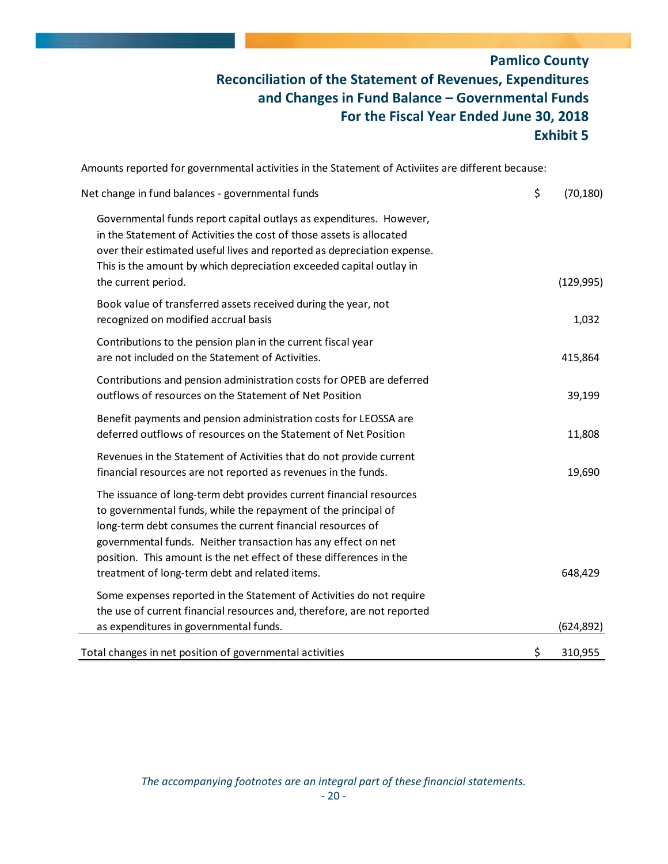## **Pamlico County Reconciliation of the Statement of Revenues, Expenditures and Changes in Fund Balance – Governmental Funds For the Fiscal Year Ended June 30, 2018 Exhibit 5**

Amounts reported for governmental activities in the Statement of Activiites are different because:

| Net change in fund balances - governmental funds                                                                                                                                                                                                                                                                                                                                              | \$<br>(70, 180) |
|-----------------------------------------------------------------------------------------------------------------------------------------------------------------------------------------------------------------------------------------------------------------------------------------------------------------------------------------------------------------------------------------------|-----------------|
| Governmental funds report capital outlays as expenditures. However,<br>in the Statement of Activities the cost of those assets is allocated<br>over their estimated useful lives and reported as depreciation expense.<br>This is the amount by which depreciation exceeded capital outlay in<br>the current period.                                                                          | (129, 995)      |
| Book value of transferred assets received during the year, not<br>recognized on modified accrual basis                                                                                                                                                                                                                                                                                        | 1,032           |
| Contributions to the pension plan in the current fiscal year<br>are not included on the Statement of Activities.                                                                                                                                                                                                                                                                              | 415,864         |
| Contributions and pension administration costs for OPEB are deferred<br>outflows of resources on the Statement of Net Position                                                                                                                                                                                                                                                                | 39,199          |
| Benefit payments and pension administration costs for LEOSSA are<br>deferred outflows of resources on the Statement of Net Position                                                                                                                                                                                                                                                           | 11,808          |
| Revenues in the Statement of Activities that do not provide current<br>financial resources are not reported as revenues in the funds.                                                                                                                                                                                                                                                         | 19,690          |
| The issuance of long-term debt provides current financial resources<br>to governmental funds, while the repayment of the principal of<br>long-term debt consumes the current financial resources of<br>governmental funds. Neither transaction has any effect on net<br>position. This amount is the net effect of these differences in the<br>treatment of long-term debt and related items. | 648,429         |
| Some expenses reported in the Statement of Activities do not require<br>the use of current financial resources and, therefore, are not reported<br>as expenditures in governmental funds.                                                                                                                                                                                                     | (624, 892)      |
| Total changes in net position of governmental activities                                                                                                                                                                                                                                                                                                                                      | \$<br>310,955   |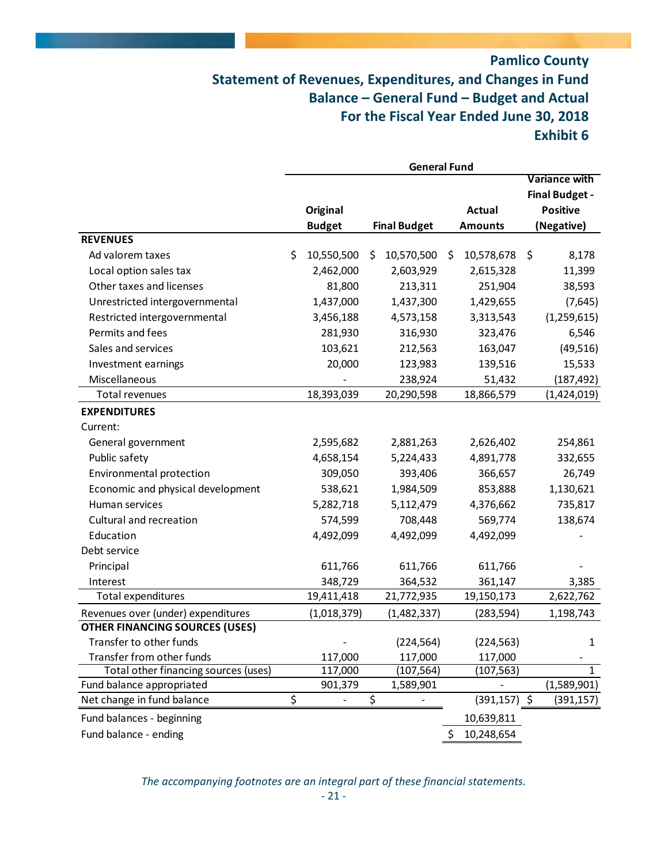## **Pamlico County Statement of Revenues, Expenditures, and Changes in Fund Balance – General Fund – Budget and Actual For the Fiscal Year Ended June 30, 2018 Exhibit 6**

|                                       | <b>General Fund</b> |                 |    |                     |    |                 |                       |
|---------------------------------------|---------------------|-----------------|----|---------------------|----|-----------------|-----------------------|
|                                       |                     |                 |    |                     |    |                 | <b>Variance with</b>  |
|                                       |                     |                 |    |                     |    |                 | <b>Final Budget -</b> |
|                                       |                     | <b>Original</b> |    |                     |    | <b>Actual</b>   | <b>Positive</b>       |
|                                       |                     | <b>Budget</b>   |    | <b>Final Budget</b> |    | <b>Amounts</b>  | (Negative)            |
| <b>REVENUES</b>                       |                     |                 |    |                     |    |                 |                       |
| Ad valorem taxes                      | \$                  | 10,550,500      | \$ | 10,570,500          | \$ | 10,578,678      | \$<br>8,178           |
| Local option sales tax                |                     | 2,462,000       |    | 2,603,929           |    | 2,615,328       | 11,399                |
| Other taxes and licenses              |                     | 81,800          |    | 213,311             |    | 251,904         | 38,593                |
| Unrestricted intergovernmental        |                     | 1,437,000       |    | 1,437,300           |    | 1,429,655       | (7,645)               |
| Restricted intergovernmental          |                     | 3,456,188       |    | 4,573,158           |    | 3,313,543       | (1, 259, 615)         |
| Permits and fees                      |                     | 281,930         |    | 316,930             |    | 323,476         | 6,546                 |
| Sales and services                    |                     | 103,621         |    | 212,563             |    | 163,047         | (49, 516)             |
| Investment earnings                   |                     | 20,000          |    | 123,983             |    | 139,516         | 15,533                |
| Miscellaneous                         |                     |                 |    | 238,924             |    | 51,432          | (187, 492)            |
| Total revenues                        |                     | 18,393,039      |    | 20,290,598          |    | 18,866,579      | (1,424,019)           |
| <b>EXPENDITURES</b>                   |                     |                 |    |                     |    |                 |                       |
| Current:                              |                     |                 |    |                     |    |                 |                       |
| General government                    |                     | 2,595,682       |    | 2,881,263           |    | 2,626,402       | 254,861               |
| Public safety                         |                     | 4,658,154       |    | 5,224,433           |    | 4,891,778       | 332,655               |
| Environmental protection              |                     | 309,050         |    | 393,406             |    | 366,657         | 26,749                |
| Economic and physical development     |                     | 538,621         |    | 1,984,509           |    | 853,888         | 1,130,621             |
| Human services                        |                     | 5,282,718       |    | 5,112,479           |    | 4,376,662       | 735,817               |
| Cultural and recreation               |                     | 574,599         |    | 708,448             |    | 569,774         | 138,674               |
| Education                             |                     | 4,492,099       |    | 4,492,099           |    | 4,492,099       |                       |
| Debt service                          |                     |                 |    |                     |    |                 |                       |
| Principal                             |                     | 611,766         |    | 611,766             |    | 611,766         |                       |
| Interest                              |                     | 348,729         |    | 364,532             |    | 361,147         | 3,385                 |
| Total expenditures                    |                     | 19,411,418      |    | 21,772,935          |    | 19,150,173      | 2,622,762             |
| Revenues over (under) expenditures    |                     | (1,018,379)     |    | (1,482,337)         |    | (283, 594)      | 1,198,743             |
| <b>OTHER FINANCING SOURCES (USES)</b> |                     |                 |    |                     |    |                 |                       |
| Transfer to other funds               |                     |                 |    | (224, 564)          |    | (224, 563)      | 1                     |
| Transfer from other funds             |                     | 117,000         |    | 117,000             |    | 117,000         |                       |
| Total other financing sources (uses)  |                     | 117,000         |    | (107, 564)          |    | (107, 563)      | 1                     |
| Fund balance appropriated             |                     | 901,379         |    | 1,589,901           |    |                 | (1,589,901)           |
| Net change in fund balance            | \$                  |                 | \$ |                     |    | $(391, 157)$ \$ | (391,157)             |
| Fund balances - beginning             |                     |                 |    |                     |    | 10,639,811      |                       |
| Fund balance - ending                 |                     |                 |    |                     | \$ | 10,248,654      |                       |

*The accompanying footnotes are an integral part of these financial statements.*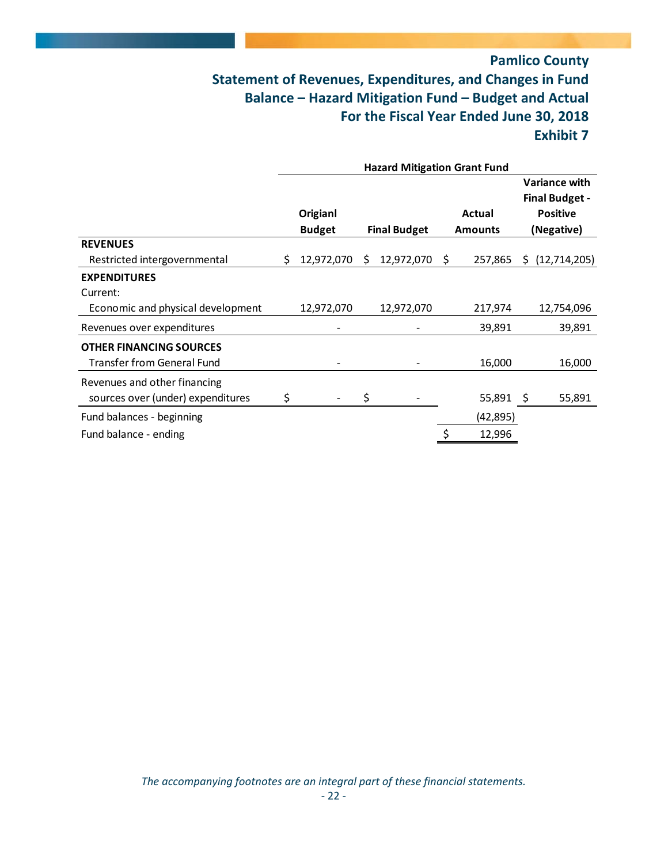## **Pamlico County Statement of Revenues, Expenditures, and Changes in Fund Balance – Hazard Mitigation Fund – Budget and Actual For the Fiscal Year Ended June 30, 2018 Exhibit 7**

|                                   | <b>Hazard Mitigation Grant Fund</b> |               |    |                     |    |                |    |                                               |
|-----------------------------------|-------------------------------------|---------------|----|---------------------|----|----------------|----|-----------------------------------------------|
|                                   |                                     |               |    |                     |    |                |    | <b>Variance with</b><br><b>Final Budget -</b> |
|                                   |                                     | Origianl      |    |                     |    | Actual         |    | <b>Positive</b>                               |
|                                   |                                     | <b>Budget</b> |    | <b>Final Budget</b> |    | <b>Amounts</b> |    | (Negative)                                    |
| <b>REVENUES</b>                   |                                     |               |    |                     |    |                |    |                                               |
| Restricted intergovernmental      | S.                                  | 12,972,070    | S. | 12,972,070          | S. | 257,865        | S. | (12,714,205)                                  |
| <b>EXPENDITURES</b>               |                                     |               |    |                     |    |                |    |                                               |
| Current:                          |                                     |               |    |                     |    |                |    |                                               |
| Economic and physical development |                                     | 12,972,070    |    | 12,972,070          |    | 217,974        |    | 12,754,096                                    |
| Revenues over expenditures        |                                     |               |    |                     |    | 39,891         |    | 39,891                                        |
| <b>OTHER FINANCING SOURCES</b>    |                                     |               |    |                     |    |                |    |                                               |
| <b>Transfer from General Fund</b> |                                     |               |    |                     |    | 16,000         |    | 16,000                                        |
| Revenues and other financing      |                                     |               |    |                     |    |                |    |                                               |
| sources over (under) expenditures | \$                                  |               | \$ |                     |    | 55,891 \$      |    | 55,891                                        |
| Fund balances - beginning         |                                     |               |    |                     |    | (42,895)       |    |                                               |
| Fund balance - ending             |                                     |               |    |                     |    | 12,996         |    |                                               |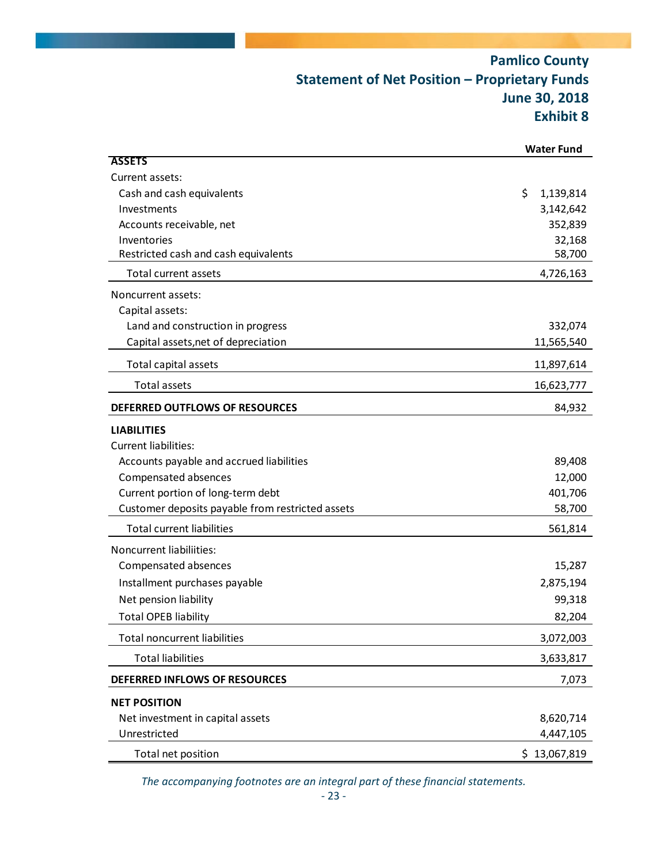## **Pamlico County Statement of Net Position – Proprietary Funds June 30, 2018 Exhibit 8**

|                                                     | <b>Water Fund</b> |
|-----------------------------------------------------|-------------------|
| <b>ASSETS</b>                                       |                   |
| Current assets:                                     |                   |
| Cash and cash equivalents                           | \$<br>1,139,814   |
| Investments                                         | 3,142,642         |
| Accounts receivable, net                            | 352,839           |
| Inventories<br>Restricted cash and cash equivalents | 32,168<br>58,700  |
|                                                     |                   |
| <b>Total current assets</b>                         | 4,726,163         |
| Noncurrent assets:                                  |                   |
| Capital assets:                                     |                   |
| Land and construction in progress                   | 332,074           |
| Capital assets, net of depreciation                 | 11,565,540        |
| Total capital assets                                | 11,897,614        |
| <b>Total assets</b>                                 | 16,623,777        |
| DEFERRED OUTFLOWS OF RESOURCES                      | 84,932            |
| <b>LIABILITIES</b>                                  |                   |
| <b>Current liabilities:</b>                         |                   |
| Accounts payable and accrued liabilities            | 89,408            |
| Compensated absences                                | 12,000            |
| Current portion of long-term debt                   | 401,706           |
| Customer deposits payable from restricted assets    | 58,700            |
| <b>Total current liabilities</b>                    | 561,814           |
| Noncurrent liabiliities:                            |                   |
| Compensated absences                                | 15,287            |
| Installment purchases payable                       | 2,875,194         |
| Net pension liability                               | 99,318            |
| <b>Total OPEB liability</b>                         | 82,204            |
| <b>Total noncurrent liabilities</b>                 | 3,072,003         |
| <b>Total liabilities</b>                            | 3,633,817         |
| DEFERRED INFLOWS OF RESOURCES                       | 7,073             |
| <b>NET POSITION</b>                                 |                   |
| Net investment in capital assets                    | 8,620,714         |
| Unrestricted                                        | 4,447,105         |
| Total net position                                  | \$13,067,819      |

*The accompanying footnotes are an integral part of these financial statements.*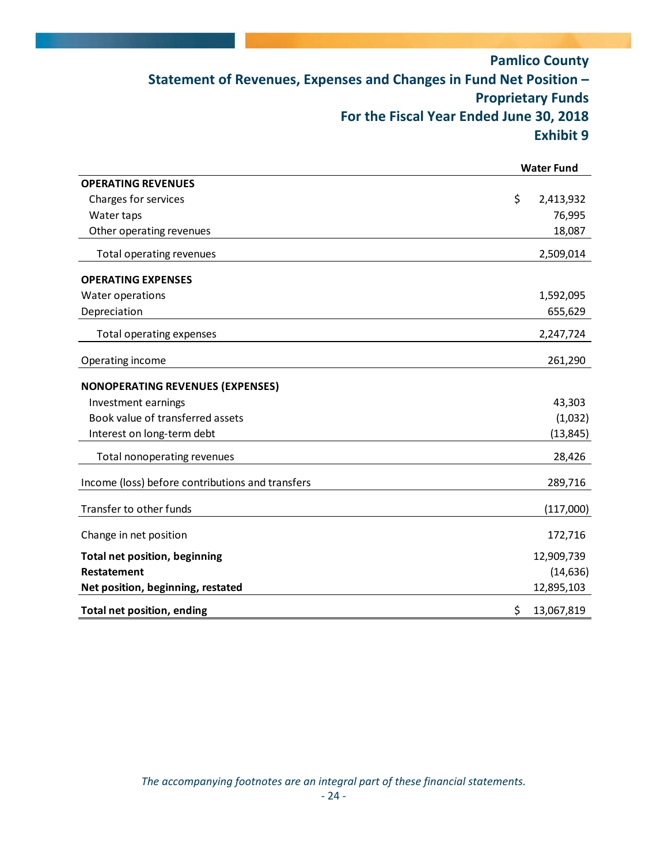## **Pamlico County Statement of Revenues, Expenses and Changes in Fund Net Position – Proprietary Funds For the Fiscal Year Ended June 30, 2018 Exhibit 9**

|                                                  | <b>Water Fund</b> |
|--------------------------------------------------|-------------------|
| <b>OPERATING REVENUES</b>                        |                   |
| Charges for services                             | \$<br>2,413,932   |
| Water taps                                       | 76,995            |
| Other operating revenues                         | 18,087            |
| Total operating revenues                         | 2,509,014         |
| <b>OPERATING EXPENSES</b>                        |                   |
| Water operations                                 | 1,592,095         |
| Depreciation                                     | 655,629           |
| Total operating expenses                         | 2,247,724         |
| Operating income                                 | 261,290           |
| <b>NONOPERATING REVENUES (EXPENSES)</b>          |                   |
| Investment earnings                              | 43,303            |
| Book value of transferred assets                 | (1,032)           |
| Interest on long-term debt                       | (13, 845)         |
| Total nonoperating revenues                      | 28,426            |
| Income (loss) before contributions and transfers | 289,716           |
| Transfer to other funds                          | (117,000)         |
| Change in net position                           | 172,716           |
| <b>Total net position, beginning</b>             | 12,909,739        |
| <b>Restatement</b>                               | (14, 636)         |
| Net position, beginning, restated                | 12,895,103        |
| Total net position, ending                       | \$<br>13,067,819  |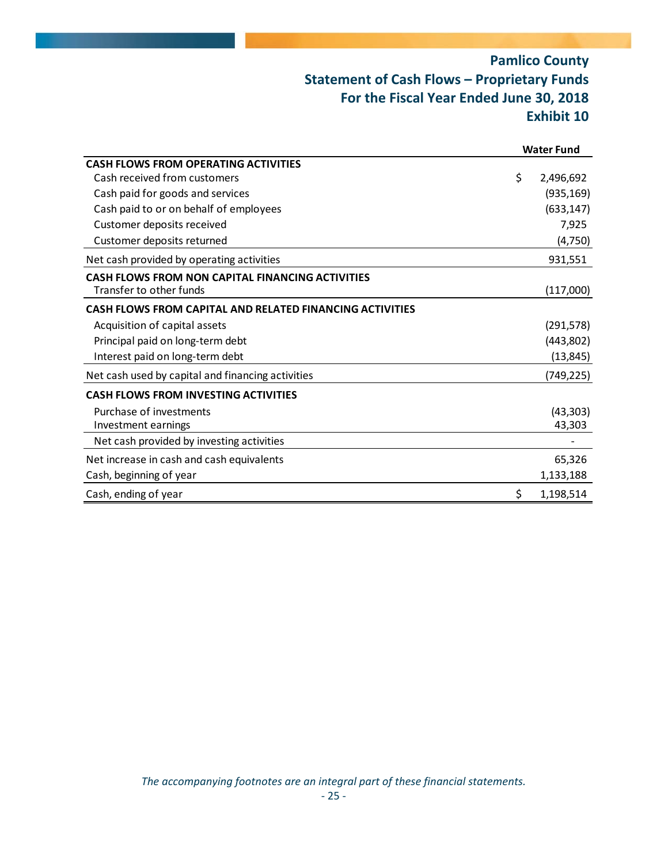## **Pamlico County Statement of Cash Flows – Proprietary Funds For the Fiscal Year Ended June 30, 2018 Exhibit 10**

|                                                                 | <b>Water Fund</b> |
|-----------------------------------------------------------------|-------------------|
| <b>CASH FLOWS FROM OPERATING ACTIVITIES</b>                     |                   |
| Cash received from customers                                    | \$<br>2,496,692   |
| Cash paid for goods and services                                | (935, 169)        |
| Cash paid to or on behalf of employees                          | (633, 147)        |
| Customer deposits received                                      | 7,925             |
| Customer deposits returned                                      | (4, 750)          |
| Net cash provided by operating activities                       | 931,551           |
| CASH FLOWS FROM NON CAPITAL FINANCING ACTIVITIES                |                   |
| Transfer to other funds                                         | (117,000)         |
| <b>CASH FLOWS FROM CAPITAL AND RELATED FINANCING ACTIVITIES</b> |                   |
| Acquisition of capital assets                                   | (291, 578)        |
| Principal paid on long-term debt                                | (443,802)         |
| Interest paid on long-term debt                                 | (13, 845)         |
| Net cash used by capital and financing activities               | (749, 225)        |
| <b>CASH FLOWS FROM INVESTING ACTIVITIES</b>                     |                   |
| Purchase of investments                                         | (43, 303)         |
| Investment earnings                                             | 43,303            |
| Net cash provided by investing activities                       |                   |
| Net increase in cash and cash equivalents                       | 65,326            |
| Cash, beginning of year                                         | 1,133,188         |
| Cash, ending of year                                            | \$<br>1,198,514   |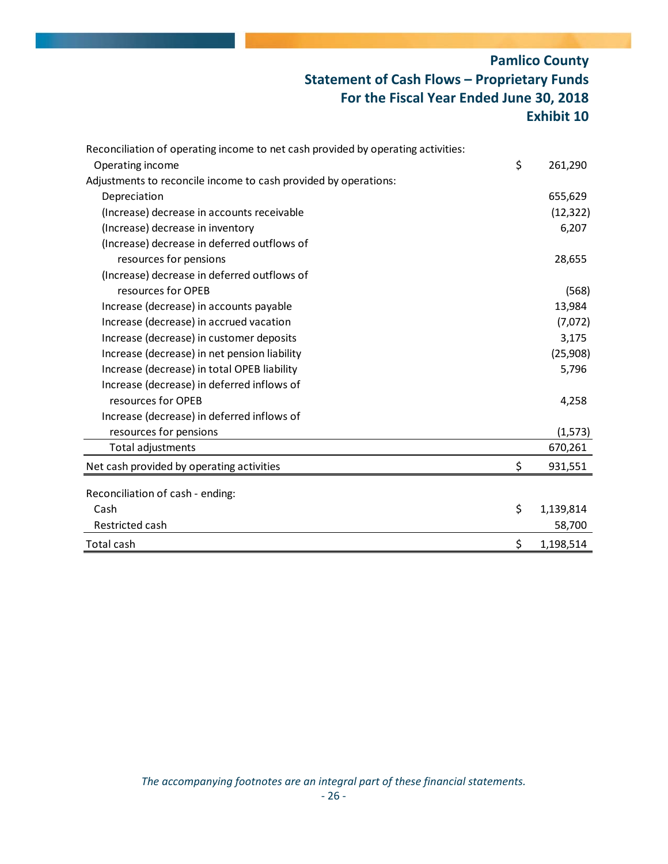## **Pamlico County Statement of Cash Flows – Proprietary Funds For the Fiscal Year Ended June 30, 2018 Exhibit 10**

| Reconciliation of operating income to net cash provided by operating activities: |                 |
|----------------------------------------------------------------------------------|-----------------|
| Operating income                                                                 | \$<br>261,290   |
| Adjustments to reconcile income to cash provided by operations:                  |                 |
| Depreciation                                                                     | 655,629         |
| (Increase) decrease in accounts receivable                                       | (12, 322)       |
| (Increase) decrease in inventory                                                 | 6,207           |
| (Increase) decrease in deferred outflows of                                      |                 |
| resources for pensions                                                           | 28,655          |
| (Increase) decrease in deferred outflows of                                      |                 |
| resources for OPEB                                                               | (568)           |
| Increase (decrease) in accounts payable                                          | 13,984          |
| Increase (decrease) in accrued vacation                                          | (7,072)         |
| Increase (decrease) in customer deposits                                         | 3,175           |
| Increase (decrease) in net pension liability                                     | (25,908)        |
| Increase (decrease) in total OPEB liability                                      | 5,796           |
| Increase (decrease) in deferred inflows of                                       |                 |
| resources for OPEB                                                               | 4,258           |
| Increase (decrease) in deferred inflows of                                       |                 |
| resources for pensions                                                           | (1, 573)        |
| Total adjustments                                                                | 670,261         |
| Net cash provided by operating activities                                        | \$<br>931,551   |
| Reconciliation of cash - ending:                                                 |                 |
| Cash                                                                             | \$<br>1,139,814 |
| Restricted cash                                                                  | 58,700          |
| Total cash                                                                       | \$<br>1,198,514 |
|                                                                                  |                 |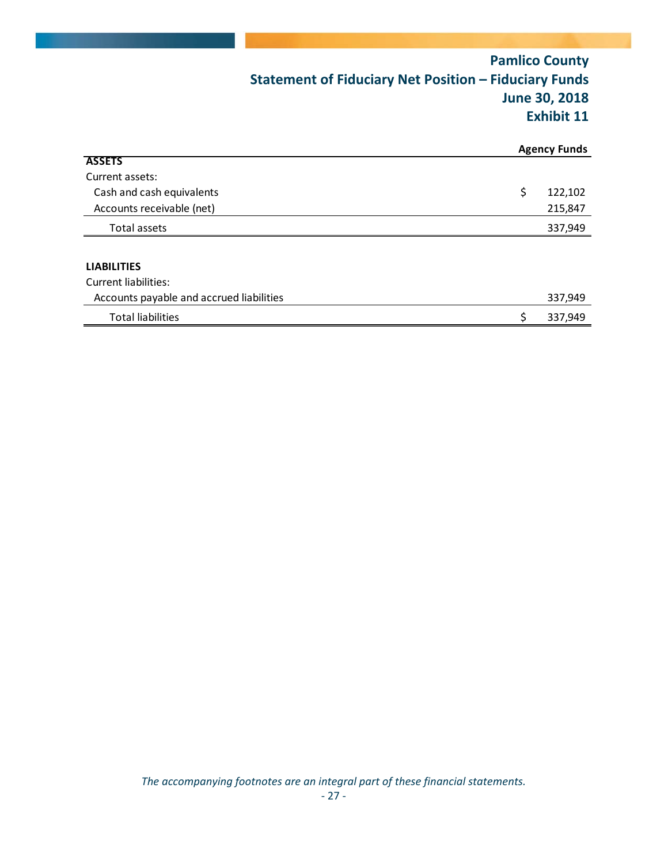|                                          | <b>Statement of Fiduciary Net Position - Fiduciary Funds</b> | <b>Pamlico County</b><br><b>June 30, 2018</b><br><b>Exhibit 11</b> |
|------------------------------------------|--------------------------------------------------------------|--------------------------------------------------------------------|
|                                          |                                                              | <b>Agency Funds</b>                                                |
| <b>ASSETS</b>                            |                                                              |                                                                    |
| Current assets:                          |                                                              |                                                                    |
| Cash and cash equivalents                |                                                              | \$<br>122,102                                                      |
| Accounts receivable (net)                |                                                              | 215,847                                                            |
| Total assets                             |                                                              | 337,949                                                            |
| <b>LIABILITIES</b>                       |                                                              |                                                                    |
| <b>Current liabilities:</b>              |                                                              |                                                                    |
| Accounts payable and accrued liabilities |                                                              | 337,949                                                            |
| <b>Total liabilities</b>                 |                                                              | \$<br>337,949                                                      |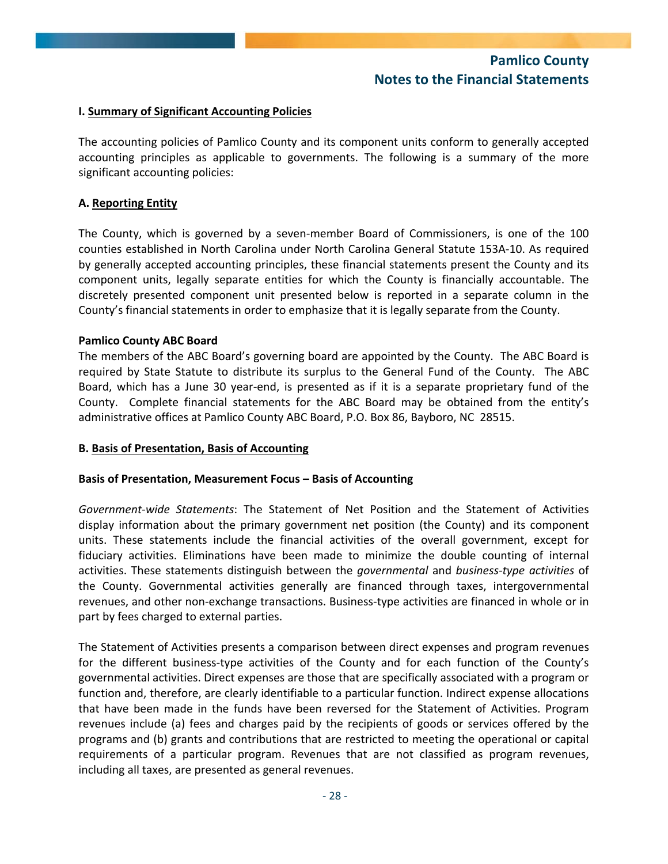### **I. Summary of Significant Accounting Policies**

The accounting policies of Pamlico County and its component units conform to generally accepted accounting principles as applicable to governments. The following is a summary of the more significant accounting policies:

### **A. Reporting Entity**

The County, which is governed by a seven-member Board of Commissioners, is one of the 100 counties established in North Carolina under North Carolina General Statute 153A‐10. As required by generally accepted accounting principles, these financial statements present the County and its component units, legally separate entities for which the County is financially accountable. The discretely presented component unit presented below is reported in a separate column in the County's financial statements in order to emphasize that it is legally separate from the County.

### **Pamlico County ABC Board**

The members of the ABC Board's governing board are appointed by the County. The ABC Board is required by State Statute to distribute its surplus to the General Fund of the County. The ABC Board, which has a June 30 year‐end, is presented as if it is a separate proprietary fund of the County. Complete financial statements for the ABC Board may be obtained from the entity's administrative offices at Pamlico County ABC Board, P.O. Box 86, Bayboro, NC 28515.

### **B. Basis of Presentation, Basis of Accounting**

### **Basis of Presentation, Measurement Focus – Basis of Accounting**

*Government‐wide Statements*: The Statement of Net Position and the Statement of Activities display information about the primary government net position (the County) and its component units. These statements include the financial activities of the overall government, except for fiduciary activities. Eliminations have been made to minimize the double counting of internal activities. These statements distinguish between the *governmental* and *business‐type activities* of the County. Governmental activities generally are financed through taxes, intergovernmental revenues, and other non‐exchange transactions. Business‐type activities are financed in whole or in part by fees charged to external parties.

The Statement of Activities presents a comparison between direct expenses and program revenues for the different business-type activities of the County and for each function of the County's governmental activities. Direct expenses are those that are specifically associated with a program or function and, therefore, are clearly identifiable to a particular function. Indirect expense allocations that have been made in the funds have been reversed for the Statement of Activities. Program revenues include (a) fees and charges paid by the recipients of goods or services offered by the programs and (b) grants and contributions that are restricted to meeting the operational or capital requirements of a particular program. Revenues that are not classified as program revenues, including all taxes, are presented as general revenues.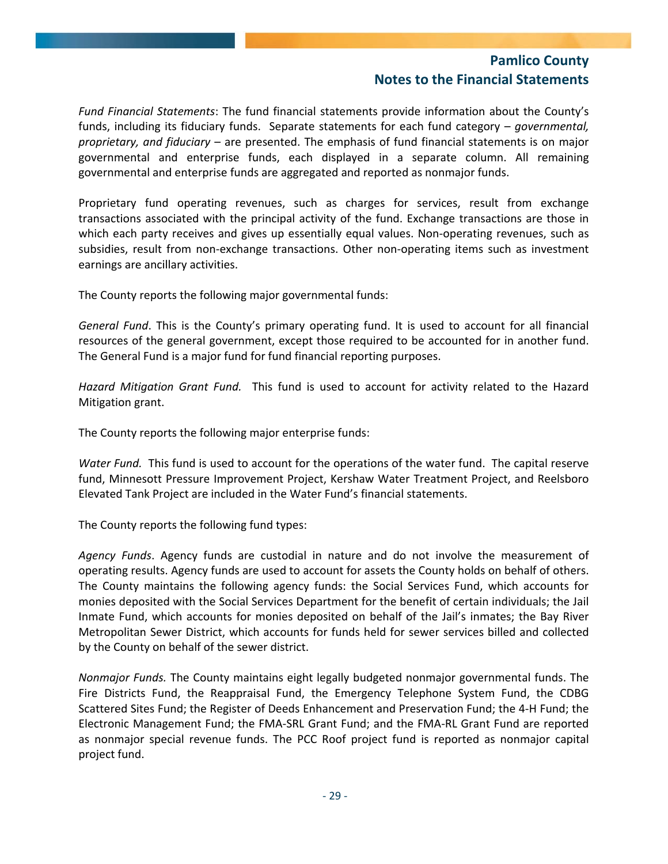*Fund Financial Statements*: The fund financial statements provide information about the County's funds, including its fiduciary funds. Separate statements for each fund category – *governmental, proprietary, and fiduciary* – are presented. The emphasis of fund financial statements is on major governmental and enterprise funds, each displayed in a separate column. All remaining governmental and enterprise funds are aggregated and reported as nonmajor funds.

Proprietary fund operating revenues, such as charges for services, result from exchange transactions associated with the principal activity of the fund. Exchange transactions are those in which each party receives and gives up essentially equal values. Non-operating revenues, such as subsidies, result from non-exchange transactions. Other non-operating items such as investment earnings are ancillary activities.

The County reports the following major governmental funds:

*General Fund*. This is the County's primary operating fund. It is used to account for all financial resources of the general government, except those required to be accounted for in another fund. The General Fund is a major fund for fund financial reporting purposes.

*Hazard Mitigation Grant Fund.* This fund is used to account for activity related to the Hazard Mitigation grant.

The County reports the following major enterprise funds:

*Water Fund.* This fund is used to account for the operations of the water fund. The capital reserve fund, Minnesott Pressure Improvement Project, Kershaw Water Treatment Project, and Reelsboro Elevated Tank Project are included in the Water Fund's financial statements.

The County reports the following fund types:

*Agency Funds*. Agency funds are custodial in nature and do not involve the measurement of operating results. Agency funds are used to account for assets the County holds on behalf of others. The County maintains the following agency funds: the Social Services Fund, which accounts for monies deposited with the Social Services Department for the benefit of certain individuals; the Jail Inmate Fund, which accounts for monies deposited on behalf of the Jail's inmates; the Bay River Metropolitan Sewer District, which accounts for funds held for sewer services billed and collected by the County on behalf of the sewer district.

*Nonmajor Funds.* The County maintains eight legally budgeted nonmajor governmental funds. The Fire Districts Fund, the Reappraisal Fund, the Emergency Telephone System Fund, the CDBG Scattered Sites Fund; the Register of Deeds Enhancement and Preservation Fund; the 4‐H Fund; the Electronic Management Fund; the FMA‐SRL Grant Fund; and the FMA‐RL Grant Fund are reported as nonmajor special revenue funds. The PCC Roof project fund is reported as nonmajor capital project fund.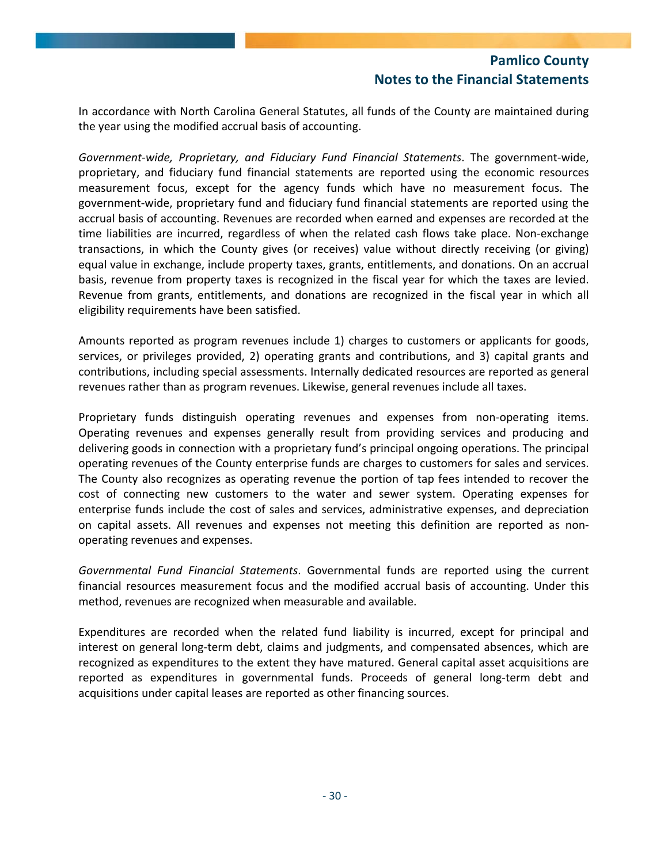In accordance with North Carolina General Statutes, all funds of the County are maintained during the year using the modified accrual basis of accounting.

*Government‐wide, Proprietary, and Fiduciary Fund Financial Statements*. The government‐wide, proprietary, and fiduciary fund financial statements are reported using the economic resources measurement focus, except for the agency funds which have no measurement focus. The government‐wide, proprietary fund and fiduciary fund financial statements are reported using the accrual basis of accounting. Revenues are recorded when earned and expenses are recorded at the time liabilities are incurred, regardless of when the related cash flows take place. Non‐exchange transactions, in which the County gives (or receives) value without directly receiving (or giving) equal value in exchange, include property taxes, grants, entitlements, and donations. On an accrual basis, revenue from property taxes is recognized in the fiscal year for which the taxes are levied. Revenue from grants, entitlements, and donations are recognized in the fiscal year in which all eligibility requirements have been satisfied.

Amounts reported as program revenues include 1) charges to customers or applicants for goods, services, or privileges provided, 2) operating grants and contributions, and 3) capital grants and contributions, including special assessments. Internally dedicated resources are reported as general revenues rather than as program revenues. Likewise, general revenues include all taxes.

Proprietary funds distinguish operating revenues and expenses from non‐operating items. Operating revenues and expenses generally result from providing services and producing and delivering goods in connection with a proprietary fund's principal ongoing operations. The principal operating revenues of the County enterprise funds are charges to customers for sales and services. The County also recognizes as operating revenue the portion of tap fees intended to recover the cost of connecting new customers to the water and sewer system. Operating expenses for enterprise funds include the cost of sales and services, administrative expenses, and depreciation on capital assets. All revenues and expenses not meeting this definition are reported as non‐ operating revenues and expenses.

*Governmental Fund Financial Statements*. Governmental funds are reported using the current financial resources measurement focus and the modified accrual basis of accounting. Under this method, revenues are recognized when measurable and available.

Expenditures are recorded when the related fund liability is incurred, except for principal and interest on general long-term debt, claims and judgments, and compensated absences, which are recognized as expenditures to the extent they have matured. General capital asset acquisitions are reported as expenditures in governmental funds. Proceeds of general long-term debt and acquisitions under capital leases are reported as other financing sources.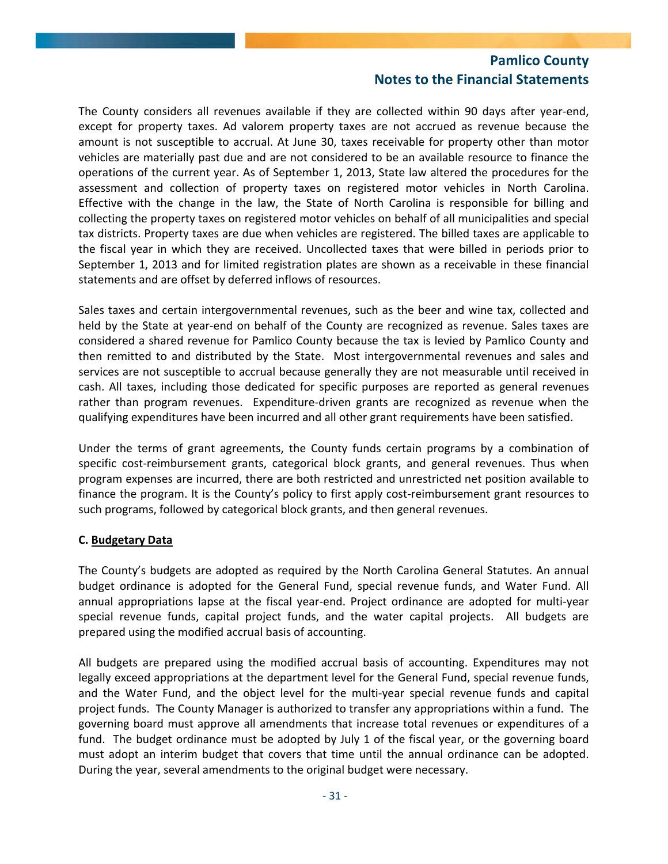The County considers all revenues available if they are collected within 90 days after year‐end, except for property taxes. Ad valorem property taxes are not accrued as revenue because the amount is not susceptible to accrual. At June 30, taxes receivable for property other than motor vehicles are materially past due and are not considered to be an available resource to finance the operations of the current year. As of September 1, 2013, State law altered the procedures for the assessment and collection of property taxes on registered motor vehicles in North Carolina. Effective with the change in the law, the State of North Carolina is responsible for billing and collecting the property taxes on registered motor vehicles on behalf of all municipalities and special tax districts. Property taxes are due when vehicles are registered. The billed taxes are applicable to the fiscal year in which they are received. Uncollected taxes that were billed in periods prior to September 1, 2013 and for limited registration plates are shown as a receivable in these financial statements and are offset by deferred inflows of resources.

Sales taxes and certain intergovernmental revenues, such as the beer and wine tax, collected and held by the State at year-end on behalf of the County are recognized as revenue. Sales taxes are considered a shared revenue for Pamlico County because the tax is levied by Pamlico County and then remitted to and distributed by the State. Most intergovernmental revenues and sales and services are not susceptible to accrual because generally they are not measurable until received in cash. All taxes, including those dedicated for specific purposes are reported as general revenues rather than program revenues. Expenditure-driven grants are recognized as revenue when the qualifying expenditures have been incurred and all other grant requirements have been satisfied.

Under the terms of grant agreements, the County funds certain programs by a combination of specific cost-reimbursement grants, categorical block grants, and general revenues. Thus when program expenses are incurred, there are both restricted and unrestricted net position available to finance the program. It is the County's policy to first apply cost-reimbursement grant resources to such programs, followed by categorical block grants, and then general revenues.

### **C. Budgetary Data**

The County's budgets are adopted as required by the North Carolina General Statutes. An annual budget ordinance is adopted for the General Fund, special revenue funds, and Water Fund. All annual appropriations lapse at the fiscal year-end. Project ordinance are adopted for multi-year special revenue funds, capital project funds, and the water capital projects. All budgets are prepared using the modified accrual basis of accounting.

All budgets are prepared using the modified accrual basis of accounting. Expenditures may not legally exceed appropriations at the department level for the General Fund, special revenue funds, and the Water Fund, and the object level for the multi‐year special revenue funds and capital project funds. The County Manager is authorized to transfer any appropriations within a fund. The governing board must approve all amendments that increase total revenues or expenditures of a fund. The budget ordinance must be adopted by July 1 of the fiscal year, or the governing board must adopt an interim budget that covers that time until the annual ordinance can be adopted. During the year, several amendments to the original budget were necessary.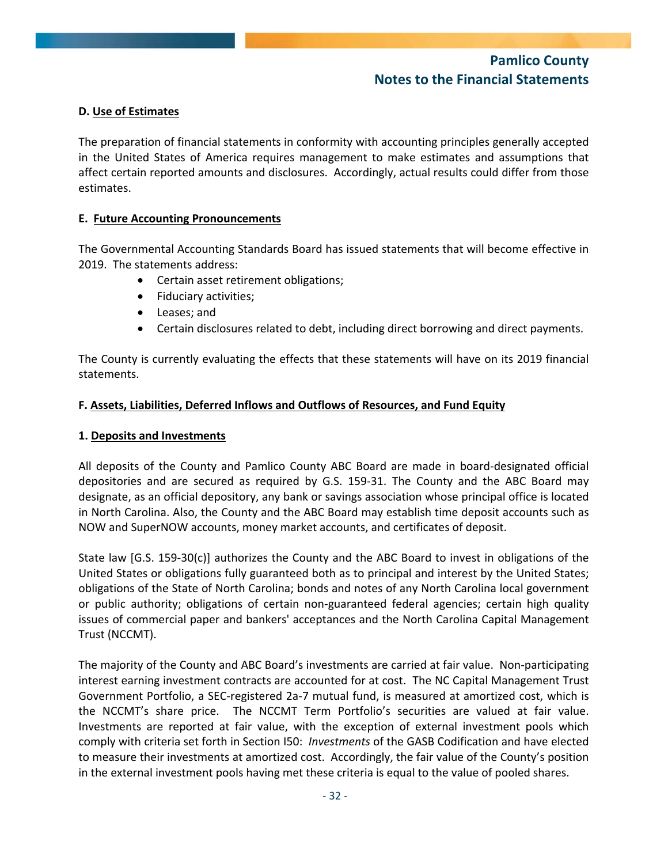### **D. Use of Estimates**

The preparation of financial statements in conformity with accounting principles generally accepted in the United States of America requires management to make estimates and assumptions that affect certain reported amounts and disclosures. Accordingly, actual results could differ from those estimates.

### **E. Future Accounting Pronouncements**

The Governmental Accounting Standards Board has issued statements that will become effective in 2019. The statements address:

- Certain asset retirement obligations;
- Fiduciary activities;
- Leases; and
- Certain disclosures related to debt, including direct borrowing and direct payments.

The County is currently evaluating the effects that these statements will have on its 2019 financial statements.

#### **F. Assets, Liabilities, Deferred Inflows and Outflows of Resources, and Fund Equity**

### **1. Deposits and Investments**

All deposits of the County and Pamlico County ABC Board are made in board‐designated official depositories and are secured as required by G.S. 159‐31. The County and the ABC Board may designate, as an official depository, any bank or savings association whose principal office is located in North Carolina. Also, the County and the ABC Board may establish time deposit accounts such as NOW and SuperNOW accounts, money market accounts, and certificates of deposit.

State law [G.S. 159‐30(c)] authorizes the County and the ABC Board to invest in obligations of the United States or obligations fully guaranteed both as to principal and interest by the United States; obligations of the State of North Carolina; bonds and notes of any North Carolina local government or public authority; obligations of certain non‐guaranteed federal agencies; certain high quality issues of commercial paper and bankers' acceptances and the North Carolina Capital Management Trust (NCCMT).

The majority of the County and ABC Board's investments are carried at fair value. Non-participating interest earning investment contracts are accounted for at cost. The NC Capital Management Trust Government Portfolio, a SEC‐registered 2a‐7 mutual fund, is measured at amortized cost, which is the NCCMT's share price. The NCCMT Term Portfolio's securities are valued at fair value. Investments are reported at fair value, with the exception of external investment pools which comply with criteria set forth in Section I50: *Investments* of the GASB Codification and have elected to measure their investments at amortized cost. Accordingly, the fair value of the County's position in the external investment pools having met these criteria is equal to the value of pooled shares.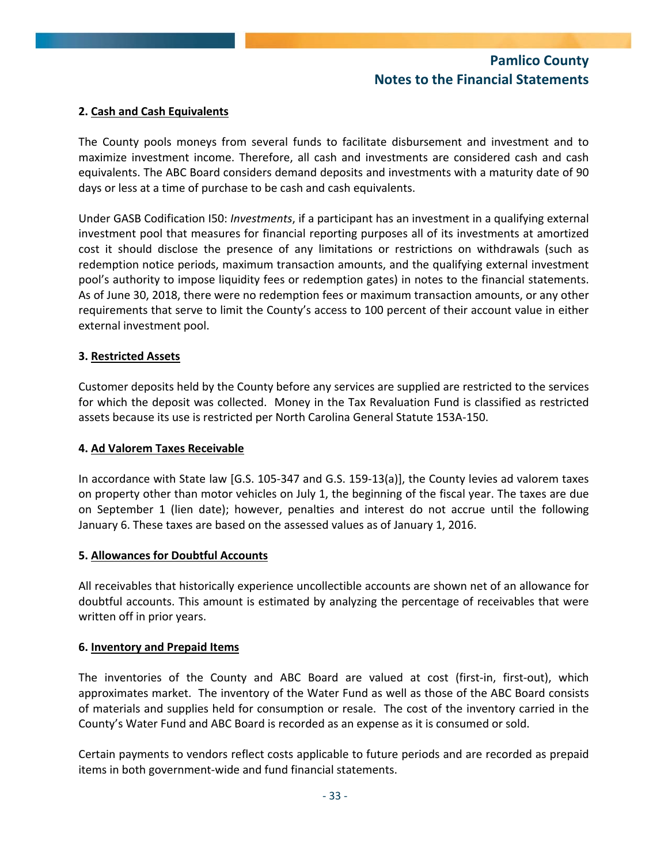### **2. Cash and Cash Equivalents**

The County pools moneys from several funds to facilitate disbursement and investment and to maximize investment income. Therefore, all cash and investments are considered cash and cash equivalents. The ABC Board considers demand deposits and investments with a maturity date of 90 days or less at a time of purchase to be cash and cash equivalents.

Under GASB Codification I50: *Investments*, if a participant has an investment in a qualifying external investment pool that measures for financial reporting purposes all of its investments at amortized cost it should disclose the presence of any limitations or restrictions on withdrawals (such as redemption notice periods, maximum transaction amounts, and the qualifying external investment pool's authority to impose liquidity fees or redemption gates) in notes to the financial statements. As of June 30, 2018, there were no redemption fees or maximum transaction amounts, or any other requirements that serve to limit the County's access to 100 percent of their account value in either external investment pool.

#### **3. Restricted Assets**

Customer deposits held by the County before any services are supplied are restricted to the services for which the deposit was collected. Money in the Tax Revaluation Fund is classified as restricted assets because its use is restricted per North Carolina General Statute 153A‐150.

#### **4. Ad Valorem Taxes Receivable**

In accordance with State law [G.S. 105-347 and G.S. 159-13(a)], the County levies ad valorem taxes on property other than motor vehicles on July 1, the beginning of the fiscal year. The taxes are due on September 1 (lien date); however, penalties and interest do not accrue until the following January 6. These taxes are based on the assessed values as of January 1, 2016.

#### **5. Allowances for Doubtful Accounts**

All receivables that historically experience uncollectible accounts are shown net of an allowance for doubtful accounts. This amount is estimated by analyzing the percentage of receivables that were written off in prior years.

#### **6. Inventory and Prepaid Items**

The inventories of the County and ABC Board are valued at cost (first-in, first-out), which approximates market. The inventory of the Water Fund as well as those of the ABC Board consists of materials and supplies held for consumption or resale. The cost of the inventory carried in the County's Water Fund and ABC Board is recorded as an expense as it is consumed or sold.

Certain payments to vendors reflect costs applicable to future periods and are recorded as prepaid items in both government‐wide and fund financial statements.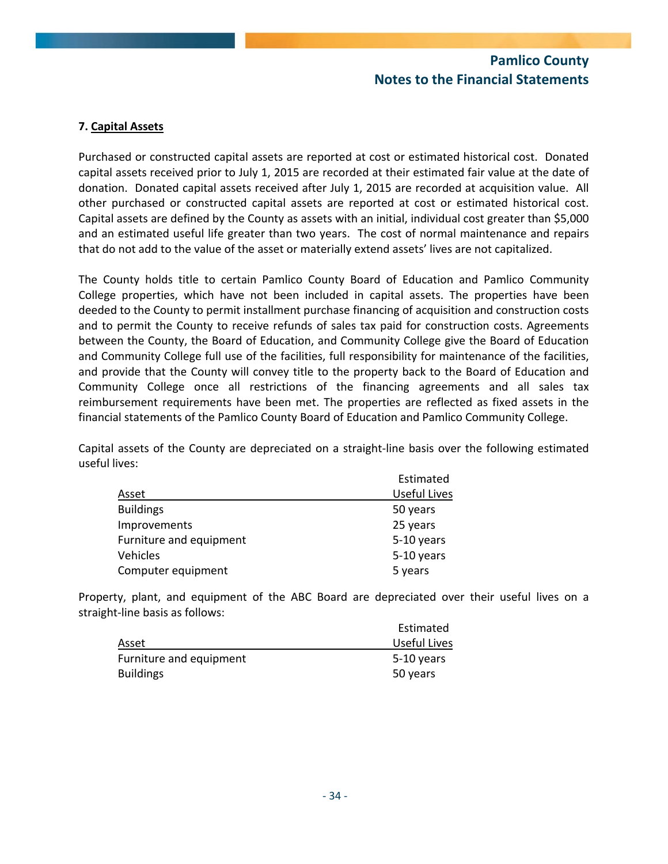### **7. Capital Assets**

Purchased or constructed capital assets are reported at cost or estimated historical cost. Donated capital assets received prior to July 1, 2015 are recorded at their estimated fair value at the date of donation. Donated capital assets received after July 1, 2015 are recorded at acquisition value. All other purchased or constructed capital assets are reported at cost or estimated historical cost. Capital assets are defined by the County as assets with an initial, individual cost greater than \$5,000 and an estimated useful life greater than two years. The cost of normal maintenance and repairs that do not add to the value of the asset or materially extend assets' lives are not capitalized.

The County holds title to certain Pamlico County Board of Education and Pamlico Community College properties, which have not been included in capital assets. The properties have been deeded to the County to permit installment purchase financing of acquisition and construction costs and to permit the County to receive refunds of sales tax paid for construction costs. Agreements between the County, the Board of Education, and Community College give the Board of Education and Community College full use of the facilities, full responsibility for maintenance of the facilities, and provide that the County will convey title to the property back to the Board of Education and Community College once all restrictions of the financing agreements and all sales tax reimbursement requirements have been met. The properties are reflected as fixed assets in the financial statements of the Pamlico County Board of Education and Pamlico Community College.

Capital assets of the County are depreciated on a straight‐line basis over the following estimated useful lives:

|                         | Estimated           |
|-------------------------|---------------------|
| Asset                   | <b>Useful Lives</b> |
| <b>Buildings</b>        | 50 years            |
| Improvements            | 25 years            |
| Furniture and equipment | 5-10 years          |
| Vehicles                | 5-10 years          |
| Computer equipment      | 5 years             |

Property, plant, and equipment of the ABC Board are depreciated over their useful lives on a straight‐line basis as follows:

|                         | Estimated    |
|-------------------------|--------------|
| Asset                   | Useful Lives |
| Furniture and equipment | 5-10 years   |
| <b>Buildings</b>        | 50 years     |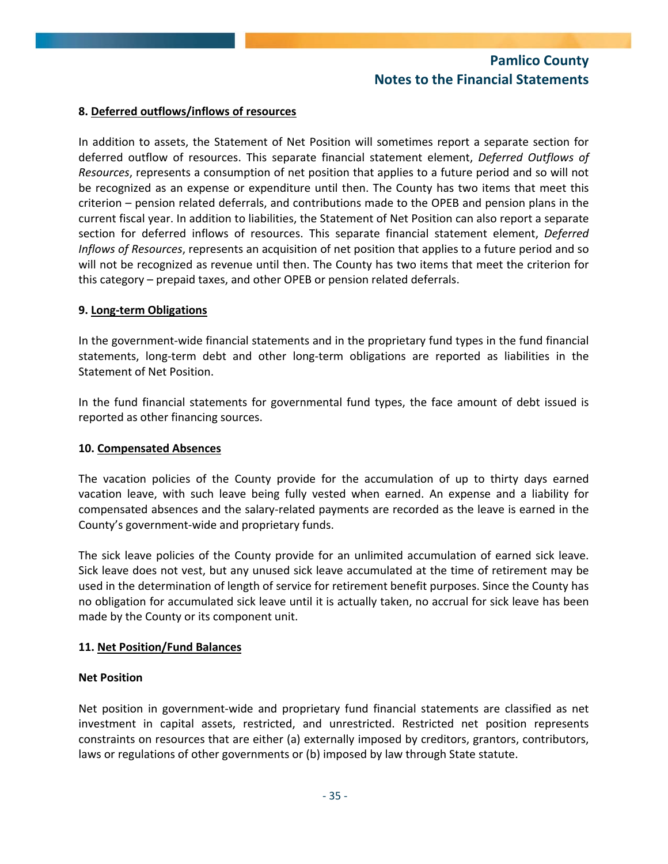#### **8. Deferred outflows/inflows of resources**

In addition to assets, the Statement of Net Position will sometimes report a separate section for deferred outflow of resources. This separate financial statement element, *Deferred Outflows of Resources*, represents a consumption of net position that applies to a future period and so will not be recognized as an expense or expenditure until then. The County has two items that meet this criterion – pension related deferrals, and contributions made to the OPEB and pension plans in the current fiscal year. In addition to liabilities, the Statement of Net Position can also report a separate section for deferred inflows of resources. This separate financial statement element, *Deferred Inflows of Resources*, represents an acquisition of net position that applies to a future period and so will not be recognized as revenue until then. The County has two items that meet the criterion for this category – prepaid taxes, and other OPEB or pension related deferrals.

#### **9. Long‐term Obligations**

In the government‐wide financial statements and in the proprietary fund types in the fund financial statements, long‐term debt and other long‐term obligations are reported as liabilities in the Statement of Net Position.

In the fund financial statements for governmental fund types, the face amount of debt issued is reported as other financing sources.

#### **10. Compensated Absences**

The vacation policies of the County provide for the accumulation of up to thirty days earned vacation leave, with such leave being fully vested when earned. An expense and a liability for compensated absences and the salary‐related payments are recorded as the leave is earned in the County's government‐wide and proprietary funds.

The sick leave policies of the County provide for an unlimited accumulation of earned sick leave. Sick leave does not vest, but any unused sick leave accumulated at the time of retirement may be used in the determination of length of service for retirement benefit purposes. Since the County has no obligation for accumulated sick leave until it is actually taken, no accrual for sick leave has been made by the County or its component unit.

#### **11. Net Position/Fund Balances**

#### **Net Position**

Net position in government-wide and proprietary fund financial statements are classified as net investment in capital assets, restricted, and unrestricted. Restricted net position represents constraints on resources that are either (a) externally imposed by creditors, grantors, contributors, laws or regulations of other governments or (b) imposed by law through State statute.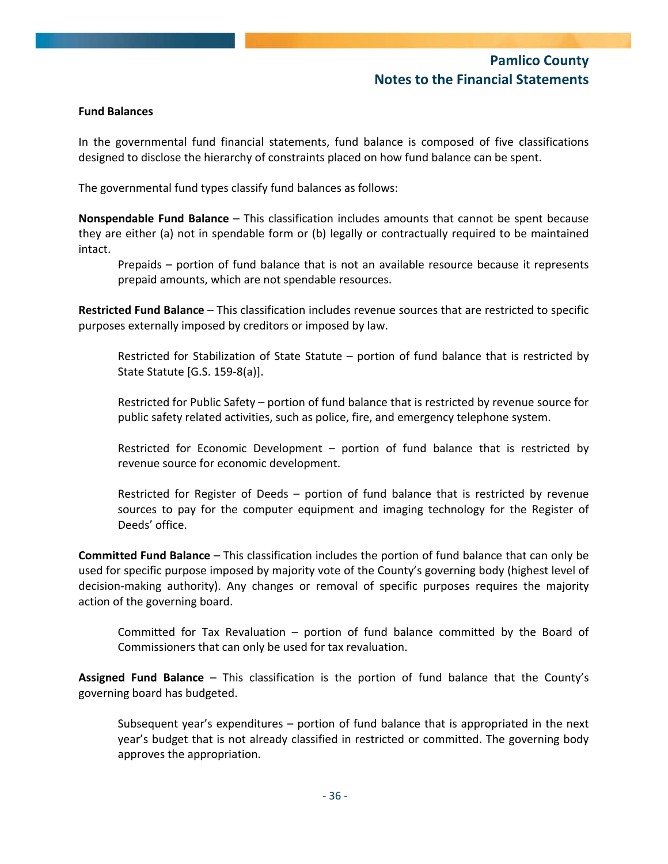#### **Fund Balances**

In the governmental fund financial statements, fund balance is composed of five classifications designed to disclose the hierarchy of constraints placed on how fund balance can be spent.

The governmental fund types classify fund balances as follows:

**Nonspendable Fund Balance** – This classification includes amounts that cannot be spent because they are either (a) not in spendable form or (b) legally or contractually required to be maintained intact.

Prepaids – portion of fund balance that is not an available resource because it represents prepaid amounts, which are not spendable resources.

**Restricted Fund Balance** – This classification includes revenue sources that are restricted to specific purposes externally imposed by creditors or imposed by law.

Restricted for Stabilization of State Statute – portion of fund balance that is restricted by State Statute [G.S. 159‐8(a)].

Restricted for Public Safety – portion of fund balance that is restricted by revenue source for public safety related activities, such as police, fire, and emergency telephone system.

Restricted for Economic Development – portion of fund balance that is restricted by revenue source for economic development.

Restricted for Register of Deeds – portion of fund balance that is restricted by revenue sources to pay for the computer equipment and imaging technology for the Register of Deeds' office.

**Committed Fund Balance** – This classification includes the portion of fund balance that can only be used for specific purpose imposed by majority vote of the County's governing body (highest level of decision-making authority). Any changes or removal of specific purposes requires the majority action of the governing board.

Committed for Tax Revaluation – portion of fund balance committed by the Board of Commissioners that can only be used for tax revaluation.

**Assigned Fund Balance** – This classification is the portion of fund balance that the County's governing board has budgeted.

Subsequent year's expenditures – portion of fund balance that is appropriated in the next year's budget that is not already classified in restricted or committed. The governing body approves the appropriation.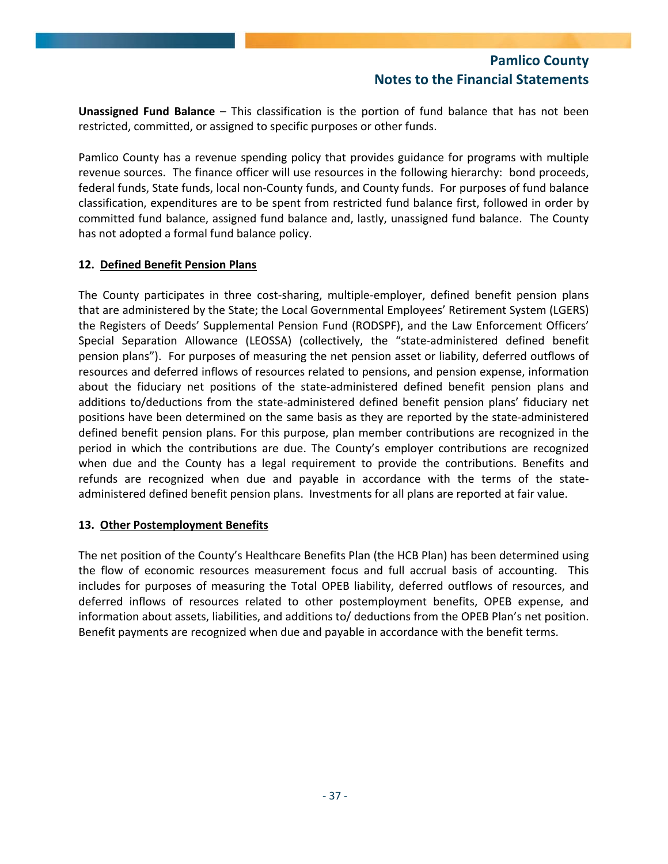**Unassigned Fund Balance** – This classification is the portion of fund balance that has not been restricted, committed, or assigned to specific purposes or other funds.

Pamlico County has a revenue spending policy that provides guidance for programs with multiple revenue sources. The finance officer will use resources in the following hierarchy: bond proceeds, federal funds, State funds, local non‐County funds, and County funds. For purposes of fund balance classification, expenditures are to be spent from restricted fund balance first, followed in order by committed fund balance, assigned fund balance and, lastly, unassigned fund balance. The County has not adopted a formal fund balance policy.

### **12. Defined Benefit Pension Plans**

The County participates in three cost‐sharing, multiple‐employer, defined benefit pension plans that are administered by the State; the Local Governmental Employees' Retirement System (LGERS) the Registers of Deeds' Supplemental Pension Fund (RODSPF), and the Law Enforcement Officers' Special Separation Allowance (LEOSSA) (collectively, the "state‐administered defined benefit pension plans"). For purposes of measuring the net pension asset or liability, deferred outflows of resources and deferred inflows of resources related to pensions, and pension expense, information about the fiduciary net positions of the state‐administered defined benefit pension plans and additions to/deductions from the state‐administered defined benefit pension plans' fiduciary net positions have been determined on the same basis as they are reported by the state‐administered defined benefit pension plans. For this purpose, plan member contributions are recognized in the period in which the contributions are due. The County's employer contributions are recognized when due and the County has a legal requirement to provide the contributions. Benefits and refunds are recognized when due and payable in accordance with the terms of the state‐ administered defined benefit pension plans. Investments for all plans are reported at fair value.

### **13. Other Postemployment Benefits**

The net position of the County's Healthcare Benefits Plan (the HCB Plan) has been determined using the flow of economic resources measurement focus and full accrual basis of accounting. This includes for purposes of measuring the Total OPEB liability, deferred outflows of resources, and deferred inflows of resources related to other postemployment benefits, OPEB expense, and information about assets, liabilities, and additions to/ deductions from the OPEB Plan's net position. Benefit payments are recognized when due and payable in accordance with the benefit terms.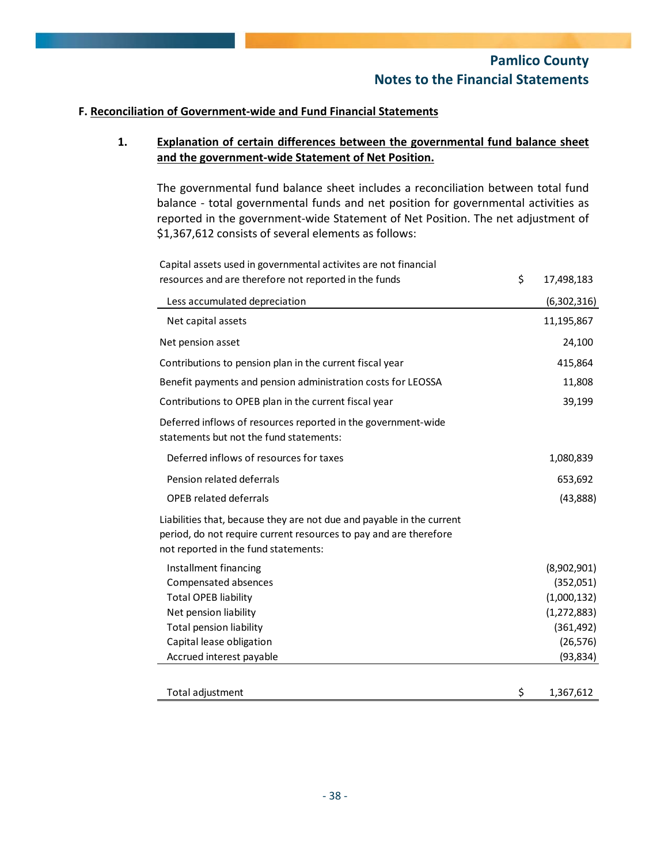### **F. Reconciliation of Government‐wide and Fund Financial Statements**

### **1. Explanation of certain differences between the governmental fund balance sheet and the government‐wide Statement of Net Position.**

The governmental fund balance sheet includes a reconciliation between total fund balance ‐ total governmental funds and net position for governmental activities as reported in the government-wide Statement of Net Position. The net adjustment of \$1,367,612 consists of several elements as follows:

Capital assets used in governmental activites are not financial resources and are therefore not reported in the funds  $\sim$  17,498,183

| Less accumulated depreciation                                                                                                                                                      | (6,302,316)     |
|------------------------------------------------------------------------------------------------------------------------------------------------------------------------------------|-----------------|
| Net capital assets                                                                                                                                                                 | 11,195,867      |
| Net pension asset                                                                                                                                                                  | 24,100          |
| Contributions to pension plan in the current fiscal year                                                                                                                           | 415,864         |
| Benefit payments and pension administration costs for LEOSSA                                                                                                                       | 11,808          |
| Contributions to OPEB plan in the current fiscal year                                                                                                                              | 39,199          |
| Deferred inflows of resources reported in the government-wide<br>statements but not the fund statements:                                                                           |                 |
| Deferred inflows of resources for taxes                                                                                                                                            | 1,080,839       |
| Pension related deferrals                                                                                                                                                          | 653,692         |
| <b>OPEB related deferrals</b>                                                                                                                                                      | (43,888)        |
| Liabilities that, because they are not due and payable in the current<br>period, do not require current resources to pay and are therefore<br>not reported in the fund statements: |                 |
| Installment financing                                                                                                                                                              | (8,902,901)     |
| Compensated absences                                                                                                                                                               | (352,051)       |
| <b>Total OPEB liability</b>                                                                                                                                                        | (1,000,132)     |
| Net pension liability                                                                                                                                                              | (1, 272, 883)   |
| Total pension liability                                                                                                                                                            | (361, 492)      |
| Capital lease obligation                                                                                                                                                           | (26, 576)       |
| Accrued interest payable                                                                                                                                                           | (93, 834)       |
| Total adjustment                                                                                                                                                                   | \$<br>1,367,612 |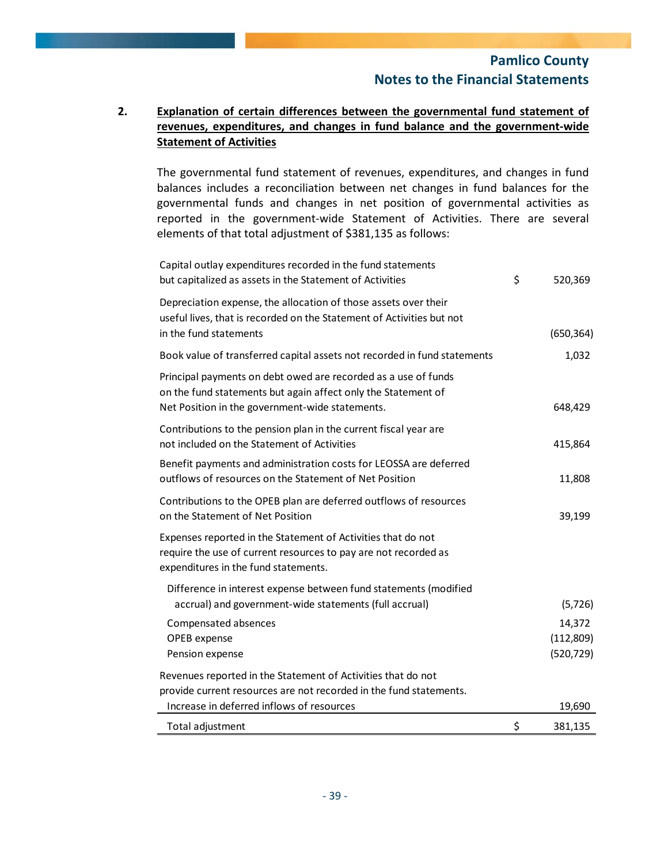## **2. Explanation of certain differences between the governmental fund statement of revenues, expenditures, and changes in fund balance and the government‐wide Statement of Activities**

The governmental fund statement of revenues, expenditures, and changes in fund balances includes a reconciliation between net changes in fund balances for the governmental funds and changes in net position of governmental activities as reported in the government‐wide Statement of Activities. There are several elements of that total adjustment of \$381,135 as follows:

| Capital outlay expenditures recorded in the fund statements<br>but capitalized as assets in the Statement of Activities                                                            | \$<br>520,369                     |
|------------------------------------------------------------------------------------------------------------------------------------------------------------------------------------|-----------------------------------|
| Depreciation expense, the allocation of those assets over their<br>useful lives, that is recorded on the Statement of Activities but not<br>in the fund statements                 | (650, 364)                        |
| Book value of transferred capital assets not recorded in fund statements                                                                                                           | 1,032                             |
| Principal payments on debt owed are recorded as a use of funds<br>on the fund statements but again affect only the Statement of<br>Net Position in the government-wide statements. | 648,429                           |
| Contributions to the pension plan in the current fiscal year are<br>not included on the Statement of Activities                                                                    | 415,864                           |
| Benefit payments and administration costs for LEOSSA are deferred<br>outflows of resources on the Statement of Net Position                                                        | 11,808                            |
| Contributions to the OPEB plan are deferred outflows of resources<br>on the Statement of Net Position                                                                              | 39,199                            |
| Expenses reported in the Statement of Activities that do not<br>require the use of current resources to pay are not recorded as<br>expenditures in the fund statements.            |                                   |
| Difference in interest expense between fund statements (modified<br>accrual) and government-wide statements (full accrual)                                                         | (5, 726)                          |
| Compensated absences<br>OPEB expense<br>Pension expense                                                                                                                            | 14,372<br>(112,809)<br>(520, 729) |
| Revenues reported in the Statement of Activities that do not<br>provide current resources are not recorded in the fund statements.<br>Increase in deferred inflows of resources    | 19,690                            |
| Total adjustment                                                                                                                                                                   | \$<br>381,135                     |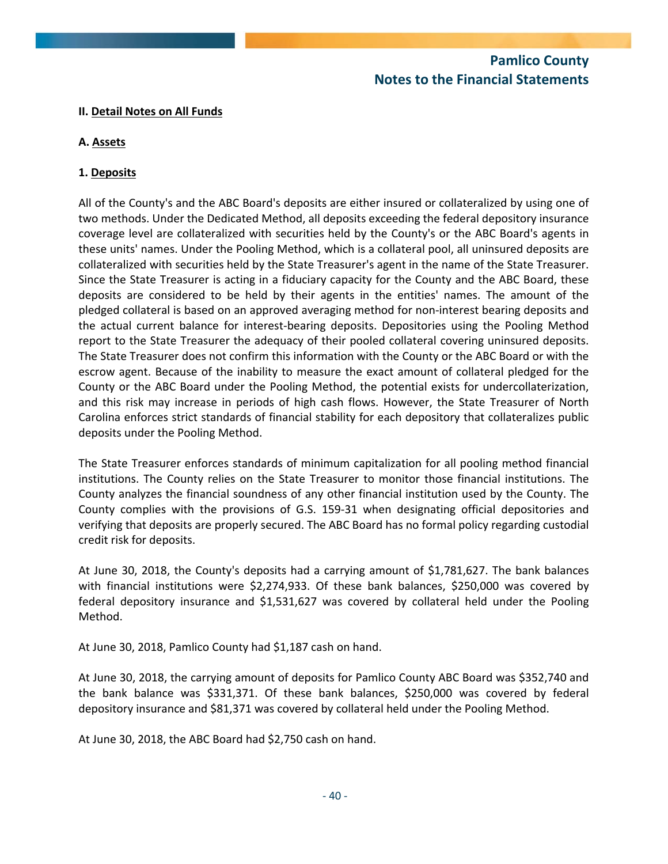### **II. Detail Notes on All Funds**

## **A. Assets**

### **1. Deposits**

All of the County's and the ABC Board's deposits are either insured or collateralized by using one of two methods. Under the Dedicated Method, all deposits exceeding the federal depository insurance coverage level are collateralized with securities held by the County's or the ABC Board's agents in these units' names. Under the Pooling Method, which is a collateral pool, all uninsured deposits are collateralized with securities held by the State Treasurer's agent in the name of the State Treasurer. Since the State Treasurer is acting in a fiduciary capacity for the County and the ABC Board, these deposits are considered to be held by their agents in the entities' names. The amount of the pledged collateral is based on an approved averaging method for non‐interest bearing deposits and the actual current balance for interest-bearing deposits. Depositories using the Pooling Method report to the State Treasurer the adequacy of their pooled collateral covering uninsured deposits. The State Treasurer does not confirm this information with the County or the ABC Board or with the escrow agent. Because of the inability to measure the exact amount of collateral pledged for the County or the ABC Board under the Pooling Method, the potential exists for undercollaterization, and this risk may increase in periods of high cash flows. However, the State Treasurer of North Carolina enforces strict standards of financial stability for each depository that collateralizes public deposits under the Pooling Method.

The State Treasurer enforces standards of minimum capitalization for all pooling method financial institutions. The County relies on the State Treasurer to monitor those financial institutions. The County analyzes the financial soundness of any other financial institution used by the County. The County complies with the provisions of G.S. 159‐31 when designating official depositories and verifying that deposits are properly secured. The ABC Board has no formal policy regarding custodial credit risk for deposits.

At June 30, 2018, the County's deposits had a carrying amount of \$1,781,627. The bank balances with financial institutions were \$2,274,933. Of these bank balances, \$250,000 was covered by federal depository insurance and \$1,531,627 was covered by collateral held under the Pooling Method.

At June 30, 2018, Pamlico County had \$1,187 cash on hand.

At June 30, 2018, the carrying amount of deposits for Pamlico County ABC Board was \$352,740 and the bank balance was \$331,371. Of these bank balances, \$250,000 was covered by federal depository insurance and \$81,371 was covered by collateral held under the Pooling Method.

At June 30, 2018, the ABC Board had \$2,750 cash on hand.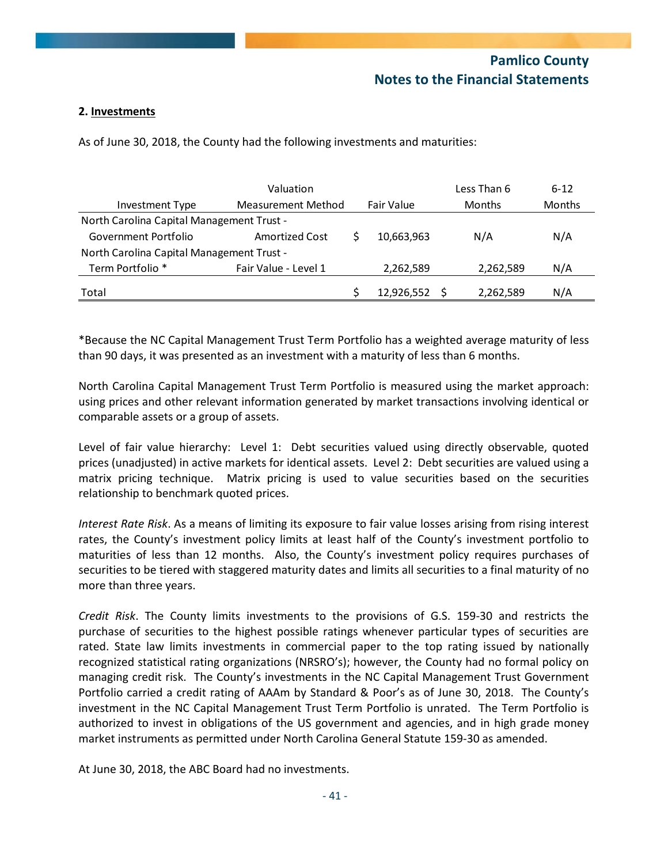### **2. Investments**

As of June 30, 2018, the County had the following investments and maturities:

|                                           | Less Than 6           | $6 - 12$   |               |               |
|-------------------------------------------|-----------------------|------------|---------------|---------------|
| <b>Investment Type</b>                    | Measurement Method    | Fair Value | <b>Months</b> | <b>Months</b> |
| North Carolina Capital Management Trust - |                       |            |               |               |
| Government Portfolio                      | <b>Amortized Cost</b> | 10,663,963 | N/A           | N/A           |
| North Carolina Capital Management Trust - |                       |            |               |               |
| Term Portfolio <sup>*</sup>               | Fair Value - Level 1  | 2,262,589  | 2,262,589     | N/A           |
| Total                                     |                       | 12,926,552 | 2,262,589     | N/A           |

\*Because the NC Capital Management Trust Term Portfolio has a weighted average maturity of less than 90 days, it was presented as an investment with a maturity of less than 6 months.

North Carolina Capital Management Trust Term Portfolio is measured using the market approach: using prices and other relevant information generated by market transactions involving identical or comparable assets or a group of assets.

Level of fair value hierarchy: Level 1: Debt securities valued using directly observable, quoted prices (unadjusted) in active markets for identical assets. Level 2: Debt securities are valued using a matrix pricing technique. Matrix pricing is used to value securities based on the securities relationship to benchmark quoted prices.

*Interest Rate Risk*. As a means of limiting its exposure to fair value losses arising from rising interest rates, the County's investment policy limits at least half of the County's investment portfolio to maturities of less than 12 months. Also, the County's investment policy requires purchases of securities to be tiered with staggered maturity dates and limits all securities to a final maturity of no more than three years.

*Credit Risk*. The County limits investments to the provisions of G.S. 159‐30 and restricts the purchase of securities to the highest possible ratings whenever particular types of securities are rated. State law limits investments in commercial paper to the top rating issued by nationally recognized statistical rating organizations (NRSRO's); however, the County had no formal policy on managing credit risk. The County's investments in the NC Capital Management Trust Government Portfolio carried a credit rating of AAAm by Standard & Poor's as of June 30, 2018. The County's investment in the NC Capital Management Trust Term Portfolio is unrated. The Term Portfolio is authorized to invest in obligations of the US government and agencies, and in high grade money market instruments as permitted under North Carolina General Statute 159‐30 as amended.

At June 30, 2018, the ABC Board had no investments.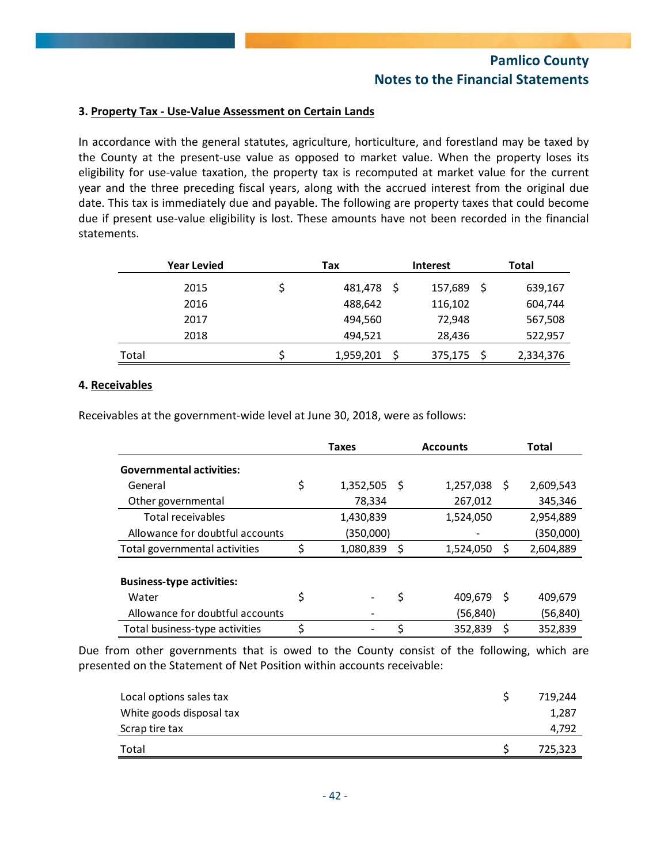### **3. Property Tax ‐ Use‐Value Assessment on Certain Lands**

In accordance with the general statutes, agriculture, horticulture, and forestland may be taxed by the County at the present‐use value as opposed to market value. When the property loses its eligibility for use‐value taxation, the property tax is recomputed at market value for the current year and the three preceding fiscal years, along with the accrued interest from the original due date. This tax is immediately due and payable. The following are property taxes that could become due if present use-value eligibility is lost. These amounts have not been recorded in the financial statements.

|       | <b>Year Levied</b> | <b>Interest</b><br>Tax |     |         | <b>Total</b> |           |  |
|-------|--------------------|------------------------|-----|---------|--------------|-----------|--|
|       | 2015               | 481,478                | - S | 157,689 | S            | 639,167   |  |
|       | 2016               | 488,642                |     | 116,102 |              | 604,744   |  |
|       | 2017               | 494,560                |     | 72,948  |              | 567,508   |  |
|       | 2018               | 494,521                |     | 28,436  |              | 522,957   |  |
| Total |                    | 1,959,201              | -S  | 375,175 |              | 2,334,376 |  |

#### **4. Receivables**

Receivables at the government‐wide level at June 30, 2018, were as follows:

|                                  | Taxes           | <b>Accounts</b> |            |     |           |
|----------------------------------|-----------------|-----------------|------------|-----|-----------|
| <b>Governmental activities:</b>  |                 |                 |            |     |           |
| General                          | \$<br>1,352,505 | - S             | 1,257,038  | - S | 2,609,543 |
| Other governmental               | 78,334          |                 | 267,012    |     | 345,346   |
| Total receivables                | 1,430,839       |                 | 1,524,050  |     | 2,954,889 |
| Allowance for doubtful accounts  | (350,000)       |                 |            |     | (350,000) |
| Total governmental activities    | 1,080,839       | \$              | 1,524,050  | S   | 2,604,889 |
|                                  |                 |                 |            |     |           |
| <b>Business-type activities:</b> |                 |                 |            |     |           |
| Water                            | \$              | \$              | 409,679 \$ |     | 409,679   |
| Allowance for doubtful accounts  |                 |                 | (56, 840)  |     | (56, 840) |
| Total business-type activities   |                 |                 | 352,839    |     | 352,839   |

Due from other governments that is owed to the County consist of the following, which are presented on the Statement of Net Position within accounts receivable:

| Local options sales tax  | 719.244 |
|--------------------------|---------|
| White goods disposal tax | 1,287   |
| Scrap tire tax           | 4.792   |
| Total                    | 725,323 |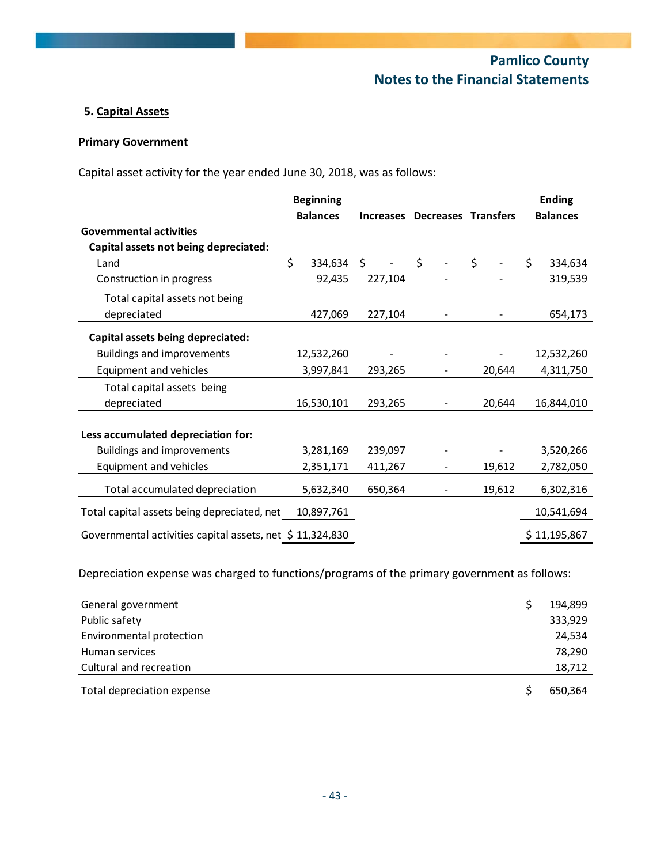## **5. Capital Assets**

## **Primary Government**

Capital asset activity for the year ended June 30, 2018, was as follows:

|                                                          | <b>Beginning</b> |                  |                            |        | <b>Ending</b>   |
|----------------------------------------------------------|------------------|------------------|----------------------------|--------|-----------------|
|                                                          | <b>Balances</b>  | <b>Increases</b> | <b>Decreases Transfers</b> |        | <b>Balances</b> |
| <b>Governmental activities</b>                           |                  |                  |                            |        |                 |
| Capital assets not being depreciated:                    |                  |                  |                            |        |                 |
| Land                                                     | \$<br>334,634 \$ |                  | $\zeta$                    | \$     | Ś.<br>334,634   |
| Construction in progress                                 | 92,435           | 227,104          |                            |        | 319,539         |
| Total capital assets not being                           |                  |                  |                            |        |                 |
| depreciated                                              | 427,069          | 227,104          |                            |        | 654,173         |
| Capital assets being depreciated:                        |                  |                  |                            |        |                 |
| <b>Buildings and improvements</b>                        | 12,532,260       |                  |                            |        | 12,532,260      |
| Equipment and vehicles                                   | 3,997,841        | 293,265          |                            | 20,644 | 4,311,750       |
| Total capital assets being                               |                  |                  |                            |        |                 |
| depreciated                                              | 16,530,101       | 293,265          |                            | 20,644 | 16,844,010      |
| Less accumulated depreciation for:                       |                  |                  |                            |        |                 |
| <b>Buildings and improvements</b>                        | 3,281,169        | 239,097          |                            |        | 3,520,266       |
| Equipment and vehicles                                   | 2,351,171        | 411,267          | $\overline{\phantom{a}}$   | 19,612 | 2,782,050       |
| Total accumulated depreciation                           | 5,632,340        | 650,364          |                            | 19,612 | 6,302,316       |
| Total capital assets being depreciated, net              | 10,897,761       |                  |                            |        | 10,541,694      |
| Governmental activities capital assets, net \$11,324,830 |                  |                  |                            |        | \$11,195,867    |

Depreciation expense was charged to functions/programs of the primary government as follows:

| General government         | 194,899 |
|----------------------------|---------|
| Public safety              | 333,929 |
| Environmental protection   | 24,534  |
| Human services             | 78,290  |
| Cultural and recreation    | 18,712  |
| Total depreciation expense | 650,364 |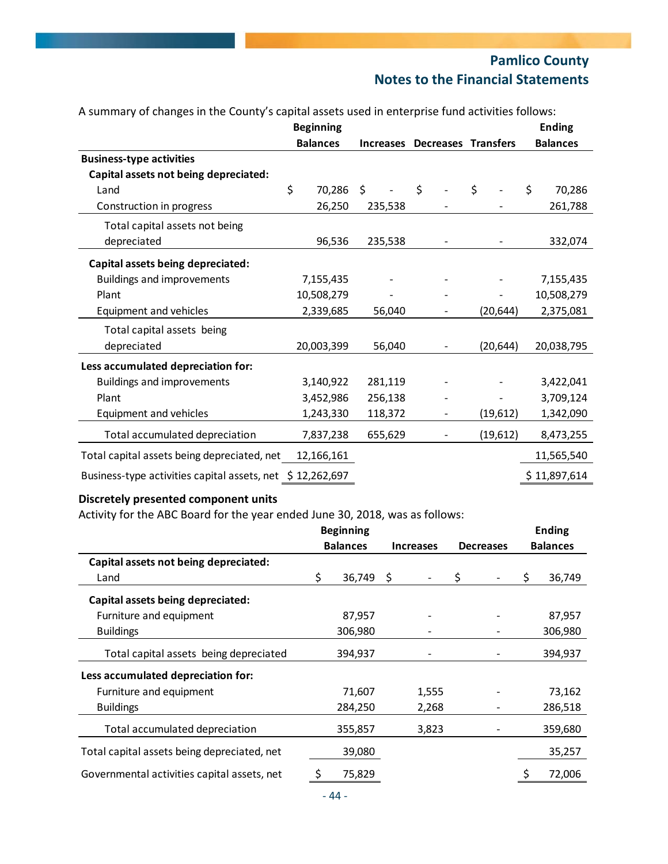|                                              | <b>Beginning</b> |                                         |                          |           | <b>Ending</b>   |
|----------------------------------------------|------------------|-----------------------------------------|--------------------------|-----------|-----------------|
|                                              | <b>Balances</b>  | Decreases Transfers<br><b>Increases</b> |                          |           | <b>Balances</b> |
| <b>Business-type activities</b>              |                  |                                         |                          |           |                 |
| Capital assets not being depreciated:        |                  |                                         |                          |           |                 |
| Land                                         | \$<br>70,286     | \$<br>$\overline{a}$                    | $\mathsf{S}$             | \$        | \$<br>70,286    |
| Construction in progress                     | 26,250           | 235,538                                 |                          |           | 261,788         |
| Total capital assets not being               |                  |                                         |                          |           |                 |
| depreciated                                  | 96,536           | 235,538                                 |                          |           | 332,074         |
| Capital assets being depreciated:            |                  |                                         |                          |           |                 |
| <b>Buildings and improvements</b>            | 7,155,435        |                                         |                          |           | 7,155,435       |
| Plant                                        | 10,508,279       |                                         |                          |           | 10,508,279      |
| Equipment and vehicles                       | 2,339,685        | 56,040                                  | $\overline{\phantom{a}}$ | (20, 644) | 2,375,081       |
| Total capital assets being                   |                  |                                         |                          |           |                 |
| depreciated                                  | 20,003,399       | 56,040                                  |                          | (20, 644) | 20,038,795      |
| Less accumulated depreciation for:           |                  |                                         |                          |           |                 |
| <b>Buildings and improvements</b>            | 3,140,922        | 281,119                                 |                          |           | 3,422,041       |
| Plant                                        | 3,452,986        | 256,138                                 |                          |           | 3,709,124       |
| Equipment and vehicles                       | 1,243,330        | 118,372                                 |                          | (19,612)  | 1,342,090       |
| Total accumulated depreciation               | 7,837,238        | 655,629                                 | $\overline{\phantom{a}}$ | (19,612)  | 8,473,255       |
| Total capital assets being depreciated, net  | 12,166,161       |                                         |                          |           | 11,565,540      |
| Business-type activities capital assets, net | \$12,262,697     |                                         |                          |           | \$11,897,614    |

#### A summary of changes in the County's capital assets used in enterprise fund activities follows:

### **Discretely presented component units**

Activity for the ABC Board for the year ended June 30, 2018, was as follows:

|                                             |                 | <b>Beginning</b> |                  |       |                  |  |    | <b>Ending</b>   |
|---------------------------------------------|-----------------|------------------|------------------|-------|------------------|--|----|-----------------|
|                                             | <b>Balances</b> |                  | <b>Increases</b> |       | <b>Decreases</b> |  |    | <b>Balances</b> |
| Capital assets not being depreciated:       |                 |                  |                  |       |                  |  |    |                 |
| Land                                        | S               | 36,749           | S                |       | \$               |  | S. | 36,749          |
| Capital assets being depreciated:           |                 |                  |                  |       |                  |  |    |                 |
| Furniture and equipment                     |                 | 87,957           |                  |       |                  |  |    | 87,957          |
| <b>Buildings</b>                            |                 | 306,980          |                  |       |                  |  |    | 306,980         |
| Total capital assets being depreciated      |                 | 394,937          |                  |       |                  |  |    | 394,937         |
| Less accumulated depreciation for:          |                 |                  |                  |       |                  |  |    |                 |
| Furniture and equipment                     |                 | 71,607           |                  | 1,555 |                  |  |    | 73,162          |
| <b>Buildings</b>                            |                 | 284,250          |                  | 2,268 |                  |  |    | 286,518         |
| Total accumulated depreciation              |                 | 355,857          |                  | 3,823 |                  |  |    | 359,680         |
| Total capital assets being depreciated, net |                 | 39,080           |                  |       |                  |  |    | 35,257          |
| Governmental activities capital assets, net |                 | 75,829           |                  |       |                  |  |    | 72,006          |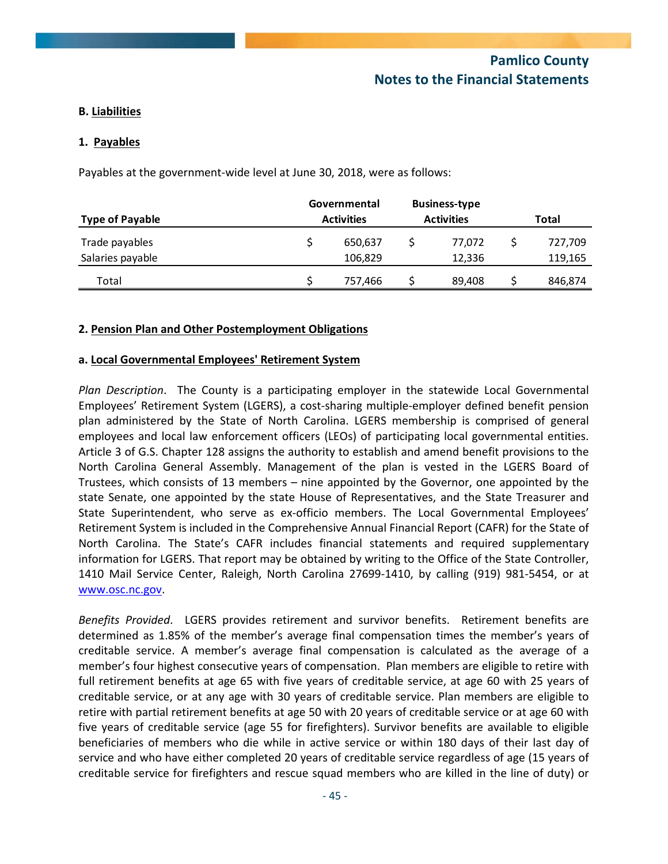### **B. Liabilities**

#### **1. Payables**

Payables at the government‐wide level at June 30, 2018, were as follows:

|                        | Governmental      | <b>Business-type</b> |         |
|------------------------|-------------------|----------------------|---------|
| <b>Type of Payable</b> | <b>Activities</b> | <b>Activities</b>    | Total   |
| Trade payables         | 650,637           | 77.072               | 727.709 |
| Salaries payable       | 106,829           | 12.336               | 119,165 |
| Total                  | 757,466           | 89,408               | 846,874 |

#### **2. Pension Plan and Other Postemployment Obligations**

#### **a. Local Governmental Employees' Retirement System**

*Plan Description*. The County is a participating employer in the statewide Local Governmental Employees' Retirement System (LGERS), a cost‐sharing multiple‐employer defined benefit pension plan administered by the State of North Carolina. LGERS membership is comprised of general employees and local law enforcement officers (LEOs) of participating local governmental entities. Article 3 of G.S. Chapter 128 assigns the authority to establish and amend benefit provisions to the North Carolina General Assembly. Management of the plan is vested in the LGERS Board of Trustees, which consists of 13 members – nine appointed by the Governor, one appointed by the state Senate, one appointed by the state House of Representatives, and the State Treasurer and State Superintendent, who serve as ex-officio members. The Local Governmental Employees' Retirement System is included in the Comprehensive Annual Financial Report (CAFR) for the State of North Carolina. The State's CAFR includes financial statements and required supplementary information for LGERS. That report may be obtained by writing to the Office of the State Controller, 1410 Mail Service Center, Raleigh, North Carolina 27699‐1410, by calling (919) 981‐5454, or at www.osc.nc.gov.

*Benefits Provided*. LGERS provides retirement and survivor benefits. Retirement benefits are determined as 1.85% of the member's average final compensation times the member's years of creditable service. A member's average final compensation is calculated as the average of a member's four highest consecutive years of compensation. Plan members are eligible to retire with full retirement benefits at age 65 with five years of creditable service, at age 60 with 25 years of creditable service, or at any age with 30 years of creditable service. Plan members are eligible to retire with partial retirement benefits at age 50 with 20 years of creditable service or at age 60 with five years of creditable service (age 55 for firefighters). Survivor benefits are available to eligible beneficiaries of members who die while in active service or within 180 days of their last day of service and who have either completed 20 years of creditable service regardless of age (15 years of creditable service for firefighters and rescue squad members who are killed in the line of duty) or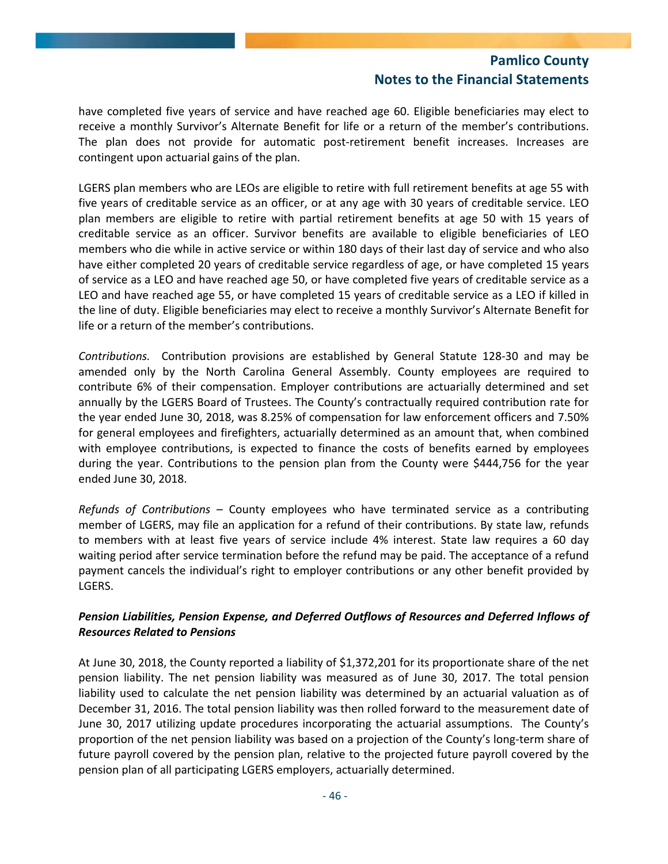have completed five years of service and have reached age 60. Eligible beneficiaries may elect to receive a monthly Survivor's Alternate Benefit for life or a return of the member's contributions. The plan does not provide for automatic post‐retirement benefit increases. Increases are contingent upon actuarial gains of the plan.

LGERS plan members who are LEOs are eligible to retire with full retirement benefits at age 55 with five years of creditable service as an officer, or at any age with 30 years of creditable service. LEO plan members are eligible to retire with partial retirement benefits at age 50 with 15 years of creditable service as an officer. Survivor benefits are available to eligible beneficiaries of LEO members who die while in active service or within 180 days of their last day of service and who also have either completed 20 years of creditable service regardless of age, or have completed 15 years of service as a LEO and have reached age 50, or have completed five years of creditable service as a LEO and have reached age 55, or have completed 15 years of creditable service as a LEO if killed in the line of duty. Eligible beneficiaries may elect to receive a monthly Survivor's Alternate Benefit for life or a return of the member's contributions.

*Contributions.* Contribution provisions are established by General Statute 128‐30 and may be amended only by the North Carolina General Assembly. County employees are required to contribute 6% of their compensation. Employer contributions are actuarially determined and set annually by the LGERS Board of Trustees. The County's contractually required contribution rate for the year ended June 30, 2018, was 8.25% of compensation for law enforcement officers and 7.50% for general employees and firefighters, actuarially determined as an amount that, when combined with employee contributions, is expected to finance the costs of benefits earned by employees during the year. Contributions to the pension plan from the County were \$444,756 for the year ended June 30, 2018.

*Refunds of Contributions* – County employees who have terminated service as a contributing member of LGERS, may file an application for a refund of their contributions. By state law, refunds to members with at least five years of service include 4% interest. State law requires a 60 day waiting period after service termination before the refund may be paid. The acceptance of a refund payment cancels the individual's right to employer contributions or any other benefit provided by LGERS.

### *Pension Liabilities, Pension Expense, and Deferred Outflows of Resources and Deferred Inflows of Resources Related to Pensions*

At June 30, 2018, the County reported a liability of \$1,372,201 for its proportionate share of the net pension liability. The net pension liability was measured as of June 30, 2017. The total pension liability used to calculate the net pension liability was determined by an actuarial valuation as of December 31, 2016. The total pension liability was then rolled forward to the measurement date of June 30, 2017 utilizing update procedures incorporating the actuarial assumptions. The County's proportion of the net pension liability was based on a projection of the County's long‐term share of future payroll covered by the pension plan, relative to the projected future payroll covered by the pension plan of all participating LGERS employers, actuarially determined.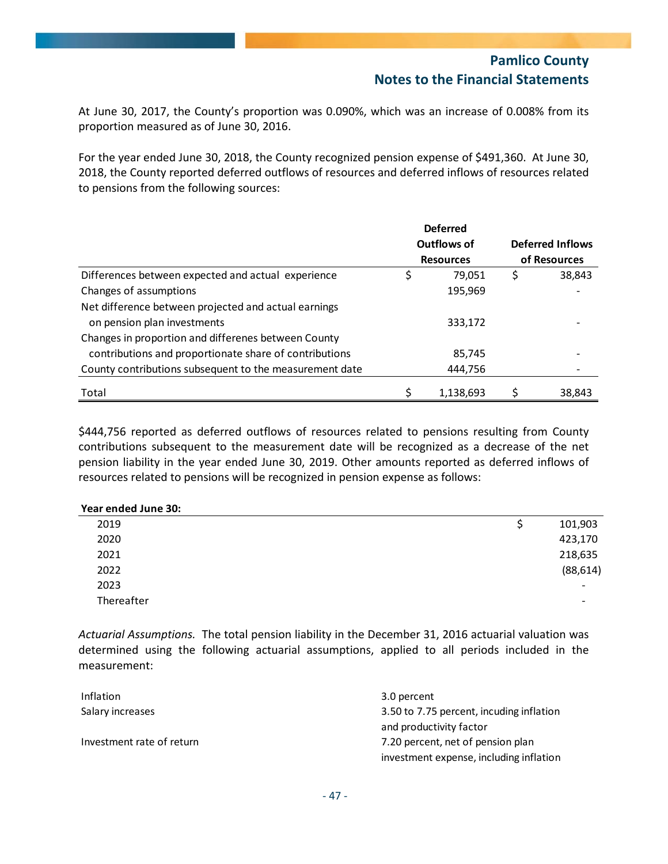At June 30, 2017, the County's proportion was 0.090%, which was an increase of 0.008% from its proportion measured as of June 30, 2016.

For the year ended June 30, 2018, the County recognized pension expense of \$491,360. At June 30, 2018, the County reported deferred outflows of resources and deferred inflows of resources related to pensions from the following sources:

|                                                         |   | <b>Deferred</b>  |   |                         |
|---------------------------------------------------------|---|------------------|---|-------------------------|
|                                                         |   | Outflows of      |   | <b>Deferred Inflows</b> |
|                                                         |   | <b>Resources</b> |   | of Resources            |
| Differences between expected and actual experience      | S | 79,051           | S | 38,843                  |
| Changes of assumptions                                  |   | 195,969          |   |                         |
| Net difference between projected and actual earnings    |   |                  |   |                         |
| on pension plan investments                             |   | 333,172          |   |                         |
| Changes in proportion and differenes between County     |   |                  |   |                         |
| contributions and proportionate share of contributions  |   | 85,745           |   |                         |
| County contributions subsequent to the measurement date |   | 444,756          |   |                         |
| Total                                                   |   | 1,138,693        |   | 38,843                  |

\$444,756 reported as deferred outflows of resources related to pensions resulting from County contributions subsequent to the measurement date will be recognized as a decrease of the net pension liability in the year ended June 30, 2019. Other amounts reported as deferred inflows of resources related to pensions will be recognized in pension expense as follows:

| Year ended June 30: |           |
|---------------------|-----------|
| 2019                | 101,903   |
| 2020                | 423,170   |
| 2021                | 218,635   |
| 2022                | (88, 614) |
| 2023                | -         |
| Thereafter          | -         |

*Actuarial Assumptions.* The total pension liability in the December 31, 2016 actuarial valuation was determined using the following actuarial assumptions, applied to all periods included in the measurement:

| Inflation                 | 3.0 percent                              |
|---------------------------|------------------------------------------|
| Salary increases          | 3.50 to 7.75 percent, incuding inflation |
|                           | and productivity factor                  |
| Investment rate of return | 7.20 percent, net of pension plan        |
|                           | investment expense, including inflation  |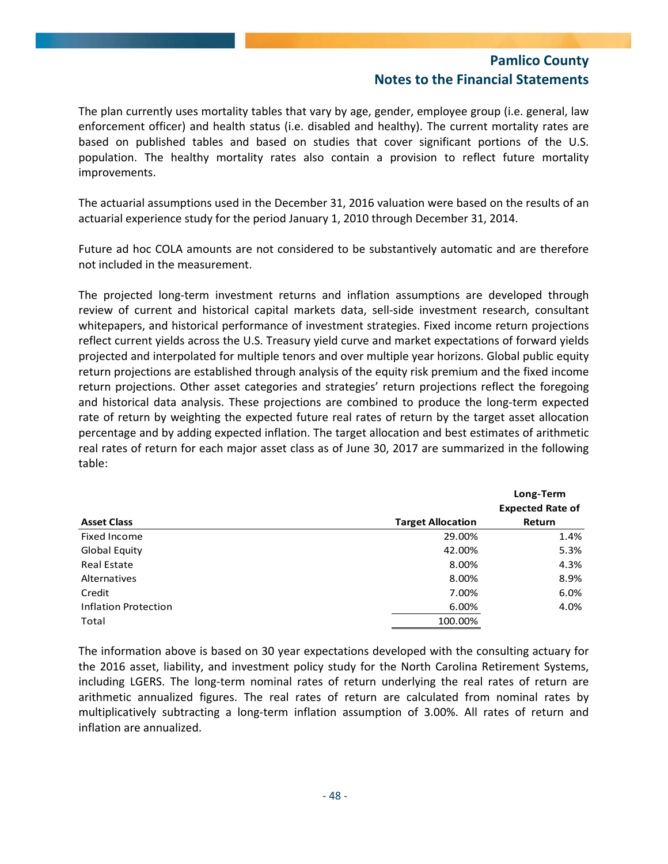The plan currently uses mortality tables that vary by age, gender, employee group (i.e. general, law enforcement officer) and health status (i.e. disabled and healthy). The current mortality rates are based on published tables and based on studies that cover significant portions of the U.S. population. The healthy mortality rates also contain a provision to reflect future mortality improvements.

The actuarial assumptions used in the December 31, 2016 valuation were based on the results of an actuarial experience study for the period January 1, 2010 through December 31, 2014.

Future ad hoc COLA amounts are not considered to be substantively automatic and are therefore not included in the measurement.

The projected long-term investment returns and inflation assumptions are developed through review of current and historical capital markets data, sell‐side investment research, consultant whitepapers, and historical performance of investment strategies. Fixed income return projections reflect current yields across the U.S. Treasury yield curve and market expectations of forward yields projected and interpolated for multiple tenors and over multiple year horizons. Global public equity return projections are established through analysis of the equity risk premium and the fixed income return projections. Other asset categories and strategies' return projections reflect the foregoing and historical data analysis. These projections are combined to produce the long‐term expected rate of return by weighting the expected future real rates of return by the target asset allocation percentage and by adding expected inflation. The target allocation and best estimates of arithmetic real rates of return for each major asset class as of June 30, 2017 are summarized in the following table:

|                             |                          | Long-Term               |
|-----------------------------|--------------------------|-------------------------|
|                             |                          | <b>Expected Rate of</b> |
| <b>Asset Class</b>          | <b>Target Allocation</b> | Return                  |
| Fixed Income                | 29.00%                   | 1.4%                    |
| Global Equity               | 42.00%                   | 5.3%                    |
| <b>Real Estate</b>          | 8.00%                    | 4.3%                    |
| <b>Alternatives</b>         | 8.00%                    | 8.9%                    |
| Credit                      | 7.00%                    | 6.0%                    |
| <b>Inflation Protection</b> | 6.00%                    | 4.0%                    |
| Total                       | 100.00%                  |                         |

The information above is based on 30 year expectations developed with the consulting actuary for the 2016 asset, liability, and investment policy study for the North Carolina Retirement Systems, including LGERS. The long‐term nominal rates of return underlying the real rates of return are arithmetic annualized figures. The real rates of return are calculated from nominal rates by multiplicatively subtracting a long-term inflation assumption of 3.00%. All rates of return and inflation are annualized.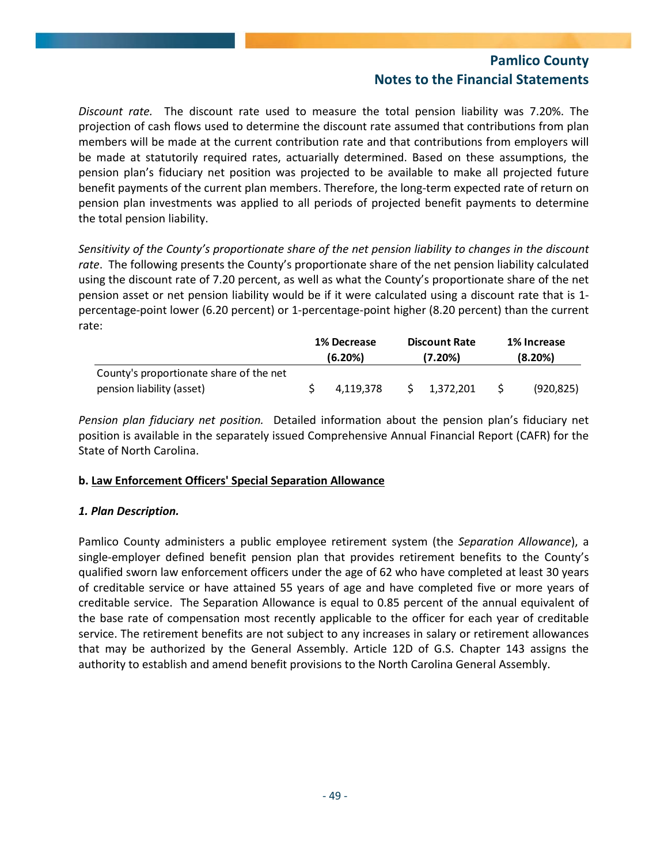*Discount rate.* The discount rate used to measure the total pension liability was 7.20%. The projection of cash flows used to determine the discount rate assumed that contributions from plan members will be made at the current contribution rate and that contributions from employers will be made at statutorily required rates, actuarially determined. Based on these assumptions, the pension plan's fiduciary net position was projected to be available to make all projected future benefit payments of the current plan members. Therefore, the long-term expected rate of return on pension plan investments was applied to all periods of projected benefit payments to determine the total pension liability.

*Sensitivity of the County's proportionate share of the net pension liability to changes in the discount rate*. The following presents the County's proportionate share of the net pension liability calculated using the discount rate of 7.20 percent, as well as what the County's proportionate share of the net pension asset or net pension liability would be if it were calculated using a discount rate that is 1‐ percentage‐point lower (6.20 percent) or 1‐percentage‐point higher (8.20 percent) than the current rate:

|                                         | <b>1% Decrease</b><br>(6.20%) | <b>Discount Rate</b><br>(7.20%) | 1% Increase<br>$(8.20\%)$ |
|-----------------------------------------|-------------------------------|---------------------------------|---------------------------|
| County's proportionate share of the net |                               |                                 |                           |
| pension liability (asset)               | 4.119.378                     | 1.372.201                       | (920, 825)                |

*Pension plan fiduciary net position.* Detailed information about the pension plan's fiduciary net position is available in the separately issued Comprehensive Annual Financial Report (CAFR) for the State of North Carolina.

## **b. Law Enforcement Officers' Special Separation Allowance**

## *1. Plan Description.*

Pamlico County administers a public employee retirement system (the *Separation Allowance*), a single-employer defined benefit pension plan that provides retirement benefits to the County's qualified sworn law enforcement officers under the age of 62 who have completed at least 30 years of creditable service or have attained 55 years of age and have completed five or more years of creditable service. The Separation Allowance is equal to 0.85 percent of the annual equivalent of the base rate of compensation most recently applicable to the officer for each year of creditable service. The retirement benefits are not subject to any increases in salary or retirement allowances that may be authorized by the General Assembly. Article 12D of G.S. Chapter 143 assigns the authority to establish and amend benefit provisions to the North Carolina General Assembly.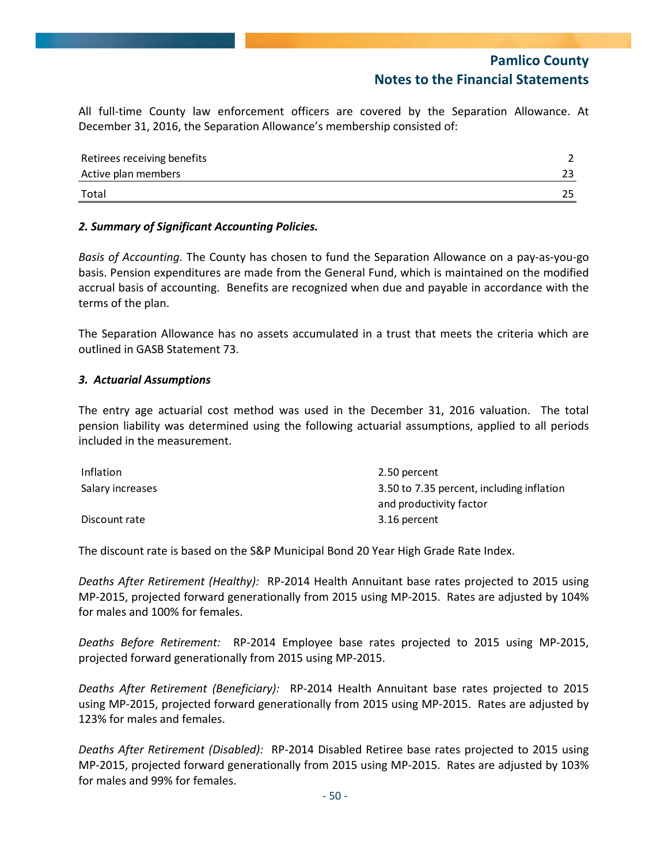All full‐time County law enforcement officers are covered by the Separation Allowance. At December 31, 2016, the Separation Allowance's membership consisted of:

| Retirees receiving benefits |  |
|-----------------------------|--|
| Active plan members         |  |
| Total                       |  |

### *2. Summary of Significant Accounting Policies.*

*Basis of Accounting.* The County has chosen to fund the Separation Allowance on a pay‐as‐you‐go basis. Pension expenditures are made from the General Fund, which is maintained on the modified accrual basis of accounting. Benefits are recognized when due and payable in accordance with the terms of the plan.

The Separation Allowance has no assets accumulated in a trust that meets the criteria which are outlined in GASB Statement 73.

#### *3. Actuarial Assumptions*

The entry age actuarial cost method was used in the December 31, 2016 valuation. The total pension liability was determined using the following actuarial assumptions, applied to all periods included in the measurement.

| Inflation        | 2.50 percent                              |
|------------------|-------------------------------------------|
| Salary increases | 3.50 to 7.35 percent, including inflation |
|                  | and productivity factor                   |
| Discount rate    | 3.16 percent                              |

The discount rate is based on the S&P Municipal Bond 20 Year High Grade Rate Index.

*Deaths After Retirement (Healthy):* RP‐2014 Health Annuitant base rates projected to 2015 using MP‐2015, projected forward generationally from 2015 using MP‐2015. Rates are adjusted by 104% for males and 100% for females.

*Deaths Before Retirement:*  RP‐2014 Employee base rates projected to 2015 using MP‐2015, projected forward generationally from 2015 using MP‐2015.

*Deaths After Retirement (Beneficiary):*  RP‐2014 Health Annuitant base rates projected to 2015 using MP‐2015, projected forward generationally from 2015 using MP‐2015. Rates are adjusted by 123% for males and females.

*Deaths After Retirement (Disabled):* RP‐2014 Disabled Retiree base rates projected to 2015 using MP‐2015, projected forward generationally from 2015 using MP‐2015. Rates are adjusted by 103% for males and 99% for females.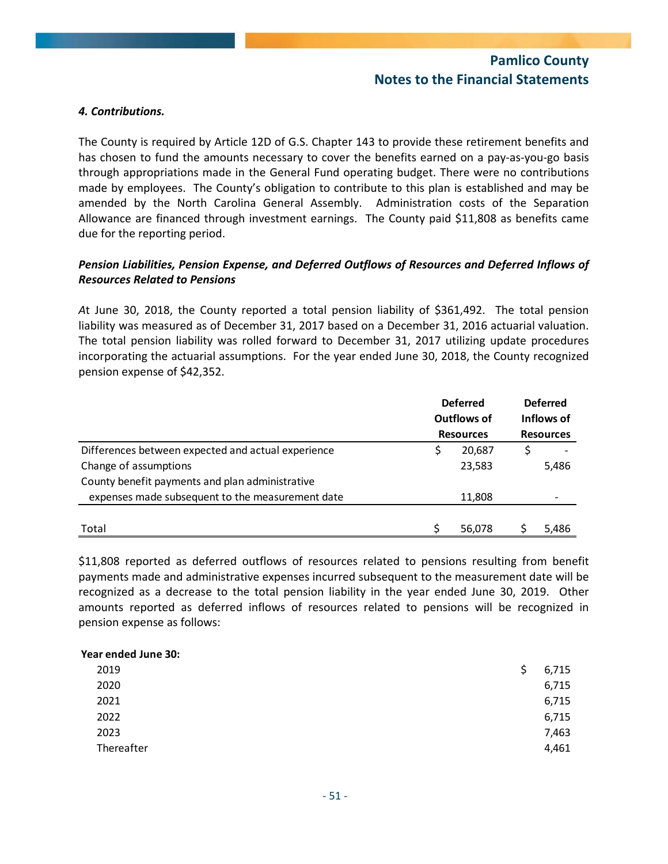#### *4. Contributions.*

The County is required by Article 12D of G.S. Chapter 143 to provide these retirement benefits and has chosen to fund the amounts necessary to cover the benefits earned on a pay-as-you-go basis through appropriations made in the General Fund operating budget. There were no contributions made by employees. The County's obligation to contribute to this plan is established and may be amended by the North Carolina General Assembly. Administration costs of the Separation Allowance are financed through investment earnings. The County paid \$11,808 as benefits came due for the reporting period.

### *Pension Liabilities, Pension Expense, and Deferred Outflows of Resources and Deferred Inflows of Resources Related to Pensions*

*A*t June 30, 2018, the County reported a total pension liability of \$361,492. The total pension liability was measured as of December 31, 2017 based on a December 31, 2016 actuarial valuation. The total pension liability was rolled forward to December 31, 2017 utilizing update procedures incorporating the actuarial assumptions. For the year ended June 30, 2018, the County recognized pension expense of \$42,352.

|                                                    | <b>Deferred</b><br>Outflows of | <b>Deferred</b><br>Inflows of |
|----------------------------------------------------|--------------------------------|-------------------------------|
|                                                    | <b>Resources</b>               | <b>Resources</b>              |
| Differences between expected and actual experience | 20,687                         |                               |
| Change of assumptions                              | 23,583                         | 5,486                         |
| County benefit payments and plan administrative    |                                |                               |
| expenses made subsequent to the measurement date   | 11,808                         |                               |
|                                                    |                                |                               |
| Total                                              | 56,078                         | 5.486                         |

\$11,808 reported as deferred outflows of resources related to pensions resulting from benefit payments made and administrative expenses incurred subsequent to the measurement date will be recognized as a decrease to the total pension liability in the year ended June 30, 2019. Other amounts reported as deferred inflows of resources related to pensions will be recognized in pension expense as follows:

| Ş | 6,715 |
|---|-------|
|   | 6,715 |
|   | 6,715 |
|   | 6,715 |
|   | 7,463 |
|   | 4,461 |
|   |       |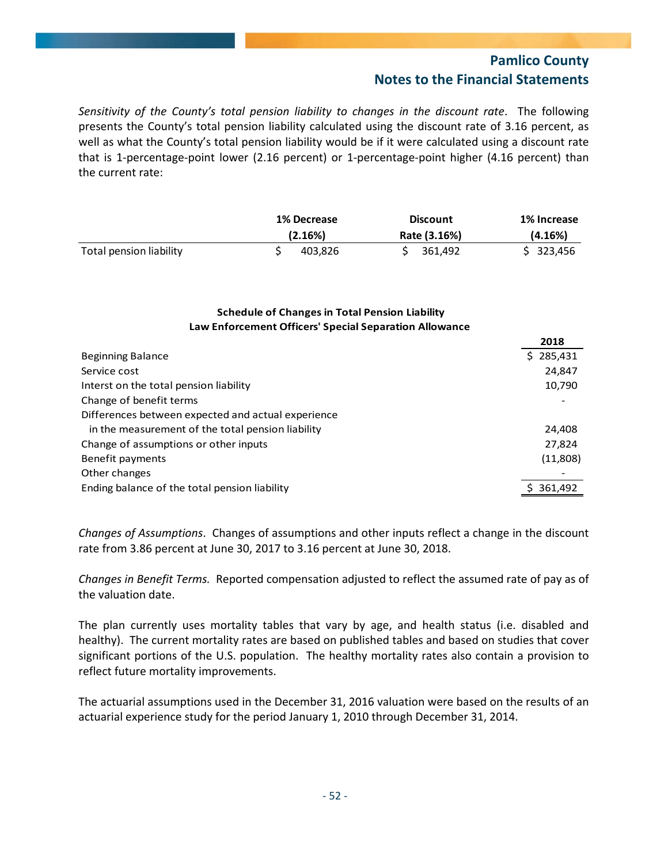*Sensitivity of the County's total pension liability to changes in the discount rate*. The following presents the County's total pension liability calculated using the discount rate of 3.16 percent, as well as what the County's total pension liability would be if it were calculated using a discount rate that is 1‐percentage‐point lower (2.16 percent) or 1‐percentage‐point higher (4.16 percent) than the current rate:

|                         | <b>1% Decrease</b> | <b>Discount</b> | 1% Increase |
|-------------------------|--------------------|-----------------|-------------|
|                         | (2.16%)            | Rate (3.16%)    | (4.16%)     |
| Total pension liability | 403.826            | 361.492         | \$323,456   |

### **Schedule of Changes in Total Pension Liability Law Enforcement Officers' Special Separation Allowance**

|                                                    | 2018      |
|----------------------------------------------------|-----------|
| <b>Beginning Balance</b>                           | \$285,431 |
| Service cost                                       | 24,847    |
| Interst on the total pension liability             | 10,790    |
| Change of benefit terms                            |           |
| Differences between expected and actual experience |           |
| in the measurement of the total pension liability  | 24,408    |
| Change of assumptions or other inputs              | 27,824    |
| Benefit payments                                   | (11,808)  |
| Other changes                                      |           |
| Ending balance of the total pension liability      | 361,492   |
|                                                    |           |

*Changes of Assumptions*. Changes of assumptions and other inputs reflect a change in the discount rate from 3.86 percent at June 30, 2017 to 3.16 percent at June 30, 2018.

*Changes in Benefit Terms.* Reported compensation adjusted to reflect the assumed rate of pay as of the valuation date.

The plan currently uses mortality tables that vary by age, and health status (i.e. disabled and healthy). The current mortality rates are based on published tables and based on studies that cover significant portions of the U.S. population. The healthy mortality rates also contain a provision to reflect future mortality improvements.

The actuarial assumptions used in the December 31, 2016 valuation were based on the results of an actuarial experience study for the period January 1, 2010 through December 31, 2014.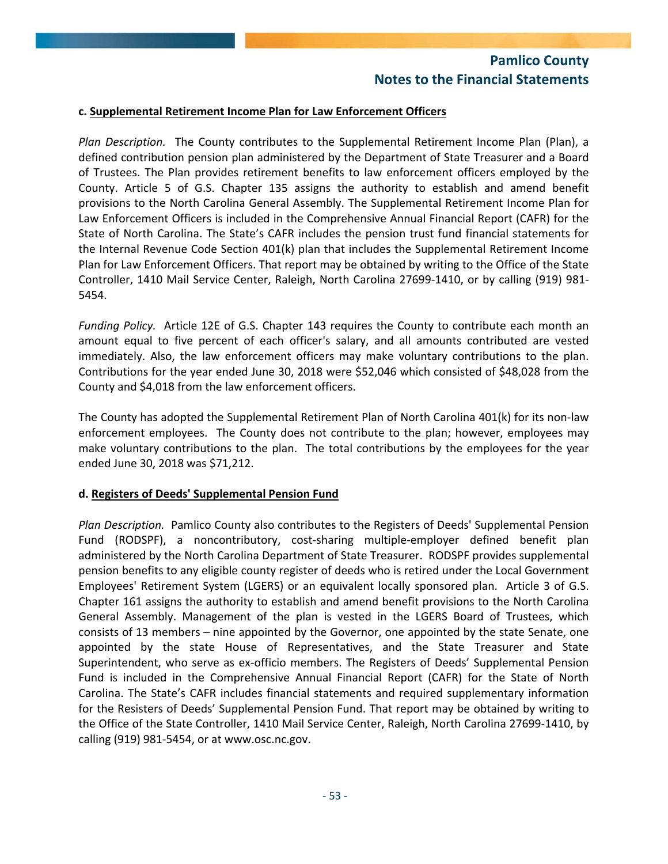### **c. Supplemental Retirement Income Plan for Law Enforcement Officers**

*Plan Description.* The County contributes to the Supplemental Retirement Income Plan (Plan), a defined contribution pension plan administered by the Department of State Treasurer and a Board of Trustees. The Plan provides retirement benefits to law enforcement officers employed by the County. Article 5 of G.S. Chapter 135 assigns the authority to establish and amend benefit provisions to the North Carolina General Assembly. The Supplemental Retirement Income Plan for Law Enforcement Officers is included in the Comprehensive Annual Financial Report (CAFR) for the State of North Carolina. The State's CAFR includes the pension trust fund financial statements for the Internal Revenue Code Section 401(k) plan that includes the Supplemental Retirement Income Plan for Law Enforcement Officers. That report may be obtained by writing to the Office of the State Controller, 1410 Mail Service Center, Raleigh, North Carolina 27699-1410, or by calling (919) 981-5454.

*Funding Policy.* Article 12E of G.S. Chapter 143 requires the County to contribute each month an amount equal to five percent of each officer's salary, and all amounts contributed are vested immediately. Also, the law enforcement officers may make voluntary contributions to the plan. Contributions for the year ended June 30, 2018 were \$52,046 which consisted of \$48,028 from the County and \$4,018 from the law enforcement officers.

The County has adopted the Supplemental Retirement Plan of North Carolina 401(k) for its non‐law enforcement employees. The County does not contribute to the plan; however, employees may make voluntary contributions to the plan. The total contributions by the employees for the year ended June 30, 2018 was \$71,212.

#### **d. Registers of Deeds' Supplemental Pension Fund**

*Plan Description.* Pamlico County also contributes to the Registers of Deeds' Supplemental Pension Fund (RODSPF), a noncontributory, cost-sharing multiple-employer defined benefit plan administered by the North Carolina Department of State Treasurer. RODSPF provides supplemental pension benefits to any eligible county register of deeds who is retired under the Local Government Employees' Retirement System (LGERS) or an equivalent locally sponsored plan. Article 3 of G.S. Chapter 161 assigns the authority to establish and amend benefit provisions to the North Carolina General Assembly. Management of the plan is vested in the LGERS Board of Trustees, which consists of 13 members – nine appointed by the Governor, one appointed by the state Senate, one appointed by the state House of Representatives, and the State Treasurer and State Superintendent, who serve as ex‐officio members. The Registers of Deeds' Supplemental Pension Fund is included in the Comprehensive Annual Financial Report (CAFR) for the State of North Carolina. The State's CAFR includes financial statements and required supplementary information for the Resisters of Deeds' Supplemental Pension Fund. That report may be obtained by writing to the Office of the State Controller, 1410 Mail Service Center, Raleigh, North Carolina 27699‐1410, by calling (919) 981‐5454, or at www.osc.nc.gov.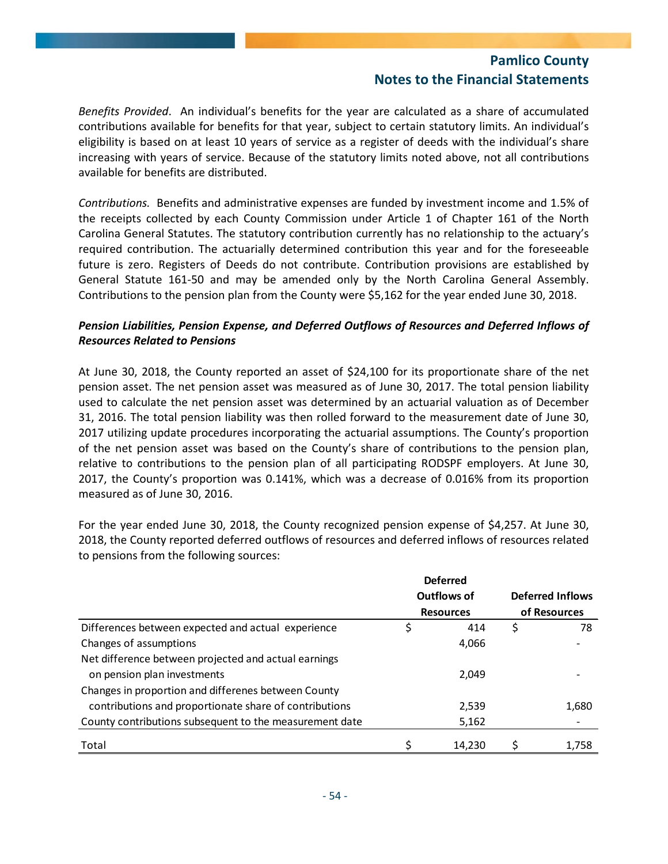*Benefits Provided*. An individual's benefits for the year are calculated as a share of accumulated contributions available for benefits for that year, subject to certain statutory limits. An individual's eligibility is based on at least 10 years of service as a register of deeds with the individual's share increasing with years of service. Because of the statutory limits noted above, not all contributions available for benefits are distributed.

*Contributions.* Benefits and administrative expenses are funded by investment income and 1.5% of the receipts collected by each County Commission under Article 1 of Chapter 161 of the North Carolina General Statutes. The statutory contribution currently has no relationship to the actuary's required contribution. The actuarially determined contribution this year and for the foreseeable future is zero. Registers of Deeds do not contribute. Contribution provisions are established by General Statute 161‐50 and may be amended only by the North Carolina General Assembly. Contributions to the pension plan from the County were \$5,162 for the year ended June 30, 2018.

## *Pension Liabilities, Pension Expense, and Deferred Outflows of Resources and Deferred Inflows of Resources Related to Pensions*

At June 30, 2018, the County reported an asset of \$24,100 for its proportionate share of the net pension asset. The net pension asset was measured as of June 30, 2017. The total pension liability used to calculate the net pension asset was determined by an actuarial valuation as of December 31, 2016. The total pension liability was then rolled forward to the measurement date of June 30, 2017 utilizing update procedures incorporating the actuarial assumptions. The County's proportion of the net pension asset was based on the County's share of contributions to the pension plan, relative to contributions to the pension plan of all participating RODSPF employers. At June 30, 2017, the County's proportion was 0.141%, which was a decrease of 0.016% from its proportion measured as of June 30, 2016.

For the year ended June 30, 2018, the County recognized pension expense of \$4,257. At June 30, 2018, the County reported deferred outflows of resources and deferred inflows of resources related to pensions from the following sources:

|                                                         | <b>Deferred</b>  |                         |
|---------------------------------------------------------|------------------|-------------------------|
|                                                         | Outflows of      | <b>Deferred Inflows</b> |
|                                                         | <b>Resources</b> | of Resources            |
| Differences between expected and actual experience      | \$<br>414        | \$<br>78                |
| Changes of assumptions                                  | 4,066            |                         |
| Net difference between projected and actual earnings    |                  |                         |
| on pension plan investments                             | 2,049            |                         |
| Changes in proportion and differenes between County     |                  |                         |
| contributions and proportionate share of contributions  | 2.539            | 1,680                   |
| County contributions subsequent to the measurement date | 5,162            |                         |
| Total                                                   | 14.230           | 1.758                   |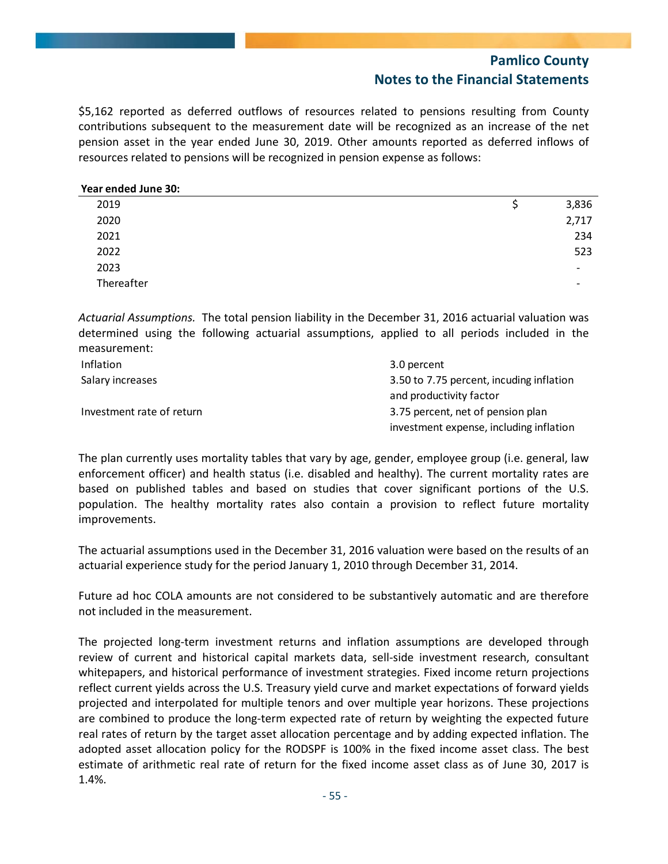\$5,162 reported as deferred outflows of resources related to pensions resulting from County contributions subsequent to the measurement date will be recognized as an increase of the net pension asset in the year ended June 30, 2019. Other amounts reported as deferred inflows of resources related to pensions will be recognized in pension expense as follows:

#### **Year ended June 30:**

| 2019       | 3,836                    |
|------------|--------------------------|
| 2020       | 2,717                    |
| 2021       | 234                      |
| 2022       | 523                      |
| 2023       | $\overline{\phantom{a}}$ |
| Thereafter | $\overline{\phantom{a}}$ |

*Actuarial Assumptions.* The total pension liability in the December 31, 2016 actuarial valuation was determined using the following actuarial assumptions, applied to all periods included in the measurement:

| <b>Inflation</b>          | 3.0 percent                              |
|---------------------------|------------------------------------------|
| Salary increases          | 3.50 to 7.75 percent, incuding inflation |
|                           | and productivity factor                  |
| Investment rate of return | 3.75 percent, net of pension plan        |
|                           | investment expense, including inflation  |

The plan currently uses mortality tables that vary by age, gender, employee group (i.e. general, law enforcement officer) and health status (i.e. disabled and healthy). The current mortality rates are based on published tables and based on studies that cover significant portions of the U.S. population. The healthy mortality rates also contain a provision to reflect future mortality improvements.

The actuarial assumptions used in the December 31, 2016 valuation were based on the results of an actuarial experience study for the period January 1, 2010 through December 31, 2014.

Future ad hoc COLA amounts are not considered to be substantively automatic and are therefore not included in the measurement.

The projected long-term investment returns and inflation assumptions are developed through review of current and historical capital markets data, sell‐side investment research, consultant whitepapers, and historical performance of investment strategies. Fixed income return projections reflect current yields across the U.S. Treasury yield curve and market expectations of forward yields projected and interpolated for multiple tenors and over multiple year horizons. These projections are combined to produce the long-term expected rate of return by weighting the expected future real rates of return by the target asset allocation percentage and by adding expected inflation. The adopted asset allocation policy for the RODSPF is 100% in the fixed income asset class. The best estimate of arithmetic real rate of return for the fixed income asset class as of June 30, 2017 is 1.4%.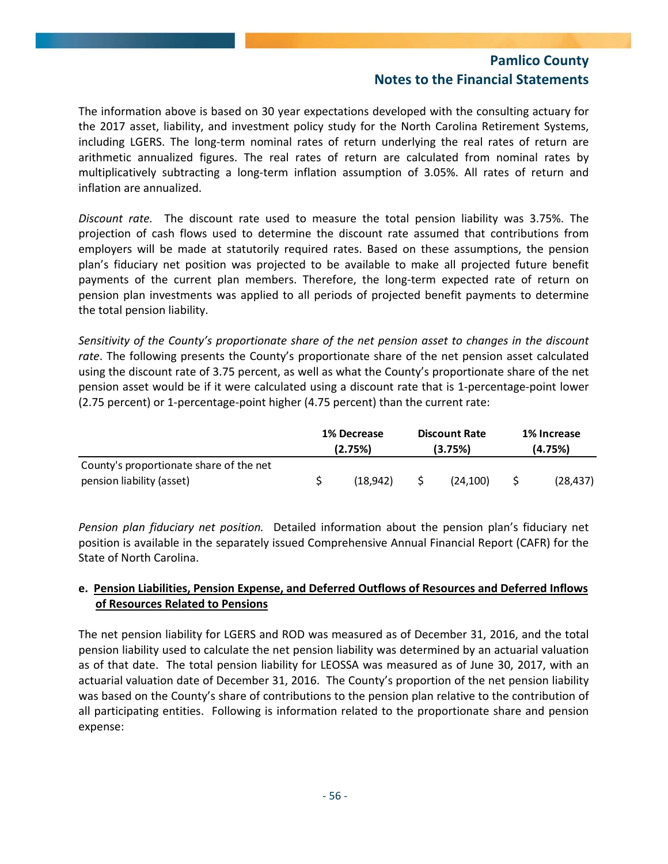The information above is based on 30 year expectations developed with the consulting actuary for the 2017 asset, liability, and investment policy study for the North Carolina Retirement Systems, including LGERS. The long‐term nominal rates of return underlying the real rates of return are arithmetic annualized figures. The real rates of return are calculated from nominal rates by multiplicatively subtracting a long-term inflation assumption of 3.05%. All rates of return and inflation are annualized.

*Discount rate.* The discount rate used to measure the total pension liability was 3.75%. The projection of cash flows used to determine the discount rate assumed that contributions from employers will be made at statutorily required rates. Based on these assumptions, the pension plan's fiduciary net position was projected to be available to make all projected future benefit payments of the current plan members. Therefore, the long-term expected rate of return on pension plan investments was applied to all periods of projected benefit payments to determine the total pension liability.

*Sensitivity of the County's proportionate share of the net pension asset to changes in the discount rate*. The following presents the County's proportionate share of the net pension asset calculated using the discount rate of 3.75 percent, as well as what the County's proportionate share of the net pension asset would be if it were calculated using a discount rate that is 1-percentage-point lower (2.75 percent) or 1‐percentage‐point higher (4.75 percent) than the current rate:

|                                         | 1% Decrease<br>(2.75%) |          |         | <b>Discount Rate</b> | 1% Increase |           |  |
|-----------------------------------------|------------------------|----------|---------|----------------------|-------------|-----------|--|
|                                         |                        |          | (3.75%) |                      | (4.75%)     |           |  |
| County's proportionate share of the net |                        |          |         |                      |             |           |  |
| pension liability (asset)               |                        | (18.942) |         | (24.100)             |             | (28, 437) |  |

*Pension plan fiduciary net position.* Detailed information about the pension plan's fiduciary net position is available in the separately issued Comprehensive Annual Financial Report (CAFR) for the State of North Carolina.

## **e. Pension Liabilities, Pension Expense, and Deferred Outflows of Resources and Deferred Inflows of Resources Related to Pensions**

The net pension liability for LGERS and ROD was measured as of December 31, 2016, and the total pension liability used to calculate the net pension liability was determined by an actuarial valuation as of that date. The total pension liability for LEOSSA was measured as of June 30, 2017, with an actuarial valuation date of December 31, 2016. The County's proportion of the net pension liability was based on the County's share of contributions to the pension plan relative to the contribution of all participating entities. Following is information related to the proportionate share and pension expense: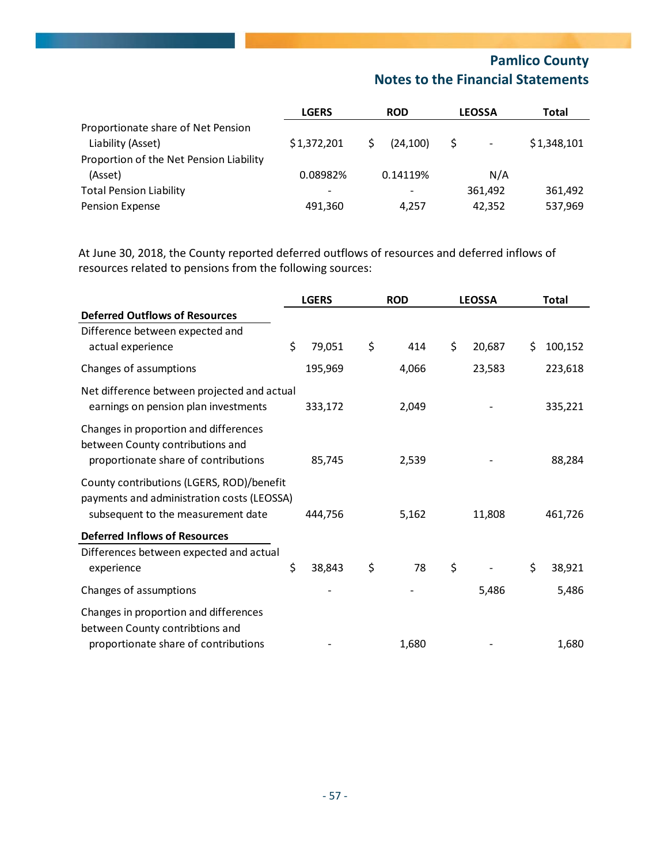|                                                         | <b>LGERS</b> | <b>ROD</b> | <b>LEOSSA</b>                 | Total       |
|---------------------------------------------------------|--------------|------------|-------------------------------|-------------|
| Proportionate share of Net Pension<br>Liability (Asset) | \$1,372,201  | (24.100)   | S<br>$\overline{\phantom{a}}$ | \$1,348,101 |
| Proportion of the Net Pension Liability                 |              |            |                               |             |
| (Asset)                                                 | 0.08982%     | 0.14119%   | N/A                           |             |
| <b>Total Pension Liability</b>                          | -            |            | 361.492                       | 361.492     |
| Pension Expense                                         | 491,360      | 4.257      | 42,352                        | 537,969     |

At June 30, 2018, the County reported deferred outflows of resources and deferred inflows of resources related to pensions from the following sources:

|                                                                                                                               | <b>LGERS</b> | <b>ROD</b> | <b>LEOSSA</b> |    | <b>Total</b> |
|-------------------------------------------------------------------------------------------------------------------------------|--------------|------------|---------------|----|--------------|
| <b>Deferred Outflows of Resources</b>                                                                                         |              |            |               |    |              |
| Difference between expected and                                                                                               |              |            |               |    |              |
| actual experience                                                                                                             | \$<br>79,051 | \$<br>414  | \$<br>20,687  | Ś. | 100,152      |
| Changes of assumptions                                                                                                        | 195,969      | 4,066      | 23,583        |    | 223,618      |
| Net difference between projected and actual<br>earnings on pension plan investments                                           | 333,172      | 2,049      |               |    | 335,221      |
| Changes in proportion and differences<br>between County contributions and<br>proportionate share of contributions             | 85,745       | 2,539      |               |    | 88,284       |
| County contributions (LGERS, ROD)/benefit<br>payments and administration costs (LEOSSA)<br>subsequent to the measurement date | 444,756      | 5,162      | 11,808        |    | 461,726      |
| <b>Deferred Inflows of Resources</b>                                                                                          |              |            |               |    |              |
| Differences between expected and actual<br>experience                                                                         | \$<br>38,843 | \$<br>78   | \$            | \$ | 38,921       |
| Changes of assumptions                                                                                                        |              |            | 5,486         |    | 5,486        |
| Changes in proportion and differences<br>between County contribtions and                                                      |              |            |               |    |              |
| proportionate share of contributions                                                                                          |              | 1,680      |               |    | 1,680        |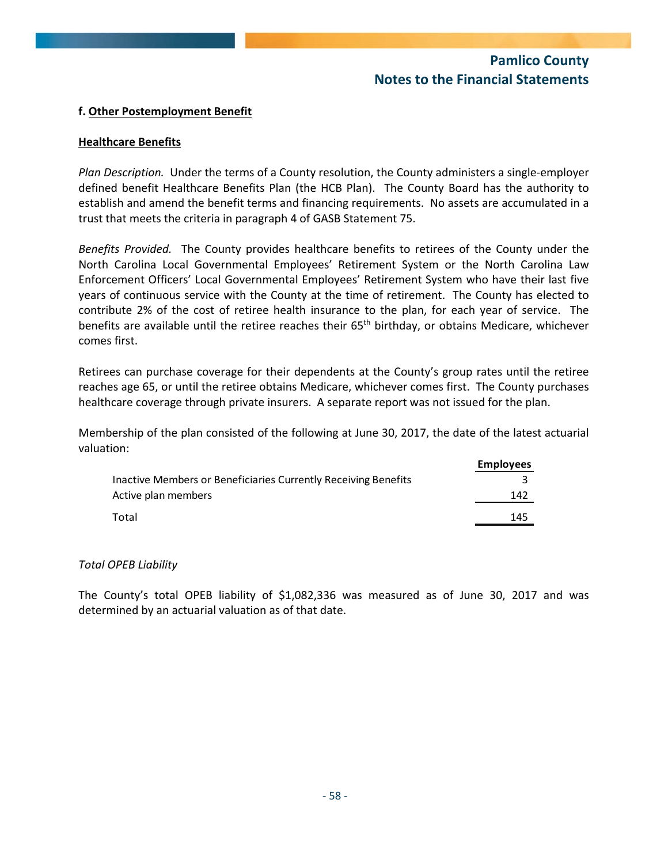### **f. Other Postemployment Benefit**

#### **Healthcare Benefits**

*Plan Description.* Under the terms of a County resolution, the County administers a single‐employer defined benefit Healthcare Benefits Plan (the HCB Plan). The County Board has the authority to establish and amend the benefit terms and financing requirements. No assets are accumulated in a trust that meets the criteria in paragraph 4 of GASB Statement 75.

*Benefits Provided.* The County provides healthcare benefits to retirees of the County under the North Carolina Local Governmental Employees' Retirement System or the North Carolina Law Enforcement Officers' Local Governmental Employees' Retirement System who have their last five years of continuous service with the County at the time of retirement. The County has elected to contribute 2% of the cost of retiree health insurance to the plan, for each year of service. The benefits are available until the retiree reaches their  $65<sup>th</sup>$  birthday, or obtains Medicare, whichever comes first.

Retirees can purchase coverage for their dependents at the County's group rates until the retiree reaches age 65, or until the retiree obtains Medicare, whichever comes first. The County purchases healthcare coverage through private insurers. A separate report was not issued for the plan.

Membership of the plan consisted of the following at June 30, 2017, the date of the latest actuarial valuation:

|                                                                | <b>Employees</b> |
|----------------------------------------------------------------|------------------|
| Inactive Members or Beneficiaries Currently Receiving Benefits |                  |
| Active plan members                                            | 142              |
| Total                                                          | 145              |

#### *Total OPEB Liability*

The County's total OPEB liability of \$1,082,336 was measured as of June 30, 2017 and was determined by an actuarial valuation as of that date.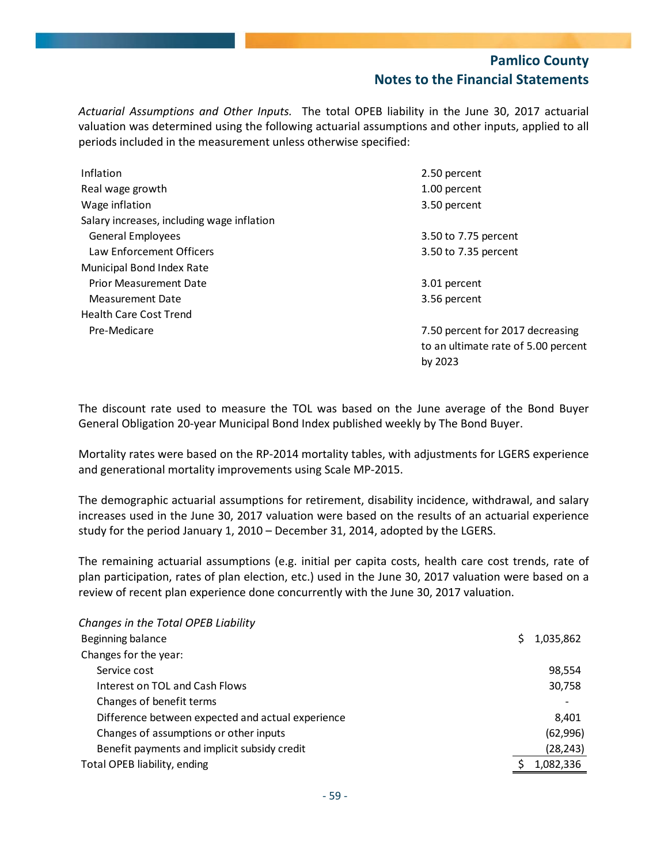by 2023

*Actuarial Assumptions and Other Inputs.*  The total OPEB liability in the June 30, 2017 actuarial valuation was determined using the following actuarial assumptions and other inputs, applied to all periods included in the measurement unless otherwise specified:

| Inflation                                  | 2.50 percent                        |
|--------------------------------------------|-------------------------------------|
| Real wage growth                           | 1.00 percent                        |
| Wage inflation                             | 3.50 percent                        |
| Salary increases, including wage inflation |                                     |
| General Employees                          | 3.50 to 7.75 percent                |
| Law Enforcement Officers                   | 3.50 to 7.35 percent                |
| Municipal Bond Index Rate                  |                                     |
| <b>Prior Measurement Date</b>              | 3.01 percent                        |
| Measurement Date                           | 3.56 percent                        |
| <b>Health Care Cost Trend</b>              |                                     |
| Pre-Medicare                               | 7.50 percent for 2017 decreasing    |
|                                            | to an ultimate rate of 5.00 percent |

The discount rate used to measure the TOL was based on the June average of the Bond Buyer General Obligation 20‐year Municipal Bond Index published weekly by The Bond Buyer.

Mortality rates were based on the RP‐2014 mortality tables, with adjustments for LGERS experience and generational mortality improvements using Scale MP‐2015.

The demographic actuarial assumptions for retirement, disability incidence, withdrawal, and salary increases used in the June 30, 2017 valuation were based on the results of an actuarial experience study for the period January 1, 2010 – December 31, 2014, adopted by the LGERS.

The remaining actuarial assumptions (e.g. initial per capita costs, health care cost trends, rate of plan participation, rates of plan election, etc.) used in the June 30, 2017 valuation were based on a review of recent plan experience done concurrently with the June 30, 2017 valuation.

| Changes in the Total OPEB Liability               |           |
|---------------------------------------------------|-----------|
| Beginning balance                                 | 1,035,862 |
| Changes for the year:                             |           |
| Service cost                                      | 98,554    |
| Interest on TOL and Cash Flows                    | 30,758    |
| Changes of benefit terms                          |           |
| Difference between expected and actual experience | 8.401     |
| Changes of assumptions or other inputs            | (62,996)  |
| Benefit payments and implicit subsidy credit      | (28, 243) |
| Total OPEB liability, ending                      | 1,082,336 |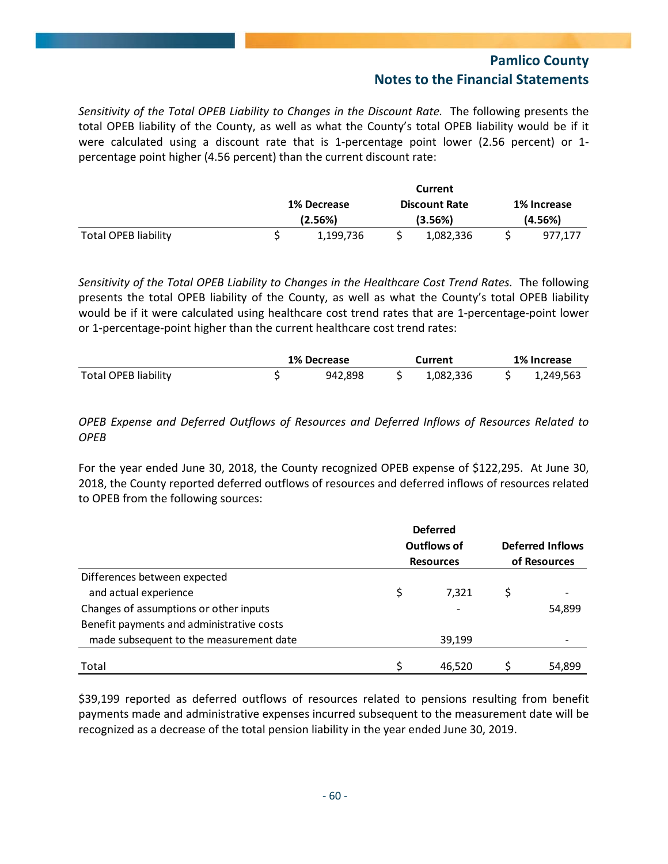*Sensitivity of the Total OPEB Liability to Changes in the Discount Rate.* The following presents the total OPEB liability of the County, as well as what the County's total OPEB liability would be if it were calculated using a discount rate that is 1-percentage point lower (2.56 percent) or 1percentage point higher (4.56 percent) than the current discount rate:

|                             | Current     |  |                      |  |             |  |  |  |
|-----------------------------|-------------|--|----------------------|--|-------------|--|--|--|
|                             | 1% Decrease |  | <b>Discount Rate</b> |  | 1% Increase |  |  |  |
|                             | (2.56%)     |  | (3.56%)              |  | (4.56%)     |  |  |  |
| <b>Total OPEB liability</b> | 1,199,736   |  | 1,082,336            |  | 977.177     |  |  |  |

*Sensitivity of the Total OPEB Liability to Changes in the Healthcare Cost Trend Rates.* The following presents the total OPEB liability of the County, as well as what the County's total OPEB liability would be if it were calculated using healthcare cost trend rates that are 1-percentage-point lower or 1‐percentage‐point higher than the current healthcare cost trend rates:

|                             | <b>1% Decrease</b> |         | Current   | 1% Increase |           |  |
|-----------------------------|--------------------|---------|-----------|-------------|-----------|--|
| <b>Total OPEB liability</b> |                    | 942.898 | 1.082.336 |             | 1,249,563 |  |

### *OPEB Expense and Deferred Outflows of Resources and Deferred Inflows of Resources Related to OPEB*

For the year ended June 30, 2018, the County recognized OPEB expense of \$122,295. At June 30, 2018, the County reported deferred outflows of resources and deferred inflows of resources related to OPEB from the following sources:

|                                           | <b>Deferred</b><br>Outflows of<br><b>Resources</b> | <b>Deferred Inflows</b><br>of Resources |        |  |
|-------------------------------------------|----------------------------------------------------|-----------------------------------------|--------|--|
| Differences between expected              |                                                    |                                         |        |  |
| and actual experience                     | \$<br>7.321                                        | S                                       |        |  |
| Changes of assumptions or other inputs    | $\overline{\phantom{a}}$                           |                                         | 54,899 |  |
| Benefit payments and administrative costs |                                                    |                                         |        |  |
| made subsequent to the measurement date   | 39,199                                             |                                         |        |  |
|                                           |                                                    |                                         |        |  |
| Total                                     | 46.520                                             |                                         | 54.899 |  |

\$39,199 reported as deferred outflows of resources related to pensions resulting from benefit payments made and administrative expenses incurred subsequent to the measurement date will be recognized as a decrease of the total pension liability in the year ended June 30, 2019.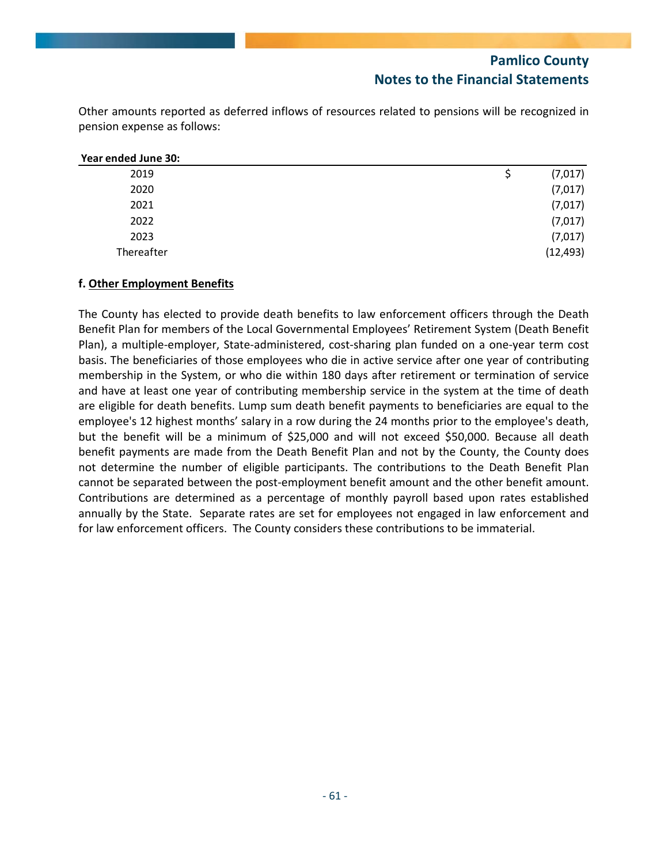Other amounts reported as deferred inflows of resources related to pensions will be recognized in pension expense as follows:

| Year ended June 30: |           |
|---------------------|-----------|
| 2019                | (7,017)   |
| 2020                | (7,017)   |
| 2021                | (7,017)   |
| 2022                | (7,017)   |
| 2023                | (7,017)   |
| Thereafter          | (12, 493) |

### **f. Other Employment Benefits**

The County has elected to provide death benefits to law enforcement officers through the Death Benefit Plan for members of the Local Governmental Employees' Retirement System (Death Benefit Plan), a multiple‐employer, State‐administered, cost‐sharing plan funded on a one‐year term cost basis. The beneficiaries of those employees who die in active service after one year of contributing membership in the System, or who die within 180 days after retirement or termination of service and have at least one year of contributing membership service in the system at the time of death are eligible for death benefits. Lump sum death benefit payments to beneficiaries are equal to the employee's 12 highest months' salary in a row during the 24 months prior to the employee's death, but the benefit will be a minimum of \$25,000 and will not exceed \$50,000. Because all death benefit payments are made from the Death Benefit Plan and not by the County, the County does not determine the number of eligible participants. The contributions to the Death Benefit Plan cannot be separated between the post‐employment benefit amount and the other benefit amount. Contributions are determined as a percentage of monthly payroll based upon rates established annually by the State. Separate rates are set for employees not engaged in law enforcement and for law enforcement officers. The County considers these contributions to be immaterial.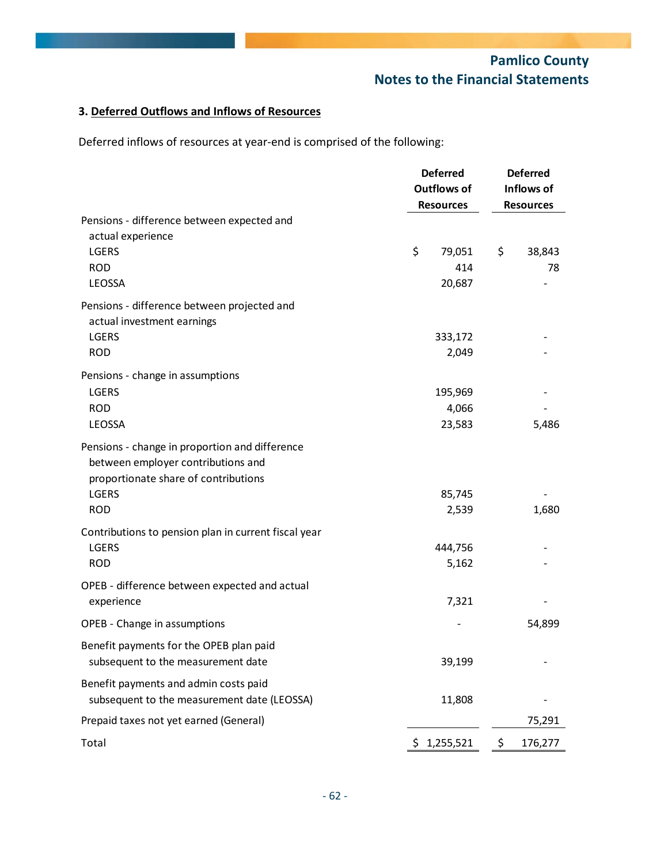## **3. Deferred Outflows and Inflows of Resources**

Deferred inflows of resources at year-end is comprised of the following:

|                                                      | <b>Deferred</b> |                    | <b>Deferred</b>  |         |  |  |
|------------------------------------------------------|-----------------|--------------------|------------------|---------|--|--|
|                                                      |                 | <b>Outflows of</b> | Inflows of       |         |  |  |
|                                                      |                 | <b>Resources</b>   | <b>Resources</b> |         |  |  |
| Pensions - difference between expected and           |                 |                    |                  |         |  |  |
| actual experience                                    |                 |                    |                  |         |  |  |
| LGERS                                                | \$              | 79,051             | \$               | 38,843  |  |  |
| <b>ROD</b>                                           |                 | 414                |                  | 78      |  |  |
| LEOSSA                                               |                 | 20,687             |                  |         |  |  |
| Pensions - difference between projected and          |                 |                    |                  |         |  |  |
| actual investment earnings                           |                 |                    |                  |         |  |  |
| LGERS                                                |                 | 333,172            |                  |         |  |  |
| <b>ROD</b>                                           |                 | 2,049              |                  |         |  |  |
| Pensions - change in assumptions                     |                 |                    |                  |         |  |  |
| LGERS                                                |                 | 195,969            |                  |         |  |  |
| <b>ROD</b>                                           |                 | 4,066              |                  |         |  |  |
| LEOSSA                                               |                 | 23,583             |                  | 5,486   |  |  |
| Pensions - change in proportion and difference       |                 |                    |                  |         |  |  |
| between employer contributions and                   |                 |                    |                  |         |  |  |
| proportionate share of contributions                 |                 |                    |                  |         |  |  |
| LGERS                                                |                 | 85,745             |                  |         |  |  |
| <b>ROD</b>                                           |                 | 2,539              |                  | 1,680   |  |  |
| Contributions to pension plan in current fiscal year |                 |                    |                  |         |  |  |
| LGERS                                                |                 | 444,756            |                  |         |  |  |
| <b>ROD</b>                                           |                 | 5,162              |                  |         |  |  |
|                                                      |                 |                    |                  |         |  |  |
| OPEB - difference between expected and actual        |                 |                    |                  |         |  |  |
| experience                                           |                 | 7,321              |                  |         |  |  |
| OPEB - Change in assumptions                         |                 |                    |                  | 54,899  |  |  |
| Benefit payments for the OPEB plan paid              |                 |                    |                  |         |  |  |
| subsequent to the measurement date                   |                 | 39,199             |                  |         |  |  |
| Benefit payments and admin costs paid                |                 |                    |                  |         |  |  |
| subsequent to the measurement date (LEOSSA)          |                 | 11,808             |                  |         |  |  |
| Prepaid taxes not yet earned (General)               |                 |                    |                  | 75,291  |  |  |
| Total                                                |                 | \$1,255,521        | \$               | 176,277 |  |  |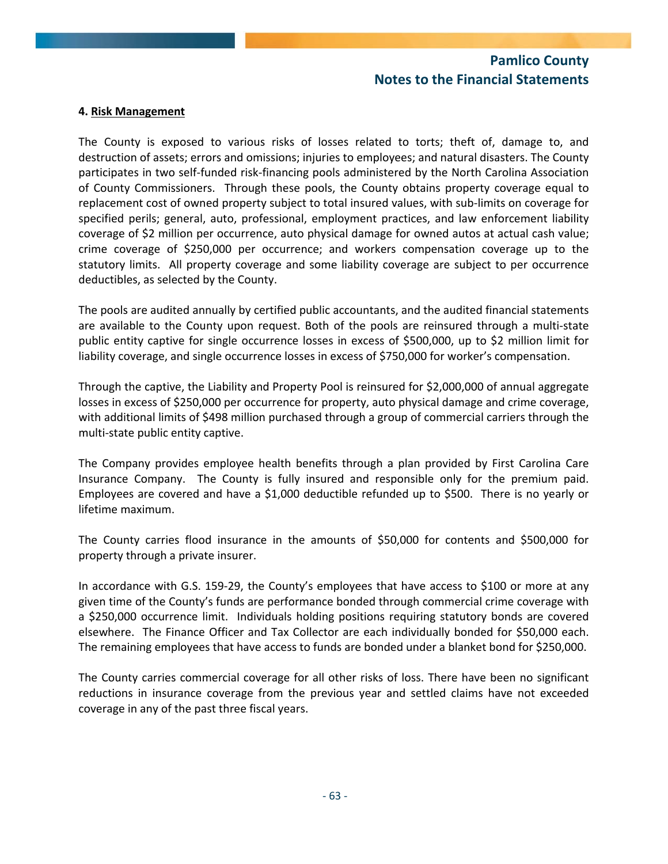#### **4. Risk Management**

The County is exposed to various risks of losses related to torts; theft of, damage to, and destruction of assets; errors and omissions; injuries to employees; and natural disasters. The County participates in two self‐funded risk‐financing pools administered by the North Carolina Association of County Commissioners. Through these pools, the County obtains property coverage equal to replacement cost of owned property subject to total insured values, with sub‐limits on coverage for specified perils; general, auto, professional, employment practices, and law enforcement liability coverage of \$2 million per occurrence, auto physical damage for owned autos at actual cash value; crime coverage of \$250,000 per occurrence; and workers compensation coverage up to the statutory limits. All property coverage and some liability coverage are subject to per occurrence deductibles, as selected by the County.

The pools are audited annually by certified public accountants, and the audited financial statements are available to the County upon request. Both of the pools are reinsured through a multi‐state public entity captive for single occurrence losses in excess of \$500,000, up to \$2 million limit for liability coverage, and single occurrence losses in excess of \$750,000 for worker's compensation.

Through the captive, the Liability and Property Pool is reinsured for \$2,000,000 of annual aggregate losses in excess of \$250,000 per occurrence for property, auto physical damage and crime coverage, with additional limits of \$498 million purchased through a group of commercial carriers through the multi‐state public entity captive.

The Company provides employee health benefits through a plan provided by First Carolina Care Insurance Company. The County is fully insured and responsible only for the premium paid. Employees are covered and have a \$1,000 deductible refunded up to \$500. There is no yearly or lifetime maximum.

The County carries flood insurance in the amounts of \$50,000 for contents and \$500,000 for property through a private insurer.

In accordance with G.S. 159-29, the County's employees that have access to \$100 or more at any given time of the County's funds are performance bonded through commercial crime coverage with a \$250,000 occurrence limit. Individuals holding positions requiring statutory bonds are covered elsewhere. The Finance Officer and Tax Collector are each individually bonded for \$50,000 each. The remaining employees that have access to funds are bonded under a blanket bond for \$250,000.

The County carries commercial coverage for all other risks of loss. There have been no significant reductions in insurance coverage from the previous year and settled claims have not exceeded coverage in any of the past three fiscal years.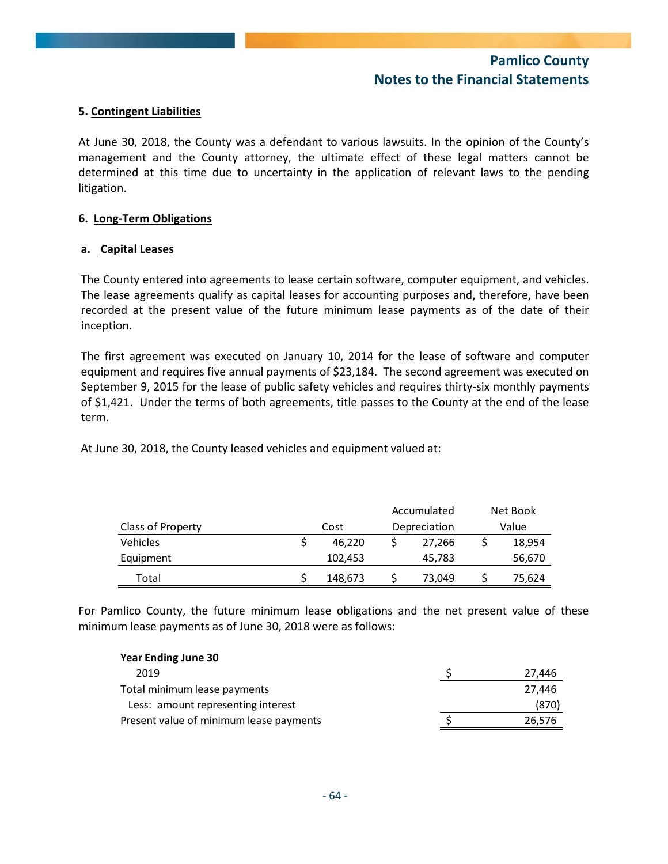#### **5. Contingent Liabilities**

At June 30, 2018, the County was a defendant to various lawsuits. In the opinion of the County's management and the County attorney, the ultimate effect of these legal matters cannot be determined at this time due to uncertainty in the application of relevant laws to the pending litigation.

#### **6. Long‐Term Obligations**

#### **a. Capital Leases**

The County entered into agreements to lease certain software, computer equipment, and vehicles. The lease agreements qualify as capital leases for accounting purposes and, therefore, have been recorded at the present value of the future minimum lease payments as of the date of their inception.

The first agreement was executed on January 10, 2014 for the lease of software and computer equipment and requires five annual payments of \$23,184. The second agreement was executed on September 9, 2015 for the lease of public safety vehicles and requires thirty‐six monthly payments of \$1,421. Under the terms of both agreements, title passes to the County at the end of the lease term.

At June 30, 2018, the County leased vehicles and equipment valued at:

|                   |         | Accumulated |              | Net Book |
|-------------------|---------|-------------|--------------|----------|
| Class of Property | Cost    |             | Depreciation | Value    |
| <b>Vehicles</b>   | 46.220  |             | 27.266       | 18,954   |
| Equipment         | 102.453 |             | 45,783       | 56,670   |
| Total             | 148,673 |             | 73,049       | 75,624   |

For Pamlico County, the future minimum lease obligations and the net present value of these minimum lease payments as of June 30, 2018 were as follows:

| <b>Year Ending June 30</b>              |        |
|-----------------------------------------|--------|
| 2019                                    | 27,446 |
| Total minimum lease payments            | 27.446 |
| Less: amount representing interest      | (870)  |
| Present value of minimum lease payments | 26,576 |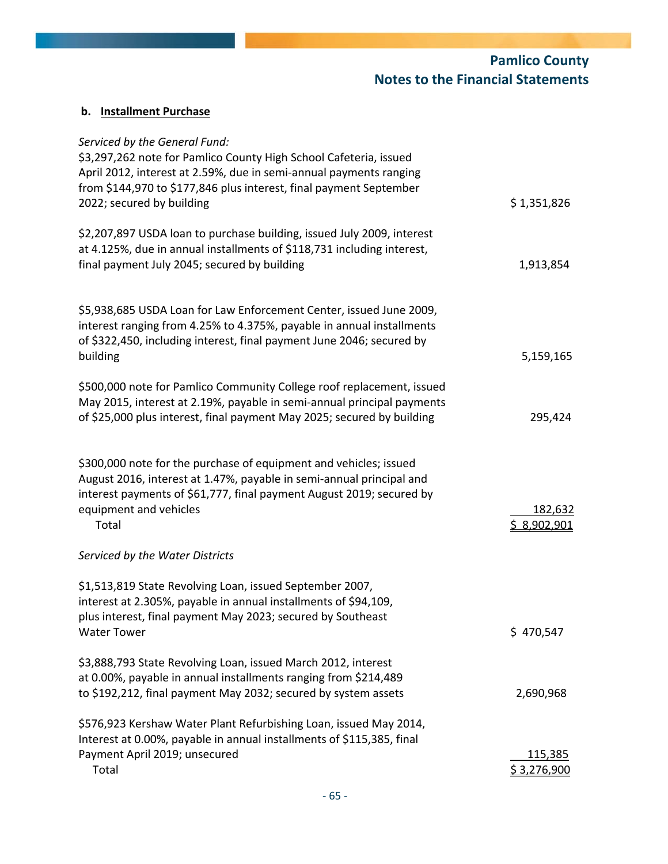| Serviced by the General Fund:<br>\$3,297,262 note for Pamlico County High School Cafeteria, issued<br>April 2012, interest at 2.59%, due in semi-annual payments ranging<br>from \$144,970 to \$177,846 plus interest, final payment September<br>2022; secured by building | \$1,351,826                           |
|-----------------------------------------------------------------------------------------------------------------------------------------------------------------------------------------------------------------------------------------------------------------------------|---------------------------------------|
| \$2,207,897 USDA loan to purchase building, issued July 2009, interest<br>at 4.125%, due in annual installments of \$118,731 including interest,<br>final payment July 2045; secured by building                                                                            | 1,913,854                             |
| \$5,938,685 USDA Loan for Law Enforcement Center, issued June 2009,<br>interest ranging from 4.25% to 4.375%, payable in annual installments<br>of \$322,450, including interest, final payment June 2046; secured by<br>building                                           | 5,159,165                             |
| \$500,000 note for Pamlico Community College roof replacement, issued<br>May 2015, interest at 2.19%, payable in semi-annual principal payments<br>of \$25,000 plus interest, final payment May 2025; secured by building                                                   | 295,424                               |
| \$300,000 note for the purchase of equipment and vehicles; issued<br>August 2016, interest at 1.47%, payable in semi-annual principal and<br>interest payments of \$61,777, final payment August 2019; secured by<br>equipment and vehicles<br>Total                        | 182,632<br><u>\$ 8,902,901</u>        |
| Serviced by the Water Districts                                                                                                                                                                                                                                             |                                       |
| \$1,513,819 State Revolving Loan, issued September 2007,<br>interest at 2.305%, payable in annual installments of \$94,109,<br>plus interest, final payment May 2023; secured by Southeast<br><b>Water Tower</b>                                                            | \$470,547                             |
| \$3,888,793 State Revolving Loan, issued March 2012, interest<br>at 0.00%, payable in annual installments ranging from \$214,489<br>to \$192,212, final payment May 2032; secured by system assets                                                                          | 2,690,968                             |
| \$576,923 Kershaw Water Plant Refurbishing Loan, issued May 2014,<br>Interest at 0.00%, payable in annual installments of \$115,385, final<br>Payment April 2019; unsecured<br>Total                                                                                        | <u>115,385</u><br><u>\$ 3,276,900</u> |

**b. Installment Purchase**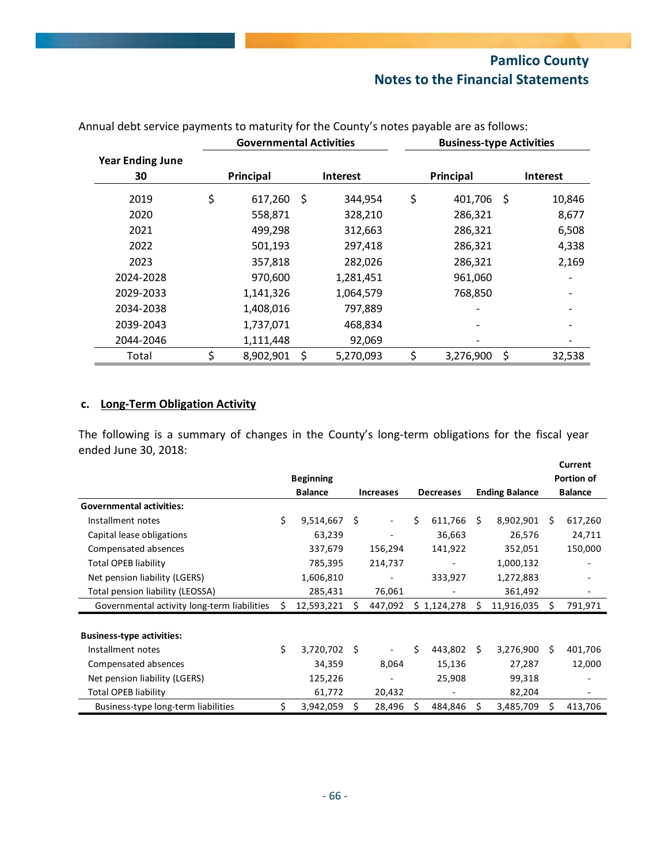|                               | <b>Governmental Activities</b> | <b>Business-type Activities</b> |                 |      |                 |
|-------------------------------|--------------------------------|---------------------------------|-----------------|------|-----------------|
| <b>Year Ending June</b><br>30 | Principal                      | <b>Interest</b>                 | Principal       |      | <b>Interest</b> |
| 2019                          | \$<br>$617,260$ \$             | 344,954                         | \$<br>401,706   | - \$ | 10,846          |
| 2020                          | 558,871                        | 328,210                         | 286,321         |      | 8,677           |
| 2021                          | 499,298                        | 312,663                         | 286,321         |      | 6,508           |
| 2022                          | 501,193                        | 297,418                         | 286,321         |      | 4,338           |
| 2023                          | 357,818                        | 282,026                         | 286,321         |      | 2,169           |
| 2024-2028                     | 970,600                        | 1,281,451                       | 961,060         |      |                 |
| 2029-2033                     | 1,141,326                      | 1,064,579                       | 768,850         |      |                 |
| 2034-2038                     | 1,408,016                      | 797,889                         |                 |      |                 |
| 2039-2043                     | 1,737,071                      | 468,834                         |                 |      |                 |
| 2044-2046                     | 1,111,448                      | 92,069                          |                 |      |                 |
| Total                         | \$<br>8,902,901                | \$<br>5,270,093                 | \$<br>3,276,900 | \$   | 32,538          |

# Annual debt service payments to maturity for the County's notes payable are as follows:

## **c. Long‐Term Obligation Activity**

The following is a summary of changes in the County's long-term obligations for the fiscal year ended June 30, 2018:

|                                             |    |                  |           |                          |                  |             |                       |            |                | Current    |
|---------------------------------------------|----|------------------|-----------|--------------------------|------------------|-------------|-----------------------|------------|----------------|------------|
|                                             |    | <b>Beginning</b> |           |                          |                  |             |                       |            |                | Portion of |
|                                             |    | <b>Balance</b>   | Increases |                          | <b>Decreases</b> |             | <b>Ending Balance</b> |            | <b>Balance</b> |            |
| <b>Governmental activities:</b>             |    |                  |           |                          |                  |             |                       |            |                |            |
| Installment notes                           | Ś. | 9,514,667        | Ś         | $\overline{\phantom{a}}$ | \$               | 611,766     | S.                    | 8,902,901  | Ś.             | 617,260    |
| Capital lease obligations                   |    | 63,239           |           | $\overline{\phantom{a}}$ |                  | 36,663      |                       | 26,576     |                | 24,711     |
| Compensated absences                        |    | 337,679          |           | 156,294                  |                  | 141,922     |                       | 352,051    |                | 150,000    |
| Total OPEB liability                        |    | 785,395          |           | 214,737                  |                  |             |                       | 1,000,132  |                |            |
| Net pension liability (LGERS)               |    | 1,606,810        |           | $\qquad \qquad -$        |                  | 333,927     |                       | 1,272,883  |                |            |
| Total pension liability (LEOSSA)            |    | 285,431          |           | 76,061                   |                  |             |                       | 361,492    |                |            |
| Governmental activity long-term liabilities | S  | 12,593,221       |           | 447,092                  |                  | \$1,124,278 |                       | 11,916,035 | S              | 791,971    |
|                                             |    |                  |           |                          |                  |             |                       |            |                |            |
| <b>Business-type activities:</b>            |    |                  |           |                          |                  |             |                       |            |                |            |
| Installment notes                           | \$ | 3,720,702        | Ŝ.        | $\overline{\phantom{a}}$ | Ś.               | 443,802     | Ŝ.                    | 3,276,900  | Ś.             | 401,706    |
| Compensated absences                        |    | 34,359           |           | 8,064                    |                  | 15,136      |                       | 27,287     |                | 12,000     |
| Net pension liability (LGERS)               |    | 125,226          |           |                          |                  | 25,908      |                       | 99,318     |                |            |
| Total OPEB liability                        |    | 61,772           |           | 20,432                   |                  |             |                       | 82,204     |                |            |
| Business-type long-term liabilities         | \$ | 3,942,059        | Ś         | 28,496                   | S                | 484,846     | \$.                   | 3,485,709  | S              | 413,706    |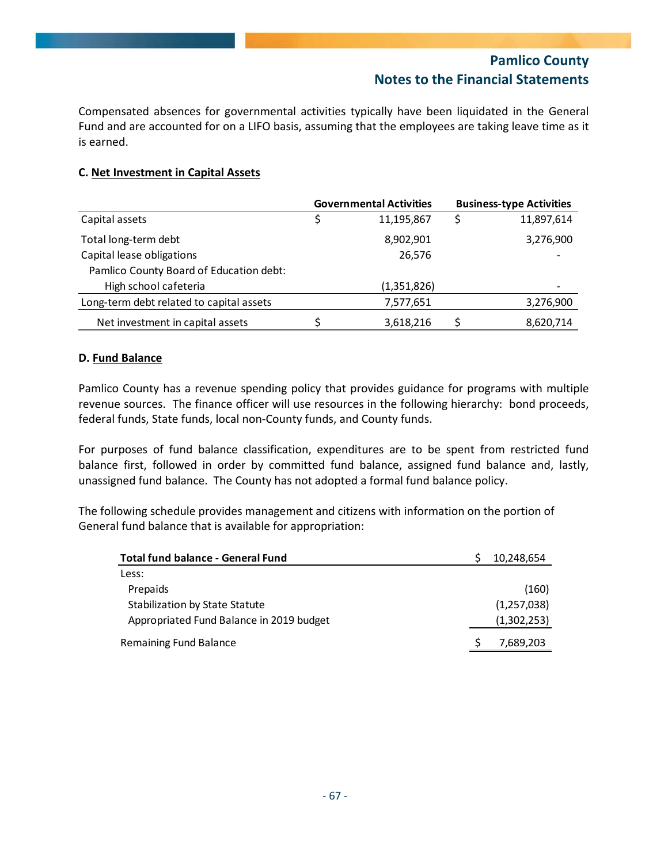Compensated absences for governmental activities typically have been liquidated in the General Fund and are accounted for on a LIFO basis, assuming that the employees are taking leave time as it is earned.

### **C. Net Investment in Capital Assets**

|                                          | <b>Governmental Activities</b> |             |  | <b>Business-type Activities</b> |  |  |  |
|------------------------------------------|--------------------------------|-------------|--|---------------------------------|--|--|--|
| Capital assets                           |                                | 11,195,867  |  | 11,897,614                      |  |  |  |
| Total long-term debt                     |                                | 8,902,901   |  | 3,276,900                       |  |  |  |
| Capital lease obligations                |                                | 26,576      |  |                                 |  |  |  |
| Pamlico County Board of Education debt:  |                                |             |  |                                 |  |  |  |
| High school cafeteria                    |                                | (1,351,826) |  |                                 |  |  |  |
| Long-term debt related to capital assets |                                | 7,577,651   |  | 3,276,900                       |  |  |  |
| Net investment in capital assets         |                                | 3,618,216   |  | 8,620,714                       |  |  |  |

#### **D. Fund Balance**

Pamlico County has a revenue spending policy that provides guidance for programs with multiple revenue sources. The finance officer will use resources in the following hierarchy: bond proceeds, federal funds, State funds, local non‐County funds, and County funds.

For purposes of fund balance classification, expenditures are to be spent from restricted fund balance first, followed in order by committed fund balance, assigned fund balance and, lastly, unassigned fund balance. The County has not adopted a formal fund balance policy.

The following schedule provides management and citizens with information on the portion of General fund balance that is available for appropriation:

| <b>Total fund balance - General Fund</b> | 10,248,654  |
|------------------------------------------|-------------|
| Less:                                    |             |
| Prepaids                                 | (160)       |
| Stabilization by State Statute           | (1,257,038) |
| Appropriated Fund Balance in 2019 budget | (1,302,253) |
| Remaining Fund Balance                   | 7,689,203   |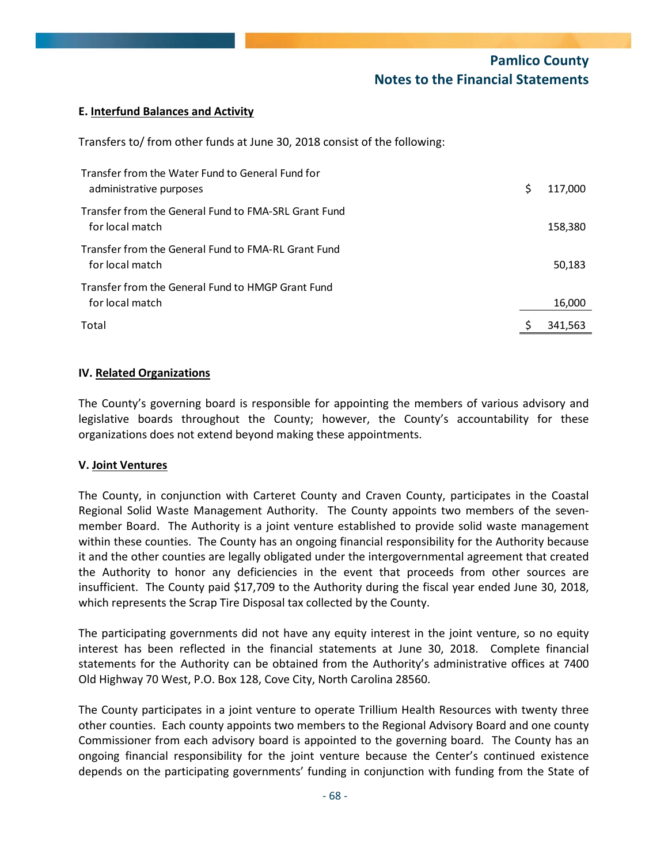#### **E. Interfund Balances and Activity**

Transfers to/ from other funds at June 30, 2018 consist of the following:

| Transfer from the Water Fund to General Fund for<br>administrative purposes | S | 117,000 |
|-----------------------------------------------------------------------------|---|---------|
| Transfer from the General Fund to FMA-SRL Grant Fund<br>for local match     |   | 158,380 |
| Transfer from the General Fund to FMA-RL Grant Fund<br>for local match      |   | 50,183  |
| Transfer from the General Fund to HMGP Grant Fund<br>for local match        |   | 16,000  |
| Total                                                                       |   | 341,563 |

#### **IV. Related Organizations**

The County's governing board is responsible for appointing the members of various advisory and legislative boards throughout the County; however, the County's accountability for these organizations does not extend beyond making these appointments.

#### **V. Joint Ventures**

The County, in conjunction with Carteret County and Craven County, participates in the Coastal Regional Solid Waste Management Authority. The County appoints two members of the seven‐ member Board. The Authority is a joint venture established to provide solid waste management within these counties. The County has an ongoing financial responsibility for the Authority because it and the other counties are legally obligated under the intergovernmental agreement that created the Authority to honor any deficiencies in the event that proceeds from other sources are insufficient. The County paid \$17,709 to the Authority during the fiscal year ended June 30, 2018, which represents the Scrap Tire Disposal tax collected by the County.

The participating governments did not have any equity interest in the joint venture, so no equity interest has been reflected in the financial statements at June 30, 2018. Complete financial statements for the Authority can be obtained from the Authority's administrative offices at 7400 Old Highway 70 West, P.O. Box 128, Cove City, North Carolina 28560.

The County participates in a joint venture to operate Trillium Health Resources with twenty three other counties. Each county appoints two members to the Regional Advisory Board and one county Commissioner from each advisory board is appointed to the governing board. The County has an ongoing financial responsibility for the joint venture because the Center's continued existence depends on the participating governments' funding in conjunction with funding from the State of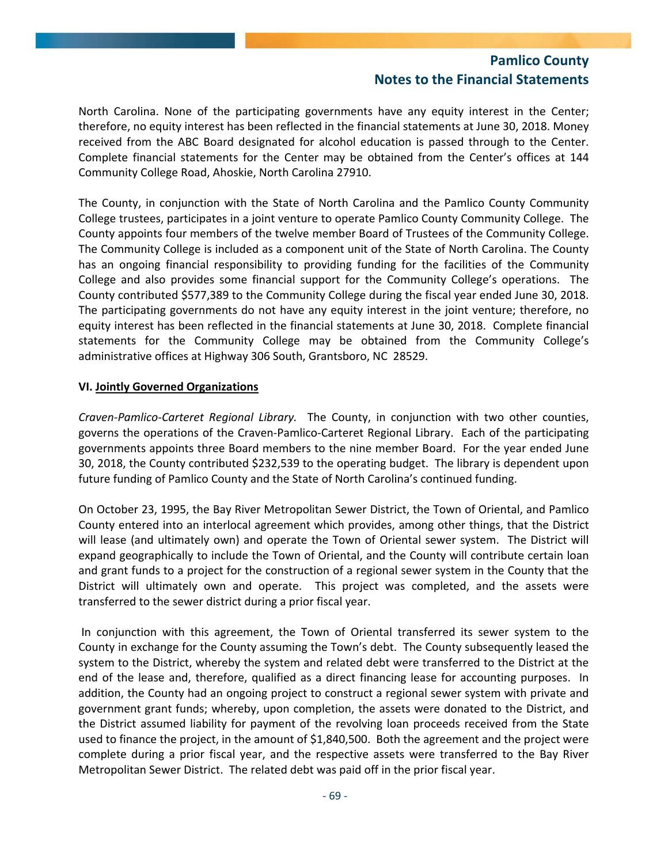North Carolina. None of the participating governments have any equity interest in the Center; therefore, no equity interest has been reflected in the financial statements at June 30, 2018. Money received from the ABC Board designated for alcohol education is passed through to the Center. Complete financial statements for the Center may be obtained from the Center's offices at 144 Community College Road, Ahoskie, North Carolina 27910.

The County, in conjunction with the State of North Carolina and the Pamlico County Community College trustees, participates in a joint venture to operate Pamlico County Community College. The County appoints four members of the twelve member Board of Trustees of the Community College. The Community College is included as a component unit of the State of North Carolina. The County has an ongoing financial responsibility to providing funding for the facilities of the Community College and also provides some financial support for the Community College's operations. The County contributed \$577,389 to the Community College during the fiscal year ended June 30, 2018. The participating governments do not have any equity interest in the joint venture; therefore, no equity interest has been reflected in the financial statements at June 30, 2018. Complete financial statements for the Community College may be obtained from the Community College's administrative offices at Highway 306 South, Grantsboro, NC 28529.

#### **VI. Jointly Governed Organizations**

*Craven‐Pamlico‐Carteret Regional Library.* The County, in conjunction with two other counties, governs the operations of the Craven‐Pamlico‐Carteret Regional Library. Each of the participating governments appoints three Board members to the nine member Board. For the year ended June 30, 2018, the County contributed \$232,539 to the operating budget. The library is dependent upon future funding of Pamlico County and the State of North Carolina's continued funding.

On October 23, 1995, the Bay River Metropolitan Sewer District, the Town of Oriental, and Pamlico County entered into an interlocal agreement which provides, among other things, that the District will lease (and ultimately own) and operate the Town of Oriental sewer system. The District will expand geographically to include the Town of Oriental, and the County will contribute certain loan and grant funds to a project for the construction of a regional sewer system in the County that the District will ultimately own and operate. This project was completed, and the assets were transferred to the sewer district during a prior fiscal year.

In conjunction with this agreement, the Town of Oriental transferred its sewer system to the County in exchange for the County assuming the Town's debt. The County subsequently leased the system to the District, whereby the system and related debt were transferred to the District at the end of the lease and, therefore, qualified as a direct financing lease for accounting purposes. In addition, the County had an ongoing project to construct a regional sewer system with private and government grant funds; whereby, upon completion, the assets were donated to the District, and the District assumed liability for payment of the revolving loan proceeds received from the State used to finance the project, in the amount of \$1,840,500. Both the agreement and the project were complete during a prior fiscal year, and the respective assets were transferred to the Bay River Metropolitan Sewer District. The related debt was paid off in the prior fiscal year.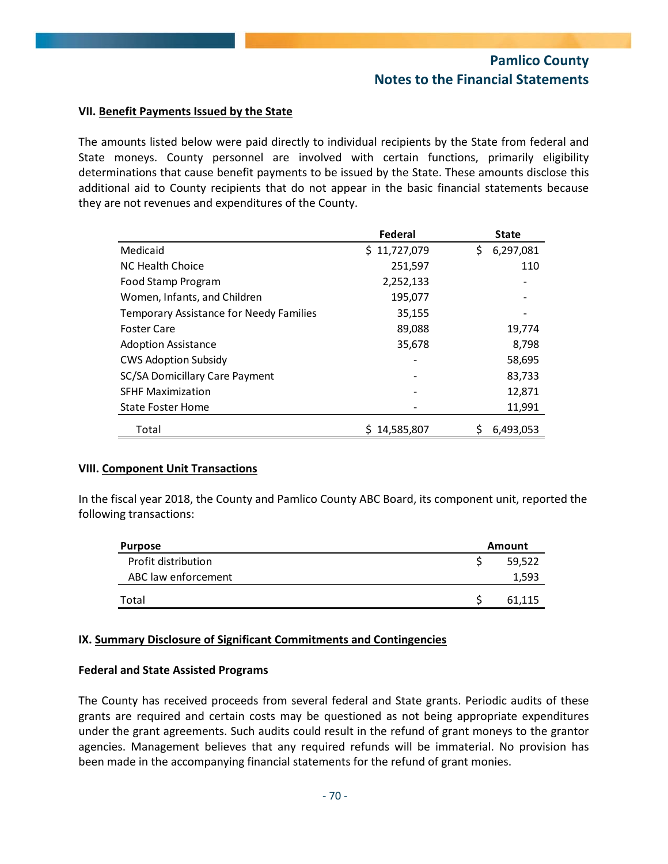#### **VII. Benefit Payments Issued by the State**

The amounts listed below were paid directly to individual recipients by the State from federal and State moneys. County personnel are involved with certain functions, primarily eligibility determinations that cause benefit payments to be issued by the State. These amounts disclose this additional aid to County recipients that do not appear in the basic financial statements because they are not revenues and expenditures of the County.

|                                                | Federal      | <b>State</b>    |
|------------------------------------------------|--------------|-----------------|
| Medicaid                                       | \$11,727,079 | \$<br>6,297,081 |
| NC Health Choice                               | 251,597      | 110             |
| Food Stamp Program                             | 2,252,133    |                 |
| Women, Infants, and Children                   | 195,077      |                 |
| <b>Temporary Assistance for Needy Families</b> | 35,155       |                 |
| <b>Foster Care</b>                             | 89,088       | 19,774          |
| <b>Adoption Assistance</b>                     | 35,678       | 8,798           |
| <b>CWS Adoption Subsidy</b>                    |              | 58,695          |
| SC/SA Domicillary Care Payment                 |              | 83,733          |
| <b>SFHF Maximization</b>                       |              | 12,871          |
| <b>State Foster Home</b>                       |              | 11,991          |
| Total                                          | 14,585,807   | 6,493,053       |

#### **VIII. Component Unit Transactions**

In the fiscal year 2018, the County and Pamlico County ABC Board, its component unit, reported the following transactions:

| <b>Purpose</b>      | Amount |
|---------------------|--------|
| Profit distribution | 59,522 |
| ABC law enforcement | 1,593  |
| Total               | 61.115 |

#### **IX. Summary Disclosure of Significant Commitments and Contingencies**

#### **Federal and State Assisted Programs**

The County has received proceeds from several federal and State grants. Periodic audits of these grants are required and certain costs may be questioned as not being appropriate expenditures under the grant agreements. Such audits could result in the refund of grant moneys to the grantor agencies. Management believes that any required refunds will be immaterial. No provision has been made in the accompanying financial statements for the refund of grant monies.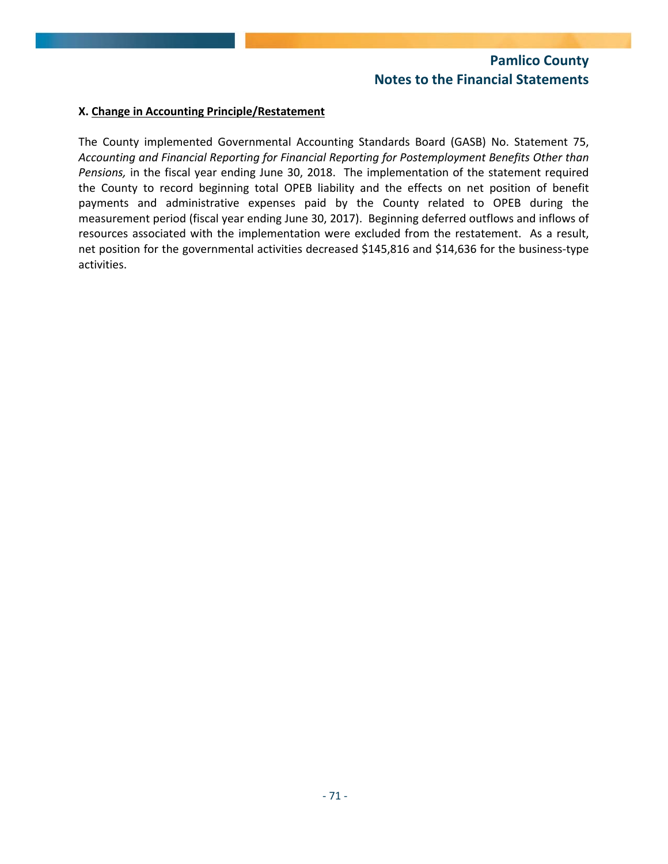#### **X. Change in Accounting Principle/Restatement**

The County implemented Governmental Accounting Standards Board (GASB) No. Statement 75, *Accounting and Financial Reporting for Financial Reporting for Postemployment Benefits Other than Pensions,* in the fiscal year ending June 30, 2018. The implementation of the statement required the County to record beginning total OPEB liability and the effects on net position of benefit payments and administrative expenses paid by the County related to OPEB during the measurement period (fiscal year ending June 30, 2017). Beginning deferred outflows and inflows of resources associated with the implementation were excluded from the restatement. As a result, net position for the governmental activities decreased \$145,816 and \$14,636 for the business‐type activities.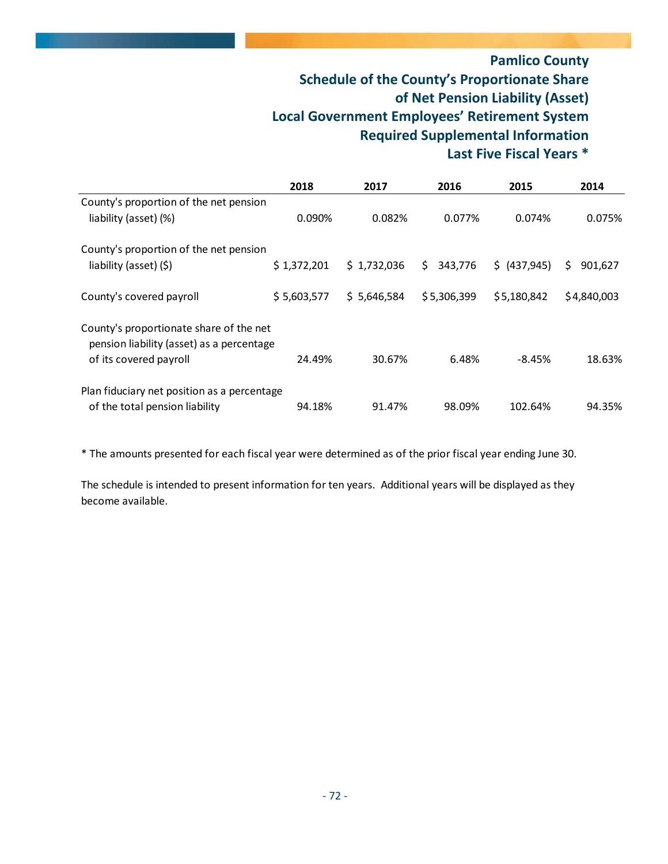### **Pamlico County Schedule of the County's Proportionate Share of Net Pension Liability (Asset) Local Government Employees' Retirement System Required Supplemental Information Last Five Fiscal Years \***

|                                                                                                                | 2018        | 2017        | 2016           | 2015          | 2014         |
|----------------------------------------------------------------------------------------------------------------|-------------|-------------|----------------|---------------|--------------|
| County's proportion of the net pension                                                                         |             |             |                |               |              |
| liability (asset) (%)                                                                                          | 0.090%      | 0.082%      | 0.077%         | 0.074%        | 0.075%       |
| County's proportion of the net pension                                                                         |             |             |                |               |              |
| liability (asset) (\$)                                                                                         | \$1,372,201 | \$1,732,036 | \$.<br>343,776 | \$ (437, 945) | 901,627<br>S |
| County's covered payroll                                                                                       | \$5,603,577 | \$5,646,584 | \$5,306,399    | \$5,180,842   | \$4,840,003  |
| County's proportionate share of the net<br>pension liability (asset) as a percentage<br>of its covered payroll | 24.49%      | 30.67%      | 6.48%          | $-8.45%$      | 18.63%       |
|                                                                                                                |             |             |                |               |              |
| Plan fiduciary net position as a percentage                                                                    |             |             |                |               |              |
| of the total pension liability                                                                                 | 94.18%      | 91.47%      | 98.09%         | 102.64%       | 94.35%       |

\* The amounts presented for each fiscal year were determined as of the prior fiscal year ending June 30.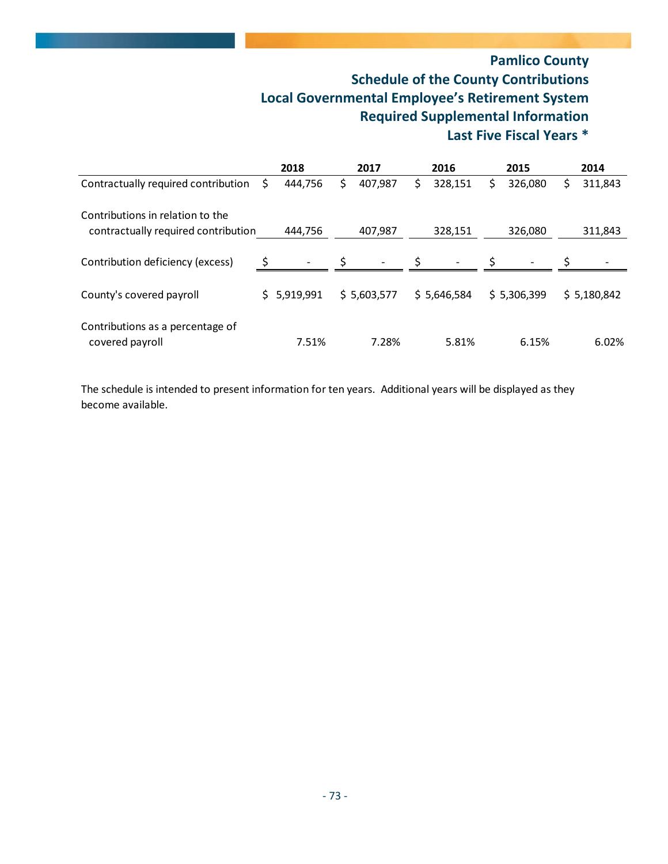#### **Pamlico County Schedule of the County Contributions Local Governmental Employee's Retirement System Required Supplemental Information Last Five Fiscal Years \***

|                                                     |    | 2018        |     | 2017        |    | 2016        |    | 2015        |   | 2014        |
|-----------------------------------------------------|----|-------------|-----|-------------|----|-------------|----|-------------|---|-------------|
| Contractually required contribution                 | S  | 444,756     | \$. | 407,987     | \$ | 328,151     | \$ | 326,080     | S | 311,843     |
| Contributions in relation to the                    |    |             |     |             |    |             |    |             |   |             |
| contractually required contribution                 |    | 444.756     |     | 407,987     |    | 328,151     |    | 326,080     |   | 311,843     |
| Contribution deficiency (excess)                    | Ŝ. |             |     |             | S. |             | Ŝ. |             |   |             |
| County's covered payroll                            |    | \$5,919,991 |     | \$5,603,577 |    | \$5,646,584 |    | \$5,306,399 |   | \$5,180,842 |
| Contributions as a percentage of<br>covered payroll |    | 7.51%       |     | 7.28%       |    | 5.81%       |    | 6.15%       |   | 6.02%       |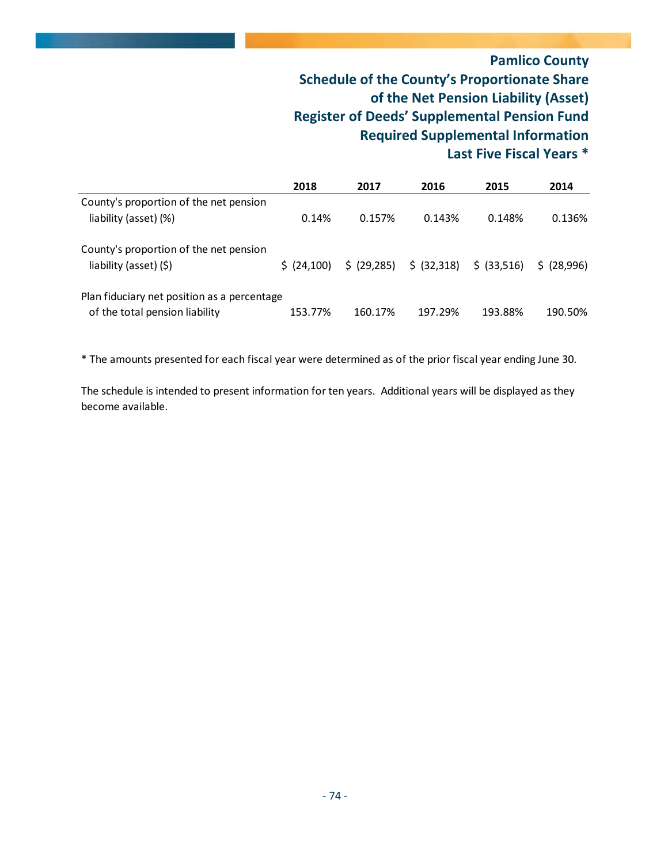#### **Pamlico County Schedule of the County's Proportionate Share of the Net Pension Liability (Asset) Register of Deeds' Supplemental Pension Fund Required Supplemental Information Last Five Fiscal Years \***

|                                                                  | 2018         | 2017         | 2016        | 2015        | 2014      |
|------------------------------------------------------------------|--------------|--------------|-------------|-------------|-----------|
| County's proportion of the net pension<br>liability (asset) (%)  | 0.14%        | 0.157%       | 0.143%      | 0.148%      | 0.136%    |
| County's proportion of the net pension<br>liability (asset) (\$) | \$ (24, 100) | \$ (29, 285) | \$ (32,318) | \$ (33,516) | S(28.996) |
| Plan fiduciary net position as a percentage                      |              |              |             |             |           |
| of the total pension liability                                   | 153.77%      | 160.17%      | 197.29%     | 193.88%     | 190.50%   |

\* The amounts presented for each fiscal year were determined as of the prior fiscal year ending June 30.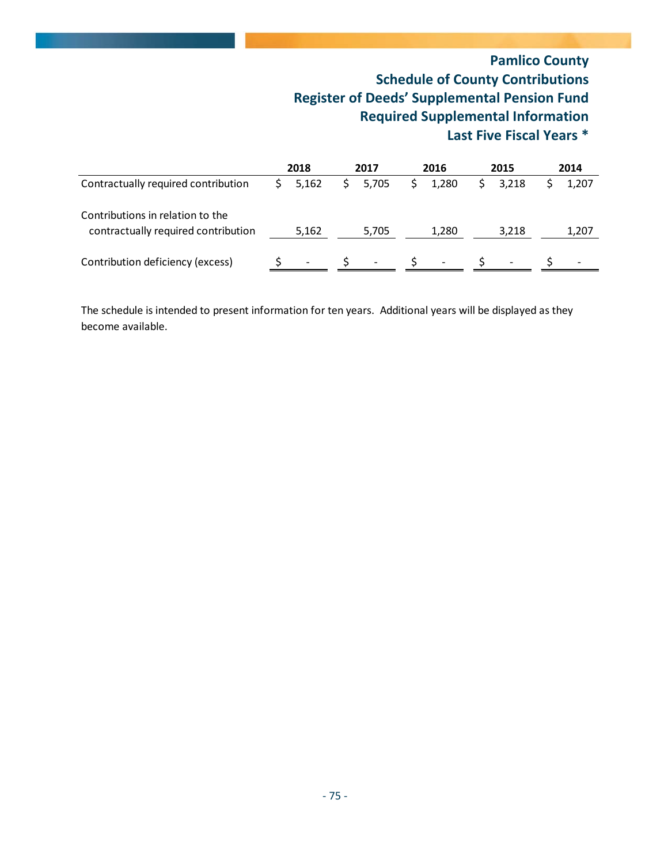#### **Pamlico County Schedule of County Contributions Register of Deeds' Supplemental Pension Fund Required Supplemental Information Last Five Fiscal Years \***

|                                                                         | 2018  | 2017                     | 2016 |                          | 2015 |                          |       |  | 2014 |
|-------------------------------------------------------------------------|-------|--------------------------|------|--------------------------|------|--------------------------|-------|--|------|
| Contractually required contribution                                     | 5.162 | 5,705                    |      | 1.280                    |      | 3.218                    | 1,207 |  |      |
| Contributions in relation to the<br>contractually required contribution | 5,162 | 5,705                    |      | 1,280                    |      | 3,218                    | 1,207 |  |      |
| Contribution deficiency (excess)                                        |       | $\overline{\phantom{a}}$ |      | $\overline{\phantom{a}}$ |      | $\overline{\phantom{a}}$ |       |  |      |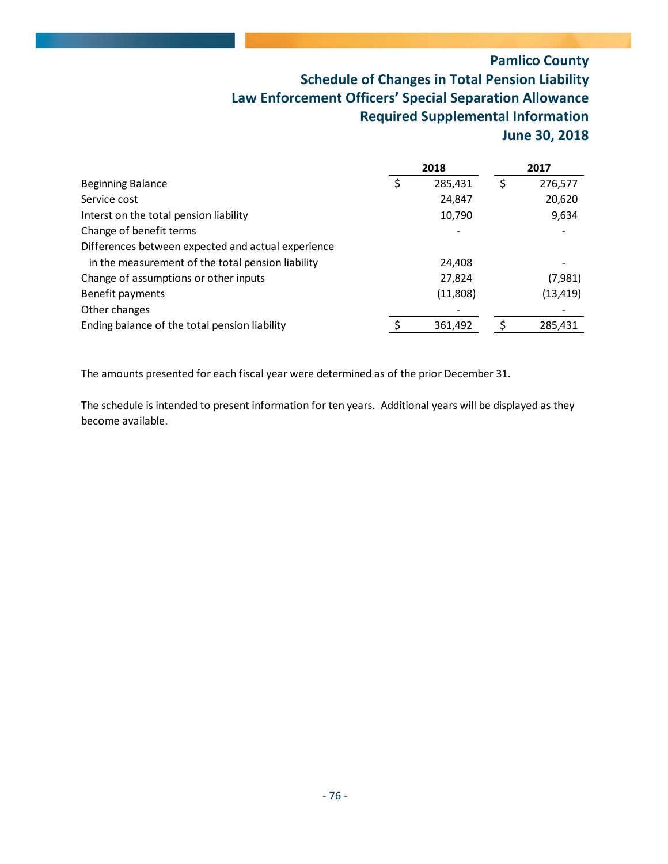### **Pamlico County Schedule of Changes in Total Pension Liability Law Enforcement Officers' Special Separation Allowance Required Supplemental Information June 30, 2018**

|                                                    | 2018     | 2017      |
|----------------------------------------------------|----------|-----------|
| <b>Beginning Balance</b>                           | 285,431  | 276,577   |
| Service cost                                       | 24,847   | 20,620    |
| Interst on the total pension liability             | 10,790   | 9,634     |
| Change of benefit terms                            |          |           |
| Differences between expected and actual experience |          |           |
| in the measurement of the total pension liability  | 24,408   |           |
| Change of assumptions or other inputs              | 27,824   | (7,981)   |
| Benefit payments                                   | (11,808) | (13, 419) |
| Other changes                                      |          |           |
| Ending balance of the total pension liability      | 361,492  | 285,431   |

The amounts presented for each fiscal year were determined as of the prior December 31.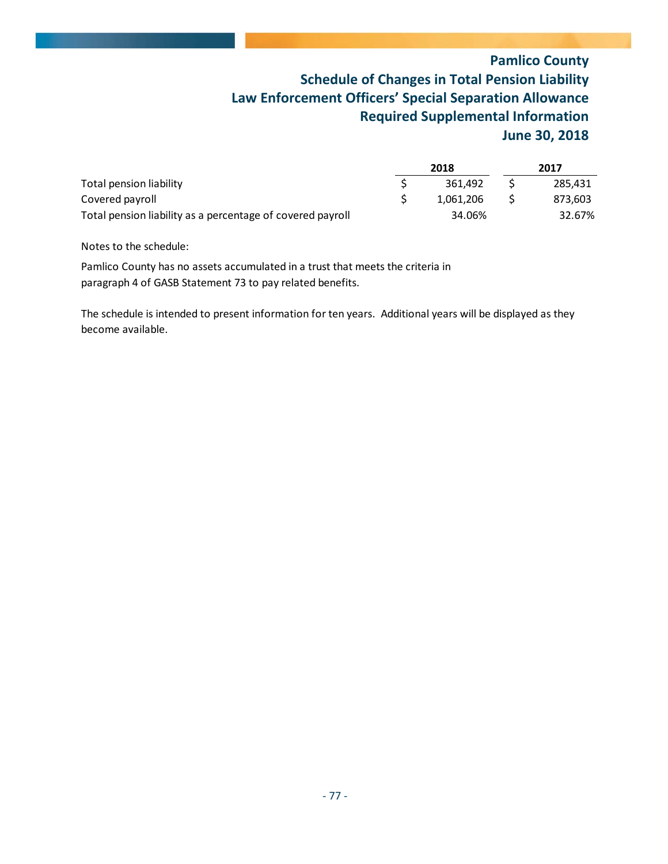### **Pamlico County Schedule of Changes in Total Pension Liability Law Enforcement Officers' Special Separation Allowance Required Supplemental Information June 30, 2018**

|                                                            |  | 2018      | 2017 |         |  |
|------------------------------------------------------------|--|-----------|------|---------|--|
| Total pension liability                                    |  | 361.492   |      | 285.431 |  |
| Covered payroll                                            |  | 1.061.206 |      | 873,603 |  |
| Total pension liability as a percentage of covered payroll |  | 34.06%    |      | 32.67%  |  |

Notes to the schedule:

Pamlico County has no assets accumulated in a trust that meets the criteria in paragraph 4 of GASB Statement 73 to pay related benefits.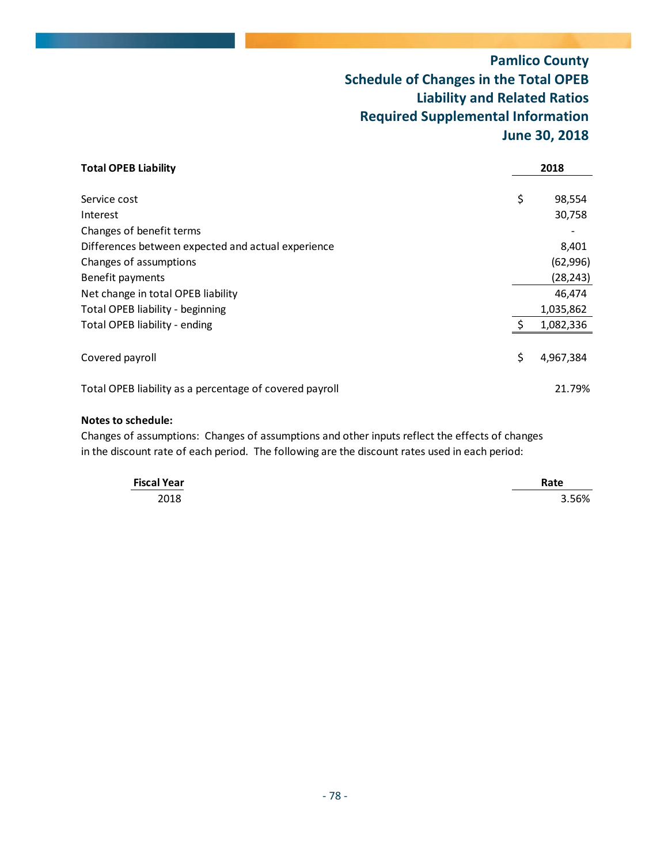### **Pamlico County Schedule of Changes in the Total OPEB Liability and Related Ratios Required Supplemental Information June 30, 2018**

| <b>Total OPEB Liability</b>                             |    | 2018      |
|---------------------------------------------------------|----|-----------|
|                                                         |    |           |
| Service cost                                            | \$ | 98,554    |
| Interest                                                |    | 30,758    |
| Changes of benefit terms                                |    |           |
| Differences between expected and actual experience      |    | 8,401     |
| Changes of assumptions                                  |    | (62, 996) |
| Benefit payments                                        |    | (28, 243) |
| Net change in total OPEB liability                      |    | 46.474    |
| Total OPEB liability - beginning                        |    | 1,035,862 |
| Total OPEB liability - ending                           | Ŝ. | 1,082,336 |
|                                                         |    |           |
| Covered payroll                                         | \$ | 4,967,384 |
| Total OPEB liability as a percentage of covered payroll |    | 21.79%    |

#### **Notes to schedule:**

Changes of assumptions: Changes of assumptions and other inputs reflect the effects of changes in the discount rate of each period. The following are the discount rates used in each period:

| <b>Fiscal Year</b> | Rate  |
|--------------------|-------|
| 2018               | 3.56% |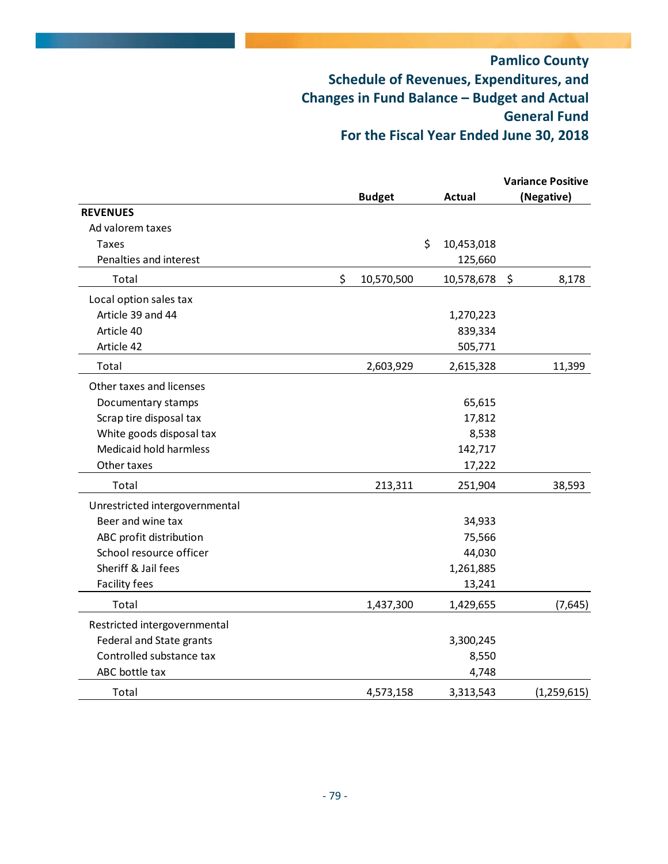|                                |                  |                  |         | <b>Variance Positive</b> |
|--------------------------------|------------------|------------------|---------|--------------------------|
|                                | <b>Budget</b>    | <b>Actual</b>    |         | (Negative)               |
| <b>REVENUES</b>                |                  |                  |         |                          |
| Ad valorem taxes               |                  |                  |         |                          |
| Taxes                          |                  | \$<br>10,453,018 |         |                          |
| Penalties and interest         |                  | 125,660          |         |                          |
| Total                          | \$<br>10,570,500 | 10,578,678       | $\zeta$ | 8,178                    |
| Local option sales tax         |                  |                  |         |                          |
| Article 39 and 44              |                  | 1,270,223        |         |                          |
| Article 40                     |                  | 839,334          |         |                          |
| Article 42                     |                  | 505,771          |         |                          |
| Total                          | 2,603,929        | 2,615,328        |         | 11,399                   |
| Other taxes and licenses       |                  |                  |         |                          |
| Documentary stamps             |                  | 65,615           |         |                          |
| Scrap tire disposal tax        |                  | 17,812           |         |                          |
| White goods disposal tax       |                  | 8,538            |         |                          |
| Medicaid hold harmless         |                  | 142,717          |         |                          |
| Other taxes                    |                  | 17,222           |         |                          |
| Total                          | 213,311          | 251,904          |         | 38,593                   |
| Unrestricted intergovernmental |                  |                  |         |                          |
| Beer and wine tax              |                  | 34,933           |         |                          |
| ABC profit distribution        |                  | 75,566           |         |                          |
| School resource officer        |                  | 44,030           |         |                          |
| Sheriff & Jail fees            |                  | 1,261,885        |         |                          |
| Facility fees                  |                  | 13,241           |         |                          |
| Total                          | 1,437,300        | 1,429,655        |         | (7,645)                  |
| Restricted intergovernmental   |                  |                  |         |                          |
| Federal and State grants       |                  | 3,300,245        |         |                          |
| Controlled substance tax       |                  | 8,550            |         |                          |
| ABC bottle tax                 |                  | 4,748            |         |                          |
| Total                          | 4,573,158        | 3,313,543        |         | (1,259,615)              |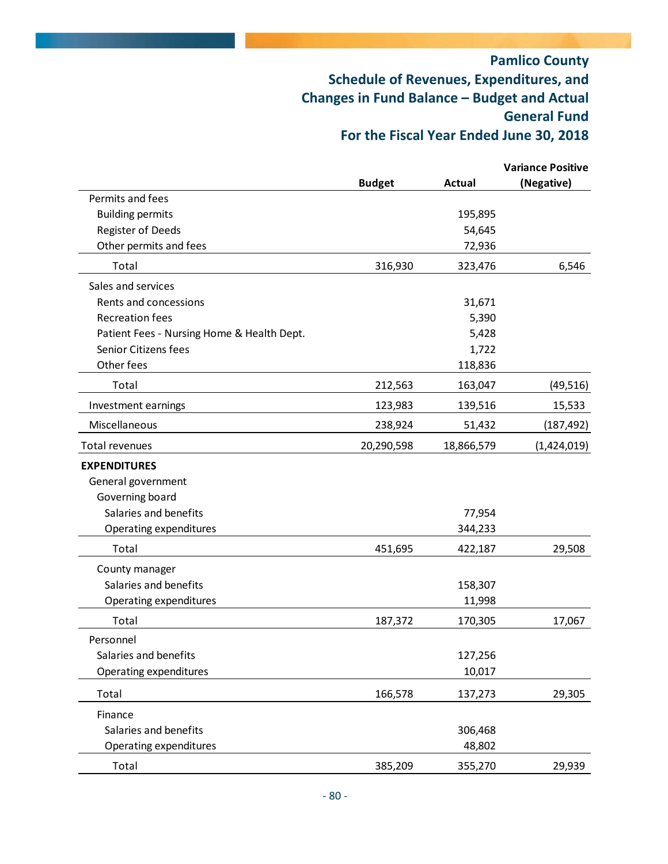|                                            |               |            | <b>Variance Positive</b> |
|--------------------------------------------|---------------|------------|--------------------------|
|                                            | <b>Budget</b> | Actual     | (Negative)               |
| Permits and fees                           |               |            |                          |
| <b>Building permits</b>                    |               | 195,895    |                          |
| Register of Deeds                          |               | 54,645     |                          |
| Other permits and fees                     |               | 72,936     |                          |
| Total                                      | 316,930       | 323,476    | 6,546                    |
| Sales and services                         |               |            |                          |
| Rents and concessions                      |               | 31,671     |                          |
| <b>Recreation fees</b>                     |               | 5,390      |                          |
| Patient Fees - Nursing Home & Health Dept. |               | 5,428      |                          |
| Senior Citizens fees                       |               | 1,722      |                          |
| Other fees                                 |               | 118,836    |                          |
| Total                                      | 212,563       | 163,047    | (49, 516)                |
| Investment earnings                        | 123,983       | 139,516    | 15,533                   |
| Miscellaneous                              | 238,924       | 51,432     | (187, 492)               |
| Total revenues                             | 20,290,598    | 18,866,579 | (1,424,019)              |
| <b>EXPENDITURES</b>                        |               |            |                          |
| General government                         |               |            |                          |
| Governing board                            |               |            |                          |
| Salaries and benefits                      |               | 77,954     |                          |
| Operating expenditures                     |               | 344,233    |                          |
| Total                                      | 451,695       | 422,187    | 29,508                   |
| County manager                             |               |            |                          |
| Salaries and benefits                      |               | 158,307    |                          |
| Operating expenditures                     |               | 11,998     |                          |
| Total                                      | 187,372       | 170,305    | 17,067                   |
| Personnel                                  |               |            |                          |
| Salaries and benefits                      |               | 127,256    |                          |
| Operating expenditures                     |               | 10,017     |                          |
| Total                                      | 166,578       | 137,273    | 29,305                   |
| Finance                                    |               |            |                          |
| Salaries and benefits                      |               | 306,468    |                          |
| Operating expenditures                     |               | 48,802     |                          |
| Total                                      | 385,209       | 355,270    | 29,939                   |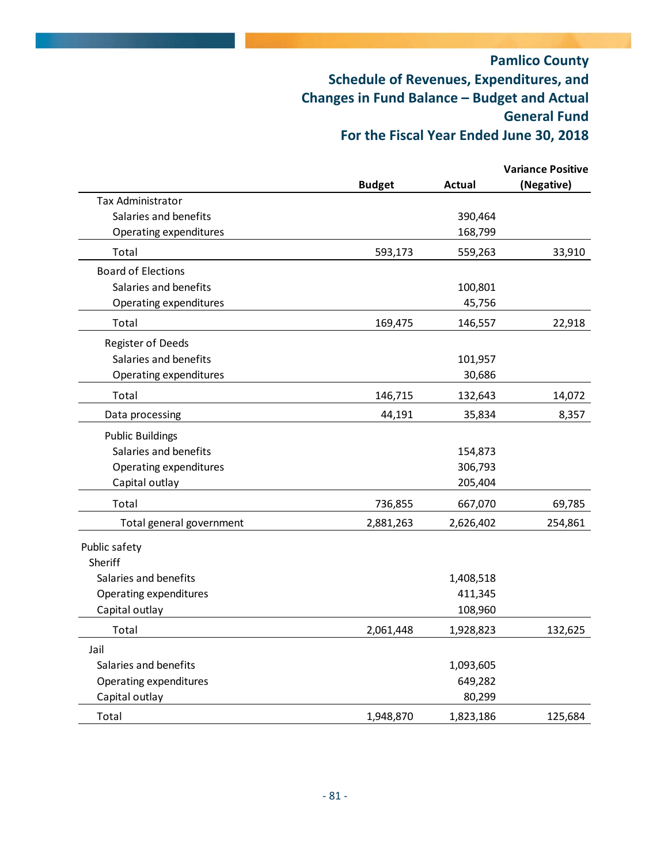|                           |               |               | <b>Variance Positive</b> |
|---------------------------|---------------|---------------|--------------------------|
|                           | <b>Budget</b> | <b>Actual</b> | (Negative)               |
| Tax Administrator         |               |               |                          |
| Salaries and benefits     |               | 390,464       |                          |
| Operating expenditures    |               | 168,799       |                          |
| Total                     | 593,173       | 559,263       | 33,910                   |
| <b>Board of Elections</b> |               |               |                          |
| Salaries and benefits     |               | 100,801       |                          |
| Operating expenditures    |               | 45,756        |                          |
| Total                     | 169,475       | 146,557       | 22,918                   |
| Register of Deeds         |               |               |                          |
| Salaries and benefits     |               | 101,957       |                          |
| Operating expenditures    |               | 30,686        |                          |
| Total                     | 146,715       | 132,643       | 14,072                   |
| Data processing           | 44,191        | 35,834        | 8,357                    |
| <b>Public Buildings</b>   |               |               |                          |
| Salaries and benefits     |               | 154,873       |                          |
| Operating expenditures    |               | 306,793       |                          |
| Capital outlay            |               | 205,404       |                          |
| Total                     | 736,855       | 667,070       | 69,785                   |
| Total general government  | 2,881,263     | 2,626,402     | 254,861                  |
| Public safety             |               |               |                          |
| Sheriff                   |               |               |                          |
| Salaries and benefits     |               | 1,408,518     |                          |
| Operating expenditures    |               | 411,345       |                          |
| Capital outlay            |               | 108,960       |                          |
| Total                     | 2,061,448     | 1,928,823     | 132,625                  |
| Jail                      |               |               |                          |
| Salaries and benefits     |               | 1,093,605     |                          |
| Operating expenditures    |               | 649,282       |                          |
| Capital outlay            |               | 80,299        |                          |
| Total                     | 1,948,870     | 1,823,186     | 125,684                  |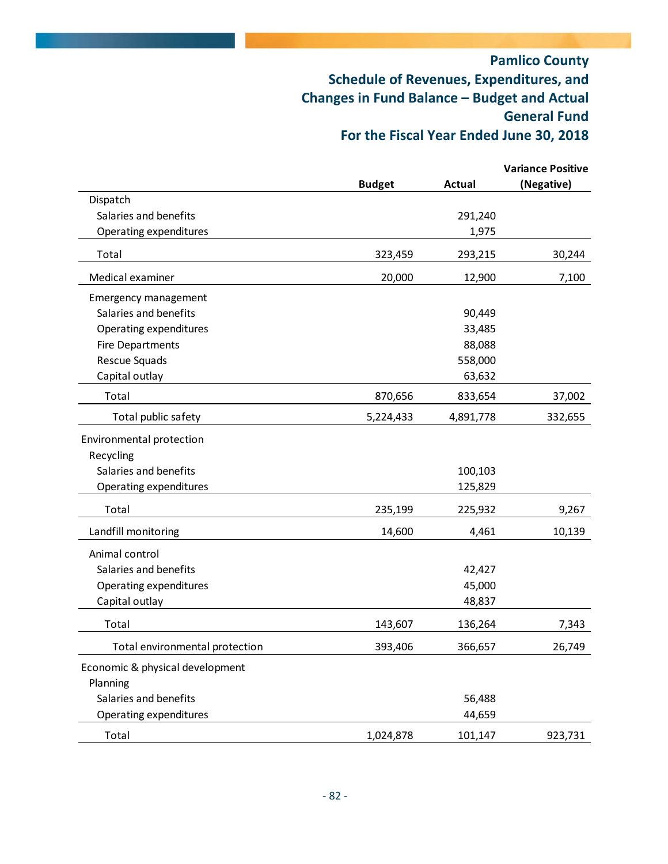|                                 |               |               | <b>Variance Positive</b> |
|---------------------------------|---------------|---------------|--------------------------|
|                                 | <b>Budget</b> | <b>Actual</b> | (Negative)               |
| Dispatch                        |               |               |                          |
| Salaries and benefits           |               | 291,240       |                          |
| Operating expenditures          |               | 1,975         |                          |
| Total                           | 323,459       | 293,215       | 30,244                   |
| Medical examiner                | 20,000        | 12,900        | 7,100                    |
| <b>Emergency management</b>     |               |               |                          |
| Salaries and benefits           |               | 90,449        |                          |
| Operating expenditures          |               | 33,485        |                          |
| <b>Fire Departments</b>         |               | 88,088        |                          |
| Rescue Squads                   |               | 558,000       |                          |
| Capital outlay                  |               | 63,632        |                          |
| Total                           | 870,656       | 833,654       | 37,002                   |
| Total public safety             | 5,224,433     | 4,891,778     | 332,655                  |
| Environmental protection        |               |               |                          |
| Recycling                       |               |               |                          |
| Salaries and benefits           |               | 100,103       |                          |
| Operating expenditures          |               | 125,829       |                          |
| Total                           | 235,199       | 225,932       | 9,267                    |
| Landfill monitoring             | 14,600        | 4,461         | 10,139                   |
| Animal control                  |               |               |                          |
| Salaries and benefits           |               | 42,427        |                          |
| Operating expenditures          |               | 45,000        |                          |
| Capital outlay                  |               | 48,837        |                          |
| Total                           | 143,607       | 136,264       | 7,343                    |
| Total environmental protection  | 393,406       | 366,657       | 26,749                   |
| Economic & physical development |               |               |                          |
| Planning                        |               |               |                          |
| Salaries and benefits           |               | 56,488        |                          |
| Operating expenditures          |               | 44,659        |                          |
| Total                           | 1,024,878     | 101,147       | 923,731                  |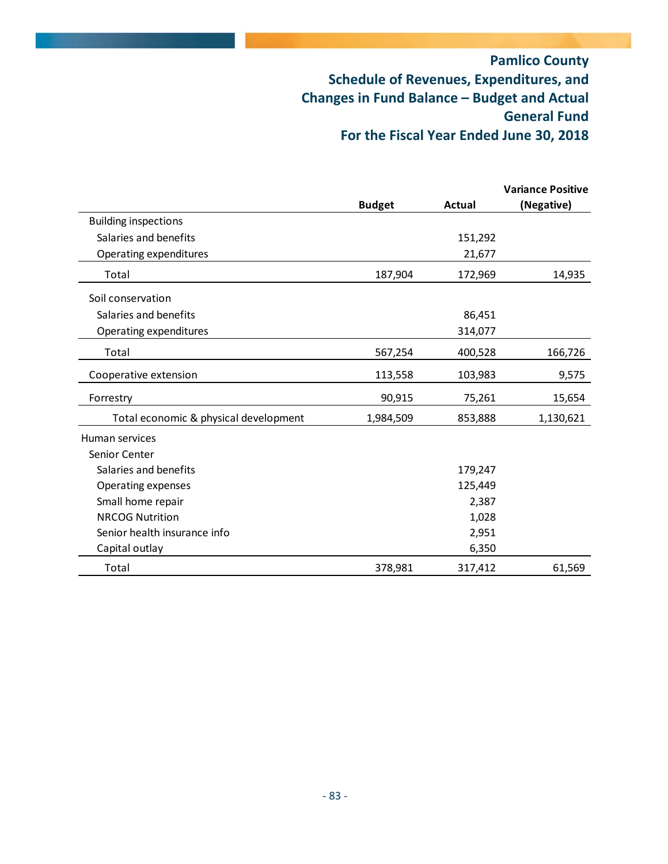|                                       |               |               | <b>Variance Positive</b> |
|---------------------------------------|---------------|---------------|--------------------------|
|                                       | <b>Budget</b> | <b>Actual</b> | (Negative)               |
| <b>Building inspections</b>           |               |               |                          |
| Salaries and benefits                 |               | 151,292       |                          |
| Operating expenditures                |               | 21,677        |                          |
| Total                                 | 187,904       | 172,969       | 14,935                   |
| Soil conservation                     |               |               |                          |
| Salaries and benefits                 |               | 86,451        |                          |
| Operating expenditures                |               | 314,077       |                          |
| Total                                 | 567,254       | 400,528       | 166,726                  |
| Cooperative extension                 | 113,558       | 103,983       | 9,575                    |
| Forrestry                             | 90,915        | 75,261        | 15,654                   |
| Total economic & physical development | 1,984,509     | 853,888       | 1,130,621                |
| Human services                        |               |               |                          |
| Senior Center                         |               |               |                          |
| Salaries and benefits                 |               | 179,247       |                          |
| Operating expenses                    |               | 125,449       |                          |
| Small home repair                     |               | 2,387         |                          |
| <b>NRCOG Nutrition</b>                |               | 1,028         |                          |
| Senior health insurance info          |               | 2,951         |                          |
| Capital outlay                        |               | 6,350         |                          |
| Total                                 | 378,981       | 317,412       | 61,569                   |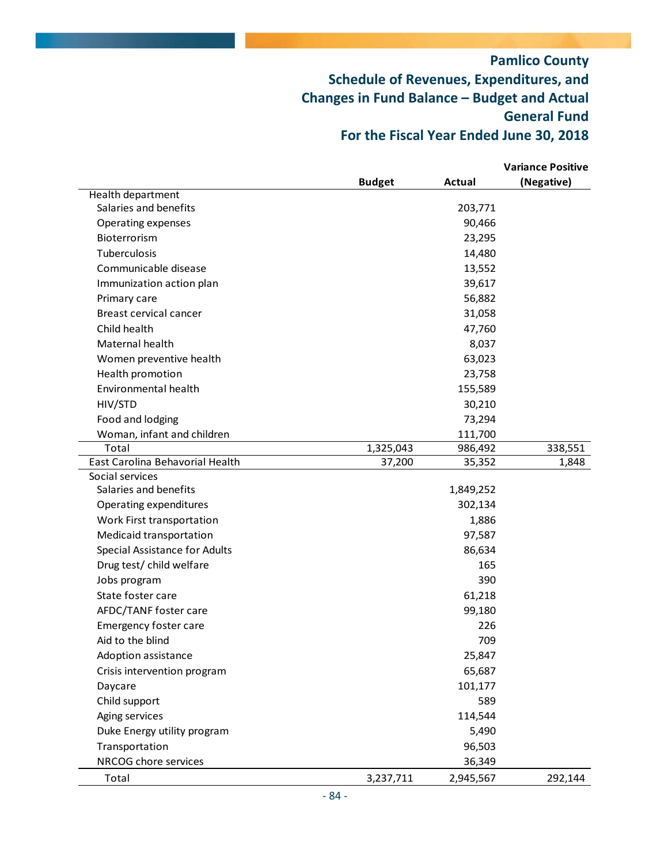|                                 |               |           | <b>Variance Positive</b> |
|---------------------------------|---------------|-----------|--------------------------|
|                                 | <b>Budget</b> | Actual    | (Negative)               |
| Health department               |               |           |                          |
| Salaries and benefits           |               | 203,771   |                          |
| Operating expenses              |               | 90,466    |                          |
| Bioterrorism                    |               | 23,295    |                          |
| Tuberculosis                    |               | 14,480    |                          |
| Communicable disease            |               | 13,552    |                          |
| Immunization action plan        |               | 39,617    |                          |
| Primary care                    |               | 56,882    |                          |
| Breast cervical cancer          |               | 31,058    |                          |
| Child health                    |               | 47,760    |                          |
| Maternal health                 |               | 8,037     |                          |
| Women preventive health         |               | 63,023    |                          |
| Health promotion                |               | 23,758    |                          |
| Environmental health            |               | 155,589   |                          |
| HIV/STD                         |               | 30,210    |                          |
| Food and lodging                |               | 73,294    |                          |
| Woman, infant and children      |               | 111,700   |                          |
| Total                           | 1,325,043     | 986,492   | 338,551                  |
| East Carolina Behavorial Health | 37,200        | 35,352    | 1,848                    |
| Social services                 |               |           |                          |
| Salaries and benefits           |               | 1,849,252 |                          |
| Operating expenditures          |               | 302,134   |                          |
| Work First transportation       |               | 1,886     |                          |
| Medicaid transportation         |               | 97,587    |                          |
| Special Assistance for Adults   |               | 86,634    |                          |
| Drug test/ child welfare        |               | 165       |                          |
| Jobs program                    |               | 390       |                          |
| State foster care               |               | 61,218    |                          |
| AFDC/TANF foster care           |               | 99,180    |                          |
| <b>Emergency foster care</b>    |               | 226       |                          |
| Aid to the blind                |               | 709       |                          |
| Adoption assistance             |               | 25,847    |                          |
| Crisis intervention program     |               | 65,687    |                          |
| Daycare                         |               | 101,177   |                          |
| Child support                   |               | 589       |                          |
| Aging services                  |               | 114,544   |                          |
| Duke Energy utility program     |               | 5,490     |                          |
| Transportation                  |               | 96,503    |                          |
| NRCOG chore services            |               | 36,349    |                          |
| Total                           | 3,237,711     | 2,945,567 | 292,144                  |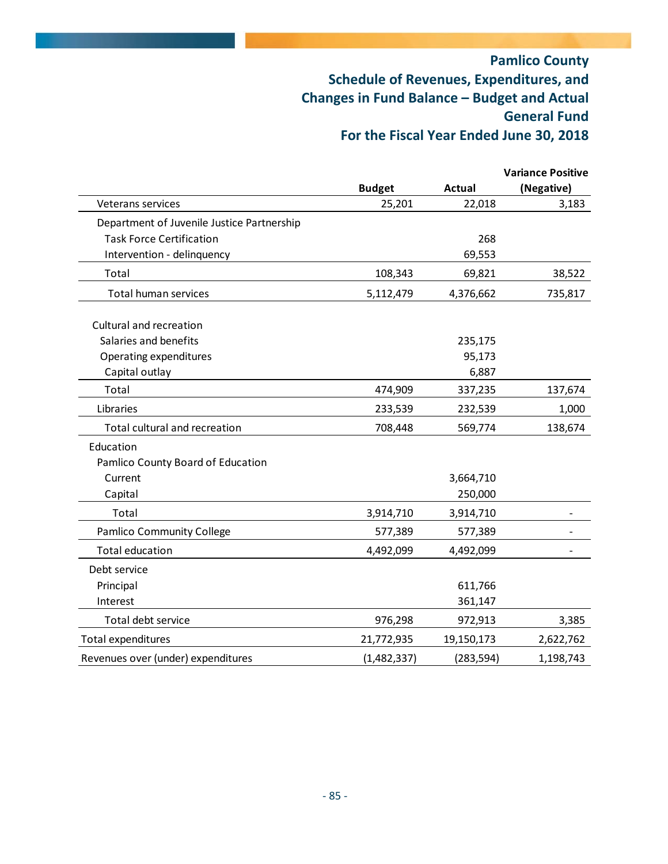|                                            |               |               | <b>Variance Positive</b> |
|--------------------------------------------|---------------|---------------|--------------------------|
|                                            | <b>Budget</b> | <b>Actual</b> | (Negative)               |
| Veterans services                          | 25,201        | 22,018        | 3,183                    |
| Department of Juvenile Justice Partnership |               |               |                          |
| <b>Task Force Certification</b>            |               | 268           |                          |
| Intervention - delinquency                 |               | 69,553        |                          |
| Total                                      | 108,343       | 69,821        | 38,522                   |
| Total human services                       | 5,112,479     | 4,376,662     | 735,817                  |
| Cultural and recreation                    |               |               |                          |
| Salaries and benefits                      |               | 235,175       |                          |
| Operating expenditures                     |               | 95,173        |                          |
| Capital outlay                             |               | 6,887         |                          |
| Total                                      | 474,909       | 337,235       | 137,674                  |
| Libraries                                  | 233,539       | 232,539       | 1,000                    |
| Total cultural and recreation              | 708,448       | 569,774       | 138,674                  |
| Education                                  |               |               |                          |
| Pamlico County Board of Education          |               |               |                          |
| Current                                    |               | 3,664,710     |                          |
| Capital                                    |               | 250,000       |                          |
| Total                                      | 3,914,710     | 3,914,710     |                          |
| Pamlico Community College                  | 577,389       | 577,389       |                          |
| <b>Total education</b>                     | 4,492,099     | 4,492,099     |                          |
| Debt service                               |               |               |                          |
| Principal                                  |               | 611,766       |                          |
| Interest                                   |               | 361,147       |                          |
| Total debt service                         | 976,298       | 972,913       | 3,385                    |
| Total expenditures                         | 21,772,935    | 19,150,173    | 2,622,762                |
| Revenues over (under) expenditures         | (1,482,337)   | (283, 594)    | 1,198,743                |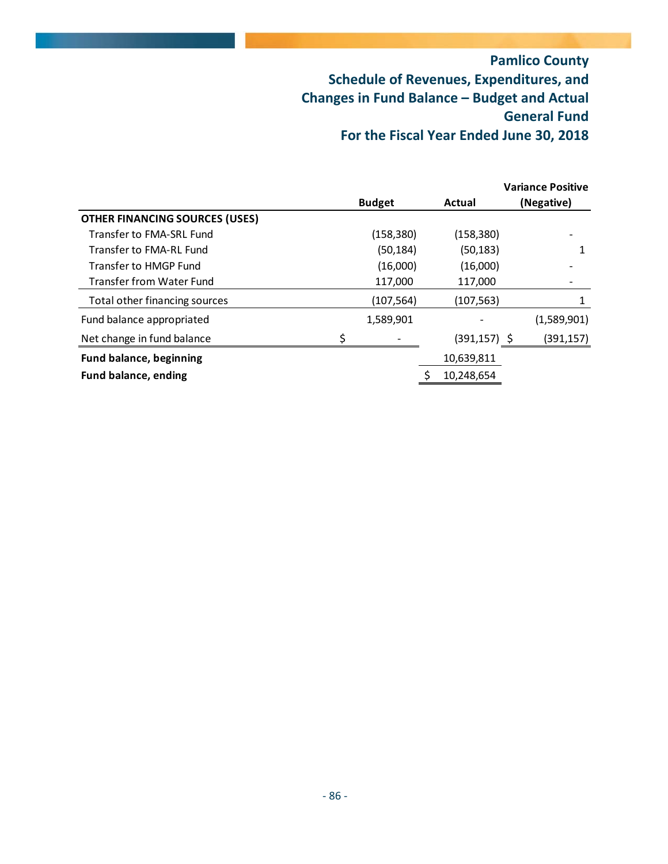|                                       |   |               |                 | <b>Variance Positive</b> |
|---------------------------------------|---|---------------|-----------------|--------------------------|
|                                       |   | <b>Budget</b> | Actual          | (Negative)               |
| <b>OTHER FINANCING SOURCES (USES)</b> |   |               |                 |                          |
| Transfer to FMA-SRL Fund              |   | (158, 380)    | (158, 380)      |                          |
| Transfer to FMA-RL Fund               |   | (50, 184)     | (50, 183)       |                          |
| Transfer to HMGP Fund                 |   | (16,000)      | (16,000)        |                          |
| Transfer from Water Fund              |   | 117,000       | 117,000         |                          |
| Total other financing sources         |   | (107, 564)    | (107,563)       |                          |
| Fund balance appropriated             |   | 1,589,901     |                 | (1,589,901)              |
| Net change in fund balance            | ς |               | $(391, 157)$ \$ | (391, 157)               |
| <b>Fund balance, beginning</b>        |   |               | 10,639,811      |                          |
| <b>Fund balance, ending</b>           |   |               | 10,248,654      |                          |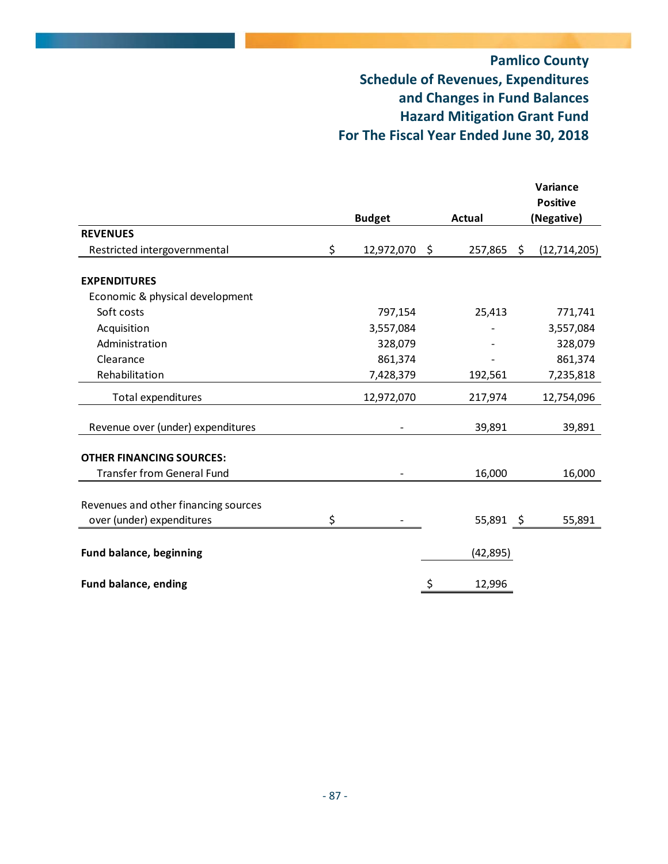# **Pamlico County Schedule of Revenues, Expenditures and Changes in Fund Balances Hazard Mitigation Grant Fund For The Fiscal Year Ended June 30, 2018**

|                                      | <b>Budget</b>    | Actual                        | Variance<br><b>Positive</b><br>(Negative) |
|--------------------------------------|------------------|-------------------------------|-------------------------------------------|
| <b>REVENUES</b>                      |                  |                               |                                           |
| Restricted intergovernmental         | \$<br>12,972,070 | $\ddot{\varsigma}$<br>257,865 | \$<br>(12, 714, 205)                      |
| <b>EXPENDITURES</b>                  |                  |                               |                                           |
| Economic & physical development      |                  |                               |                                           |
| Soft costs                           | 797,154          | 25,413                        | 771,741                                   |
| Acquisition                          | 3,557,084        |                               | 3,557,084                                 |
| Administration                       | 328,079          |                               | 328,079                                   |
| Clearance                            | 861,374          |                               | 861,374                                   |
| Rehabilitation                       | 7,428,379        | 192,561                       | 7,235,818                                 |
| Total expenditures                   | 12,972,070       | 217,974                       | 12,754,096                                |
| Revenue over (under) expenditures    |                  | 39,891                        | 39,891                                    |
| <b>OTHER FINANCING SOURCES:</b>      |                  |                               |                                           |
| <b>Transfer from General Fund</b>    |                  | 16,000                        | 16,000                                    |
| Revenues and other financing sources |                  |                               |                                           |
| over (under) expenditures            | \$               | 55,891 \$                     | 55,891                                    |
| <b>Fund balance, beginning</b>       |                  | (42, 895)                     |                                           |
| <b>Fund balance, ending</b>          |                  | \$<br>12,996                  |                                           |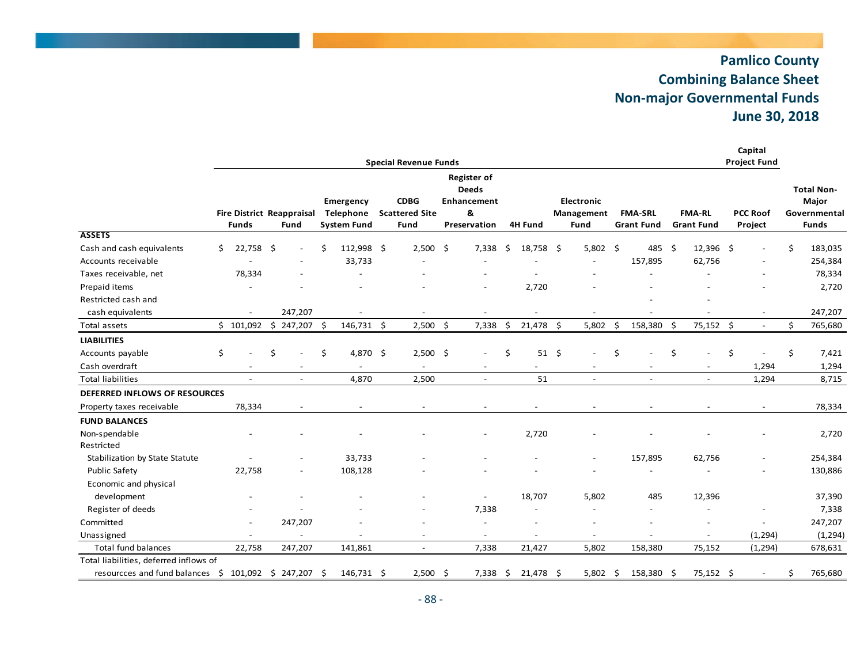#### **Pamlico County Combining Balance Sheet Non‐major Governmental Funds June 30, 2018**

|                                                      |    |                                                  |                          |    |                                              |      |                                              |                                                                               |                    |      |                                         |    |                                     |      |                                    | Capital                        |    |                                                            |
|------------------------------------------------------|----|--------------------------------------------------|--------------------------|----|----------------------------------------------|------|----------------------------------------------|-------------------------------------------------------------------------------|--------------------|------|-----------------------------------------|----|-------------------------------------|------|------------------------------------|--------------------------------|----|------------------------------------------------------------|
|                                                      |    |                                                  |                          |    |                                              |      | <b>Special Revenue Funds</b>                 |                                                                               |                    |      |                                         |    |                                     |      |                                    | <b>Project Fund</b>            |    |                                                            |
|                                                      |    | <b>Fire District Reappraisal</b><br><b>Funds</b> | Fund                     |    | Emergency<br>Telephone<br><b>System Fund</b> |      | <b>CDBG</b><br><b>Scattered Site</b><br>Fund | <b>Register of</b><br><b>Deeds</b><br><b>Enhancement</b><br>&<br>Preservation | <b>4H Fund</b>     |      | <b>Electronic</b><br>Management<br>Fund |    | <b>FMA-SRL</b><br><b>Grant Fund</b> |      | <b>FMA-RL</b><br><b>Grant Fund</b> | <b>PCC Roof</b><br>Project     |    | <b>Total Non-</b><br>Major<br>Governmental<br><b>Funds</b> |
| <b>ASSETS</b>                                        |    |                                                  |                          |    |                                              |      |                                              |                                                                               |                    |      |                                         |    |                                     |      |                                    |                                |    |                                                            |
| Cash and cash equivalents                            | Ŝ. | 22,758 \$                                        |                          |    | 112,998                                      | - \$ | $2,500$ \$                                   | 7,338                                                                         | \$<br>18,758       | -\$  | $5,802$ \$                              |    | 485 \$                              |      | 12,396 \$                          | $\overline{a}$                 | \$ | 183,035                                                    |
| Accounts receivable                                  |    |                                                  |                          |    | 33,733                                       |      |                                              |                                                                               |                    |      |                                         |    | 157,895                             |      | 62,756                             |                                |    | 254,384                                                    |
| Taxes receivable, net                                |    | 78,334                                           |                          |    |                                              |      |                                              |                                                                               |                    |      |                                         |    |                                     |      |                                    |                                |    | 78,334                                                     |
| Prepaid items                                        |    |                                                  |                          |    |                                              |      |                                              |                                                                               | 2,720              |      |                                         |    |                                     |      |                                    |                                |    | 2,720                                                      |
| Restricted cash and                                  |    |                                                  |                          |    |                                              |      |                                              |                                                                               |                    |      |                                         |    |                                     |      |                                    |                                |    |                                                            |
| cash equivalents                                     |    |                                                  | 247,207                  |    |                                              |      |                                              |                                                                               |                    |      |                                         |    |                                     |      |                                    |                                |    | 247,207                                                    |
| Total assets                                         |    | \$101,092                                        | \$<br>247,207            | S  | 146,731 \$                                   |      | $2,500$ \$                                   | 7,338                                                                         | \$<br>21,478       | \$   | 5,802                                   | Ś. | 158,380                             | -Ś   | 75,152                             | \$<br>$\overline{\phantom{a}}$ | Ś. | 765,680                                                    |
| <b>LIABILITIES</b>                                   |    |                                                  |                          |    |                                              |      |                                              |                                                                               |                    |      |                                         |    |                                     |      |                                    |                                |    |                                                            |
| Accounts payable                                     | \$ |                                                  | \$                       | \$ | 4,870 \$                                     |      | $2,500$ \$                                   |                                                                               | \$<br>$51 \quad $$ |      |                                         | Ś  |                                     | \$   |                                    | \$                             | \$ | 7,421                                                      |
| Cash overdraft                                       |    |                                                  |                          |    |                                              |      |                                              |                                                                               |                    |      |                                         |    |                                     |      |                                    | 1,294                          |    | 1,294                                                      |
| <b>Total liabilities</b>                             |    |                                                  | $\overline{a}$           |    | 4,870                                        |      | 2,500                                        | $\overline{a}$                                                                | 51                 |      | $\overline{\phantom{a}}$                |    | $\overline{a}$                      |      |                                    | 1,294                          |    | 8,715                                                      |
| DEFERRED INFLOWS OF RESOURCES                        |    |                                                  |                          |    |                                              |      |                                              |                                                                               |                    |      |                                         |    |                                     |      |                                    |                                |    |                                                            |
| Property taxes receivable                            |    | 78,334                                           |                          |    |                                              |      |                                              |                                                                               |                    |      |                                         |    |                                     |      |                                    |                                |    | 78,334                                                     |
| <b>FUND BALANCES</b>                                 |    |                                                  |                          |    |                                              |      |                                              |                                                                               |                    |      |                                         |    |                                     |      |                                    |                                |    |                                                            |
| Non-spendable<br>Restricted                          |    |                                                  |                          |    |                                              |      |                                              |                                                                               | 2,720              |      |                                         |    |                                     |      |                                    |                                |    | 2,720                                                      |
| Stabilization by State Statute                       |    |                                                  |                          |    | 33,733                                       |      |                                              |                                                                               |                    |      |                                         |    | 157,895                             |      | 62,756                             |                                |    | 254,384                                                    |
| <b>Public Safety</b>                                 |    | 22,758                                           | $\overline{\phantom{a}}$ |    | 108,128                                      |      |                                              |                                                                               |                    |      |                                         |    |                                     |      |                                    | L.                             |    | 130,886                                                    |
| Economic and physical<br>development                 |    |                                                  |                          |    |                                              |      |                                              |                                                                               | 18,707             |      | 5,802                                   |    | 485                                 |      | 12,396                             |                                |    | 37,390                                                     |
| Register of deeds                                    |    |                                                  |                          |    |                                              |      |                                              | 7,338                                                                         |                    |      |                                         |    |                                     |      |                                    |                                |    | 7,338                                                      |
| Committed                                            |    |                                                  | 247,207                  |    |                                              |      |                                              | $\overline{a}$                                                                |                    |      |                                         |    |                                     |      |                                    | $\overline{a}$                 |    | 247,207                                                    |
| Unassigned                                           |    |                                                  | $\overline{a}$           |    |                                              |      |                                              | $\overline{a}$                                                                |                    |      |                                         |    |                                     |      |                                    | (1, 294)                       |    | (1, 294)                                                   |
| <b>Total fund balances</b>                           |    | 22,758                                           | 247,207                  |    | 141,861                                      |      | $\overline{a}$                               | 7,338                                                                         | 21,427             |      | 5,802                                   |    | 158,380                             |      | 75,152                             | (1, 294)                       |    | 678,631                                                    |
| Total liabilities, deferred inflows of               |    |                                                  |                          |    |                                              |      |                                              |                                                                               |                    |      |                                         |    |                                     |      |                                    |                                |    |                                                            |
| resourcces and fund balances $$ 101,092 $ 247,207 $$ |    |                                                  |                          |    | 146,731 \$                                   |      | $2,500$ \$                                   | 7,338                                                                         | \$<br>21,478       | - \$ | 5,802                                   | \$ | 158,380                             | - \$ | 75,152 \$                          | $\blacksquare$                 | Ś  | 765,680                                                    |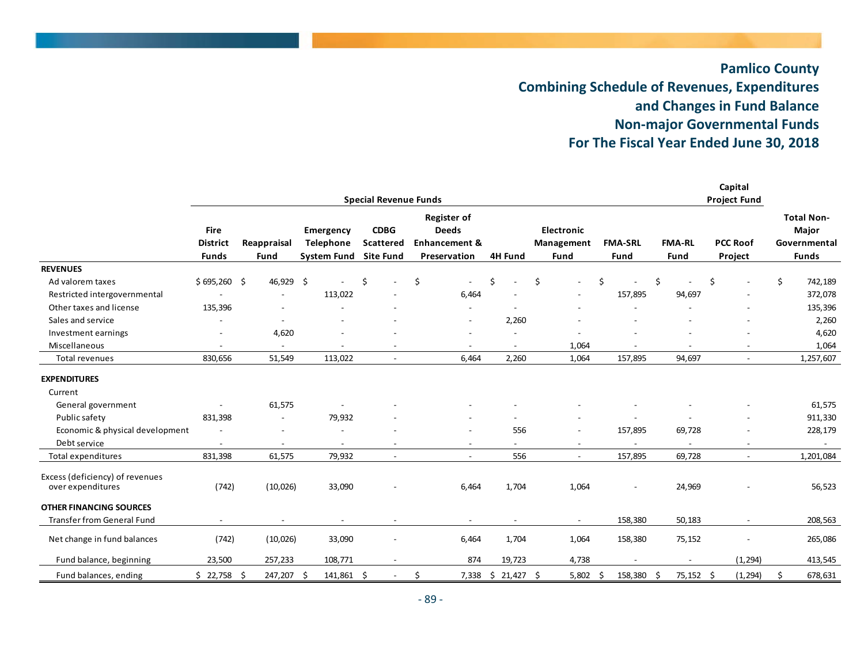#### **Pamlico County Combining Schedule of Revenues, Expenditures and Changes in Fund Balance Non‐major Governmental Funds For The Fiscal Year Ended June 30, 2018**

|                                                      |                                |                          |                                      | <b>Special Revenue Funds</b>    |                                                                |                          |                          |                          |                          | Capital<br><b>Project Fund</b> |                                            |
|------------------------------------------------------|--------------------------------|--------------------------|--------------------------------------|---------------------------------|----------------------------------------------------------------|--------------------------|--------------------------|--------------------------|--------------------------|--------------------------------|--------------------------------------------|
|                                                      | <b>Fire</b><br><b>District</b> | Reappraisal              | <b>Emergency</b><br><b>Telephone</b> | <b>CDBG</b><br><b>Scattered</b> | <b>Register of</b><br><b>Deeds</b><br><b>Enhancement &amp;</b> |                          | Electronic<br>Management | <b>FMA-SRL</b>           | <b>FMA-RL</b>            | <b>PCC Roof</b>                | <b>Total Non-</b><br>Major<br>Governmental |
|                                                      | <b>Funds</b>                   | Fund                     | <b>System Fund</b>                   | <b>Site Fund</b>                | Preservation                                                   | <b>4H Fund</b>           | <b>Fund</b>              | Fund                     | Fund                     | Project                        | <b>Funds</b>                               |
| <b>REVENUES</b>                                      |                                |                          |                                      |                                 |                                                                |                          |                          |                          |                          |                                |                                            |
| Ad valorem taxes                                     | \$695,260                      | -\$<br>46,929 \$         |                                      | \$<br>$\overline{\phantom{a}}$  | \$<br>$\overline{\phantom{a}}$                                 | \$                       | \$                       | Ś                        | \$                       | \$<br>$\overline{\phantom{a}}$ | \$<br>742,189                              |
| Restricted intergovernmental                         |                                |                          | 113,022                              |                                 | 6,464                                                          |                          |                          | 157,895                  | 94,697                   | $\overline{\phantom{a}}$       | 372,078                                    |
| Other taxes and license                              | 135,396                        | $\overline{a}$           |                                      |                                 |                                                                |                          |                          |                          |                          |                                | 135,396                                    |
| Sales and service                                    |                                |                          |                                      |                                 | $\overline{\phantom{a}}$                                       | 2,260                    |                          |                          |                          |                                | 2,260                                      |
| Investment earnings                                  |                                | 4,620                    |                                      |                                 |                                                                |                          |                          |                          |                          |                                | 4,620                                      |
| Miscellaneous                                        | $\overline{\phantom{a}}$       | $\blacksquare$           | $\overline{\phantom{a}}$             | $\overline{\phantom{a}}$        | $\overline{\phantom{a}}$                                       | $\overline{\phantom{a}}$ | 1,064                    | $\overline{\phantom{a}}$ | $\overline{\phantom{a}}$ | $\overline{\phantom{a}}$       | 1,064                                      |
| Total revenues                                       | 830,656                        | 51,549                   | 113,022                              | $\overline{\phantom{a}}$        | 6,464                                                          | 2,260                    | 1,064                    | 157,895                  | 94,697                   | $\overline{\phantom{a}}$       | 1,257,607                                  |
| <b>EXPENDITURES</b>                                  |                                |                          |                                      |                                 |                                                                |                          |                          |                          |                          |                                |                                            |
| Current                                              |                                |                          |                                      |                                 |                                                                |                          |                          |                          |                          |                                |                                            |
| General government                                   |                                | 61,575                   |                                      |                                 |                                                                |                          |                          |                          |                          |                                | 61,575                                     |
| Public safety                                        | 831,398                        | $\overline{\phantom{a}}$ | 79,932                               |                                 |                                                                |                          |                          |                          |                          |                                | 911,330                                    |
| Economic & physical development                      |                                | $\overline{\phantom{a}}$ |                                      |                                 | $\overline{\phantom{a}}$                                       | 556                      | $\overline{\phantom{a}}$ | 157,895                  | 69,728                   | $\overline{\phantom{0}}$       | 228,179                                    |
| Debt service                                         | $\overline{\phantom{a}}$       | $\blacksquare$           | $\overline{\phantom{a}}$             |                                 | $\overline{\phantom{a}}$                                       |                          |                          | $\overline{\phantom{a}}$ | $\overline{\phantom{a}}$ | $\overline{\phantom{a}}$       | $\sim$                                     |
| Total expenditures                                   | 831,398                        | 61,575                   | 79,932                               | $\overline{a}$                  | $\overline{a}$                                                 | 556                      | $\sim$                   | 157,895                  | 69,728                   | $\overline{a}$                 | 1,201,084                                  |
| Excess (deficiency) of revenues<br>over expenditures | (742)                          | (10,026)                 | 33,090                               |                                 | 6,464                                                          | 1,704                    | 1,064                    | $\overline{a}$           | 24,969                   |                                | 56,523                                     |
| <b>OTHER FINANCING SOURCES</b>                       |                                |                          |                                      |                                 |                                                                |                          |                          |                          |                          |                                |                                            |
| <b>Transfer from General Fund</b>                    |                                | $\overline{\phantom{a}}$ |                                      |                                 | $\overline{\phantom{a}}$                                       |                          |                          | 158,380                  | 50,183                   | $\overline{\phantom{a}}$       | 208,563                                    |
| Net change in fund balances                          | (742)                          | (10,026)                 | 33,090                               |                                 | 6,464                                                          | 1,704                    | 1,064                    | 158,380                  | 75,152                   | $\overline{a}$                 | 265,086                                    |
| Fund balance, beginning                              | 23,500                         | 257,233                  | 108,771                              |                                 | 874                                                            | 19,723                   | 4,738                    |                          |                          | (1, 294)                       | 413,545                                    |
| Fund balances, ending                                | \$22,758                       | -Ś<br>247,207            | 141,861 \$<br>- Ś                    |                                 | \$<br>7,338                                                    | $$21,427$ \$             | 5,802                    | 158,380<br>Ŝ             | 75,152 \$<br>- S         | (1, 294)                       | Ś.<br>678,631                              |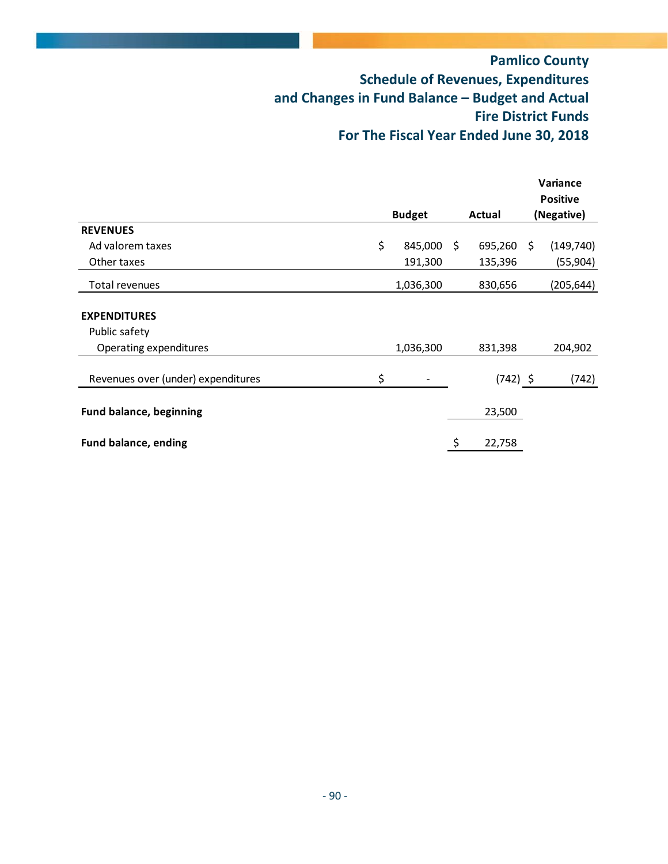|                                    |               |     |            |    | Variance        |
|------------------------------------|---------------|-----|------------|----|-----------------|
|                                    |               |     |            |    | <b>Positive</b> |
|                                    | <b>Budget</b> |     | Actual     |    | (Negative)      |
| <b>REVENUES</b>                    |               |     |            |    |                 |
| Ad valorem taxes                   | \$<br>845,000 | \$. | 695,260    | Ŝ. | (149, 740)      |
| Other taxes                        | 191,300       |     | 135,396    |    | (55, 904)       |
| Total revenues                     | 1,036,300     |     | 830,656    |    | (205, 644)      |
| <b>EXPENDITURES</b>                |               |     |            |    |                 |
| Public safety                      |               |     |            |    |                 |
| Operating expenditures             | 1,036,300     |     | 831,398    |    | 204,902         |
| Revenues over (under) expenditures |               |     | $(742)$ \$ |    | (742)           |
|                                    |               |     |            |    |                 |
| <b>Fund balance, beginning</b>     |               |     | 23,500     |    |                 |
| <b>Fund balance, ending</b>        |               | \$  | 22,758     |    |                 |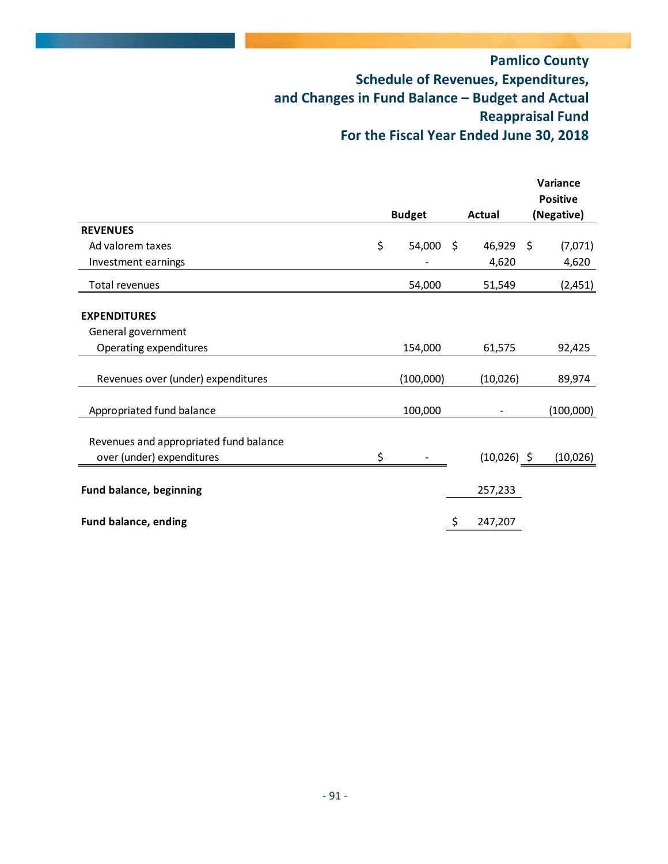|                                        |                 |               |                    | Variance        |
|----------------------------------------|-----------------|---------------|--------------------|-----------------|
|                                        |                 |               |                    | <b>Positive</b> |
|                                        | <b>Budget</b>   | <b>Actual</b> |                    | (Negative)      |
| <b>REVENUES</b>                        |                 |               |                    |                 |
| Ad valorem taxes                       | \$<br>54,000 \$ | 46,929        | $\ddot{\varsigma}$ | (7,071)         |
| Investment earnings                    |                 | 4,620         |                    | 4,620           |
| Total revenues                         | 54,000          | 51,549        |                    | (2,451)         |
| <b>EXPENDITURES</b>                    |                 |               |                    |                 |
| General government                     |                 |               |                    |                 |
| Operating expenditures                 | 154,000         | 61,575        |                    | 92,425          |
| Revenues over (under) expenditures     | (100,000)       | (10,026)      |                    | 89,974          |
| Appropriated fund balance              | 100,000         |               |                    | (100,000)       |
| Revenues and appropriated fund balance |                 |               |                    |                 |
| over (under) expenditures              | \$              | $(10,026)$ \$ |                    | (10,026)        |
| <b>Fund balance, beginning</b>         |                 | 257,233       |                    |                 |
| Fund balance, ending                   |                 | \$<br>247,207 |                    |                 |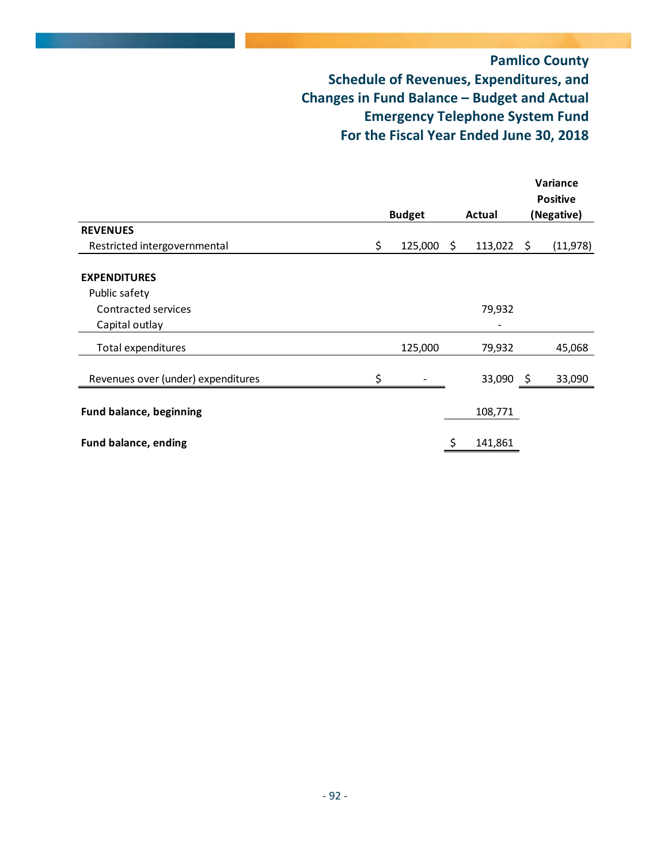|                                    |                    |               |     | Variance<br><b>Positive</b> |
|------------------------------------|--------------------|---------------|-----|-----------------------------|
|                                    | <b>Budget</b>      | Actual        |     | (Negative)                  |
| <b>REVENUES</b>                    |                    |               |     |                             |
| Restricted intergovernmental       | \$<br>$125,000$ \$ | 113,022       | \$  | (11, 978)                   |
| <b>EXPENDITURES</b>                |                    |               |     |                             |
| Public safety                      |                    |               |     |                             |
| Contracted services                |                    | 79,932        |     |                             |
| Capital outlay                     |                    |               |     |                             |
| Total expenditures                 | 125,000            | 79,932        |     | 45,068                      |
| Revenues over (under) expenditures | \$                 | 33,090        | - Ş | 33,090                      |
| <b>Fund balance, beginning</b>     |                    | 108,771       |     |                             |
| <b>Fund balance, ending</b>        |                    | \$<br>141,861 |     |                             |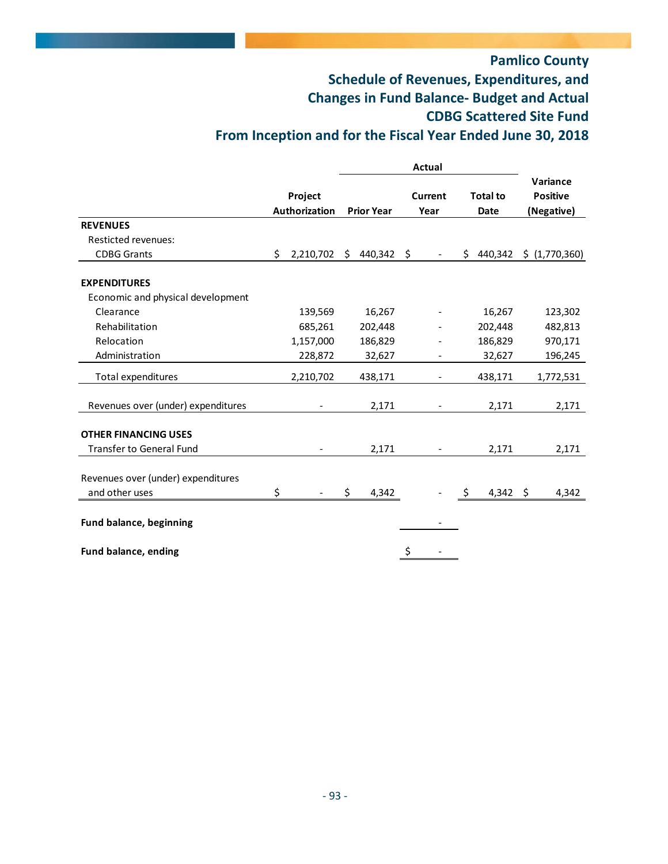# **Pamlico County Schedule of Revenues, Expenditures, and Changes in Fund Balance‐ Budget and Actual CDBG Scattered Site Fund From Inception and for the Fiscal Year Ended June 30, 2018**

|                                    | Project<br><b>Authorization</b> |     | <b>Prior Year</b> |    | Current<br>Year | <b>Total to</b><br><b>Date</b> |          | Variance<br><b>Positive</b><br>(Negative) |
|------------------------------------|---------------------------------|-----|-------------------|----|-----------------|--------------------------------|----------|-------------------------------------------|
| <b>REVENUES</b>                    |                                 |     |                   |    |                 |                                |          |                                           |
| <b>Resticted revenues:</b>         |                                 |     |                   |    |                 |                                |          |                                           |
| <b>CDBG Grants</b>                 | \$<br>2,210,702                 | S.  | 440,342           | \$ |                 | S.                             | 440,342  | \$ (1,770,360)                            |
| <b>EXPENDITURES</b>                |                                 |     |                   |    |                 |                                |          |                                           |
| Economic and physical development  |                                 |     |                   |    |                 |                                |          |                                           |
| Clearance                          | 139,569                         |     | 16,267            |    |                 |                                | 16,267   | 123,302                                   |
| Rehabilitation                     | 685,261                         |     | 202,448           |    |                 |                                | 202,448  | 482,813                                   |
| Relocation                         | 1,157,000                       |     | 186,829           |    |                 |                                | 186,829  | 970,171                                   |
| Administration                     | 228,872                         |     | 32,627            |    |                 |                                | 32,627   | 196,245                                   |
| Total expenditures                 | 2,210,702                       |     | 438,171           |    |                 |                                | 438,171  | 1,772,531                                 |
| Revenues over (under) expenditures |                                 |     | 2,171             |    |                 |                                | 2,171    | 2,171                                     |
| <b>OTHER FINANCING USES</b>        |                                 |     |                   |    |                 |                                |          |                                           |
| <b>Transfer to General Fund</b>    |                                 |     | 2,171             |    |                 |                                | 2,171    | 2,171                                     |
| Revenues over (under) expenditures |                                 |     |                   |    |                 |                                |          |                                           |
| and other uses                     | \$                              | \$. | 4,342             |    |                 | \$                             | 4,342 \$ | 4,342                                     |
| <b>Fund balance, beginning</b>     |                                 |     |                   |    |                 |                                |          |                                           |
| Fund balance, ending               |                                 |     |                   | \$ |                 |                                |          |                                           |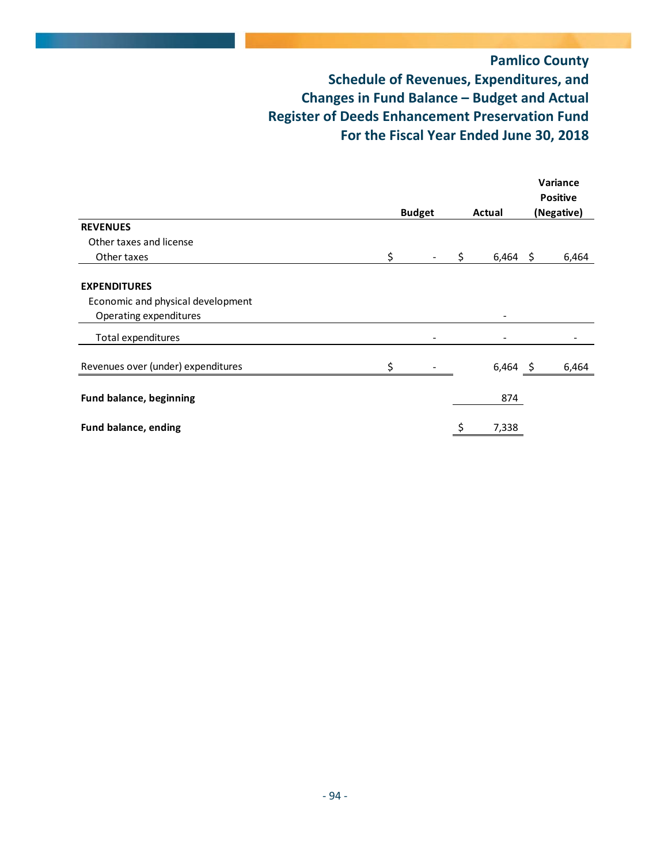# **Pamlico County Schedule of Revenues, Expenditures, and Changes in Fund Balance – Budget and Actual Register of Deeds Enhancement Preservation Fund For the Fiscal Year Ended June 30, 2018**

|                                    |    |               |             |     | Variance<br><b>Positive</b> |
|------------------------------------|----|---------------|-------------|-----|-----------------------------|
|                                    |    | <b>Budget</b> | Actual      |     | (Negative)                  |
| <b>REVENUES</b>                    |    |               |             |     |                             |
| Other taxes and license            |    |               |             |     |                             |
| Other taxes                        | \$ |               | \$<br>6,464 | -\$ | 6,464                       |
| <b>EXPENDITURES</b>                |    |               |             |     |                             |
| Economic and physical development  |    |               |             |     |                             |
| Operating expenditures             |    |               |             |     |                             |
| Total expenditures                 |    |               |             |     |                             |
| Revenues over (under) expenditures |    |               | $6,464$ \$  |     | 6,464                       |
| <b>Fund balance, beginning</b>     |    |               | 874         |     |                             |
| Fund balance, ending               |    |               | 7,338       |     |                             |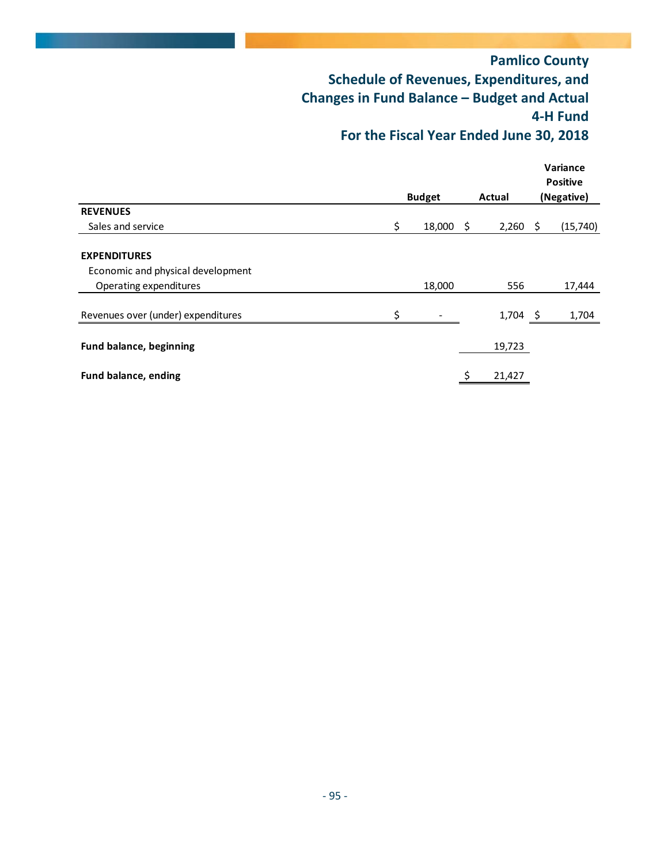|                                    |               |    |            |    | Variance<br><b>Positive</b> |
|------------------------------------|---------------|----|------------|----|-----------------------------|
|                                    | <b>Budget</b> |    | Actual     |    | (Negative)                  |
| <b>REVENUES</b>                    |               |    |            |    |                             |
| Sales and service                  | \$<br>18,000  | -Ş | 2,260      | -S | (15,740)                    |
| <b>EXPENDITURES</b>                |               |    |            |    |                             |
| Economic and physical development  |               |    |            |    |                             |
| Operating expenditures             | 18,000        |    | 556        |    | 17,444                      |
| Revenues over (under) expenditures | \$            |    | $1,704$ \$ |    | 1,704                       |
| <b>Fund balance, beginning</b>     |               |    | 19,723     |    |                             |
| Fund balance, ending               |               |    | 21,427     |    |                             |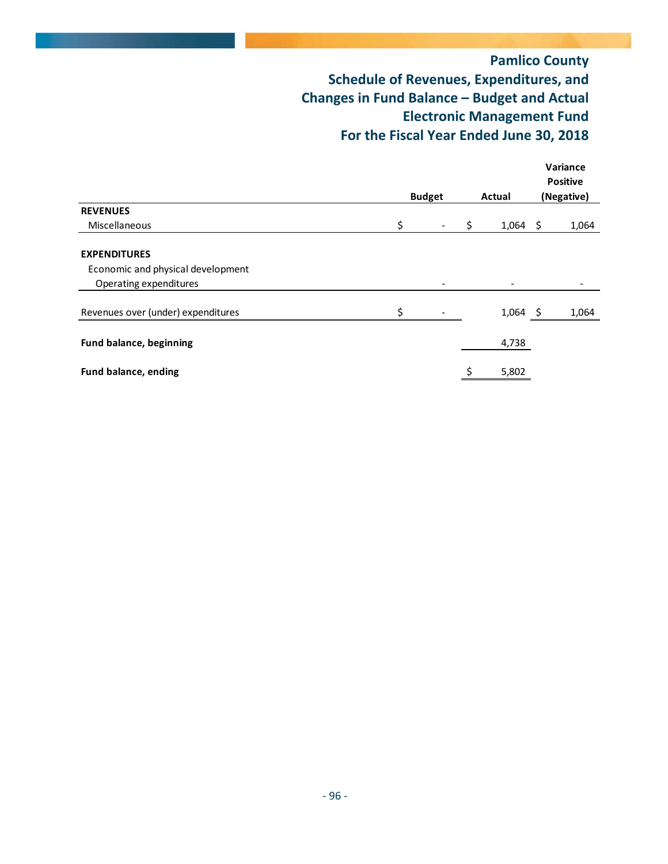|                                    |                                     |  |            |  | Variance<br><b>Positive</b> |
|------------------------------------|-------------------------------------|--|------------|--|-----------------------------|
|                                    | <b>Budget</b><br>Actual<br>\$<br>\$ |  | (Negative) |  |                             |
| <b>REVENUES</b>                    |                                     |  |            |  |                             |
| Miscellaneous                      | \$                                  |  | $1,064$ \$ |  | 1,064                       |
| <b>EXPENDITURES</b>                |                                     |  |            |  |                             |
| Economic and physical development  |                                     |  |            |  |                             |
| Operating expenditures             |                                     |  |            |  |                             |
| Revenues over (under) expenditures | \$                                  |  | $1,064$ \$ |  | 1,064                       |
| <b>Fund balance, beginning</b>     |                                     |  | 4,738      |  |                             |
| <b>Fund balance, ending</b>        |                                     |  | 5,802      |  |                             |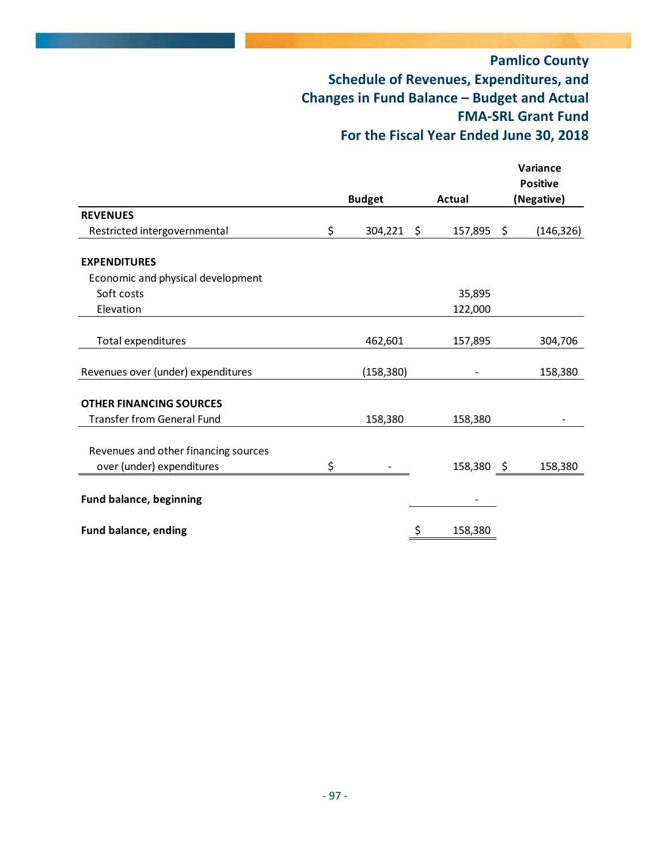|                                      |               |            | Variance        |
|--------------------------------------|---------------|------------|-----------------|
|                                      |               |            | <b>Positive</b> |
|                                      | <b>Budget</b> | Actual     | (Negative)      |
| <b>REVENUES</b>                      |               |            |                 |
| \$<br>Restricted intergovernmental   | 304,221 \$    | 157,895 \$ | (146, 326)      |
| <b>EXPENDITURES</b>                  |               |            |                 |
| Economic and physical development    |               |            |                 |
| Soft costs                           |               | 35,895     |                 |
| Elevation                            |               | 122,000    |                 |
| Total expenditures                   | 462,601       | 157,895    | 304,706         |
|                                      |               |            |                 |
| Revenues over (under) expenditures   | (158, 380)    |            | 158,380         |
| <b>OTHER FINANCING SOURCES</b>       |               |            |                 |
| <b>Transfer from General Fund</b>    | 158,380       | 158,380    |                 |
| Revenues and other financing sources |               |            |                 |
| \$<br>over (under) expenditures      |               | 158,380    | 158,380<br>- \$ |
|                                      |               |            |                 |
| Fund balance, beginning              |               |            |                 |
| Fund balance, ending                 |               | 158,380    |                 |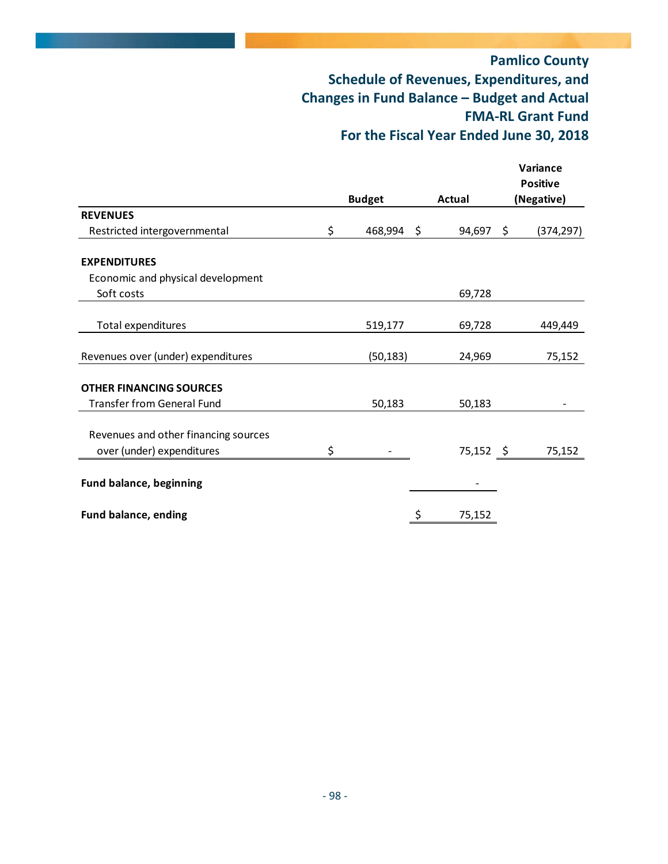|                                      |                  |              |                    | Variance        |
|--------------------------------------|------------------|--------------|--------------------|-----------------|
|                                      |                  |              |                    | <b>Positive</b> |
|                                      | <b>Budget</b>    | Actual       |                    | (Negative)      |
| <b>REVENUES</b>                      |                  |              |                    |                 |
| Restricted intergovernmental         | \$<br>468,994 \$ | 94,697       | $\ddot{\varsigma}$ | (374, 297)      |
| <b>EXPENDITURES</b>                  |                  |              |                    |                 |
| Economic and physical development    |                  |              |                    |                 |
| Soft costs                           |                  | 69,728       |                    |                 |
| Total expenditures                   | 519,177          | 69,728       |                    | 449,449         |
|                                      |                  |              |                    |                 |
| Revenues over (under) expenditures   | (50, 183)        | 24,969       |                    | 75,152          |
| <b>OTHER FINANCING SOURCES</b>       |                  |              |                    |                 |
| <b>Transfer from General Fund</b>    | 50,183           | 50,183       |                    |                 |
| Revenues and other financing sources |                  |              |                    |                 |
| over (under) expenditures            | \$               | 75,152 \$    |                    | 75,152          |
|                                      |                  |              |                    |                 |
| <b>Fund balance, beginning</b>       |                  |              |                    |                 |
| <b>Fund balance, ending</b>          |                  | \$<br>75,152 |                    |                 |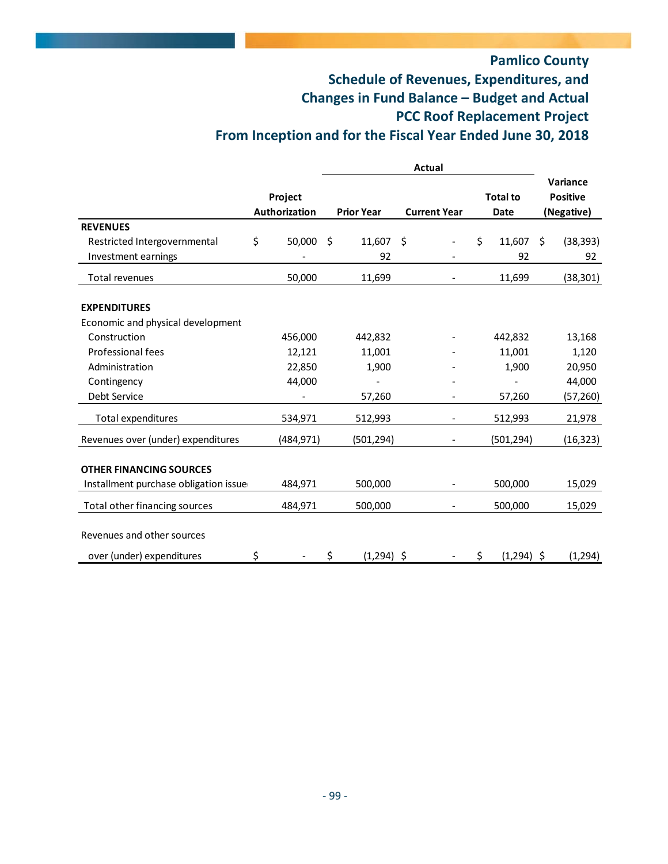# **Pamlico County Schedule of Revenues, Expenditures, and Changes in Fund Balance – Budget and Actual PCC Roof Replacement Project From Inception and for the Fiscal Year Ended June 30, 2018**

|                                       | Project<br><b>Authorization</b> | <b>Prior Year</b>  | <b>Current Year</b> |  | <b>Total to</b><br><b>Date</b> |              | Variance<br><b>Positive</b><br>(Negative) |
|---------------------------------------|---------------------------------|--------------------|---------------------|--|--------------------------------|--------------|-------------------------------------------|
| <b>REVENUES</b>                       |                                 |                    |                     |  |                                |              |                                           |
| Restricted Intergovernmental          | \$<br>50,000                    | \$<br>11,607       | \$                  |  | Ś.                             | 11,607       | \$<br>(38, 393)                           |
| Investment earnings                   |                                 | 92                 |                     |  |                                | 92           | 92                                        |
| Total revenues                        | 50,000                          | 11,699             |                     |  |                                | 11,699       | (38, 301)                                 |
| <b>EXPENDITURES</b>                   |                                 |                    |                     |  |                                |              |                                           |
| Economic and physical development     |                                 |                    |                     |  |                                |              |                                           |
| Construction                          | 456,000                         | 442,832            |                     |  |                                | 442,832      | 13,168                                    |
| Professional fees                     | 12,121                          | 11,001             |                     |  |                                | 11,001       | 1,120                                     |
| Administration                        | 22,850                          | 1,900              |                     |  |                                | 1,900        | 20,950                                    |
| Contingency                           | 44,000                          |                    |                     |  |                                |              | 44,000                                    |
| Debt Service                          |                                 | 57,260             |                     |  |                                | 57,260       | (57, 260)                                 |
| Total expenditures                    | 534,971                         | 512,993            |                     |  |                                | 512,993      | 21,978                                    |
| Revenues over (under) expenditures    | (484, 971)                      | (501, 294)         |                     |  |                                | (501, 294)   | (16, 323)                                 |
| <b>OTHER FINANCING SOURCES</b>        |                                 |                    |                     |  |                                |              |                                           |
| Installment purchase obligation issue | 484,971                         | 500,000            |                     |  |                                | 500,000      | 15,029                                    |
| Total other financing sources         | 484,971                         | 500,000            |                     |  |                                | 500,000      | 15,029                                    |
| Revenues and other sources            |                                 |                    |                     |  |                                |              |                                           |
| over (under) expenditures             | \$                              | \$<br>$(1,294)$ \$ |                     |  | \$                             | $(1,294)$ \$ | (1, 294)                                  |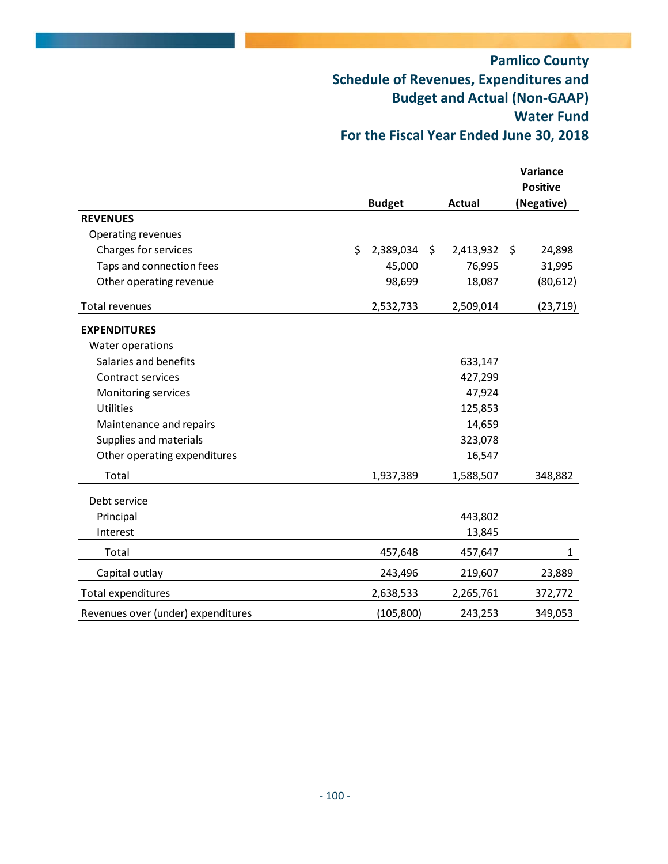# **Pamlico County Schedule of Revenues, Expenditures and Budget and Actual (Non‐GAAP) Water Fund For the Fiscal Year Ended June 30, 2018**

|                                    |                 |                 | Variance<br><b>Positive</b> |
|------------------------------------|-----------------|-----------------|-----------------------------|
|                                    | <b>Budget</b>   | <b>Actual</b>   | (Negative)                  |
| <b>REVENUES</b>                    |                 |                 |                             |
| Operating revenues                 |                 |                 |                             |
| Charges for services               | \$<br>2,389,034 | \$<br>2,413,932 | \$<br>24,898                |
| Taps and connection fees           | 45,000          | 76,995          | 31,995                      |
| Other operating revenue            | 98,699          | 18,087          | (80, 612)                   |
| Total revenues                     | 2,532,733       | 2,509,014       | (23, 719)                   |
| <b>EXPENDITURES</b>                |                 |                 |                             |
| Water operations                   |                 |                 |                             |
| Salaries and benefits              |                 | 633,147         |                             |
| Contract services                  |                 | 427,299         |                             |
| Monitoring services                |                 | 47,924          |                             |
| <b>Utilities</b>                   |                 | 125,853         |                             |
| Maintenance and repairs            |                 | 14,659          |                             |
| Supplies and materials             |                 | 323,078         |                             |
| Other operating expenditures       |                 | 16,547          |                             |
| Total                              | 1,937,389       | 1,588,507       | 348,882                     |
| Debt service                       |                 |                 |                             |
| Principal                          |                 | 443,802         |                             |
| Interest                           |                 | 13,845          |                             |
| Total                              | 457,648         | 457,647         | $\mathbf{1}$                |
| Capital outlay                     | 243,496         | 219,607         | 23,889                      |
| Total expenditures                 | 2,638,533       | 2,265,761       | 372,772                     |
| Revenues over (under) expenditures | (105, 800)      | 243,253         | 349,053                     |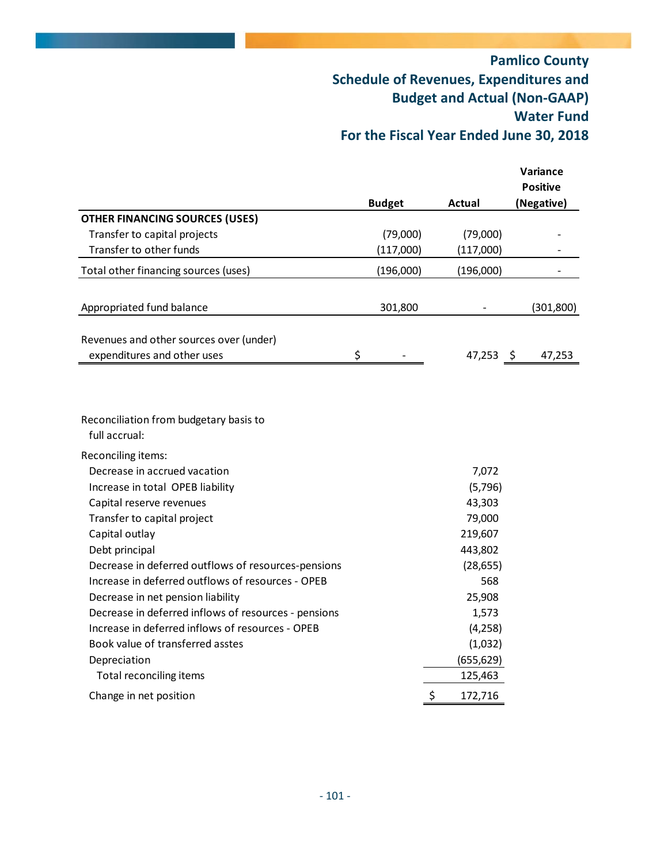# **Pamlico County Schedule of Revenues, Expenditures and Budget and Actual (Non‐GAAP) Water Fund For the Fiscal Year Ended June 30, 2018**

|                                                         |               |               | Variance<br><b>Positive</b> |
|---------------------------------------------------------|---------------|---------------|-----------------------------|
| <b>OTHER FINANCING SOURCES (USES)</b>                   | <b>Budget</b> | Actual        | (Negative)                  |
| Transfer to capital projects                            | (79,000)      | (79,000)      |                             |
| Transfer to other funds                                 | (117,000)     |               |                             |
|                                                         |               | (117,000)     |                             |
| Total other financing sources (uses)                    | (196,000)     | (196,000)     |                             |
| Appropriated fund balance                               | 301,800       |               | (301, 800)                  |
| Revenues and other sources over (under)                 |               |               |                             |
| expenditures and other uses                             | \$            | 47,253 \$     | 47,253                      |
| Reconciliation from budgetary basis to<br>full accrual: |               |               |                             |
| Reconciling items:                                      |               |               |                             |
| Decrease in accrued vacation                            |               | 7,072         |                             |
| Increase in total OPEB liability                        |               | (5,796)       |                             |
| Capital reserve revenues                                |               | 43,303        |                             |
| Transfer to capital project                             |               | 79,000        |                             |
| Capital outlay                                          |               | 219,607       |                             |
| Debt principal                                          |               | 443,802       |                             |
| Decrease in deferred outflows of resources-pensions     |               | (28, 655)     |                             |
| Increase in deferred outflows of resources - OPEB       |               | 568           |                             |
| Decrease in net pension liability                       |               | 25,908        |                             |
| Decrease in deferred inflows of resources - pensions    |               | 1,573         |                             |
| Increase in deferred inflows of resources - OPEB        |               | (4, 258)      |                             |
| Book value of transferred asstes                        |               | (1,032)       |                             |
| Depreciation                                            |               | (655, 629)    |                             |
| Total reconciling items                                 |               | 125,463       |                             |
| Change in net position                                  |               | \$<br>172,716 |                             |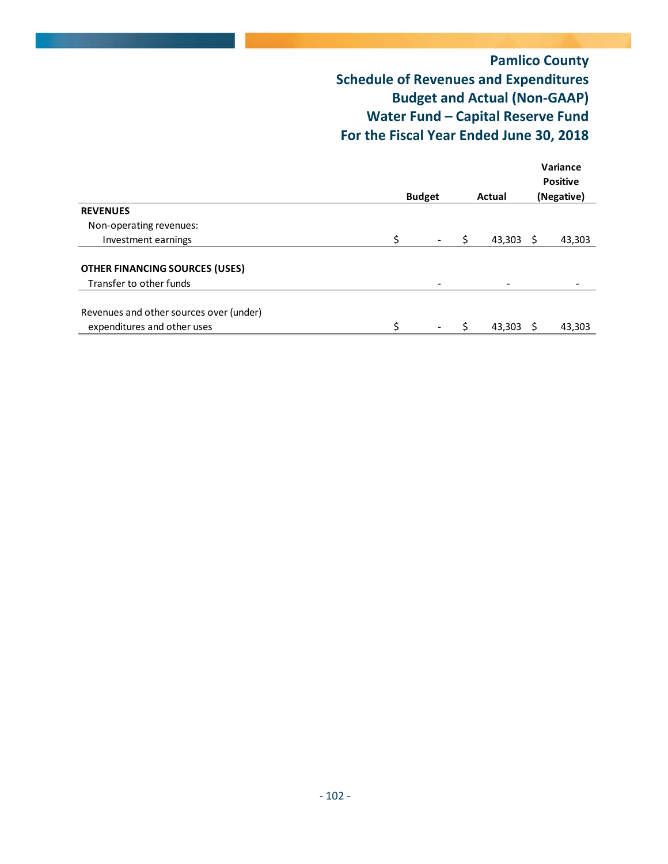# **Pamlico County Schedule of Revenues and Expenditures Budget and Actual (Non‐GAAP) Water Fund – Capital Reserve Fund For the Fiscal Year Ended June 30, 2018**

|                                         |    | <b>Budget</b><br>Actual |  |        |     |            |  |  |
|-----------------------------------------|----|-------------------------|--|--------|-----|------------|--|--|
| <b>REVENUES</b>                         |    |                         |  |        |     | (Negative) |  |  |
| Non-operating revenues:                 |    |                         |  |        |     |            |  |  |
| Investment earnings                     | Ś  |                         |  | 43,303 | - S | 43,303     |  |  |
| <b>OTHER FINANCING SOURCES (USES)</b>   |    |                         |  |        |     |            |  |  |
| Transfer to other funds                 |    | -                       |  |        |     |            |  |  |
| Revenues and other sources over (under) |    |                         |  |        |     |            |  |  |
| expenditures and other uses             | \$ |                         |  | 43,303 | - S | 43,303     |  |  |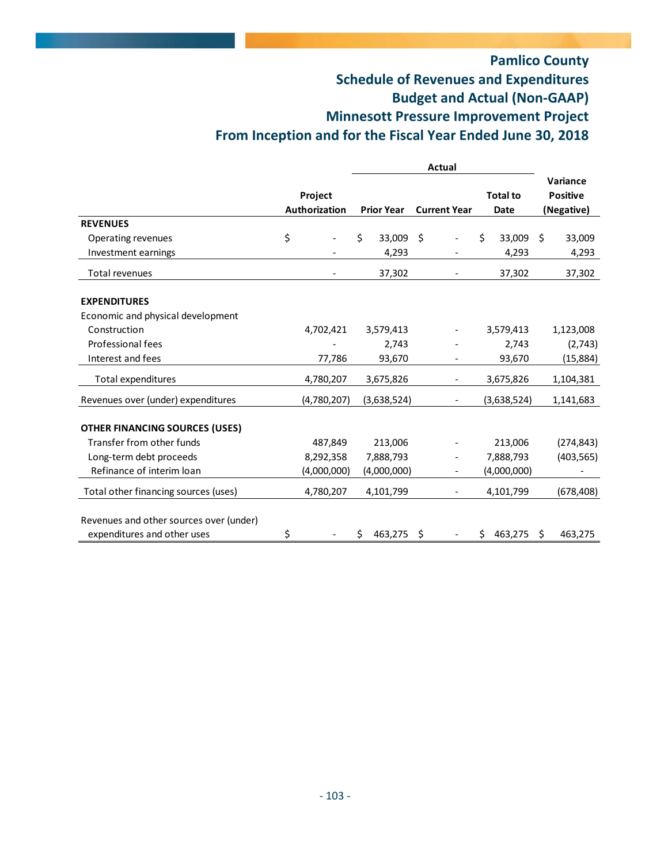# **Pamlico County Schedule of Revenues and Expenditures Budget and Actual (Non‐GAAP) Minnesott Pressure Improvement Project**

# **From Inception and for the Fiscal Year Ended June 30, 2018**

|                                         |                                        | Actual |                                          |    |                          |                                |    |                                           |
|-----------------------------------------|----------------------------------------|--------|------------------------------------------|----|--------------------------|--------------------------------|----|-------------------------------------------|
|                                         | <b>Project</b><br><b>Authorization</b> |        | <b>Current Year</b><br><b>Prior Year</b> |    |                          | <b>Total to</b><br><b>Date</b> |    | Variance<br><b>Positive</b><br>(Negative) |
| <b>REVENUES</b>                         |                                        |        |                                          |    |                          |                                |    |                                           |
| Operating revenues                      | \$                                     | \$     | 33,009                                   | Ŝ. |                          | \$<br>33,009                   | S. | 33,009                                    |
| Investment earnings                     |                                        |        | 4,293                                    |    |                          | 4,293                          |    | 4,293                                     |
| Total revenues                          |                                        |        | 37,302                                   |    |                          | 37,302                         |    | 37,302                                    |
| <b>EXPENDITURES</b>                     |                                        |        |                                          |    |                          |                                |    |                                           |
| Economic and physical development       |                                        |        |                                          |    |                          |                                |    |                                           |
| Construction                            | 4,702,421                              |        | 3,579,413                                |    |                          | 3,579,413                      |    | 1,123,008                                 |
| Professional fees                       |                                        |        | 2,743                                    |    |                          | 2,743                          |    | (2,743)                                   |
| Interest and fees                       | 77,786                                 |        | 93,670                                   |    |                          | 93,670                         |    | (15,884)                                  |
| Total expenditures                      | 4,780,207                              |        | 3,675,826                                |    |                          | 3,675,826                      |    | 1,104,381                                 |
| Revenues over (under) expenditures      | (4,780,207)                            |        | (3,638,524)                              |    |                          | (3,638,524)                    |    | 1,141,683                                 |
| <b>OTHER FINANCING SOURCES (USES)</b>   |                                        |        |                                          |    |                          |                                |    |                                           |
| Transfer from other funds               | 487,849                                |        | 213,006                                  |    |                          | 213,006                        |    | (274, 843)                                |
| Long-term debt proceeds                 | 8,292,358                              |        | 7,888,793                                |    |                          | 7,888,793                      |    | (403, 565)                                |
| Refinance of interim loan               | (4,000,000)                            |        | (4,000,000)                              |    |                          | (4,000,000)                    |    |                                           |
| Total other financing sources (uses)    | 4,780,207                              |        | 4,101,799                                |    | $\overline{\phantom{a}}$ | 4,101,799                      |    | (678,408)                                 |
| Revenues and other sources over (under) |                                        |        |                                          |    |                          |                                |    |                                           |
| expenditures and other uses             | \$                                     | Ś.     | 463,275                                  | \$ |                          | 463,275<br>Ś.                  | Ŝ. | 463,275                                   |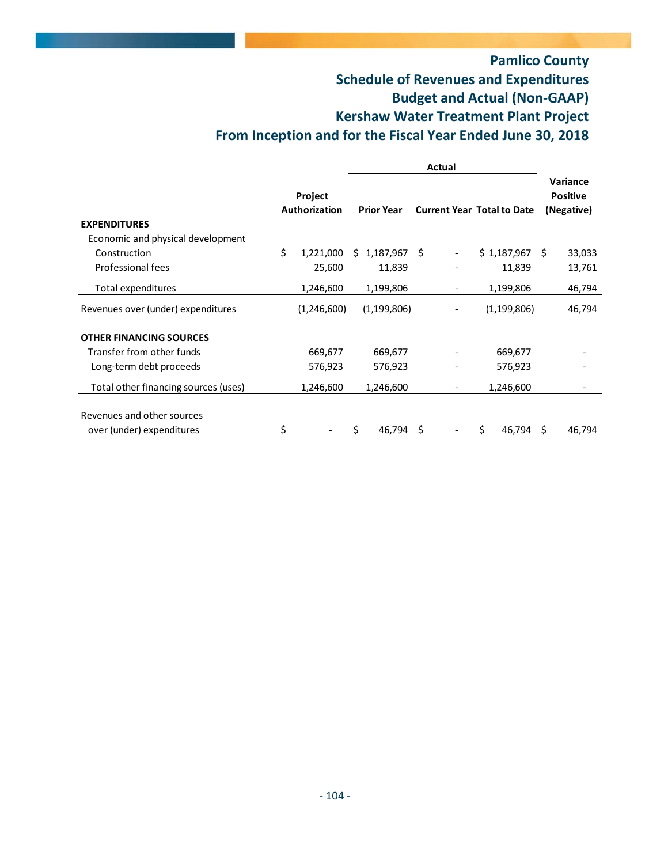# **Pamlico County Schedule of Revenues and Expenditures Budget and Actual (Non‐GAAP) Kershaw Water Treatment Plant Project From Inception and for the Fiscal Year Ended June 30, 2018**

|                                      |                      | <b>Actual</b> |                   |   |                                   |             |               |    |                 |
|--------------------------------------|----------------------|---------------|-------------------|---|-----------------------------------|-------------|---------------|----|-----------------|
|                                      |                      |               |                   |   |                                   |             |               |    | Variance        |
|                                      | Project              |               |                   |   |                                   |             |               |    | <b>Positive</b> |
|                                      | <b>Authorization</b> |               | <b>Prior Year</b> |   | <b>Current Year Total to Date</b> |             |               |    | (Negative)      |
| <b>EXPENDITURES</b>                  |                      |               |                   |   |                                   |             |               |    |                 |
| Economic and physical development    |                      |               |                   |   |                                   |             |               |    |                 |
| Construction                         | \$<br>1,221,000      | Ŝ.            | $1,187,967$ \$    |   |                                   | \$1,187,967 |               | Ŝ. | 33,033          |
| Professional fees                    | 25,600               |               | 11,839            |   |                                   |             | 11,839        |    | 13,761          |
| Total expenditures                   | 1,246,600            |               | 1,199,806         |   |                                   |             | 1,199,806     |    | 46,794          |
| Revenues over (under) expenditures   | (1,246,600)          |               | (1, 199, 806)     |   |                                   |             | (1, 199, 806) |    | 46,794          |
|                                      |                      |               |                   |   |                                   |             |               |    |                 |
| <b>OTHER FINANCING SOURCES</b>       |                      |               |                   |   |                                   |             |               |    |                 |
| Transfer from other funds            | 669,677              |               | 669,677           |   |                                   |             | 669,677       |    |                 |
| Long-term debt proceeds              | 576,923              |               | 576,923           |   |                                   |             | 576,923       |    |                 |
| Total other financing sources (uses) | 1,246,600            |               | 1,246,600         |   |                                   |             | 1,246,600     |    |                 |
|                                      |                      |               |                   |   |                                   |             |               |    |                 |
| Revenues and other sources           |                      |               |                   |   |                                   |             |               |    |                 |
| over (under) expenditures            | \$                   | Ś.            | 46,794            | S |                                   | S           | 46,794        | S  | 46,794          |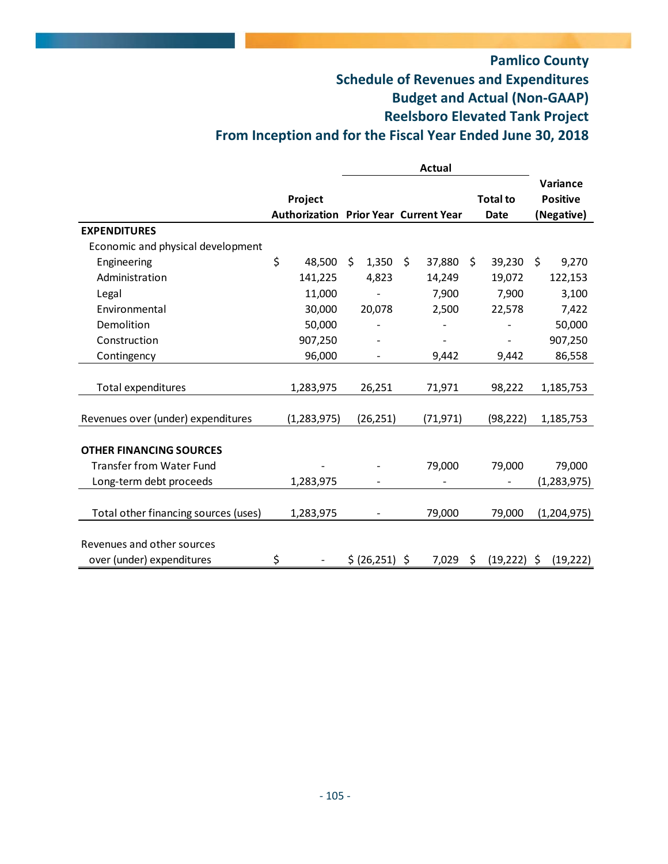# **Pamlico County Schedule of Revenues and Expenditures Budget and Actual (Non‐GAAP) Reelsboro Elevated Tank Project From Inception and for the Fiscal Year Ended June 30, 2018**

|                                      |                                              |             | <b>Actual</b> |    |                 |                 |
|--------------------------------------|----------------------------------------------|-------------|---------------|----|-----------------|-----------------|
|                                      |                                              |             |               |    |                 | <b>Variance</b> |
|                                      | Project                                      |             |               |    | <b>Total to</b> | <b>Positive</b> |
|                                      | <b>Authorization Prior Year Current Year</b> |             |               |    | Date            | (Negative)      |
| <b>EXPENDITURES</b>                  |                                              |             |               |    |                 |                 |
| Economic and physical development    |                                              |             |               |    |                 |                 |
| Engineering                          | \$<br>48,500                                 | \$<br>1,350 | \$<br>37,880  | Ŝ. | 39,230          | \$<br>9,270     |
| Administration                       | 141,225                                      | 4,823       | 14,249        |    | 19,072          | 122,153         |
| Legal                                | 11,000                                       |             | 7,900         |    | 7,900           | 3,100           |
| Environmental                        | 30,000                                       | 20,078      | 2,500         |    | 22,578          | 7,422           |
| Demolition                           | 50,000                                       |             |               |    |                 | 50,000          |
| Construction                         | 907,250                                      |             |               |    |                 | 907,250         |
| Contingency                          | 96,000                                       |             | 9,442         |    | 9,442           | 86,558          |
|                                      |                                              |             |               |    |                 |                 |
| Total expenditures                   | 1,283,975                                    | 26,251      | 71,971        |    | 98,222          | 1,185,753       |
|                                      |                                              |             |               |    |                 |                 |
| Revenues over (under) expenditures   | (1, 283, 975)                                | (26, 251)   | (71, 971)     |    | (98, 222)       | 1,185,753       |
|                                      |                                              |             |               |    |                 |                 |
| <b>OTHER FINANCING SOURCES</b>       |                                              |             |               |    |                 |                 |
| <b>Transfer from Water Fund</b>      |                                              |             | 79,000        |    | 79,000          | 79,000          |
| Long-term debt proceeds              | 1,283,975                                    |             |               |    |                 | (1, 283, 975)   |
|                                      |                                              |             |               |    |                 |                 |
| Total other financing sources (uses) | 1,283,975                                    |             | 79,000        |    | 79,000          | (1,204,975)     |
|                                      |                                              |             |               |    |                 |                 |
| Revenues and other sources           |                                              |             |               |    |                 |                 |
| over (under) expenditures            | \$                                           | \$ (26,251) | \$<br>7,029   | \$ | (19, 222)       | \$<br>(19, 222) |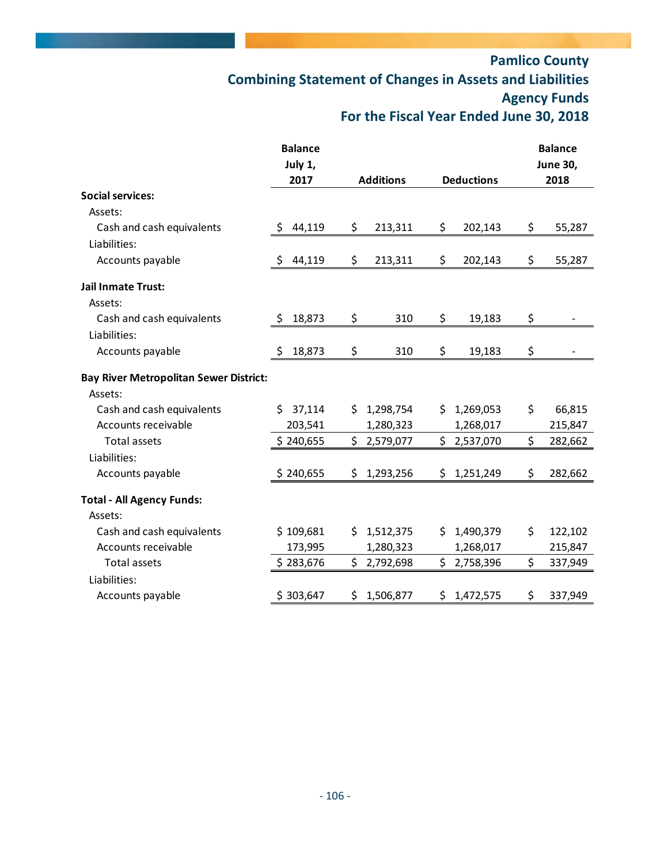# **Pamlico County Combining Statement of Changes in Assets and Liabilities Agency Funds For the Fiscal Year Ended June 30, 2018**

|                                               | <b>Balance</b> |                  |             |    |                   |    | <b>Balance</b>  |
|-----------------------------------------------|----------------|------------------|-------------|----|-------------------|----|-----------------|
|                                               | July 1,        |                  |             |    |                   |    | <b>June 30,</b> |
|                                               | 2017           | <b>Additions</b> |             |    | <b>Deductions</b> |    | 2018            |
| <b>Social services:</b>                       |                |                  |             |    |                   |    |                 |
| Assets:                                       |                |                  |             |    |                   |    |                 |
| Cash and cash equivalents                     | \$<br>44,119   | \$               | 213,311     | \$ | 202,143           | \$ | 55,287          |
| Liabilities:                                  |                |                  |             |    |                   |    |                 |
| Accounts payable                              | 44,119<br>\$   | \$               | 213,311     | \$ | 202,143           | \$ | 55,287          |
| <b>Jail Inmate Trust:</b>                     |                |                  |             |    |                   |    |                 |
| Assets:                                       |                |                  |             |    |                   |    |                 |
| Cash and cash equivalents                     | \$<br>18,873   | \$               | 310         | \$ | 19,183            | \$ |                 |
| Liabilities:                                  |                |                  |             |    |                   |    |                 |
| Accounts payable                              | 18,873<br>\$   | \$               | 310         | \$ | 19,183            | \$ |                 |
| <b>Bay River Metropolitan Sewer District:</b> |                |                  |             |    |                   |    |                 |
| Assets:                                       |                |                  |             |    |                   |    |                 |
| Cash and cash equivalents                     | 37,114<br>Ś.   | Ś.               | 1,298,754   | Ś. | 1,269,053         | \$ | 66,815          |
| Accounts receivable                           | 203,541        |                  | 1,280,323   |    | 1,268,017         |    | 215,847         |
| <b>Total assets</b>                           | \$240,655      | \$               | 2,579,077   | \$ | 2,537,070         | \$ | 282,662         |
| Liabilities:                                  |                |                  |             |    |                   |    |                 |
| Accounts payable                              | \$240,655      | \$               | 1,293,256   | \$ | 1,251,249         | \$ | 282,662         |
| <b>Total - All Agency Funds:</b>              |                |                  |             |    |                   |    |                 |
| Assets:                                       |                |                  |             |    |                   |    |                 |
| Cash and cash equivalents                     | \$109,681      | \$.              | 1,512,375   | S. | 1,490,379         | \$ | 122,102         |
| Accounts receivable                           | 173,995        |                  | 1,280,323   |    | 1,268,017         |    | 215,847         |
| Total assets                                  | \$283,676      | \$               | 2,792,698   | \$ | 2,758,396         | \$ | 337,949         |
| Liabilities:                                  |                |                  |             |    |                   |    |                 |
| Accounts payable                              | \$303,647      |                  | \$1,506,877 |    | \$1,472,575       | \$ | 337,949         |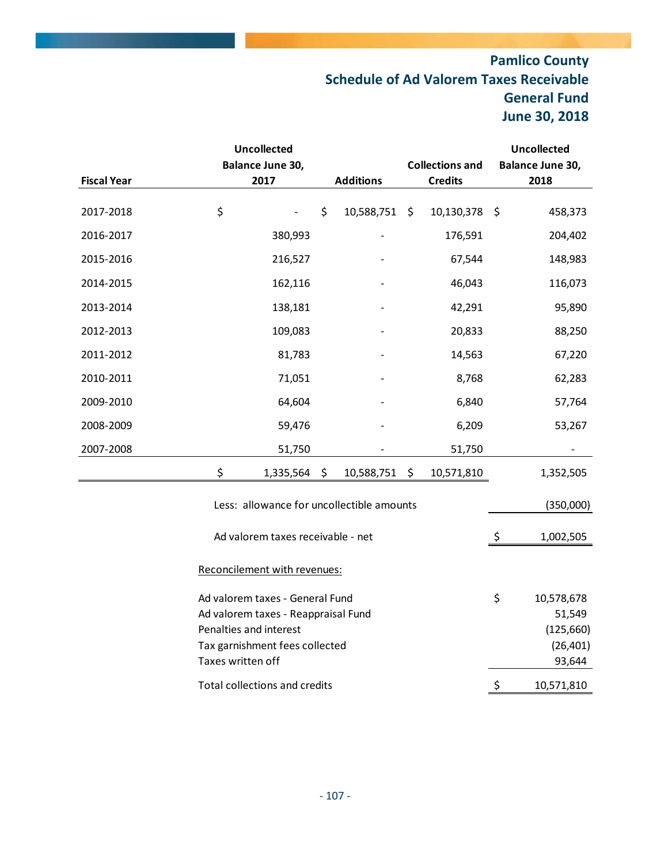# **Pamlico County Schedule of Ad Valorem Taxes Receivable General Fund June 30, 2018**

|                              |                        | <b>Uncollected</b>                  |    |                                           |                        |                |                  | <b>Uncollected</b> |
|------------------------------|------------------------|-------------------------------------|----|-------------------------------------------|------------------------|----------------|------------------|--------------------|
|                              |                        | Balance June 30,                    |    |                                           | <b>Collections and</b> |                | Balance June 30, |                    |
| <b>Fiscal Year</b>           |                        | 2017                                |    | <b>Additions</b>                          |                        | <b>Credits</b> | 2018             |                    |
|                              | \$                     |                                     |    |                                           |                        |                |                  |                    |
| 2017-2018                    |                        |                                     | \$ | 10,588,751                                | $\zeta$                | 10,130,378     | \$               | 458,373            |
| 2016-2017                    |                        | 380,993                             |    |                                           |                        | 176,591        |                  | 204,402            |
| 2015-2016                    |                        | 216,527                             |    |                                           |                        | 67,544         |                  | 148,983            |
| 2014-2015                    |                        | 162,116                             |    |                                           |                        | 46,043         |                  | 116,073            |
| 2013-2014                    |                        | 138,181                             |    |                                           |                        | 42,291         |                  | 95,890             |
| 2012-2013                    |                        | 109,083                             |    |                                           |                        | 20,833         |                  | 88,250             |
| 2011-2012                    |                        | 81,783                              |    |                                           |                        | 14,563         |                  | 67,220             |
| 2010-2011                    |                        | 71,051                              |    |                                           |                        | 8,768          |                  | 62,283             |
| 2009-2010                    |                        | 64,604                              |    |                                           |                        | 6,840          |                  | 57,764             |
| 2008-2009                    |                        | 59,476                              |    |                                           |                        | 6,209          |                  | 53,267             |
| 2007-2008                    |                        | 51,750                              |    |                                           |                        | 51,750         |                  |                    |
|                              | \$                     | 1,335,564                           | \$ | 10,588,751                                | \$                     | 10,571,810     |                  | 1,352,505          |
|                              |                        |                                     |    | Less: allowance for uncollectible amounts |                        |                |                  | (350,000)          |
|                              |                        | Ad valorem taxes receivable - net   |    |                                           |                        |                | \$               | 1,002,505          |
| Reconcilement with revenues: |                        |                                     |    |                                           |                        |                |                  |                    |
|                              |                        | Ad valorem taxes - General Fund     |    |                                           |                        |                | \$               | 10,578,678         |
|                              |                        | Ad valorem taxes - Reappraisal Fund |    |                                           |                        |                |                  | 51,549             |
|                              | Penalties and interest |                                     |    |                                           |                        |                |                  | (125,660)          |
|                              |                        | Tax garnishment fees collected      |    |                                           |                        |                |                  | (26, 401)          |
|                              | Taxes written off      |                                     |    |                                           |                        |                |                  | 93,644             |

Total collections and credits  $\frac{\text{S}}{10,571,810}$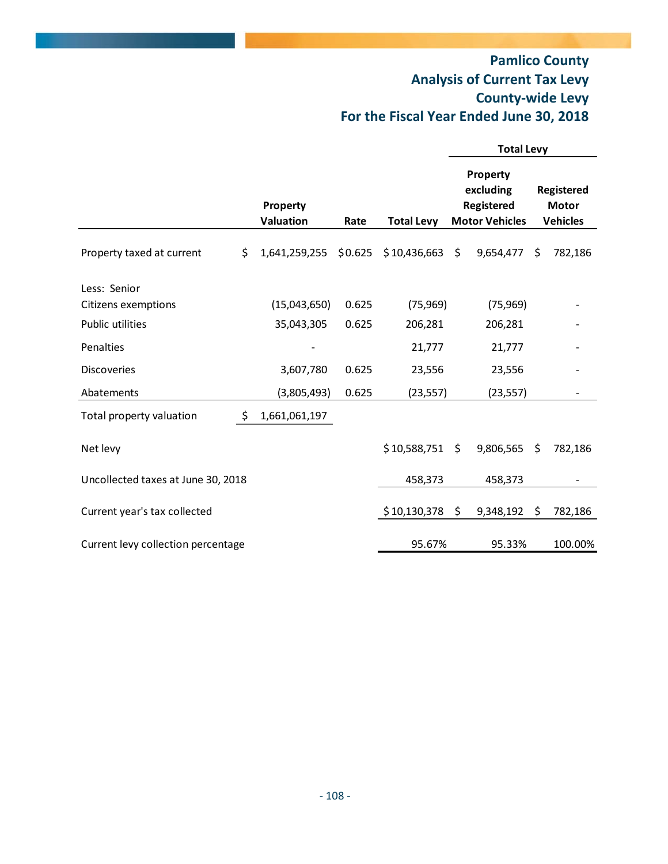# **Pamlico County Analysis of Current Tax Levy County‐wide Levy For the Fiscal Year Ended June 30, 2018**

|                                    |                                                    |         |              | <b>Total Levy</b>                                            |                                               |    |         |
|------------------------------------|----------------------------------------------------|---------|--------------|--------------------------------------------------------------|-----------------------------------------------|----|---------|
|                                    | Property<br>Valuation<br><b>Total Levy</b><br>Rate |         |              | Property<br>excluding<br>Registered<br><b>Motor Vehicles</b> | Registered<br><b>Motor</b><br><b>Vehicles</b> |    |         |
|                                    |                                                    |         |              |                                                              |                                               |    |         |
| Property taxed at current          | \$<br>1,641,259,255                                | \$0.625 | \$10,436,663 | \$                                                           | 9,654,477                                     | Ŝ. | 782,186 |
| Less: Senior                       |                                                    |         |              |                                                              |                                               |    |         |
| Citizens exemptions                | (15,043,650)                                       | 0.625   | (75, 969)    |                                                              | (75, 969)                                     |    |         |
| Public utilities                   | 35,043,305                                         | 0.625   | 206,281      |                                                              | 206,281                                       |    |         |
| Penalties                          |                                                    |         | 21,777       |                                                              | 21,777                                        |    |         |
| <b>Discoveries</b>                 | 3,607,780                                          | 0.625   | 23,556       |                                                              | 23,556                                        |    |         |
| Abatements                         | (3,805,493)                                        | 0.625   | (23, 557)    |                                                              | (23, 557)                                     |    |         |
| Total property valuation           | \$<br>1,661,061,197                                |         |              |                                                              |                                               |    |         |
| Net levy                           |                                                    |         | \$10,588,751 | \$                                                           | 9,806,565                                     | \$ | 782,186 |
| Uncollected taxes at June 30, 2018 |                                                    |         | 458,373      |                                                              | 458,373                                       |    |         |
| Current year's tax collected       |                                                    |         | \$10,130,378 | $\ddot{\varsigma}$                                           | 9,348,192                                     | \$ | 782,186 |
| Current levy collection percentage |                                                    |         | 95.67%       |                                                              | 95.33%                                        |    | 100.00% |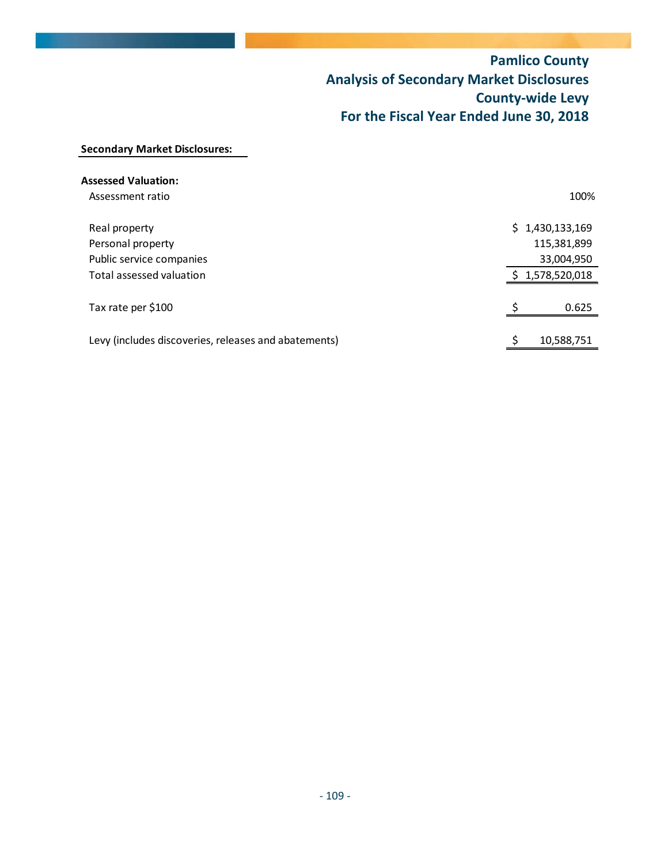# **Pamlico County Analysis of Secondary Market Disclosures County‐wide Levy For the Fiscal Year Ended June 30, 2018**

## **Secondary Market Disclosures:**

| <b>Assessed Valuation:</b>                           |                 |
|------------------------------------------------------|-----------------|
| Assessment ratio                                     | 100%            |
| Real property                                        | \$1,430,133,169 |
| Personal property                                    | 115,381,899     |
| Public service companies                             | 33,004,950      |
| Total assessed valuation                             | 1,578,520,018   |
| Tax rate per \$100                                   | 0.625           |
| Levy (includes discoveries, releases and abatements) | 10,588,751      |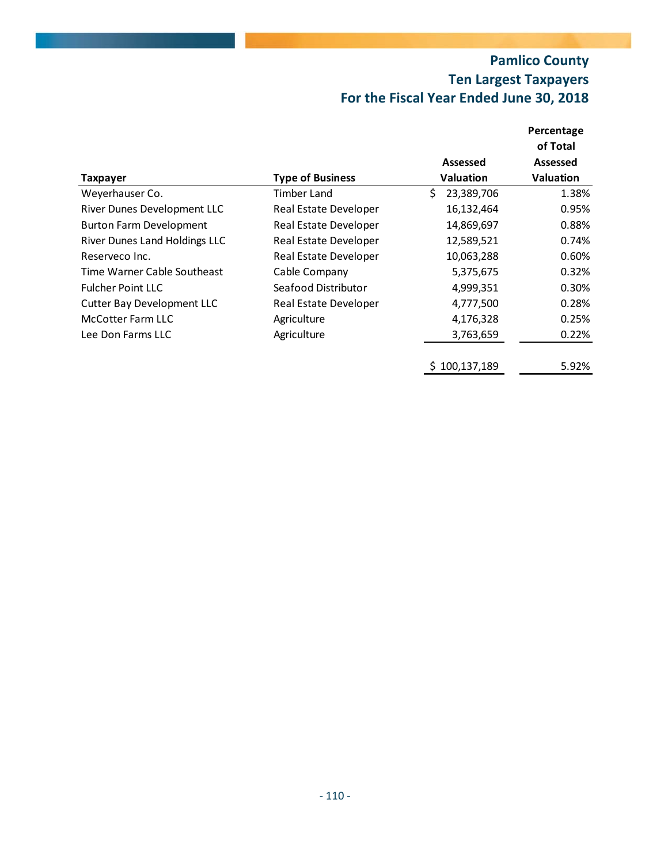# **Pamlico County Ten Largest Taxpayers For the Fiscal Year Ended June 30, 2018**

|                                   |                         |                  | Percentage       |
|-----------------------------------|-------------------------|------------------|------------------|
|                                   |                         |                  | of Total         |
|                                   |                         | <b>Assessed</b>  | Assessed         |
| Taxpayer                          | <b>Type of Business</b> | <b>Valuation</b> | <b>Valuation</b> |
| Weyerhauser Co.                   | Timber Land             | Ś<br>23,389,706  | 1.38%            |
| River Dunes Development LLC       | Real Estate Developer   | 16,132,464       | 0.95%            |
| <b>Burton Farm Development</b>    | Real Estate Developer   | 14,869,697       | 0.88%            |
| River Dunes Land Holdings LLC     | Real Estate Developer   | 12,589,521       | 0.74%            |
| Reserveco Inc.                    | Real Estate Developer   | 10,063,288       | 0.60%            |
| Time Warner Cable Southeast       | Cable Company           | 5,375,675        | 0.32%            |
| <b>Fulcher Point LLC</b>          | Seafood Distributor     | 4,999,351        | 0.30%            |
| <b>Cutter Bay Development LLC</b> | Real Estate Developer   | 4,777,500        | 0.28%            |
| McCotter Farm LLC                 | Agriculture             | 4,176,328        | 0.25%            |
| Lee Don Farms LLC                 | Agriculture             | 3,763,659        | 0.22%            |
|                                   |                         | \$100,137,189    | 5.92%            |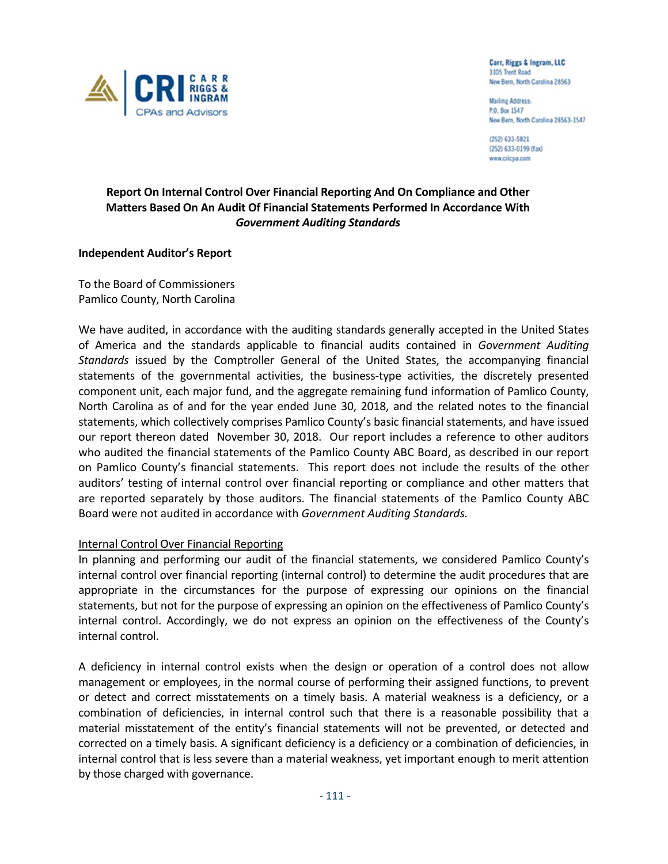

Carr, Riggs & Ingram, LLC 3105 Trent Road New Bern, North Carolina 28563

**Mailing Address:** P.O. Box 1547 New Bern, North Carolina 28563-1547

(252) 633-5821 (252) 633-0199 (fax) www.cricpa.com

## **Report On Internal Control Over Financial Reporting And On Compliance and Other Matters Based On An Audit Of Financial Statements Performed In Accordance With** *Government Auditing Standards*

## **Independent Auditor's Report**

To the Board of Commissioners Pamlico County, North Carolina

We have audited, in accordance with the auditing standards generally accepted in the United States of America and the standards applicable to financial audits contained in *Government Auditing Standards* issued by the Comptroller General of the United States, the accompanying financial statements of the governmental activities, the business-type activities, the discretely presented component unit, each major fund, and the aggregate remaining fund information of Pamlico County, North Carolina as of and for the year ended June 30, 2018, and the related notes to the financial statements, which collectively comprises Pamlico County's basic financial statements, and have issued our report thereon dated November 30, 2018. Our report includes a reference to other auditors who audited the financial statements of the Pamlico County ABC Board, as described in our report on Pamlico County's financial statements. This report does not include the results of the other auditors' testing of internal control over financial reporting or compliance and other matters that are reported separately by those auditors. The financial statements of the Pamlico County ABC Board were not audited in accordance with *Government Auditing Standards.*

## Internal Control Over Financial Reporting

In planning and performing our audit of the financial statements, we considered Pamlico County's internal control over financial reporting (internal control) to determine the audit procedures that are appropriate in the circumstances for the purpose of expressing our opinions on the financial statements, but not for the purpose of expressing an opinion on the effectiveness of Pamlico County's internal control. Accordingly, we do not express an opinion on the effectiveness of the County's internal control.

A deficiency in internal control exists when the design or operation of a control does not allow management or employees, in the normal course of performing their assigned functions, to prevent or detect and correct misstatements on a timely basis. A material weakness is a deficiency, or a combination of deficiencies, in internal control such that there is a reasonable possibility that a material misstatement of the entity's financial statements will not be prevented, or detected and corrected on a timely basis. A significant deficiency is a deficiency or a combination of deficiencies, in internal control that is less severe than a material weakness, yet important enough to merit attention by those charged with governance.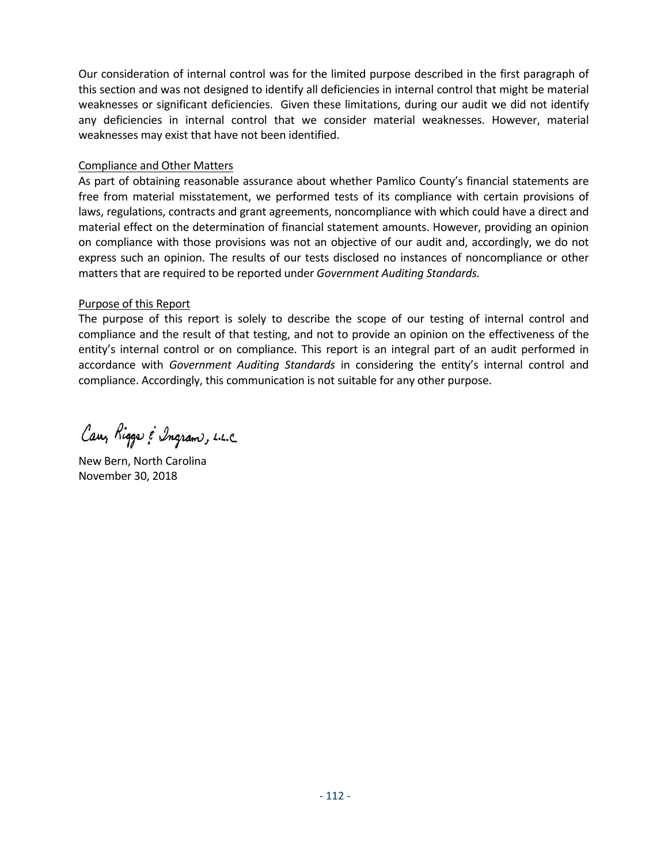Our consideration of internal control was for the limited purpose described in the first paragraph of this section and was not designed to identify all deficiencies in internal control that might be material weaknesses or significant deficiencies. Given these limitations, during our audit we did not identify any deficiencies in internal control that we consider material weaknesses. However, material weaknesses may exist that have not been identified.

## Compliance and Other Matters

As part of obtaining reasonable assurance about whether Pamlico County's financial statements are free from material misstatement, we performed tests of its compliance with certain provisions of laws, regulations, contracts and grant agreements, noncompliance with which could have a direct and material effect on the determination of financial statement amounts. However, providing an opinion on compliance with those provisions was not an objective of our audit and, accordingly, we do not express such an opinion. The results of our tests disclosed no instances of noncompliance or other matters that are required to be reported under *Government Auditing Standards.* 

## Purpose of this Report

The purpose of this report is solely to describe the scope of our testing of internal control and compliance and the result of that testing, and not to provide an opinion on the effectiveness of the entity's internal control or on compliance. This report is an integral part of an audit performed in accordance with *Government Auditing Standards* in considering the entity's internal control and compliance. Accordingly, this communication is not suitable for any other purpose.

Cary Rigger & Ingram, L.L.C.

New Bern, North Carolina November 30, 2018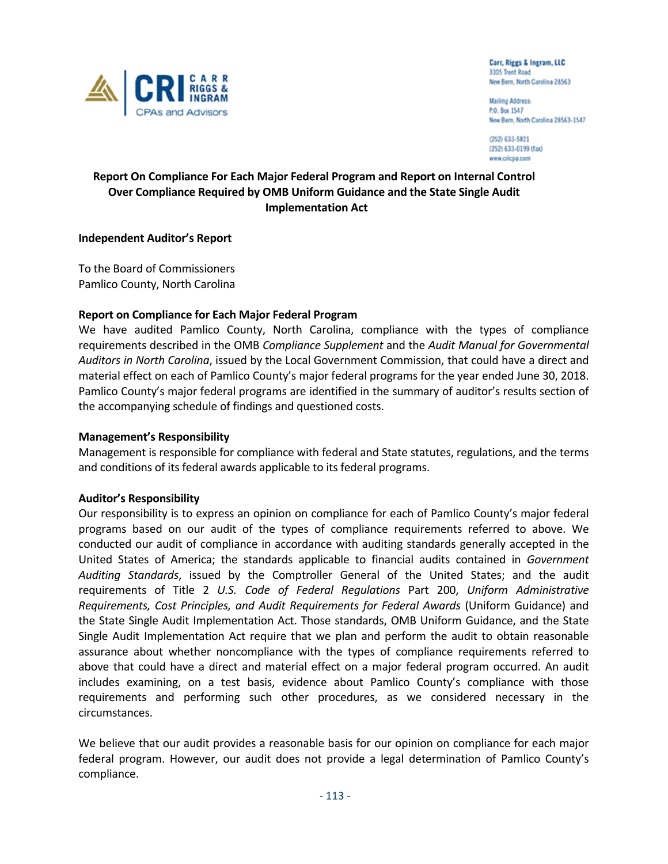

Carr, Riggs & Ingram, LLC 3105 Trent Road New Bern, North Carolina 28563

**Mailing Address:** P.O. Box 1547 New Bern, North Carolina 28563-1547

(252) 633-5821 (252) 633-0199 (fax) www.cricpa.com

## **Report On Compliance For Each Major Federal Program and Report on Internal Control Over Compliance Required by OMB Uniform Guidance and the State Single Audit Implementation Act**

## **Independent Auditor's Report**

To the Board of Commissioners Pamlico County, North Carolina

## **Report on Compliance for Each Major Federal Program**

We have audited Pamlico County, North Carolina, compliance with the types of compliance requirements described in the OMB *Compliance Supplement* and the *Audit Manual for Governmental Auditors in North Carolina*, issued by the Local Government Commission, that could have a direct and material effect on each of Pamlico County's major federal programs for the year ended June 30, 2018. Pamlico County's major federal programs are identified in the summary of auditor's results section of the accompanying schedule of findings and questioned costs.

## **Management's Responsibility**

Management is responsible for compliance with federal and State statutes, regulations, and the terms and conditions of its federal awards applicable to its federal programs.

## **Auditor's Responsibility**

Our responsibility is to express an opinion on compliance for each of Pamlico County's major federal programs based on our audit of the types of compliance requirements referred to above. We conducted our audit of compliance in accordance with auditing standards generally accepted in the United States of America; the standards applicable to financial audits contained in *Government Auditing Standards*, issued by the Comptroller General of the United States; and the audit requirements of Title 2 *U.S. Code of Federal Regulations* Part 200, *Uniform Administrative Requirements, Cost Principles, and Audit Requirements for Federal Awards* (Uniform Guidance) and the State Single Audit Implementation Act. Those standards, OMB Uniform Guidance, and the State Single Audit Implementation Act require that we plan and perform the audit to obtain reasonable assurance about whether noncompliance with the types of compliance requirements referred to above that could have a direct and material effect on a major federal program occurred. An audit includes examining, on a test basis, evidence about Pamlico County's compliance with those requirements and performing such other procedures, as we considered necessary in the circumstances.

We believe that our audit provides a reasonable basis for our opinion on compliance for each major federal program. However, our audit does not provide a legal determination of Pamlico County's compliance.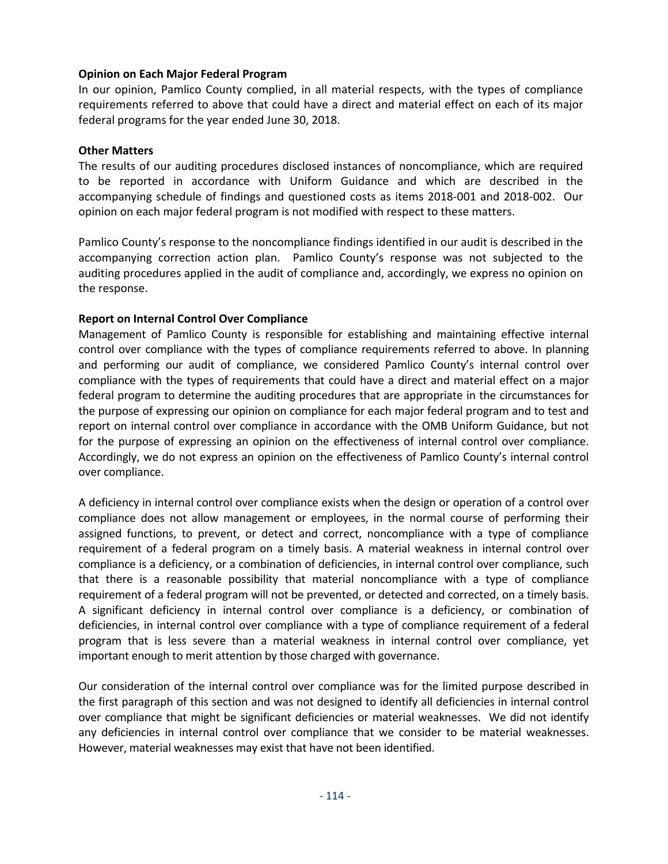## **Opinion on Each Major Federal Program**

In our opinion, Pamlico County complied, in all material respects, with the types of compliance requirements referred to above that could have a direct and material effect on each of its major federal programs for the year ended June 30, 2018.

## **Other Matters**

The results of our auditing procedures disclosed instances of noncompliance, which are required to be reported in accordance with Uniform Guidance and which are described in the accompanying schedule of findings and questioned costs as items 2018‐001 and 2018‐002. Our opinion on each major federal program is not modified with respect to these matters.

Pamlico County's response to the noncompliance findings identified in our audit is described in the accompanying correction action plan. Pamlico County's response was not subjected to the auditing procedures applied in the audit of compliance and, accordingly, we express no opinion on the response.

## **Report on Internal Control Over Compliance**

Management of Pamlico County is responsible for establishing and maintaining effective internal control over compliance with the types of compliance requirements referred to above. In planning and performing our audit of compliance, we considered Pamlico County's internal control over compliance with the types of requirements that could have a direct and material effect on a major federal program to determine the auditing procedures that are appropriate in the circumstances for the purpose of expressing our opinion on compliance for each major federal program and to test and report on internal control over compliance in accordance with the OMB Uniform Guidance, but not for the purpose of expressing an opinion on the effectiveness of internal control over compliance. Accordingly, we do not express an opinion on the effectiveness of Pamlico County's internal control over compliance.

A deficiency in internal control over compliance exists when the design or operation of a control over compliance does not allow management or employees, in the normal course of performing their assigned functions, to prevent, or detect and correct, noncompliance with a type of compliance requirement of a federal program on a timely basis. A material weakness in internal control over compliance is a deficiency, or a combination of deficiencies, in internal control over compliance, such that there is a reasonable possibility that material noncompliance with a type of compliance requirement of a federal program will not be prevented, or detected and corrected, on a timely basis. A significant deficiency in internal control over compliance is a deficiency, or combination of deficiencies, in internal control over compliance with a type of compliance requirement of a federal program that is less severe than a material weakness in internal control over compliance, yet important enough to merit attention by those charged with governance.

Our consideration of the internal control over compliance was for the limited purpose described in the first paragraph of this section and was not designed to identify all deficiencies in internal control over compliance that might be significant deficiencies or material weaknesses. We did not identify any deficiencies in internal control over compliance that we consider to be material weaknesses. However, material weaknesses may exist that have not been identified.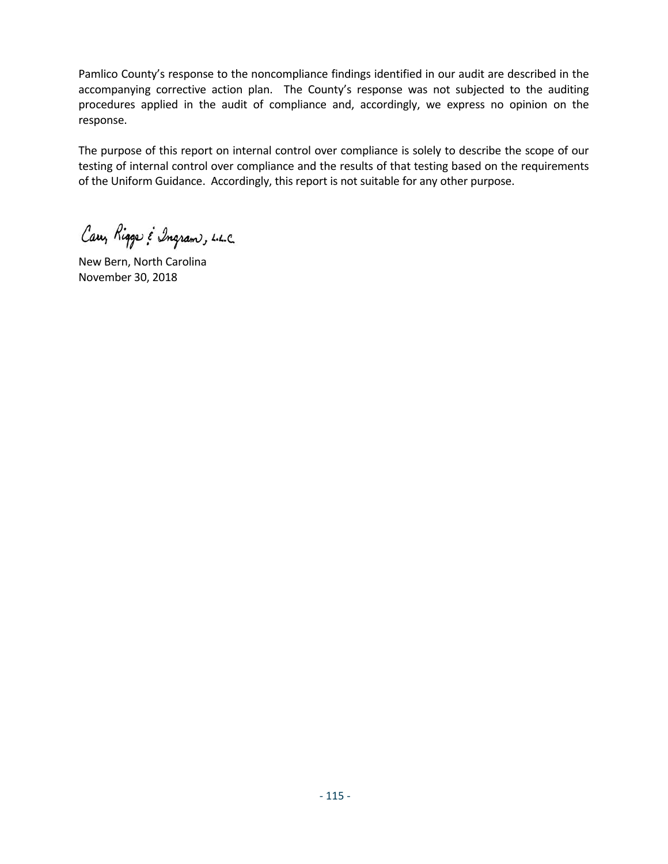Pamlico County's response to the noncompliance findings identified in our audit are described in the accompanying corrective action plan. The County's response was not subjected to the auditing procedures applied in the audit of compliance and, accordingly, we express no opinion on the response.

The purpose of this report on internal control over compliance is solely to describe the scope of our testing of internal control over compliance and the results of that testing based on the requirements of the Uniform Guidance. Accordingly, this report is not suitable for any other purpose.

Cary Riggs & Ingram, L.L.C.

New Bern, North Carolina November 30, 2018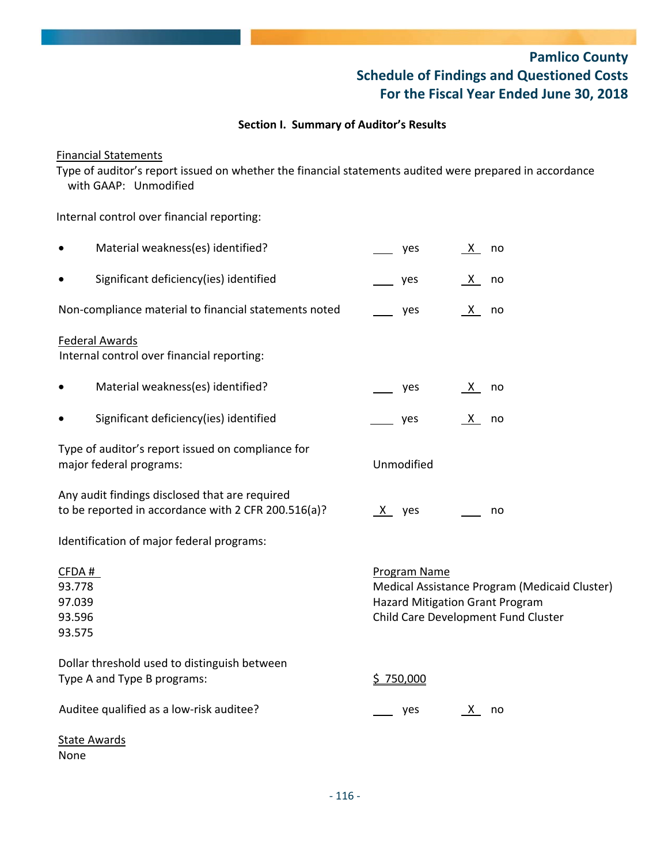# **Pamlico County Schedule of Findings and Questioned Costs For the Fiscal Year Ended June 30, 2018**

## **Section I. Summary of Auditor's Results**

## Financial Statements

Type of auditor's report issued on whether the financial statements audited were prepared in accordance with GAAP: Unmodified

Internal control over financial reporting:

|                                               | Material weakness(es) identified?                                                                     |   | yes                 | X ·      | no                                                                                                                             |
|-----------------------------------------------|-------------------------------------------------------------------------------------------------------|---|---------------------|----------|--------------------------------------------------------------------------------------------------------------------------------|
|                                               | Significant deficiency(ies) identified                                                                |   | yes                 | X.       | no                                                                                                                             |
|                                               | Non-compliance material to financial statements noted                                                 |   | yes                 | <u>X</u> | no                                                                                                                             |
|                                               | <b>Federal Awards</b><br>Internal control over financial reporting:                                   |   |                     |          |                                                                                                                                |
|                                               | Material weakness(es) identified?                                                                     |   | yes                 | <u>X</u> | no                                                                                                                             |
|                                               | Significant deficiency(ies) identified                                                                |   | yes                 | X,       | no                                                                                                                             |
|                                               | Type of auditor's report issued on compliance for<br>major federal programs:                          |   | Unmodified          |          |                                                                                                                                |
|                                               | Any audit findings disclosed that are required<br>to be reported in accordance with 2 CFR 200.516(a)? | X | yes                 |          | no                                                                                                                             |
|                                               | Identification of major federal programs:                                                             |   |                     |          |                                                                                                                                |
| CFDA#<br>93.778<br>97.039<br>93.596<br>93.575 |                                                                                                       |   | <b>Program Name</b> |          | Medical Assistance Program (Medicaid Cluster)<br><b>Hazard Mitigation Grant Program</b><br>Child Care Development Fund Cluster |
|                                               | Dollar threshold used to distinguish between<br>Type A and Type B programs:                           |   | \$750,000           |          |                                                                                                                                |
|                                               | Auditee qualified as a low-risk auditee?                                                              |   | yes                 | <u>X</u> | no                                                                                                                             |
| <b>State Awards</b><br>None                   |                                                                                                       |   |                     |          |                                                                                                                                |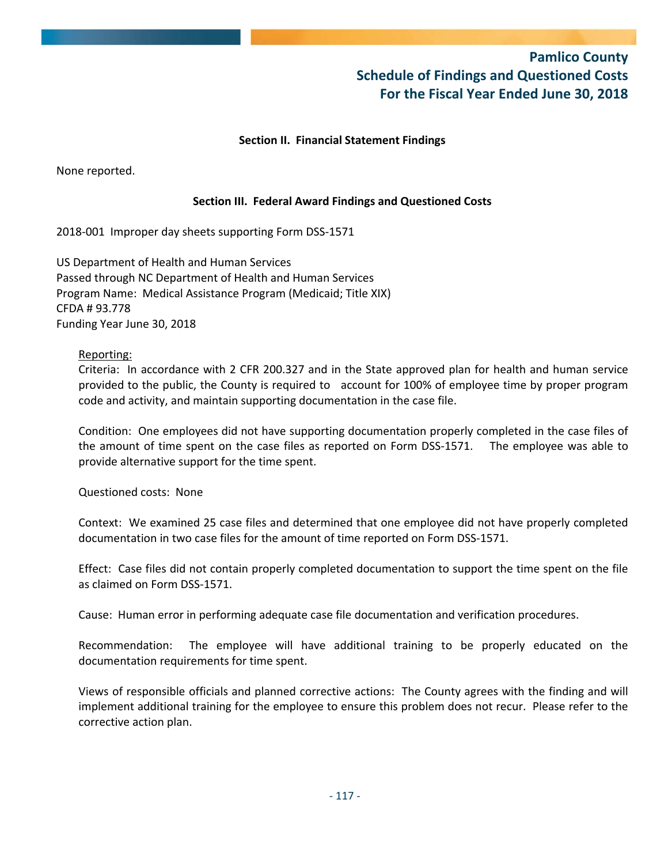## **Pamlico County Schedule of Findings and Questioned Costs For the Fiscal Year Ended June 30, 2018**

## **Section II. Financial Statement Findings**

None reported.

## **Section III. Federal Award Findings and Questioned Costs**

2018‐001 Improper day sheets supporting Form DSS‐1571

US Department of Health and Human Services Passed through NC Department of Health and Human Services Program Name: Medical Assistance Program (Medicaid; Title XIX) CFDA # 93.778 Funding Year June 30, 2018

## Reporting:

Criteria: In accordance with 2 CFR 200.327 and in the State approved plan for health and human service provided to the public, the County is required to account for 100% of employee time by proper program code and activity, and maintain supporting documentation in the case file.

Condition: One employees did not have supporting documentation properly completed in the case files of the amount of time spent on the case files as reported on Form DSS‐1571. The employee was able to provide alternative support for the time spent.

Questioned costs: None

Context: We examined 25 case files and determined that one employee did not have properly completed documentation in two case files for the amount of time reported on Form DSS‐1571.

Effect: Case files did not contain properly completed documentation to support the time spent on the file as claimed on Form DSS‐1571.

Cause: Human error in performing adequate case file documentation and verification procedures.

Recommendation: The employee will have additional training to be properly educated on the documentation requirements for time spent.

Views of responsible officials and planned corrective actions: The County agrees with the finding and will implement additional training for the employee to ensure this problem does not recur. Please refer to the corrective action plan.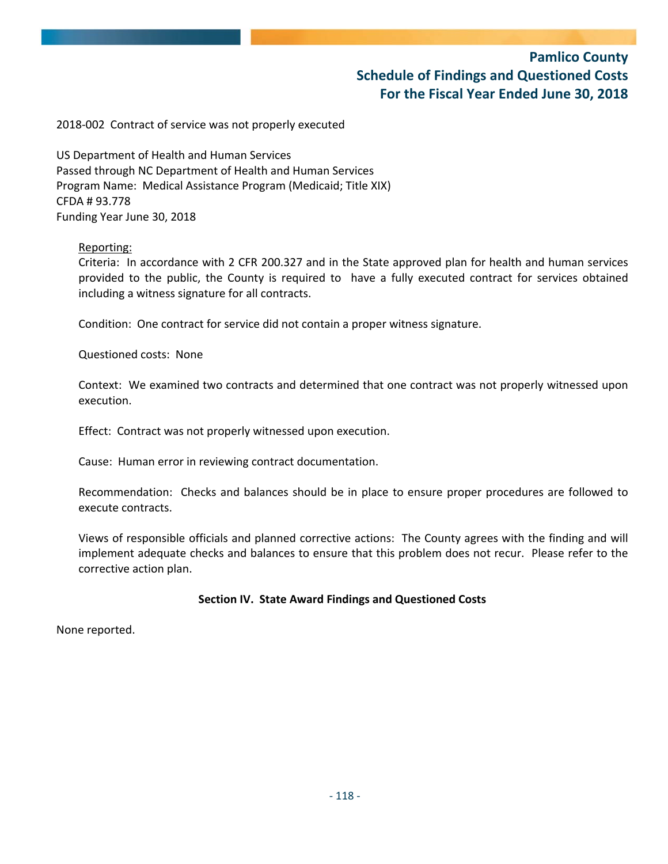## **Pamlico County Schedule of Findings and Questioned Costs For the Fiscal Year Ended June 30, 2018**

2018‐002 Contract of service was not properly executed

US Department of Health and Human Services Passed through NC Department of Health and Human Services Program Name: Medical Assistance Program (Medicaid; Title XIX) CFDA # 93.778 Funding Year June 30, 2018

### Reporting:

Criteria: In accordance with 2 CFR 200.327 and in the State approved plan for health and human services provided to the public, the County is required to have a fully executed contract for services obtained including a witness signature for all contracts.

Condition: One contract for service did not contain a proper witness signature.

Questioned costs: None

Context: We examined two contracts and determined that one contract was not properly witnessed upon execution.

Effect: Contract was not properly witnessed upon execution.

Cause: Human error in reviewing contract documentation.

Recommendation: Checks and balances should be in place to ensure proper procedures are followed to execute contracts.

Views of responsible officials and planned corrective actions: The County agrees with the finding and will implement adequate checks and balances to ensure that this problem does not recur. Please refer to the corrective action plan.

## **Section IV. State Award Findings and Questioned Costs**

None reported.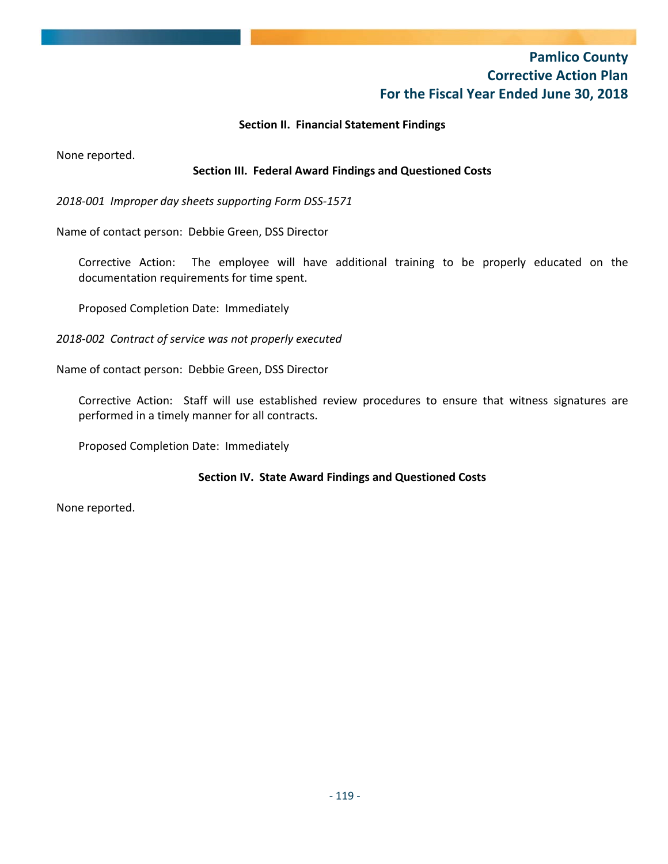## **Pamlico County Corrective Action Plan For the Fiscal Year Ended June 30, 2018**

## **Section II. Financial Statement Findings**

None reported.

## **Section III. Federal Award Findings and Questioned Costs**

*2018‐001 Improper day sheets supporting Form DSS‐1571*

Name of contact person: Debbie Green, DSS Director

Corrective Action: The employee will have additional training to be properly educated on the documentation requirements for time spent.

Proposed Completion Date: Immediately

*2018‐002 Contract of service was not properly executed*

Name of contact person: Debbie Green, DSS Director

Corrective Action: Staff will use established review procedures to ensure that witness signatures are performed in a timely manner for all contracts.

Proposed Completion Date: Immediately

## **Section IV. State Award Findings and Questioned Costs**

None reported.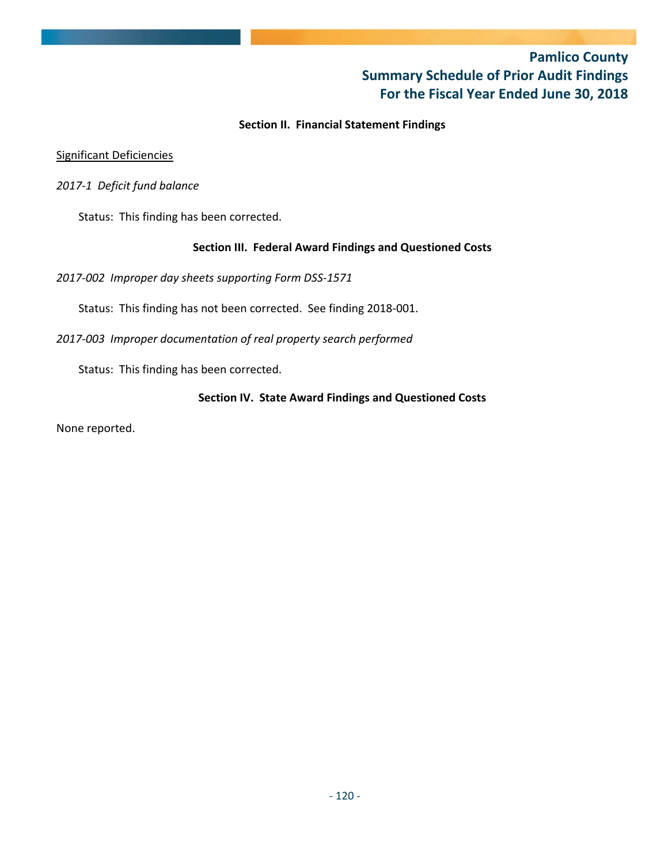## **Pamlico County Summary Schedule of Prior Audit Findings For the Fiscal Year Ended June 30, 2018**

## **Section II. Financial Statement Findings**

## Significant Deficiencies

## *2017‐1 Deficit fund balance*

Status: This finding has been corrected.

## **Section III. Federal Award Findings and Questioned Costs**

*2017‐002 Improper day sheets supporting Form DSS‐1571* 

Status: This finding has not been corrected. See finding 2018‐001.

*2017‐003 Improper documentation of real property search performed*

Status: This finding has been corrected.

## **Section IV. State Award Findings and Questioned Costs**

None reported.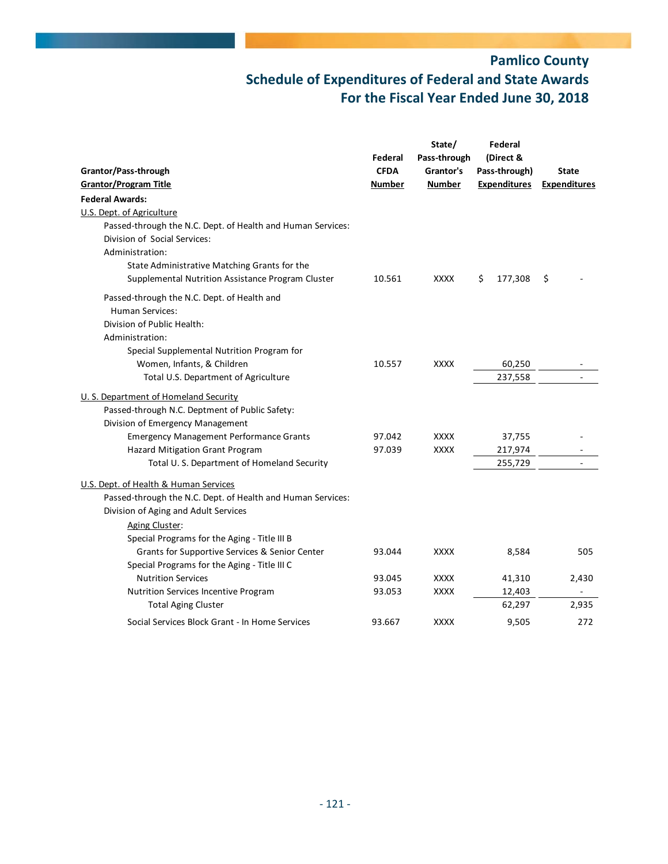| Grantor/Pass-through                                        | Federal<br><b>CFDA</b> | State/<br>Pass-through<br>Grantor's | Federal<br>(Direct &<br>Pass-through) | <b>State</b>        |
|-------------------------------------------------------------|------------------------|-------------------------------------|---------------------------------------|---------------------|
| <b>Grantor/Program Title</b>                                | <b>Number</b>          | <b>Number</b>                       | <b>Expenditures</b>                   | <b>Expenditures</b> |
| <b>Federal Awards:</b>                                      |                        |                                     |                                       |                     |
| U.S. Dept. of Agriculture                                   |                        |                                     |                                       |                     |
| Passed-through the N.C. Dept. of Health and Human Services: |                        |                                     |                                       |                     |
| Division of Social Services:                                |                        |                                     |                                       |                     |
| Administration:                                             |                        |                                     |                                       |                     |
| State Administrative Matching Grants for the                |                        |                                     |                                       |                     |
| Supplemental Nutrition Assistance Program Cluster           | 10.561                 | <b>XXXX</b>                         | 177,308<br>\$                         | \$                  |
| Passed-through the N.C. Dept. of Health and                 |                        |                                     |                                       |                     |
| <b>Human Services:</b>                                      |                        |                                     |                                       |                     |
| Division of Public Health:                                  |                        |                                     |                                       |                     |
| Administration:                                             |                        |                                     |                                       |                     |
| Special Supplemental Nutrition Program for                  |                        |                                     |                                       |                     |
| Women, Infants, & Children                                  | 10.557                 | <b>XXXX</b>                         | 60,250                                |                     |
| Total U.S. Department of Agriculture                        |                        |                                     | 237,558                               |                     |
| U. S. Department of Homeland Security                       |                        |                                     |                                       |                     |
| Passed-through N.C. Deptment of Public Safety:              |                        |                                     |                                       |                     |
| Division of Emergency Management                            |                        |                                     |                                       |                     |
| <b>Emergency Management Performance Grants</b>              | 97.042                 | <b>XXXX</b>                         | 37,755                                |                     |
| Hazard Mitigation Grant Program                             | 97.039                 | <b>XXXX</b>                         | 217,974                               |                     |
| Total U.S. Department of Homeland Security                  |                        |                                     | 255,729                               |                     |
| U.S. Dept. of Health & Human Services                       |                        |                                     |                                       |                     |
| Passed-through the N.C. Dept. of Health and Human Services: |                        |                                     |                                       |                     |
| Division of Aging and Adult Services                        |                        |                                     |                                       |                     |
| Aging Cluster:                                              |                        |                                     |                                       |                     |
| Special Programs for the Aging - Title III B                |                        |                                     |                                       |                     |
| Grants for Supportive Services & Senior Center              | 93.044                 | <b>XXXX</b>                         | 8,584                                 | 505                 |
| Special Programs for the Aging - Title III C                |                        |                                     |                                       |                     |
| <b>Nutrition Services</b>                                   | 93.045                 | <b>XXXX</b>                         | 41,310                                | 2,430               |
| Nutrition Services Incentive Program                        | 93.053                 | <b>XXXX</b>                         | 12,403                                |                     |
| <b>Total Aging Cluster</b>                                  |                        |                                     | 62,297                                | 2,935               |
| Social Services Block Grant - In Home Services              | 93.667                 | <b>XXXX</b>                         | 9,505                                 | 272                 |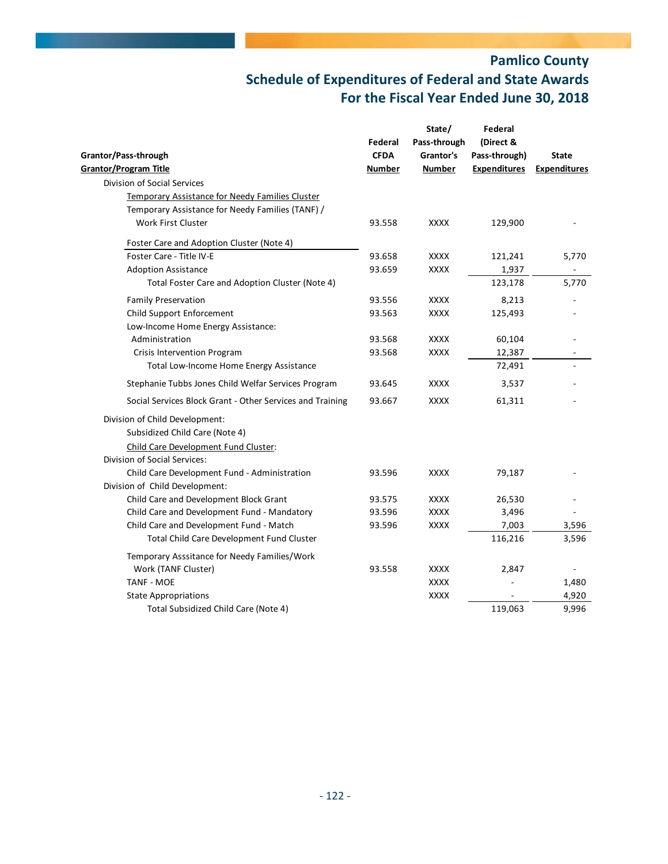|                                                           | Federal       | State/<br>Pass-through | Federal<br>(Direct & |                     |
|-----------------------------------------------------------|---------------|------------------------|----------------------|---------------------|
| Grantor/Pass-through                                      | <b>CFDA</b>   | Grantor's              | Pass-through)        | <b>State</b>        |
| <b>Grantor/Program Title</b>                              | <b>Number</b> | <b>Number</b>          | <b>Expenditures</b>  | <b>Expenditures</b> |
| Division of Social Services                               |               |                        |                      |                     |
| Temporary Assistance for Needy Families Cluster           |               |                        |                      |                     |
| Temporary Assistance for Needy Families (TANF) /          |               |                        |                      |                     |
| <b>Work First Cluster</b>                                 | 93.558        | <b>XXXX</b>            | 129,900              |                     |
| Foster Care and Adoption Cluster (Note 4)                 |               |                        |                      |                     |
| Foster Care - Title IV-E                                  | 93.658        | <b>XXXX</b>            | 121,241              | 5,770               |
| <b>Adoption Assistance</b>                                | 93.659        | <b>XXXX</b>            | 1,937                |                     |
| Total Foster Care and Adoption Cluster (Note 4)           |               |                        | 123,178              | 5,770               |
| <b>Family Preservation</b>                                | 93.556        | <b>XXXX</b>            | 8,213                |                     |
| Child Support Enforcement                                 | 93.563        | <b>XXXX</b>            | 125,493              |                     |
| Low-Income Home Energy Assistance:                        |               |                        |                      |                     |
| Administration                                            | 93.568        | <b>XXXX</b>            | 60,104               |                     |
| Crisis Intervention Program                               | 93.568        | <b>XXXX</b>            | 12,387               |                     |
| Total Low-Income Home Energy Assistance                   |               |                        | 72,491               |                     |
| Stephanie Tubbs Jones Child Welfar Services Program       | 93.645        | <b>XXXX</b>            | 3,537                |                     |
| Social Services Block Grant - Other Services and Training | 93.667        | <b>XXXX</b>            | 61,311               |                     |
| Division of Child Development:                            |               |                        |                      |                     |
| Subsidized Child Care (Note 4)                            |               |                        |                      |                     |
| Child Care Development Fund Cluster:                      |               |                        |                      |                     |
| Division of Social Services:                              |               |                        |                      |                     |
| Child Care Development Fund - Administration              | 93.596        | <b>XXXX</b>            | 79,187               |                     |
| Division of Child Development:                            |               |                        |                      |                     |
| Child Care and Development Block Grant                    | 93.575        | <b>XXXX</b>            | 26,530               |                     |
| Child Care and Development Fund - Mandatory               | 93.596        | <b>XXXX</b>            | 3,496                |                     |
| Child Care and Development Fund - Match                   | 93.596        | <b>XXXX</b>            | 7,003                | 3,596               |
| Total Child Care Development Fund Cluster                 |               |                        | 116,216              | 3,596               |
| Temporary Asssitance for Needy Families/Work              |               |                        |                      |                     |
| Work (TANF Cluster)                                       | 93.558        | <b>XXXX</b>            | 2,847                |                     |
| <b>TANF - MOE</b>                                         |               | <b>XXXX</b>            |                      | 1,480               |
| <b>State Appropriations</b>                               |               | <b>XXXX</b>            |                      | 4,920               |
| Total Subsidized Child Care (Note 4)                      |               |                        | 119,063              | 9,996               |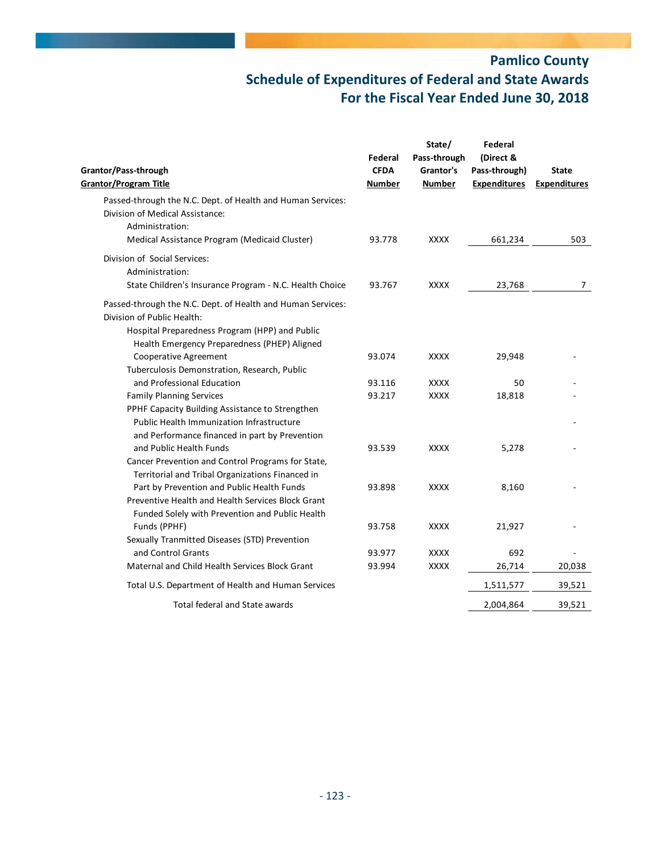| Grantor/Pass-through<br><b>Grantor/Program Title</b>                                                                                                                                        | Federal<br><b>CFDA</b><br><b>Number</b> | State/<br>Pass-through<br>Grantor's<br><b>Number</b> | Federal<br>(Direct &<br>Pass-through)<br><b>Expenditures</b> | <b>State</b><br><b>Expenditures</b> |
|---------------------------------------------------------------------------------------------------------------------------------------------------------------------------------------------|-----------------------------------------|------------------------------------------------------|--------------------------------------------------------------|-------------------------------------|
| Passed-through the N.C. Dept. of Health and Human Services:<br>Division of Medical Assistance:                                                                                              |                                         |                                                      |                                                              |                                     |
| Administration:                                                                                                                                                                             |                                         |                                                      |                                                              |                                     |
| Medical Assistance Program (Medicaid Cluster)                                                                                                                                               | 93.778                                  | <b>XXXX</b>                                          | 661,234                                                      | 503                                 |
| Division of Social Services:<br>Administration:                                                                                                                                             |                                         |                                                      |                                                              |                                     |
| State Children's Insurance Program - N.C. Health Choice                                                                                                                                     | 93.767                                  | <b>XXXX</b>                                          | 23,768                                                       | $\overline{7}$                      |
| Passed-through the N.C. Dept. of Health and Human Services:<br>Division of Public Health:<br>Hospital Preparedness Program (HPP) and Public<br>Health Emergency Preparedness (PHEP) Aligned |                                         |                                                      |                                                              |                                     |
| Cooperative Agreement<br>Tuberculosis Demonstration, Research, Public                                                                                                                       | 93.074                                  | <b>XXXX</b>                                          | 29,948                                                       |                                     |
| and Professional Education                                                                                                                                                                  | 93.116                                  | <b>XXXX</b>                                          | 50                                                           |                                     |
| <b>Family Planning Services</b>                                                                                                                                                             | 93.217                                  | <b>XXXX</b>                                          | 18,818                                                       |                                     |
| PPHF Capacity Building Assistance to Strengthen<br>Public Health Immunization Infrastructure<br>and Performance financed in part by Prevention                                              |                                         |                                                      |                                                              |                                     |
| and Public Health Funds<br>Cancer Prevention and Control Programs for State,<br>Territorial and Tribal Organizations Financed in                                                            | 93.539                                  | <b>XXXX</b>                                          | 5,278                                                        |                                     |
| Part by Prevention and Public Health Funds<br>Preventive Health and Health Services Block Grant<br>Funded Solely with Prevention and Public Health                                          | 93.898                                  | <b>XXXX</b>                                          | 8,160                                                        |                                     |
| Funds (PPHF)                                                                                                                                                                                | 93.758                                  | <b>XXXX</b>                                          | 21,927                                                       |                                     |
| Sexually Tranmitted Diseases (STD) Prevention                                                                                                                                               |                                         |                                                      |                                                              |                                     |
| and Control Grants                                                                                                                                                                          | 93.977                                  | <b>XXXX</b>                                          | 692                                                          |                                     |
| Maternal and Child Health Services Block Grant                                                                                                                                              | 93.994                                  | <b>XXXX</b>                                          | 26,714                                                       | 20,038                              |
| Total U.S. Department of Health and Human Services                                                                                                                                          |                                         |                                                      | 1,511,577                                                    | 39,521                              |
| Total federal and State awards                                                                                                                                                              |                                         |                                                      | 2,004,864                                                    | 39,521                              |
|                                                                                                                                                                                             |                                         |                                                      |                                                              |                                     |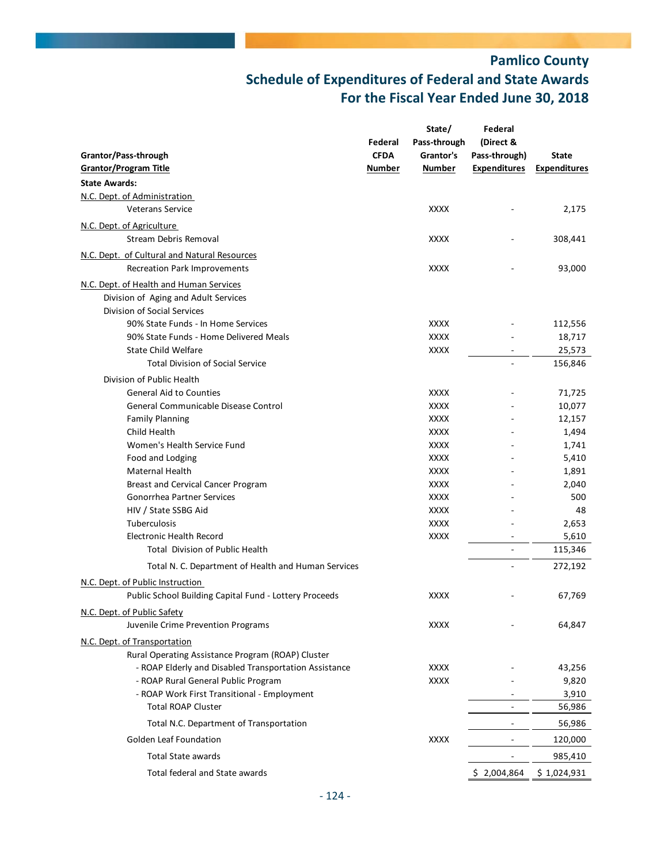|                                                                                            |             | State/       | Federal                  |                     |
|--------------------------------------------------------------------------------------------|-------------|--------------|--------------------------|---------------------|
|                                                                                            | Federal     | Pass-through | (Direct &                |                     |
| Grantor/Pass-through                                                                       | <b>CFDA</b> | Grantor's    | Pass-through)            | <b>State</b>        |
| <b>Grantor/Program Title</b>                                                               | Number      | Number       | <b>Expenditures</b>      | <b>Expenditures</b> |
| <b>State Awards:</b>                                                                       |             |              |                          |                     |
| N.C. Dept. of Administration                                                               |             |              |                          |                     |
| <b>Veterans Service</b>                                                                    |             | <b>XXXX</b>  |                          | 2,175               |
| N.C. Dept. of Agriculture                                                                  |             |              |                          |                     |
| Stream Debris Removal                                                                      |             | XXXX         |                          | 308,441             |
| N.C. Dept. of Cultural and Natural Resources                                               |             |              |                          |                     |
| Recreation Park Improvements                                                               |             | <b>XXXX</b>  |                          | 93,000              |
| N.C. Dept. of Health and Human Services                                                    |             |              |                          |                     |
| Division of Aging and Adult Services                                                       |             |              |                          |                     |
| Division of Social Services                                                                |             |              |                          |                     |
| 90% State Funds - In Home Services                                                         |             | <b>XXXX</b>  |                          | 112,556             |
| 90% State Funds - Home Delivered Meals                                                     |             | <b>XXXX</b>  |                          | 18,717              |
| State Child Welfare                                                                        |             | <b>XXXX</b>  |                          | 25,573              |
| <b>Total Division of Social Service</b>                                                    |             |              |                          | 156,846             |
| Division of Public Health                                                                  |             |              |                          |                     |
| <b>General Aid to Counties</b>                                                             |             | <b>XXXX</b>  |                          | 71,725              |
| General Communicable Disease Control                                                       |             | <b>XXXX</b>  |                          | 10,077              |
| <b>Family Planning</b>                                                                     |             | <b>XXXX</b>  |                          | 12,157              |
| Child Health                                                                               |             | <b>XXXX</b>  |                          | 1,494               |
| Women's Health Service Fund                                                                |             | <b>XXXX</b>  |                          | 1,741               |
| Food and Lodging                                                                           |             | <b>XXXX</b>  |                          | 5,410               |
| Maternal Health                                                                            |             | <b>XXXX</b>  |                          | 1,891               |
| Breast and Cervical Cancer Program                                                         |             | <b>XXXX</b>  |                          | 2,040               |
| <b>Gonorrhea Partner Services</b>                                                          |             | <b>XXXX</b>  |                          | 500                 |
| HIV / State SSBG Aid                                                                       |             | <b>XXXX</b>  |                          | 48                  |
| Tuberculosis                                                                               |             | <b>XXXX</b>  |                          | 2,653               |
| <b>Electronic Health Record</b>                                                            |             | <b>XXXX</b>  |                          | 5,610               |
| <b>Total Division of Public Health</b>                                                     |             |              |                          | 115,346             |
| Total N. C. Department of Health and Human Services                                        |             |              |                          | 272,192             |
|                                                                                            |             |              |                          |                     |
| N.C. Dept. of Public Instruction<br>Public School Building Capital Fund - Lottery Proceeds |             | <b>XXXX</b>  |                          | 67,769              |
|                                                                                            |             |              |                          |                     |
| N.C. Dept. of Public Safety                                                                |             | <b>XXXX</b>  |                          |                     |
| Juvenile Crime Prevention Programs                                                         |             |              |                          | 64,847              |
| N.C. Dept. of Transportation                                                               |             |              |                          |                     |
| Rural Operating Assistance Program (ROAP) Cluster                                          |             |              |                          |                     |
| - ROAP Elderly and Disabled Transportation Assistance                                      |             | <b>XXXX</b>  |                          | 43,256              |
| - ROAP Rural General Public Program                                                        |             | <b>XXXX</b>  |                          | 9,820               |
| - ROAP Work First Transitional - Employment                                                |             |              |                          | 3,910               |
| <b>Total ROAP Cluster</b>                                                                  |             |              |                          | 56,986              |
| Total N.C. Department of Transportation                                                    |             |              |                          | 56,986              |
| Golden Leaf Foundation                                                                     |             | <b>XXXX</b>  |                          | 120,000             |
| Total State awards                                                                         |             |              | $\overline{\phantom{0}}$ | 985,410             |
| Total federal and State awards                                                             |             |              | \$2,004,864              | \$1,024,931         |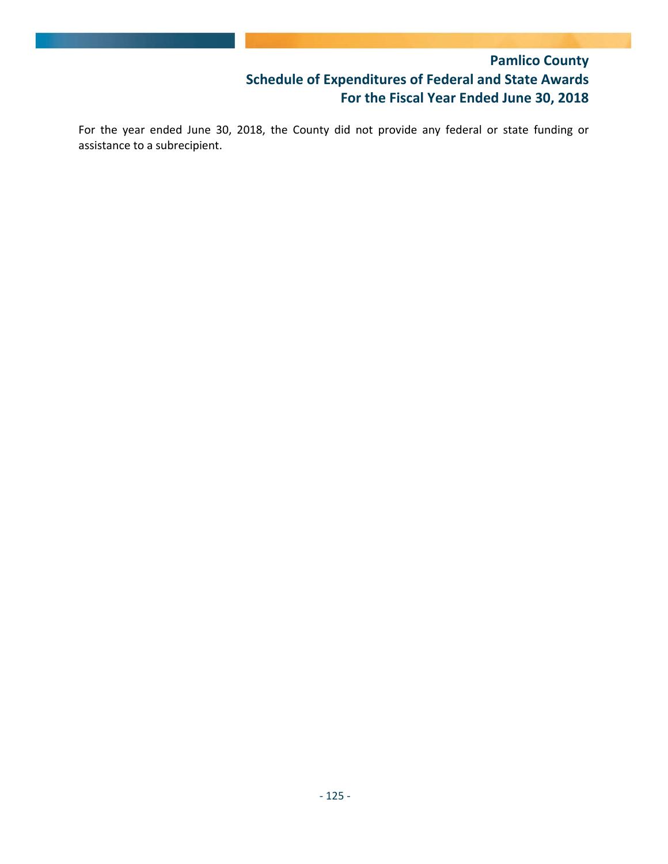For the year ended June 30, 2018, the County did not provide any federal or state funding or assistance to a subrecipient.